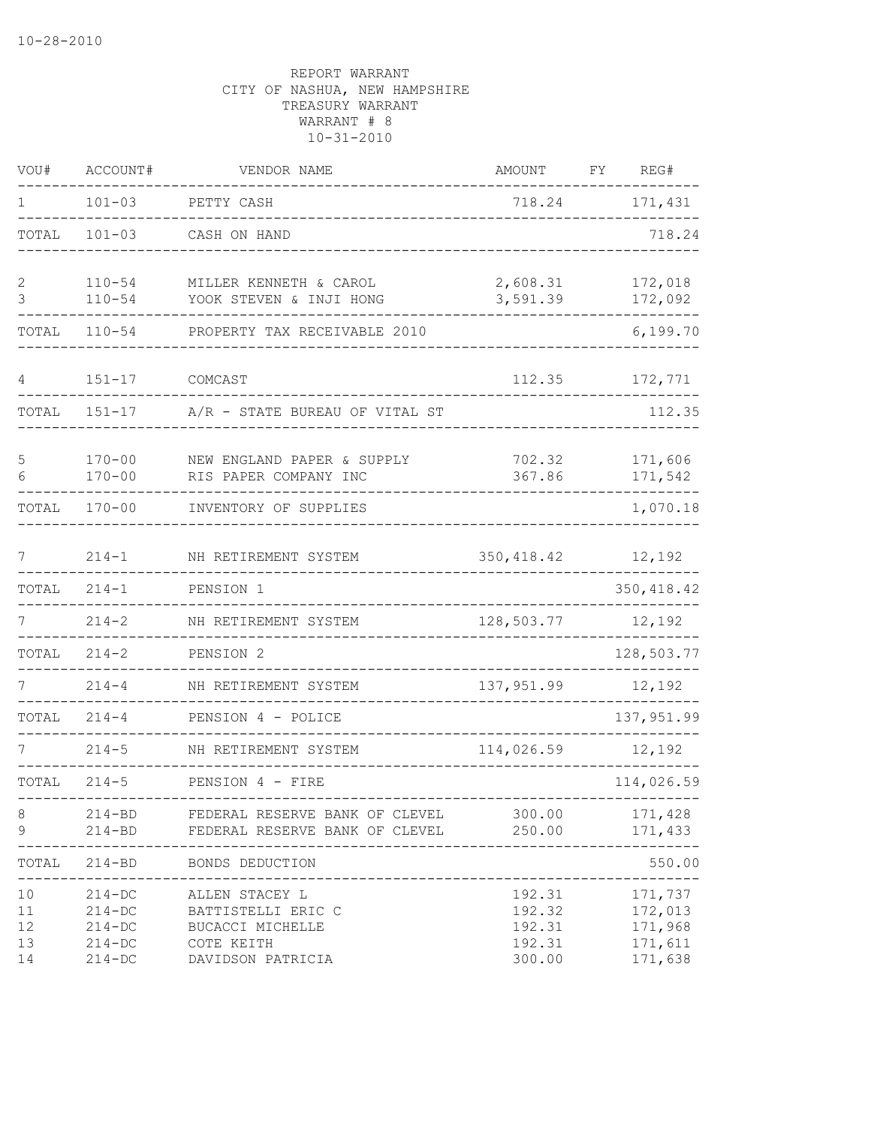| VOU#                       | ACCOUNT#                                                           | VENDOR NAME                                                                                 | <b>AMOUNT</b>                                  | FΥ | REG#                                                |
|----------------------------|--------------------------------------------------------------------|---------------------------------------------------------------------------------------------|------------------------------------------------|----|-----------------------------------------------------|
| 1                          | $101 - 03$                                                         | PETTY CASH                                                                                  | 718.24                                         |    | 171,431                                             |
| TOTAL                      | $101 - 03$                                                         | CASH ON HAND                                                                                |                                                |    | 718.24                                              |
| 2<br>3                     | $110 - 54$<br>$110 - 54$                                           | MILLER KENNETH & CAROL<br>YOOK STEVEN & INJI HONG                                           | 2,608.31<br>3,591.39                           |    | 172,018<br>172,092                                  |
| TOTAL                      | $110 - 54$                                                         | PROPERTY TAX RECEIVABLE 2010                                                                |                                                |    | 6,199.70                                            |
| 4                          | $151 - 17$                                                         | COMCAST                                                                                     | 112.35                                         |    | 172,771                                             |
| TOTAL                      | $151 - 17$                                                         | A/R - STATE BUREAU OF VITAL ST                                                              |                                                |    | 112.35                                              |
| 5<br>6                     | $170 - 00$<br>$170 - 00$                                           | NEW ENGLAND PAPER & SUPPLY<br>RIS PAPER COMPANY INC                                         | 702.32<br>367.86                               |    | 171,606<br>171,542                                  |
| TOTAL                      | $170 - 00$                                                         | INVENTORY OF SUPPLIES                                                                       |                                                |    | 1,070.18                                            |
| 7                          | $214 - 1$                                                          | NH RETIREMENT SYSTEM                                                                        | 350, 418.42                                    |    | 12,192                                              |
| TOTAL                      | $214 - 1$                                                          | PENSION 1                                                                                   |                                                |    | 350, 418.42                                         |
|                            | $214 - 2$                                                          | NH RETIREMENT SYSTEM                                                                        | 128,503.77                                     |    | 12,192                                              |
| TOTAL                      | $214 - 2$                                                          | PENSION 2                                                                                   |                                                |    | 128,503.77                                          |
|                            | $214 - 4$                                                          | NH RETIREMENT SYSTEM                                                                        | 137, 951.99                                    |    | 12,192                                              |
| TOTAL                      | $214 - 4$                                                          | PENSION 4 - POLICE                                                                          |                                                |    | 137,951.99                                          |
|                            | $214 - 5$                                                          | NH RETIREMENT SYSTEM                                                                        | 114,026.59                                     |    | 12,192                                              |
| TOTAL                      | $214 - 5$                                                          | PENSION 4 - FIRE                                                                            |                                                |    | 114,026.59                                          |
| 8<br>9                     | $214 - BD$<br>$214 - BD$                                           | FEDERAL RESERVE BANK OF CLEVEL<br>FEDERAL RESERVE BANK OF CLEVEL                            | 300.00<br>250.00                               |    | 171,428<br>171,433                                  |
| TOTAL                      | $214 - BD$                                                         | BONDS DEDUCTION                                                                             |                                                |    | 550.00                                              |
| 10<br>11<br>12<br>13<br>14 | $214 - DC$<br>$214 - DC$<br>$214 - DC$<br>$214 - DC$<br>$214 - DC$ | ALLEN STACEY L<br>BATTISTELLI ERIC C<br>BUCACCI MICHELLE<br>COTE KEITH<br>DAVIDSON PATRICIA | 192.31<br>192.32<br>192.31<br>192.31<br>300.00 |    | 171,737<br>172,013<br>171,968<br>171,611<br>171,638 |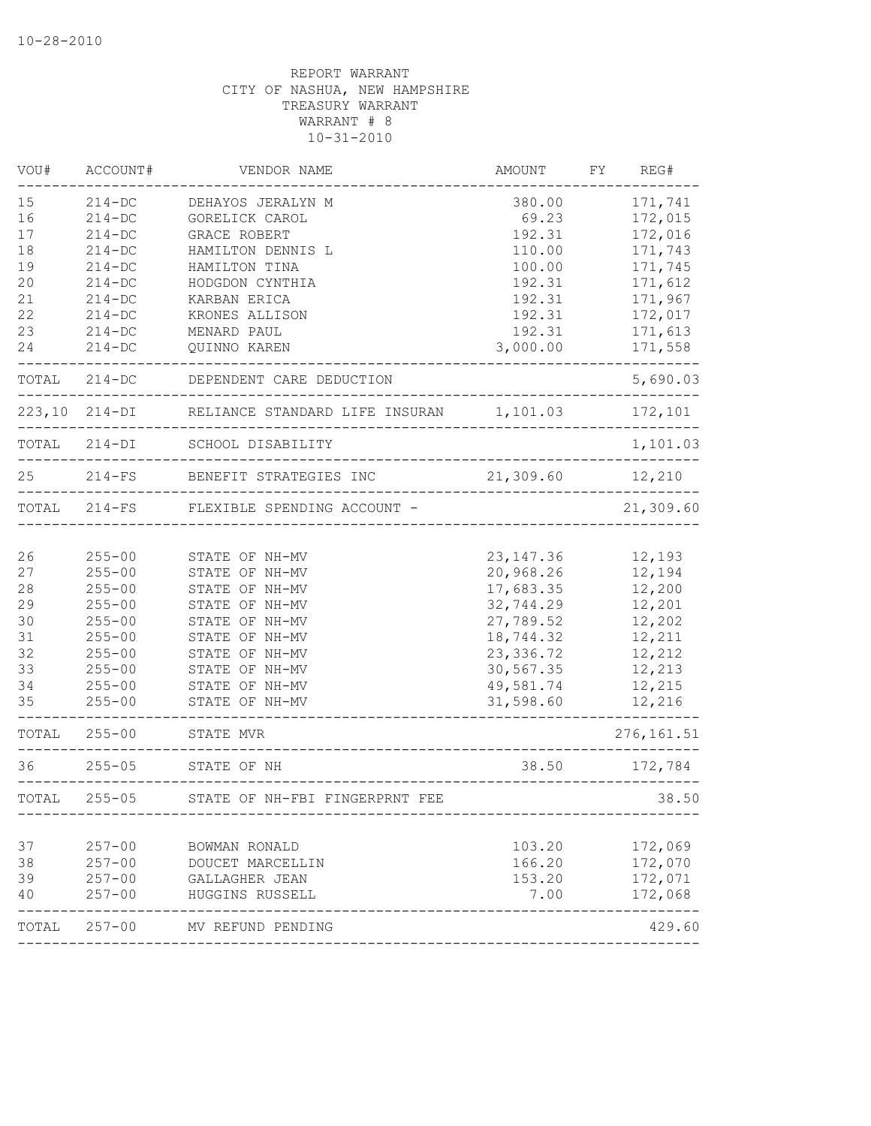| VOU#  | ACCOUNT#   | VENDOR NAME                                                   | AMOUNT                               | FY | REG#                                       |
|-------|------------|---------------------------------------------------------------|--------------------------------------|----|--------------------------------------------|
| 15    | $214 - DC$ | DEHAYOS JERALYN M                                             | 380.00                               |    | 171,741                                    |
| 16    | $214 - DC$ | GORELICK CAROL                                                | 69.23                                |    | 172,015                                    |
| 17    | $214-DC$   | GRACE ROBERT                                                  | 192.31                               |    | 172,016                                    |
| 18    | $214-DC$   | HAMILTON DENNIS L                                             | 110.00                               |    | 171,743                                    |
| 19    | $214-DC$   | HAMILTON TINA                                                 | 100.00                               |    | 171,745                                    |
| 20    | $214-DC$   | HODGDON CYNTHIA                                               | 192.31                               |    | 171,612                                    |
| 21    | $214 - DC$ | KARBAN ERICA                                                  | 192.31                               |    | 171,967                                    |
| 22    | $214 - DC$ | KRONES ALLISON                                                | 192.31                               |    | 172,017                                    |
| 23    | $214 - DC$ | MENARD PAUL                                                   | 192.31                               |    | 171,613                                    |
| 24    | $214 - DC$ | QUINNO KAREN                                                  | 3,000.00                             |    | 171,558                                    |
|       |            | TOTAL 214-DC DEPENDENT CARE DEDUCTION                         |                                      |    | 5,690.03                                   |
|       |            | 223,10 214-DI RELIANCE STANDARD LIFE INSURAN 1,101.03 172,101 |                                      |    |                                            |
|       |            | TOTAL 214-DI SCHOOL DISABILITY                                | ____________________________________ |    | 1,101.03                                   |
| 25    | $214-FS$   |                                                               |                                      |    |                                            |
|       |            | TOTAL 214-FS FLEXIBLE SPENDING ACCOUNT -                      |                                      |    | . _ _ _ _ _ _ _ _ _ _ _ _ _ .<br>21,309.60 |
|       |            |                                                               |                                      |    |                                            |
| 26    | $255 - 00$ | STATE OF NH-MV                                                | 23, 147.36                           |    | 12,193                                     |
| 27    | $255 - 00$ | STATE OF NH-MV                                                | 20,968.26                            |    | 12,194                                     |
| 28    | $255 - 00$ | STATE OF NH-MV                                                | 17,683.35                            |    | 12,200                                     |
| 29    | $255 - 00$ | STATE OF NH-MV                                                | 32,744.29                            |    | 12,201                                     |
| 30    | $255 - 00$ | STATE OF NH-MV                                                | 27,789.52                            |    | 12,202                                     |
| 31    | $255 - 00$ | STATE OF NH-MV                                                | 18,744.32                            |    | 12,211                                     |
| 32    | $255 - 00$ | STATE OF NH-MV                                                | 23, 336.72                           |    | 12,212                                     |
| 33    | $255 - 00$ | STATE OF NH-MV                                                | 30,567.35                            |    | 12,213                                     |
| 34    | $255 - 00$ | STATE OF NH-MV                                                | 49,581.74                            |    | 12,215                                     |
| 35    | $255 - 00$ | STATE OF NH-MV<br>----------------------------                | 31,598.60                            |    | 12,216                                     |
|       |            | TOTAL 255-00 STATE MVR                                        |                                      |    | 276, 161.51                                |
| 36    | $255 - 05$ | STATE OF NH<br>------------------------------                 | 38.50                                |    | 172,784                                    |
| TOTAL | $255 - 05$ | STATE OF NH-FBI FINGERPRNT FEE                                |                                      |    | 38.50                                      |
| 37    | $257 - 00$ | BOWMAN RONALD                                                 | 103.20                               |    | 172,069                                    |
| 38    | $257 - 00$ | DOUCET MARCELLIN                                              | 166.20                               |    | 172,070                                    |
| 39    | $257 - 00$ | GALLAGHER JEAN                                                | 153.20                               |    | 172,071                                    |
| 40    | $257 - 00$ | HUGGINS RUSSELL                                               | 7.00                                 |    | 172,068                                    |
| TOTAL | $257 - 00$ | MV REFUND PENDING                                             |                                      |    | 429.60                                     |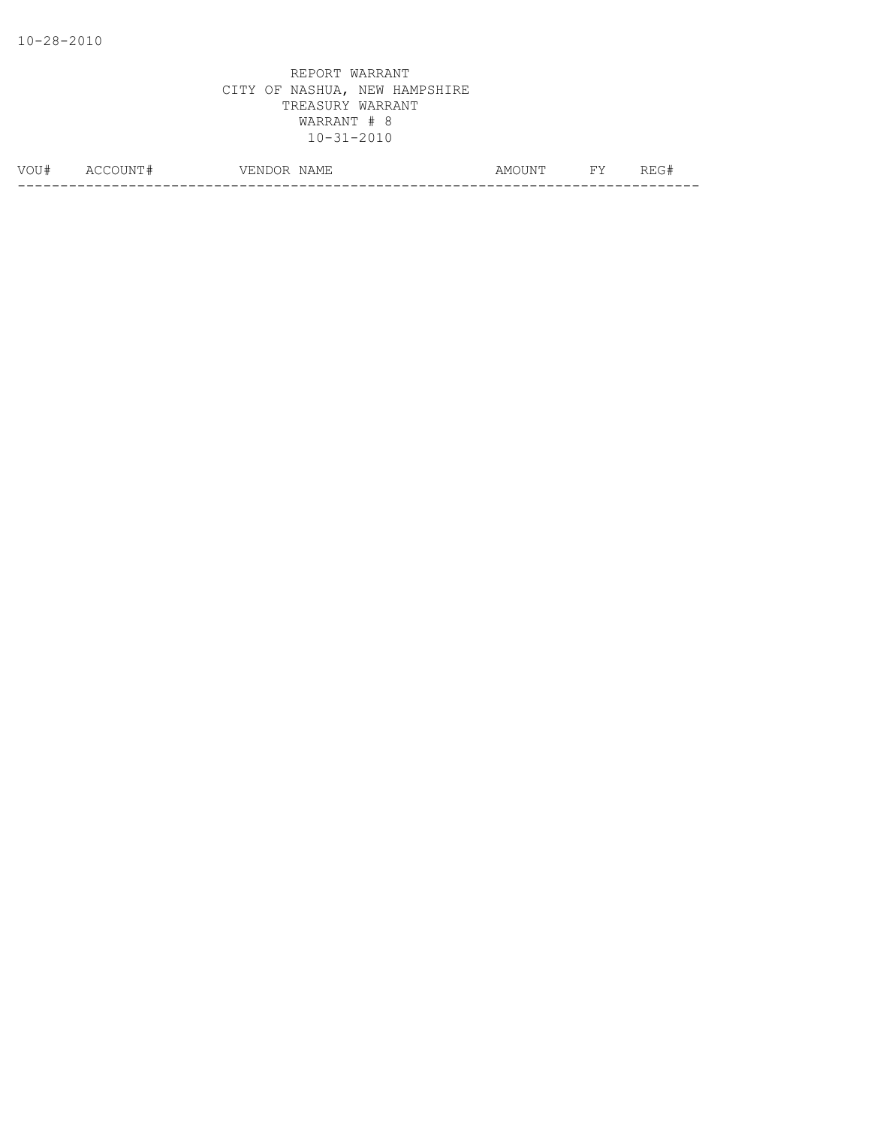| $\ldots$<br>- 4 | $\Delta$<br>IМ<br>__ | NAME<br>7F.<br>$\mathcal{U}$<br>' N L<br>یں د | . IN!'<br>ΔM | $\overline{\phantom{a}}$ | - 11 |  |
|-----------------|----------------------|-----------------------------------------------|--------------|--------------------------|------|--|
|                 |                      |                                               |              |                          |      |  |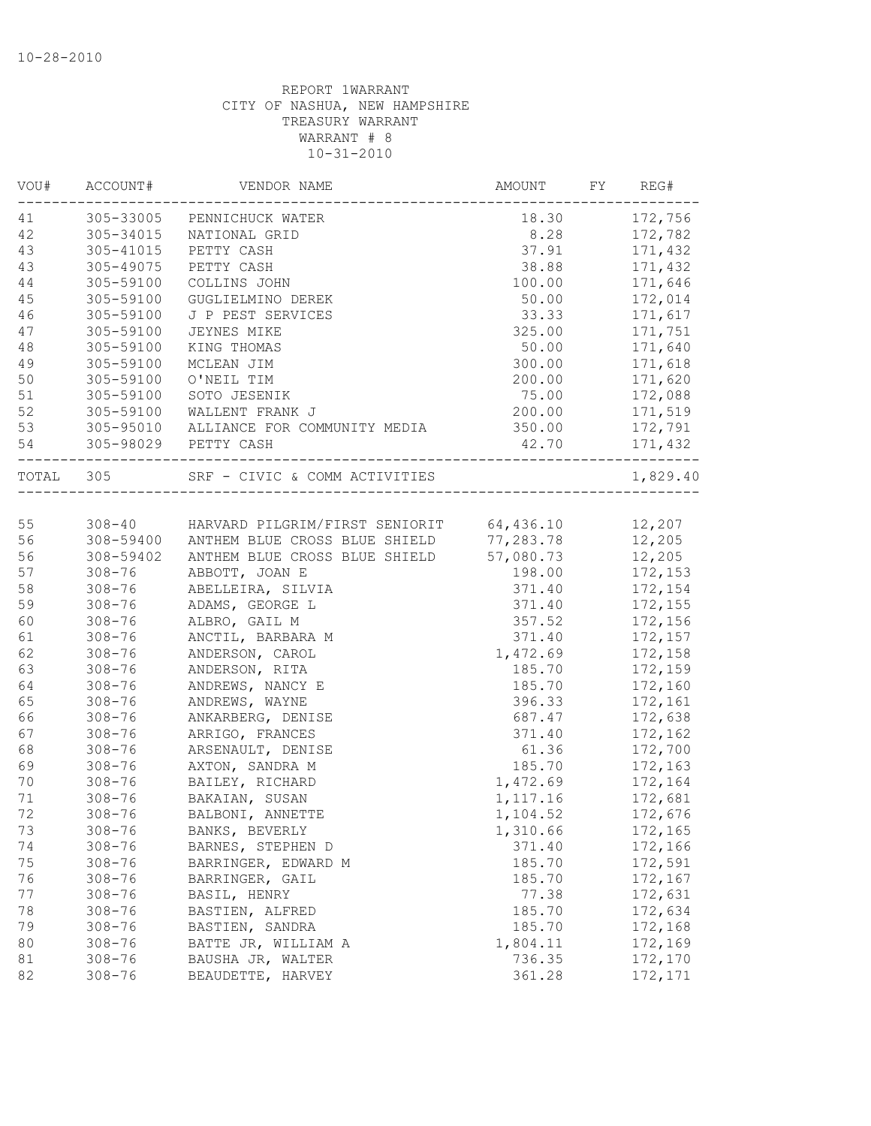| VOU#      | ACCOUNT#   | VENDOR NAME                              | AMOUNT    | FY | REG#     |
|-----------|------------|------------------------------------------|-----------|----|----------|
| 41        | 305-33005  | PENNICHUCK WATER                         | 18.30     |    | 172,756  |
| 42        | 305-34015  | NATIONAL GRID                            | 8.28      |    | 172,782  |
| 43        | 305-41015  | PETTY CASH                               | 37.91     |    | 171,432  |
| 43        | 305-49075  | PETTY CASH                               | 38.88     |    | 171,432  |
| 44        | 305-59100  | COLLINS JOHN                             | 100.00    |    | 171,646  |
| 45        | 305-59100  | GUGLIELMINO DEREK                        | 50.00     |    | 172,014  |
| 46        | 305-59100  | J P PEST SERVICES                        | 33.33     |    | 171,617  |
| 47        | 305-59100  | JEYNES MIKE                              | 325.00    |    | 171,751  |
| 48        | 305-59100  | KING THOMAS                              | 50.00     |    | 171,640  |
| 49        | 305-59100  | MCLEAN JIM                               | 300.00    |    | 171,618  |
| 50        | 305-59100  | O'NEIL TIM                               | 200.00    |    | 171,620  |
| 51        | 305-59100  | SOTO JESENIK                             | 75.00     |    | 172,088  |
| 52        | 305-59100  | WALLENT FRANK J                          | 200.00    |    | 171,519  |
| 53        |            | 305-95010 ALLIANCE FOR COMMUNITY MEDIA   | 350.00    |    | 172,791  |
| 54        |            | 305-98029 PETTY CASH                     | 42.70     |    | 171,432  |
| TOTAL 305 |            | SRF - CIVIC & COMM ACTIVITIES            |           |    | 1,829.40 |
|           |            |                                          |           |    |          |
| 55        | $308 - 40$ | HARVARD PILGRIM/FIRST SENIORIT 64,436.10 |           |    | 12,207   |
| 56        | 308-59400  | ANTHEM BLUE CROSS BLUE SHIELD 77,283.78  |           |    | 12,205   |
| 56        | 308-59402  | ANTHEM BLUE CROSS BLUE SHIELD            | 57,080.73 |    | 12,205   |
| 57        | $308 - 76$ | ABBOTT, JOAN E                           | 198.00    |    | 172,153  |
| 58        | $308 - 76$ | ABELLEIRA, SILVIA                        | 371.40    |    | 172,154  |
| 59        | $308 - 76$ | ADAMS, GEORGE L                          | 371.40    |    | 172,155  |
| 60        | $308 - 76$ | ALBRO, GAIL M                            | 357.52    |    | 172,156  |
| 61        | $308 - 76$ | ANCTIL, BARBARA M                        | 371.40    |    | 172,157  |
| 62        | $308 - 76$ | ANDERSON, CAROL                          | 1,472.69  |    | 172,158  |
| 63        | $308 - 76$ | ANDERSON, RITA                           | 185.70    |    | 172,159  |
| 64        | $308 - 76$ | ANDREWS, NANCY E                         | 185.70    |    | 172,160  |
| 65        | $308 - 76$ | ANDREWS, WAYNE                           | 396.33    |    | 172,161  |
| 66        | $308 - 76$ | ANKARBERG, DENISE                        | 687.47    |    | 172,638  |
| 67        | $308 - 76$ | ARRIGO, FRANCES                          | 371.40    |    | 172,162  |
| 68        | $308 - 76$ | ARSENAULT, DENISE                        | 61.36     |    | 172,700  |
| 69        | $308 - 76$ | AXTON, SANDRA M                          | 185.70    |    | 172,163  |
| 70        | $308 - 76$ | BAILEY, RICHARD                          | 1,472.69  |    | 172,164  |
| 71        | $308 - 76$ | BAKAIAN, SUSAN                           | 1, 117.16 |    | 172,681  |
| 72        | $308 - 76$ | BALBONI, ANNETTE                         | 1,104.52  |    | 172,676  |
| 73        | $308 - 76$ | BANKS, BEVERLY                           | 1,310.66  |    | 172,165  |
| 74        | $308 - 76$ | BARNES, STEPHEN D                        | 371.40    |    | 172,166  |
| 75        | $308 - 76$ | BARRINGER, EDWARD M                      | 185.70    |    | 172,591  |
| 76        | $308 - 76$ | BARRINGER, GAIL                          | 185.70    |    | 172,167  |
| 77        | $308 - 76$ | BASIL, HENRY                             | 77.38     |    | 172,631  |
| 78        | $308 - 76$ | BASTIEN, ALFRED                          | 185.70    |    | 172,634  |
| 79        | $308 - 76$ | BASTIEN, SANDRA                          | 185.70    |    | 172,168  |
| 80        | $308 - 76$ | BATTE JR, WILLIAM A                      | 1,804.11  |    | 172,169  |
| 81        | $308 - 76$ | BAUSHA JR, WALTER                        | 736.35    |    | 172,170  |
| 82        | $308 - 76$ | BEAUDETTE, HARVEY                        | 361.28    |    | 172,171  |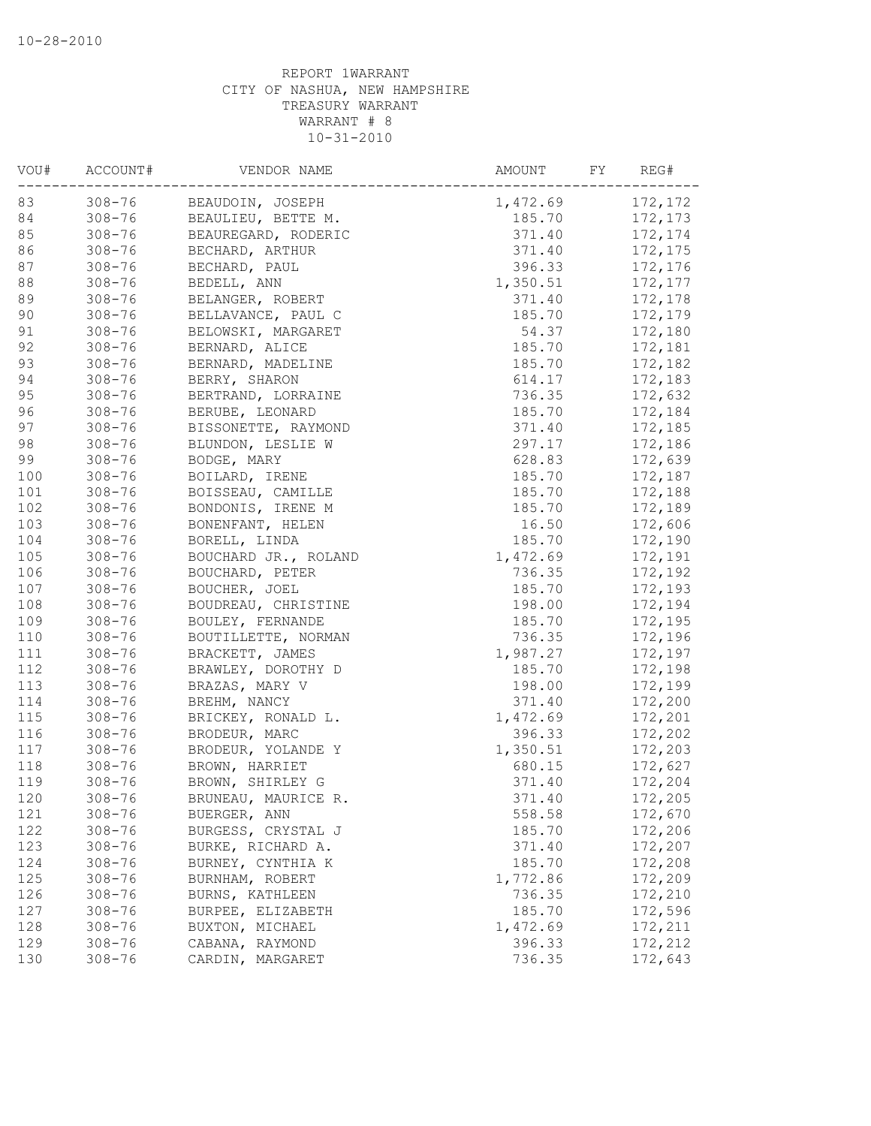| VOU# | ACCOUNT#   | VENDOR NAME          | AMOUNT<br>FY | REG#     |
|------|------------|----------------------|--------------|----------|
| 83   | $308 - 76$ | BEAUDOIN, JOSEPH     | 1,472.69     | 172, 172 |
| 84   | $308 - 76$ | BEAULIEU, BETTE M.   | 185.70       | 172, 173 |
| 85   | $308 - 76$ | BEAUREGARD, RODERIC  | 371.40       | 172,174  |
| 86   | $308 - 76$ | BECHARD, ARTHUR      | 371.40       | 172, 175 |
| 87   | $308 - 76$ | BECHARD, PAUL        | 396.33       | 172,176  |
| 88   | $308 - 76$ | BEDELL, ANN          | 1,350.51     | 172,177  |
| 89   | $308 - 76$ | BELANGER, ROBERT     | 371.40       | 172,178  |
| 90   | $308 - 76$ | BELLAVANCE, PAUL C   | 185.70       | 172,179  |
| 91   | $308 - 76$ | BELOWSKI, MARGARET   | 54.37        | 172,180  |
| 92   | $308 - 76$ | BERNARD, ALICE       | 185.70       | 172,181  |
| 93   | $308 - 76$ | BERNARD, MADELINE    | 185.70       | 172,182  |
| 94   | $308 - 76$ | BERRY, SHARON        | 614.17       | 172,183  |
| 95   | $308 - 76$ | BERTRAND, LORRAINE   | 736.35       | 172,632  |
| 96   | $308 - 76$ | BERUBE, LEONARD      | 185.70       | 172,184  |
| 97   | $308 - 76$ | BISSONETTE, RAYMOND  | 371.40       | 172,185  |
| 98   | $308 - 76$ | BLUNDON, LESLIE W    | 297.17       | 172,186  |
| 99   | $308 - 76$ | BODGE, MARY          | 628.83       | 172,639  |
| 100  | $308 - 76$ | BOILARD, IRENE       | 185.70       | 172,187  |
| 101  | $308 - 76$ | BOISSEAU, CAMILLE    | 185.70       | 172,188  |
| 102  | $308 - 76$ | BONDONIS, IRENE M    | 185.70       | 172,189  |
| 103  | $308 - 76$ | BONENFANT, HELEN     | 16.50        | 172,606  |
| 104  | $308 - 76$ | BORELL, LINDA        | 185.70       | 172,190  |
| 105  | $308 - 76$ | BOUCHARD JR., ROLAND | 1,472.69     | 172,191  |
| 106  | $308 - 76$ | BOUCHARD, PETER      | 736.35       | 172,192  |
| 107  | $308 - 76$ | BOUCHER, JOEL        | 185.70       | 172,193  |
| 108  | $308 - 76$ | BOUDREAU, CHRISTINE  | 198.00       | 172,194  |
| 109  | $308 - 76$ | BOULEY, FERNANDE     | 185.70       | 172,195  |
| 110  | $308 - 76$ | BOUTILLETTE, NORMAN  | 736.35       | 172,196  |
| 111  | $308 - 76$ | BRACKETT, JAMES      | 1,987.27     | 172,197  |
| 112  | $308 - 76$ | BRAWLEY, DOROTHY D   | 185.70       | 172,198  |
| 113  | $308 - 76$ |                      | 198.00       | 172,199  |
|      | $308 - 76$ | BRAZAS, MARY V       |              |          |
| 114  | $308 - 76$ | BREHM, NANCY         | 371.40       | 172,200  |
| 115  |            | BRICKEY, RONALD L.   | 1,472.69     | 172,201  |
| 116  | $308 - 76$ | BRODEUR, MARC        | 396.33       | 172,202  |
| 117  | $308 - 76$ | BRODEUR, YOLANDE Y   | 1,350.51     | 172,203  |
| 118  | $308 - 76$ | BROWN, HARRIET       | 680.15       | 172,627  |
| 119  | $308 - 76$ | BROWN, SHIRLEY G     | 371.40       | 172,204  |
| 120  | $308 - 76$ | BRUNEAU, MAURICE R.  | 371.40       | 172,205  |
| 121  | $308 - 76$ | BUERGER, ANN         | 558.58       | 172,670  |
| 122  | $308 - 76$ | BURGESS, CRYSTAL J   | 185.70       | 172,206  |
| 123  | $308 - 76$ | BURKE, RICHARD A.    | 371.40       | 172,207  |
| 124  | $308 - 76$ | BURNEY, CYNTHIA K    | 185.70       | 172,208  |
| 125  | $308 - 76$ | BURNHAM, ROBERT      | 1,772.86     | 172,209  |
| 126  | $308 - 76$ | BURNS, KATHLEEN      | 736.35       | 172,210  |
| 127  | $308 - 76$ | BURPEE, ELIZABETH    | 185.70       | 172,596  |
| 128  | $308 - 76$ | BUXTON, MICHAEL      | 1,472.69     | 172,211  |
| 129  | $308 - 76$ | CABANA, RAYMOND      | 396.33       | 172,212  |
| 130  | $308 - 76$ | CARDIN, MARGARET     | 736.35       | 172,643  |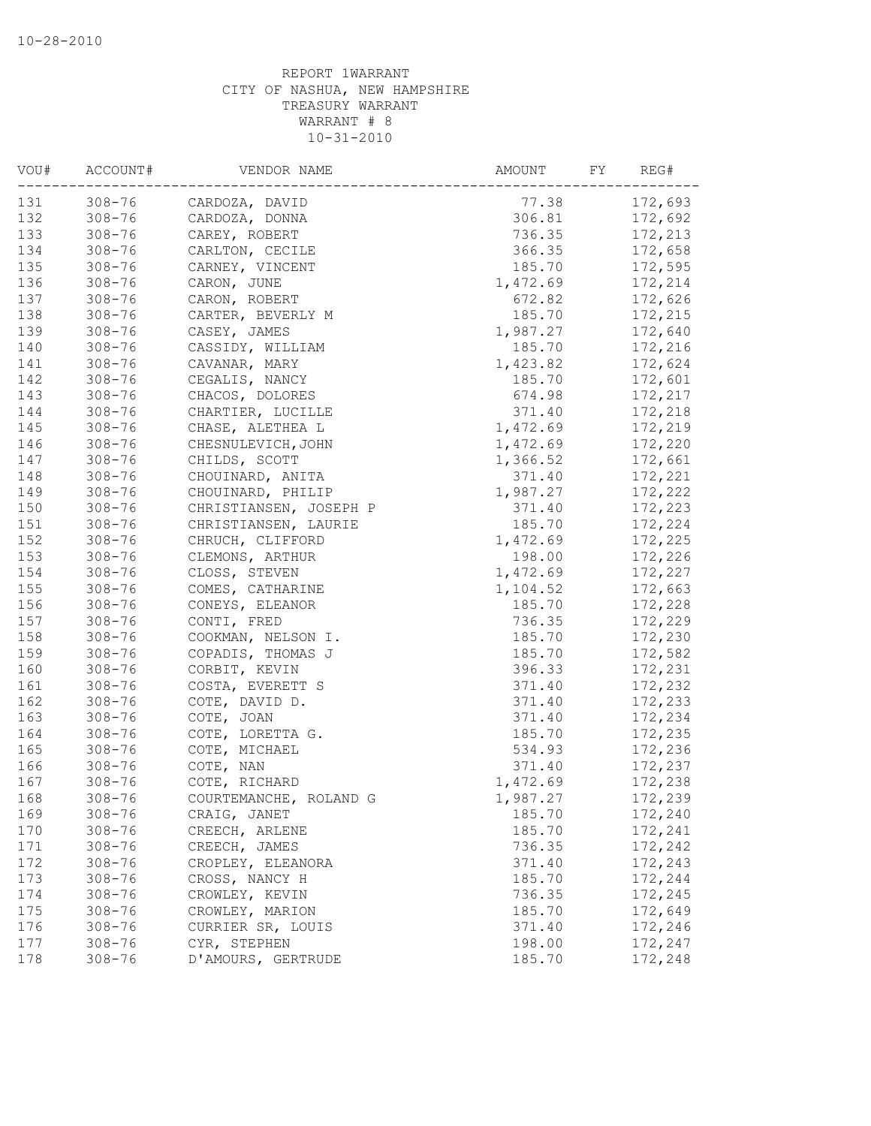| VOU# | ACCOUNT#                 | VENDOR NAME                          | AMOUNT<br>FY | REG#    |
|------|--------------------------|--------------------------------------|--------------|---------|
| 131  | $308 - 76$               | CARDOZA, DAVID                       | 77.38        | 172,693 |
| 132  | $308 - 76$               | CARDOZA, DONNA                       | 306.81       | 172,692 |
| 133  | $308 - 76$               | CAREY, ROBERT                        | 736.35       | 172,213 |
| 134  | $308 - 76$               | CARLTON, CECILE                      | 366.35       | 172,658 |
| 135  | $308 - 76$               | CARNEY, VINCENT                      | 185.70       | 172,595 |
| 136  | $308 - 76$               | CARON, JUNE                          | 1,472.69     | 172,214 |
| 137  | $308 - 76$               | CARON, ROBERT                        | 672.82       | 172,626 |
| 138  | $308 - 76$               | CARTER, BEVERLY M                    | 185.70       | 172,215 |
| 139  | $308 - 76$               | CASEY, JAMES                         | 1,987.27     | 172,640 |
| 140  | $308 - 76$               | CASSIDY, WILLIAM                     | 185.70       | 172,216 |
| 141  | $308 - 76$               | CAVANAR, MARY                        | 1,423.82     | 172,624 |
| 142  | $308 - 76$               | CEGALIS, NANCY                       | 185.70       | 172,601 |
| 143  | $308 - 76$               | CHACOS, DOLORES                      | 674.98       | 172,217 |
| 144  | $308 - 76$               | CHARTIER, LUCILLE                    | 371.40       | 172,218 |
| 145  | $308 - 76$               | CHASE, ALETHEA L                     | 1,472.69     | 172,219 |
| 146  | $308 - 76$               | CHESNULEVICH, JOHN                   | 1,472.69     | 172,220 |
| 147  | $308 - 76$               | CHILDS, SCOTT                        | 1,366.52     | 172,661 |
| 148  | $308 - 76$               | CHOUINARD, ANITA                     | 371.40       | 172,221 |
| 149  | $308 - 76$               | CHOUINARD, PHILIP                    | 1,987.27     | 172,222 |
| 150  | $308 - 76$               | CHRISTIANSEN, JOSEPH P               | 371.40       | 172,223 |
| 151  | $308 - 76$               | CHRISTIANSEN, LAURIE                 | 185.70       | 172,224 |
| 152  | $308 - 76$               | CHRUCH, CLIFFORD                     | 1,472.69     | 172,225 |
| 153  | $308 - 76$               | CLEMONS, ARTHUR                      | 198.00       | 172,226 |
| 154  | $308 - 76$               | CLOSS, STEVEN                        | 1,472.69     | 172,227 |
| 155  | $308 - 76$               | COMES, CATHARINE                     | 1,104.52     | 172,663 |
| 156  | $308 - 76$               | CONEYS, ELEANOR                      | 185.70       | 172,228 |
| 157  | $308 - 76$               | CONTI, FRED                          | 736.35       | 172,229 |
| 158  | $308 - 76$               | COOKMAN, NELSON I.                   | 185.70       | 172,230 |
| 159  | $308 - 76$               | COPADIS, THOMAS J                    | 185.70       | 172,582 |
| 160  | $308 - 76$               | CORBIT, KEVIN                        | 396.33       | 172,231 |
| 161  | $308 - 76$               | COSTA, EVERETT S                     | 371.40       | 172,232 |
| 162  | $308 - 76$               | COTE, DAVID D.                       | 371.40       | 172,233 |
| 163  | $308 - 76$               | COTE, JOAN                           | 371.40       | 172,234 |
| 164  | $308 - 76$               | COTE, LORETTA G.                     | 185.70       | 172,235 |
| 165  | $308 - 76$               | COTE, MICHAEL                        | 534.93       | 172,236 |
| 166  | $308 - 76$               | COTE, NAN                            | 371.40       | 172,237 |
| 167  | $308 - 76$               | COTE, RICHARD                        | 1,472.69     | 172,238 |
| 168  | $308 - 76$               | COURTEMANCHE, ROLAND G               | 1,987.27     | 172,239 |
| 169  | $308 - 76$               | CRAIG, JANET                         | 185.70       | 172,240 |
| 170  | $308 - 76$               | CREECH, ARLENE                       | 185.70       | 172,241 |
| 171  | $308 - 76$               | CREECH, JAMES                        | 736.35       | 172,242 |
| 172  | $308 - 76$               | CROPLEY, ELEANORA                    | 371.40       | 172,243 |
| 173  | $308 - 76$               | CROSS, NANCY H                       | 185.70       | 172,244 |
| 174  | $308 - 76$               | CROWLEY, KEVIN                       | 736.35       | 172,245 |
|      | $308 - 76$               |                                      |              |         |
| 175  | $308 - 76$               | CROWLEY, MARION<br>CURRIER SR, LOUIS | 185.70       | 172,649 |
| 176  |                          |                                      | 371.40       | 172,246 |
| 177  | $308 - 76$<br>$308 - 76$ | CYR, STEPHEN                         | 198.00       | 172,247 |
| 178  |                          | D'AMOURS, GERTRUDE                   | 185.70       | 172,248 |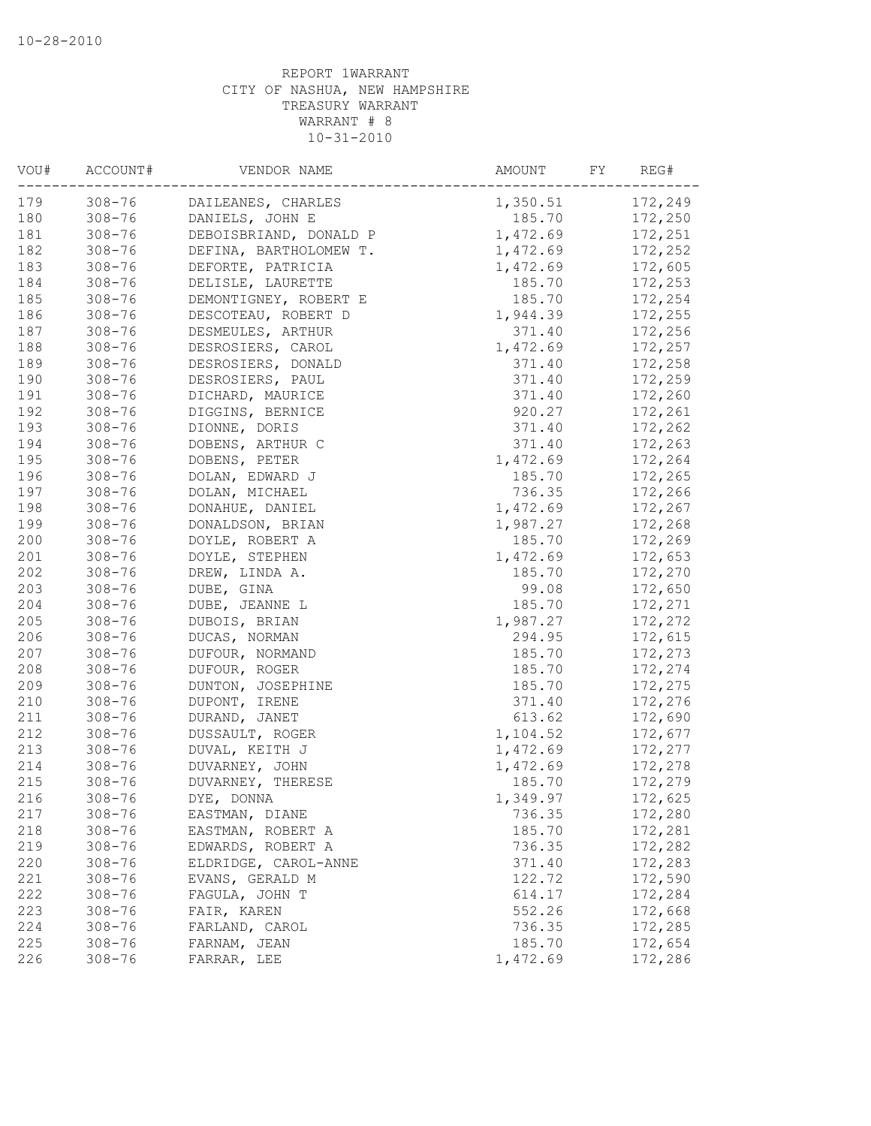| VOU# | ACCOUNT#   | VENDOR NAME            | AMOUNT<br>FY | REG#    |
|------|------------|------------------------|--------------|---------|
| 179  | $308 - 76$ | DAILEANES, CHARLES     | 1,350.51     | 172,249 |
| 180  | $308 - 76$ | DANIELS, JOHN E        | 185.70       | 172,250 |
| 181  | $308 - 76$ | DEBOISBRIAND, DONALD P | 1,472.69     | 172,251 |
| 182  | $308 - 76$ | DEFINA, BARTHOLOMEW T. | 1,472.69     | 172,252 |
| 183  | $308 - 76$ | DEFORTE, PATRICIA      | 1,472.69     | 172,605 |
| 184  | $308 - 76$ | DELISLE, LAURETTE      | 185.70       | 172,253 |
| 185  | $308 - 76$ | DEMONTIGNEY, ROBERT E  | 185.70       | 172,254 |
| 186  | $308 - 76$ | DESCOTEAU, ROBERT D    | 1,944.39     | 172,255 |
| 187  | $308 - 76$ | DESMEULES, ARTHUR      | 371.40       | 172,256 |
| 188  | $308 - 76$ | DESROSIERS, CAROL      | 1,472.69     | 172,257 |
| 189  | $308 - 76$ | DESROSIERS, DONALD     | 371.40       | 172,258 |
| 190  | $308 - 76$ | DESROSIERS, PAUL       | 371.40       | 172,259 |
| 191  | $308 - 76$ | DICHARD, MAURICE       | 371.40       | 172,260 |
| 192  | $308 - 76$ | DIGGINS, BERNICE       | 920.27       | 172,261 |
| 193  | $308 - 76$ | DIONNE, DORIS          | 371.40       | 172,262 |
| 194  | $308 - 76$ | DOBENS, ARTHUR C       | 371.40       | 172,263 |
| 195  | $308 - 76$ | DOBENS, PETER          | 1,472.69     | 172,264 |
| 196  | $308 - 76$ | DOLAN, EDWARD J        | 185.70       | 172,265 |
| 197  | $308 - 76$ | DOLAN, MICHAEL         | 736.35       | 172,266 |
| 198  | $308 - 76$ | DONAHUE, DANIEL        | 1,472.69     | 172,267 |
| 199  | $308 - 76$ | DONALDSON, BRIAN       | 1,987.27     | 172,268 |
| 200  | $308 - 76$ | DOYLE, ROBERT A        | 185.70       | 172,269 |
| 201  | $308 - 76$ | DOYLE, STEPHEN         | 1,472.69     | 172,653 |
| 202  | $308 - 76$ | DREW, LINDA A.         | 185.70       | 172,270 |
| 203  | $308 - 76$ | DUBE, GINA             | 99.08        | 172,650 |
| 204  | $308 - 76$ | DUBE, JEANNE L         | 185.70       | 172,271 |
| 205  | $308 - 76$ | DUBOIS, BRIAN          | 1,987.27     | 172,272 |
| 206  | $308 - 76$ | DUCAS, NORMAN          | 294.95       | 172,615 |
| 207  | $308 - 76$ | DUFOUR, NORMAND        | 185.70       | 172,273 |
| 208  | $308 - 76$ | DUFOUR, ROGER          | 185.70       | 172,274 |
| 209  | $308 - 76$ | DUNTON, JOSEPHINE      | 185.70       | 172,275 |
| 210  | $308 - 76$ | DUPONT, IRENE          | 371.40       | 172,276 |
| 211  | $308 - 76$ | DURAND, JANET          | 613.62       | 172,690 |
| 212  | $308 - 76$ | DUSSAULT, ROGER        | 1,104.52     | 172,677 |
| 213  | $308 - 76$ | DUVAL, KEITH J         | 1,472.69     | 172,277 |
| 214  | $308 - 76$ | DUVARNEY, JOHN         | 1,472.69     | 172,278 |
| 215  | $308 - 76$ | DUVARNEY, THERESE      | 185.70       | 172,279 |
| 216  | $308 - 76$ | DYE, DONNA             | 1,349.97     | 172,625 |
| 217  | $308 - 76$ | EASTMAN, DIANE         | 736.35       | 172,280 |
| 218  | $308 - 76$ | EASTMAN, ROBERT A      | 185.70       | 172,281 |
| 219  | $308 - 76$ | EDWARDS, ROBERT A      | 736.35       | 172,282 |
| 220  | $308 - 76$ | ELDRIDGE, CAROL-ANNE   | 371.40       | 172,283 |
| 221  | $308 - 76$ | EVANS, GERALD M        | 122.72       | 172,590 |
| 222  | $308 - 76$ | FAGULA, JOHN T         | 614.17       | 172,284 |
| 223  | $308 - 76$ | FAIR, KAREN            | 552.26       | 172,668 |
| 224  | $308 - 76$ | FARLAND, CAROL         | 736.35       | 172,285 |
| 225  | $308 - 76$ | FARNAM, JEAN           | 185.70       | 172,654 |
| 226  | $308 - 76$ | FARRAR, LEE            | 1,472.69     | 172,286 |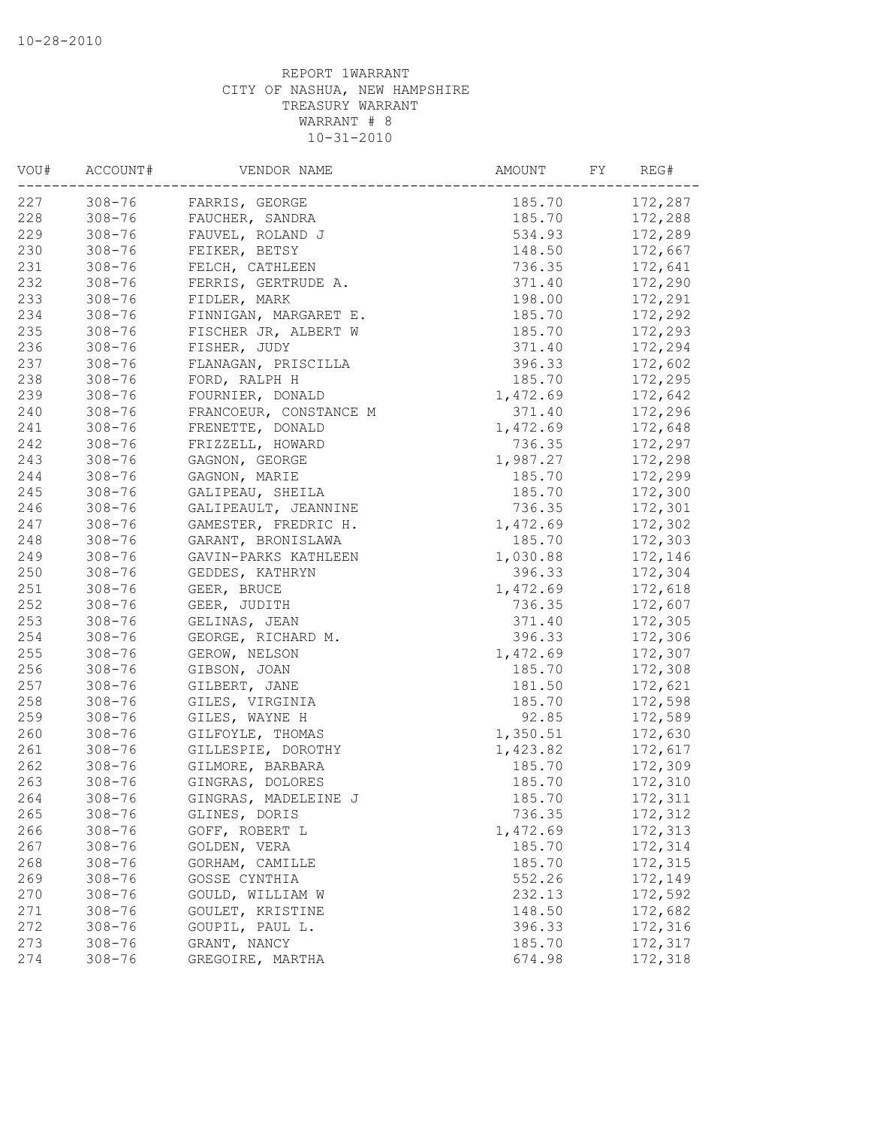| VOU# | ACCOUNT#   | VENDOR NAME            | AMOUNT   | FY<br>REG# |
|------|------------|------------------------|----------|------------|
| 227  | $308 - 76$ | FARRIS, GEORGE         | 185.70   | 172,287    |
| 228  | $308 - 76$ | FAUCHER, SANDRA        | 185.70   | 172,288    |
| 229  | $308 - 76$ | FAUVEL, ROLAND J       | 534.93   | 172,289    |
| 230  | $308 - 76$ | FEIKER, BETSY          | 148.50   | 172,667    |
| 231  | $308 - 76$ | FELCH, CATHLEEN        | 736.35   | 172,641    |
| 232  | $308 - 76$ | FERRIS, GERTRUDE A.    | 371.40   | 172,290    |
| 233  | $308 - 76$ | FIDLER, MARK           | 198.00   | 172,291    |
| 234  | $308 - 76$ | FINNIGAN, MARGARET E.  | 185.70   | 172,292    |
| 235  | $308 - 76$ | FISCHER JR, ALBERT W   | 185.70   | 172,293    |
| 236  | $308 - 76$ | FISHER, JUDY           | 371.40   | 172,294    |
| 237  | $308 - 76$ | FLANAGAN, PRISCILLA    | 396.33   | 172,602    |
| 238  | $308 - 76$ | FORD, RALPH H          | 185.70   | 172,295    |
| 239  | $308 - 76$ | FOURNIER, DONALD       | 1,472.69 | 172,642    |
| 240  | $308 - 76$ | FRANCOEUR, CONSTANCE M | 371.40   | 172,296    |
| 241  | $308 - 76$ | FRENETTE, DONALD       | 1,472.69 | 172,648    |
| 242  | $308 - 76$ | FRIZZELL, HOWARD       | 736.35   | 172,297    |
| 243  | $308 - 76$ | GAGNON, GEORGE         | 1,987.27 | 172,298    |
| 244  | $308 - 76$ | GAGNON, MARIE          | 185.70   | 172,299    |
| 245  | $308 - 76$ | GALIPEAU, SHEILA       | 185.70   | 172,300    |
| 246  | $308 - 76$ | GALIPEAULT, JEANNINE   | 736.35   | 172,301    |
| 247  | $308 - 76$ | GAMESTER, FREDRIC H.   | 1,472.69 | 172,302    |
| 248  | $308 - 76$ | GARANT, BRONISLAWA     | 185.70   | 172,303    |
| 249  | $308 - 76$ | GAVIN-PARKS KATHLEEN   | 1,030.88 | 172,146    |
| 250  | $308 - 76$ | GEDDES, KATHRYN        | 396.33   | 172,304    |
| 251  | $308 - 76$ | GEER, BRUCE            | 1,472.69 | 172,618    |
| 252  | $308 - 76$ | GEER, JUDITH           | 736.35   | 172,607    |
| 253  | $308 - 76$ | GELINAS, JEAN          | 371.40   | 172,305    |
| 254  |            |                        |          |            |
|      | $308 - 76$ | GEORGE, RICHARD M.     | 396.33   | 172,306    |
| 255  | $308 - 76$ | GEROW, NELSON          | 1,472.69 | 172,307    |
| 256  | $308 - 76$ | GIBSON, JOAN           | 185.70   | 172,308    |
| 257  | $308 - 76$ | GILBERT, JANE          | 181.50   | 172,621    |
| 258  | $308 - 76$ | GILES, VIRGINIA        | 185.70   | 172,598    |
| 259  | $308 - 76$ | GILES, WAYNE H         | 92.85    | 172,589    |
| 260  | $308 - 76$ | GILFOYLE, THOMAS       | 1,350.51 | 172,630    |
| 261  | $308 - 76$ | GILLESPIE, DOROTHY     | 1,423.82 | 172,617    |
| 262  | $308 - 76$ | GILMORE, BARBARA       | 185.70   | 172,309    |
| 263  | $308 - 76$ | GINGRAS, DOLORES       | 185.70   | 172,310    |
| 264  | $308 - 76$ | GINGRAS, MADELEINE J   | 185.70   | 172,311    |
| 265  | $308 - 76$ | GLINES, DORIS          | 736.35   | 172,312    |
| 266  | $308 - 76$ | GOFF, ROBERT L         | 1,472.69 | 172,313    |
| 267  | $308 - 76$ | GOLDEN, VERA           | 185.70   | 172,314    |
| 268  | $308 - 76$ | GORHAM, CAMILLE        | 185.70   | 172,315    |
| 269  | $308 - 76$ | GOSSE CYNTHIA          | 552.26   | 172,149    |
| 270  | $308 - 76$ | GOULD, WILLIAM W       | 232.13   | 172,592    |
| 271  | $308 - 76$ | GOULET, KRISTINE       | 148.50   | 172,682    |
| 272  | $308 - 76$ | GOUPIL, PAUL L.        | 396.33   | 172,316    |
| 273  | $308 - 76$ | GRANT, NANCY           | 185.70   | 172,317    |
| 274  | $308 - 76$ | GREGOIRE, MARTHA       | 674.98   | 172,318    |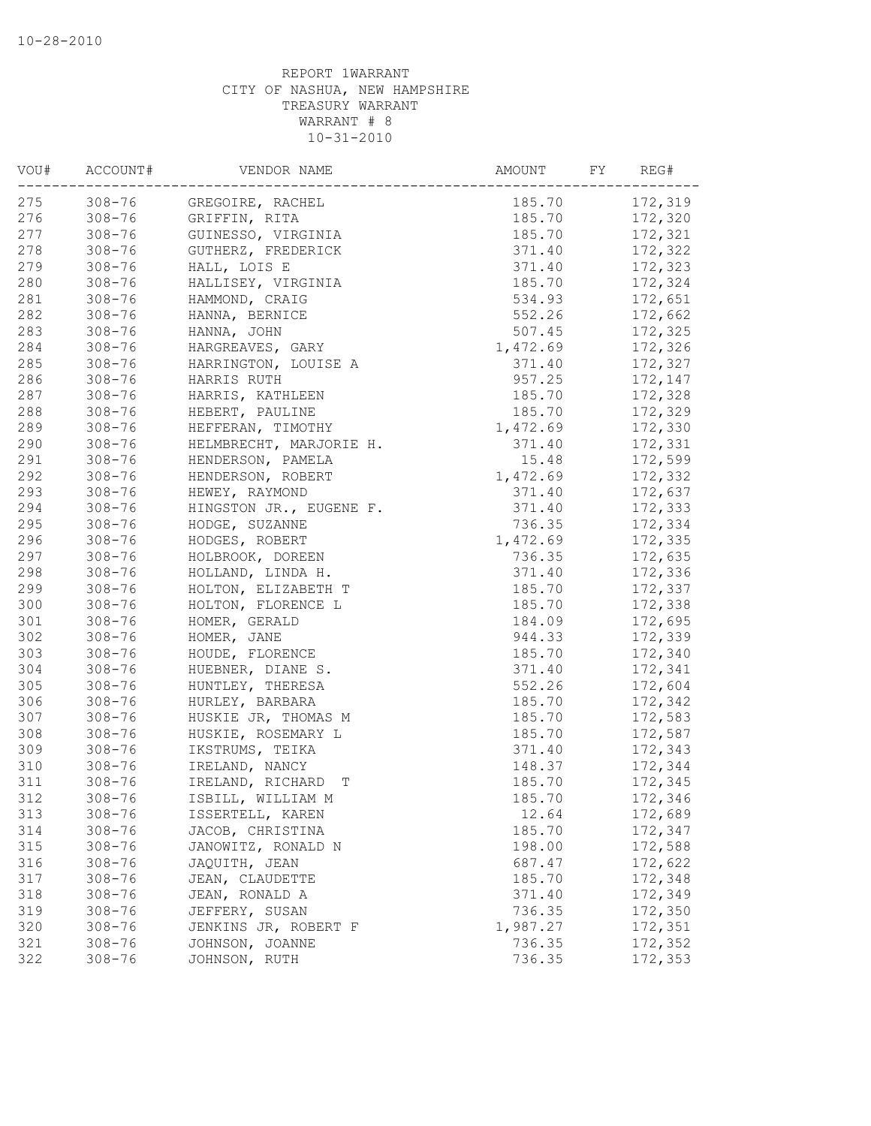| VOU# | ACCOUNT#   | VENDOR NAME                               | AMOUNT   | FY<br>REG# |
|------|------------|-------------------------------------------|----------|------------|
| 275  | $308 - 76$ | GREGOIRE, RACHEL                          | 185.70   | 172,319    |
| 276  | 308-76     | GRIFFIN, RITA                             | 185.70   | 172,320    |
| 277  | $308 - 76$ | GUINESSO, VIRGINIA                        | 185.70   | 172,321    |
| 278  | $308 - 76$ | GUTHERZ, FREDERICK                        | 371.40   | 172,322    |
| 279  | $308 - 76$ | HALL, LOIS E                              | 371.40   | 172,323    |
| 280  | $308 - 76$ | HALLISEY, VIRGINIA                        | 185.70   | 172,324    |
| 281  | $308 - 76$ | HAMMOND, CRAIG                            | 534.93   | 172,651    |
| 282  | $308 - 76$ | HANNA, BERNICE                            | 552.26   | 172,662    |
| 283  | $308 - 76$ | HANNA, JOHN                               | 507.45   | 172,325    |
| 284  | $308 - 76$ | HARGREAVES, GARY                          | 1,472.69 | 172,326    |
| 285  | $308 - 76$ | HARRINGTON, LOUISE A                      | 371.40   | 172,327    |
| 286  | $308 - 76$ | HARRIS RUTH                               | 957.25   | 172,147    |
| 287  | $308 - 76$ | HARRIS, KATHLEEN                          | 185.70   | 172,328    |
| 288  | $308 - 76$ | HEBERT, PAULINE                           | 185.70   | 172,329    |
| 289  | $308 - 76$ | HEFFERAN, TIMOTHY                         | 1,472.69 | 172,330    |
| 290  | $308 - 76$ | HELMBRECHT, MARJORIE H.                   | 371.40   | 172,331    |
| 291  | $308 - 76$ | HENDERSON, PAMELA                         | 15.48    | 172,599    |
| 292  | $308 - 76$ | HENDERSON, ROBERT                         | 1,472.69 | 172,332    |
| 293  | $308 - 76$ | HEWEY, RAYMOND                            | 371.40   | 172,637    |
| 294  | $308 - 76$ | HINGSTON JR., EUGENE F.                   | 371.40   | 172,333    |
| 295  | $308 - 76$ | HODGE, SUZANNE                            | 736.35   | 172,334    |
| 296  | $308 - 76$ | HODGES, ROBERT                            | 1,472.69 | 172,335    |
| 297  | $308 - 76$ | HOLBROOK, DOREEN                          | 736.35   | 172,635    |
| 298  | $308 - 76$ | HOLLAND, LINDA H.                         | 371.40   | 172,336    |
| 299  | $308 - 76$ | HOLTON, ELIZABETH T                       | 185.70   | 172,337    |
| 300  | $308 - 76$ | HOLTON, FLORENCE L                        | 185.70   | 172,338    |
| 301  | $308 - 76$ | HOMER, GERALD                             | 184.09   | 172,695    |
| 302  | $308 - 76$ | HOMER, JANE                               | 944.33   | 172,339    |
| 303  | $308 - 76$ | HOUDE, FLORENCE                           | 185.70   | 172,340    |
| 304  | $308 - 76$ | HUEBNER, DIANE S.                         | 371.40   | 172,341    |
| 305  | $308 - 76$ | HUNTLEY, THERESA                          | 552.26   | 172,604    |
| 306  | $308 - 76$ |                                           |          | 172,342    |
| 307  | $308 - 76$ | HURLEY, BARBARA                           | 185.70   |            |
|      |            | HUSKIE JR, THOMAS M<br>HUSKIE, ROSEMARY L | 185.70   | 172,583    |
| 308  | $308 - 76$ |                                           | 185.70   | 172,587    |
| 309  | $308 - 76$ | IKSTRUMS, TEIKA                           | 371.40   | 172,343    |
| 310  | $308 - 76$ | IRELAND, NANCY                            | 148.37   | 172,344    |
| 311  | $308 - 76$ | IRELAND, RICHARD<br>T                     | 185.70   | 172,345    |
| 312  | $308 - 76$ | ISBILL, WILLIAM M                         | 185.70   | 172,346    |
| 313  | $308 - 76$ | ISSERTELL, KAREN                          | 12.64    | 172,689    |
| 314  | $308 - 76$ | JACOB, CHRISTINA                          | 185.70   | 172,347    |
| 315  | $308 - 76$ | JANOWITZ, RONALD N                        | 198.00   | 172,588    |
| 316  | $308 - 76$ | JAQUITH, JEAN                             | 687.47   | 172,622    |
| 317  | $308 - 76$ | JEAN, CLAUDETTE                           | 185.70   | 172,348    |
| 318  | $308 - 76$ | JEAN, RONALD A                            | 371.40   | 172,349    |
| 319  | $308 - 76$ | JEFFERY, SUSAN                            | 736.35   | 172,350    |
| 320  | $308 - 76$ | JENKINS JR, ROBERT F                      | 1,987.27 | 172,351    |
| 321  | $308 - 76$ | JOHNSON, JOANNE                           | 736.35   | 172,352    |
| 322  | $308 - 76$ | JOHNSON, RUTH                             | 736.35   | 172,353    |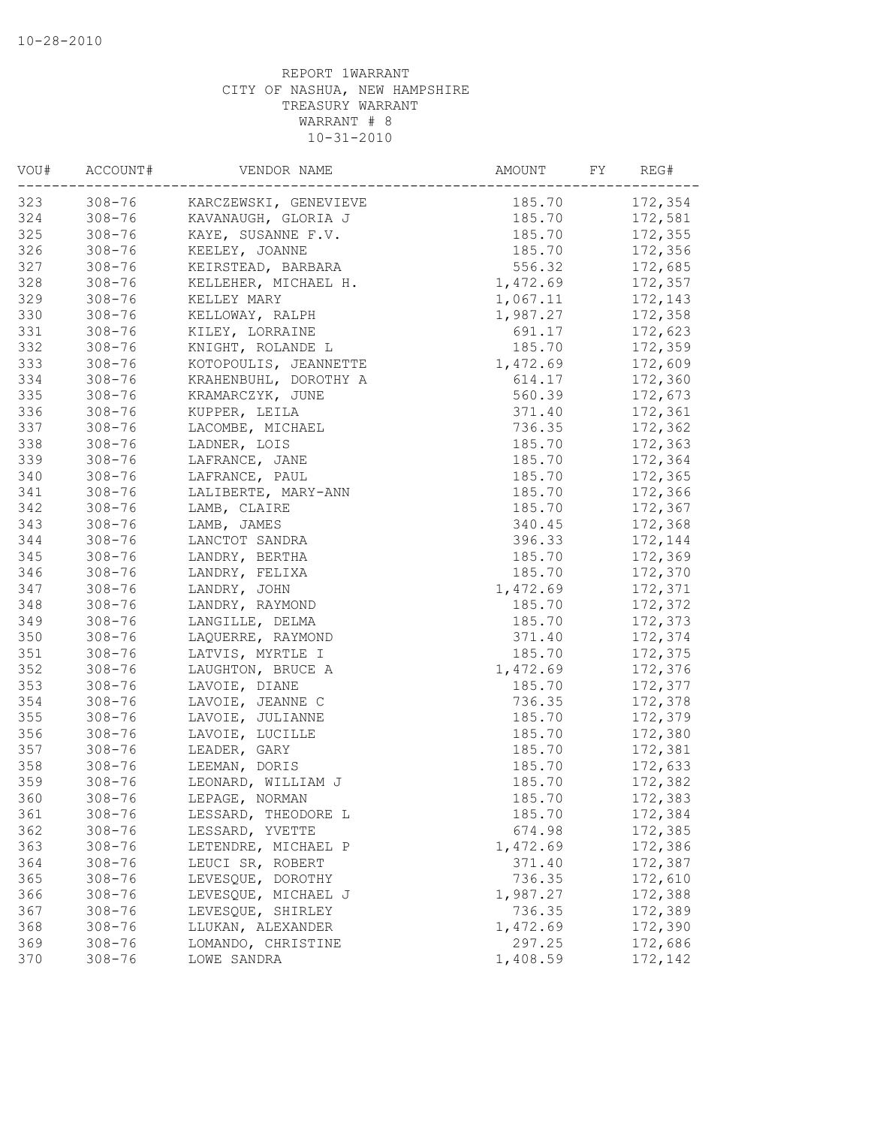| VOU# | ACCOUNT#   | VENDOR NAME           | AMOUNT   | FY<br>REG# |
|------|------------|-----------------------|----------|------------|
| 323  | $308 - 76$ | KARCZEWSKI, GENEVIEVE | 185.70   | 172,354    |
| 324  | $308 - 76$ | KAVANAUGH, GLORIA J   | 185.70   | 172,581    |
| 325  | $308 - 76$ | KAYE, SUSANNE F.V.    | 185.70   | 172,355    |
| 326  | $308 - 76$ | KEELEY, JOANNE        | 185.70   | 172,356    |
| 327  | $308 - 76$ | KEIRSTEAD, BARBARA    | 556.32   | 172,685    |
| 328  | $308 - 76$ | KELLEHER, MICHAEL H.  | 1,472.69 | 172,357    |
| 329  | $308 - 76$ | KELLEY MARY           | 1,067.11 | 172,143    |
| 330  | $308 - 76$ | KELLOWAY, RALPH       | 1,987.27 | 172,358    |
| 331  | $308 - 76$ | KILEY, LORRAINE       | 691.17   | 172,623    |
| 332  | $308 - 76$ | KNIGHT, ROLANDE L     | 185.70   | 172,359    |
| 333  | $308 - 76$ | KOTOPOULIS, JEANNETTE | 1,472.69 | 172,609    |
| 334  | $308 - 76$ | KRAHENBUHL, DOROTHY A | 614.17   | 172,360    |
| 335  | $308 - 76$ | KRAMARCZYK, JUNE      | 560.39   | 172,673    |
| 336  | $308 - 76$ | KUPPER, LEILA         | 371.40   | 172,361    |
| 337  | $308 - 76$ | LACOMBE, MICHAEL      | 736.35   | 172,362    |
| 338  | $308 - 76$ | LADNER, LOIS          | 185.70   | 172,363    |
| 339  | $308 - 76$ | LAFRANCE, JANE        | 185.70   | 172,364    |
| 340  | $308 - 76$ | LAFRANCE, PAUL        | 185.70   | 172,365    |
| 341  | $308 - 76$ | LALIBERTE, MARY-ANN   | 185.70   | 172,366    |
| 342  | $308 - 76$ | LAMB, CLAIRE          | 185.70   | 172,367    |
| 343  | $308 - 76$ | LAMB, JAMES           | 340.45   | 172,368    |
| 344  | $308 - 76$ | LANCTOT SANDRA        | 396.33   | 172,144    |
| 345  | $308 - 76$ | LANDRY, BERTHA        | 185.70   | 172,369    |
| 346  | $308 - 76$ | LANDRY, FELIXA        | 185.70   | 172,370    |
| 347  | $308 - 76$ | LANDRY, JOHN          | 1,472.69 | 172,371    |
| 348  | $308 - 76$ | LANDRY, RAYMOND       | 185.70   | 172,372    |
| 349  | $308 - 76$ | LANGILLE, DELMA       | 185.70   | 172,373    |
| 350  | $308 - 76$ | LAQUERRE, RAYMOND     | 371.40   | 172,374    |
| 351  | $308 - 76$ | LATVIS, MYRTLE I      | 185.70   | 172,375    |
| 352  | $308 - 76$ | LAUGHTON, BRUCE A     | 1,472.69 | 172,376    |
| 353  | $308 - 76$ | LAVOIE, DIANE         | 185.70   | 172,377    |
| 354  | $308 - 76$ | LAVOIE, JEANNE C      | 736.35   | 172,378    |
| 355  | $308 - 76$ | LAVOIE, JULIANNE      | 185.70   | 172,379    |
| 356  | $308 - 76$ | LAVOIE, LUCILLE       | 185.70   | 172,380    |
| 357  | $308 - 76$ | LEADER, GARY          |          |            |
|      |            |                       | 185.70   | 172,381    |
| 358  | $308 - 76$ | LEEMAN, DORIS         | 185.70   | 172,633    |
| 359  | $308 - 76$ | LEONARD, WILLIAM J    | 185.70   | 172,382    |
| 360  | $308 - 76$ | LEPAGE, NORMAN        | 185.70   | 172,383    |
| 361  | $308 - 76$ | LESSARD, THEODORE L   | 185.70   | 172,384    |
| 362  | $308 - 76$ | LESSARD, YVETTE       | 674.98   | 172,385    |
| 363  | $308 - 76$ | LETENDRE, MICHAEL P   | 1,472.69 | 172,386    |
| 364  | $308 - 76$ | LEUCI SR, ROBERT      | 371.40   | 172,387    |
| 365  | $308 - 76$ | LEVESQUE, DOROTHY     | 736.35   | 172,610    |
| 366  | $308 - 76$ | LEVESQUE, MICHAEL J   | 1,987.27 | 172,388    |
| 367  | $308 - 76$ | LEVESQUE, SHIRLEY     | 736.35   | 172,389    |
| 368  | $308 - 76$ | LLUKAN, ALEXANDER     | 1,472.69 | 172,390    |
| 369  | $308 - 76$ | LOMANDO, CHRISTINE    | 297.25   | 172,686    |
| 370  | $308 - 76$ | LOWE SANDRA           | 1,408.59 | 172,142    |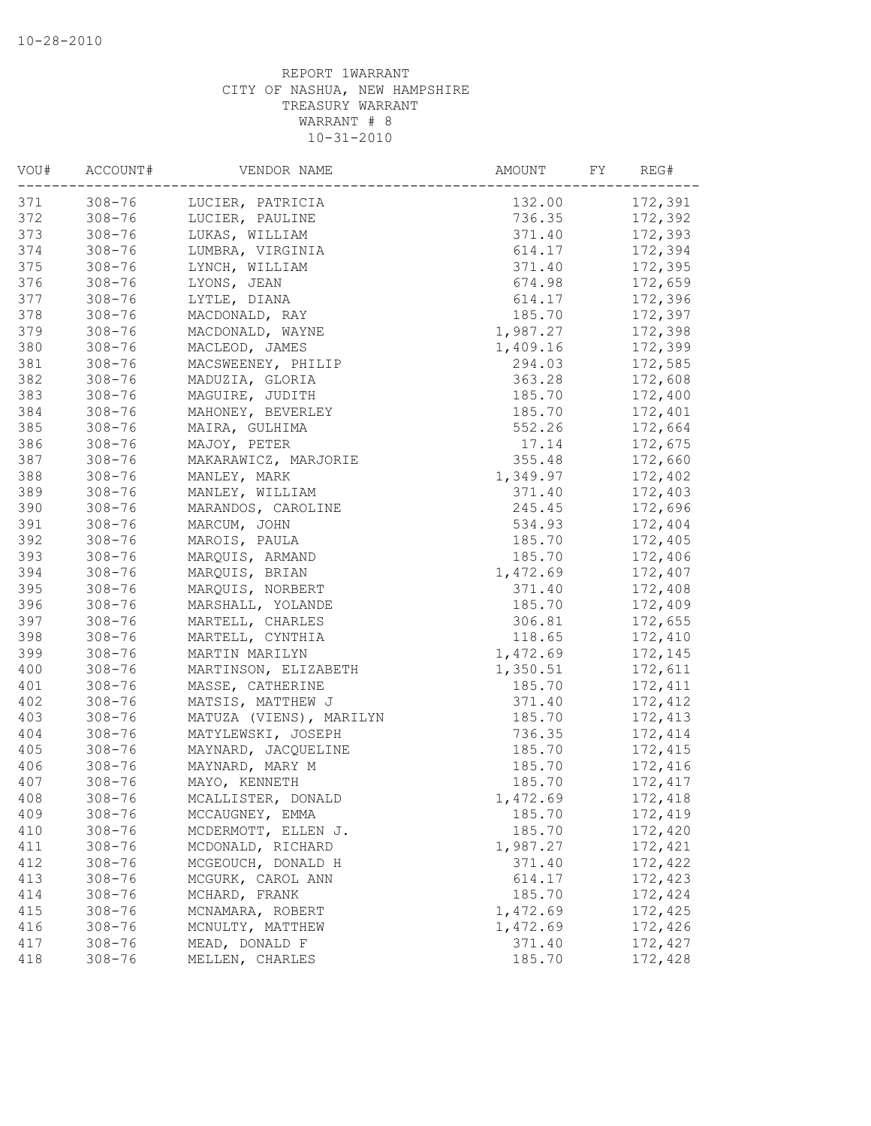| VOU# | ACCOUNT#   | VENDOR NAME             | AMOUNT   | FY<br>REG# |
|------|------------|-------------------------|----------|------------|
| 371  | $308 - 76$ | LUCIER, PATRICIA        | 132.00   | 172,391    |
| 372  | 308-76     | LUCIER, PAULINE         | 736.35   | 172,392    |
| 373  | $308 - 76$ | LUKAS, WILLIAM          | 371.40   | 172,393    |
| 374  | $308 - 76$ | LUMBRA, VIRGINIA        | 614.17   | 172,394    |
| 375  | $308 - 76$ | LYNCH, WILLIAM          | 371.40   | 172,395    |
| 376  | $308 - 76$ | LYONS, JEAN             | 674.98   | 172,659    |
| 377  | $308 - 76$ | LYTLE, DIANA            | 614.17   | 172,396    |
| 378  | $308 - 76$ | MACDONALD, RAY          | 185.70   | 172,397    |
| 379  | $308 - 76$ | MACDONALD, WAYNE        | 1,987.27 | 172,398    |
| 380  | $308 - 76$ | MACLEOD, JAMES          | 1,409.16 | 172,399    |
| 381  | $308 - 76$ | MACSWEENEY, PHILIP      | 294.03   | 172,585    |
| 382  | $308 - 76$ | MADUZIA, GLORIA         | 363.28   | 172,608    |
| 383  | $308 - 76$ | MAGUIRE, JUDITH         | 185.70   | 172,400    |
| 384  | $308 - 76$ | MAHONEY, BEVERLEY       | 185.70   | 172,401    |
| 385  | $308 - 76$ | MAIRA, GULHIMA          | 552.26   | 172,664    |
| 386  | $308 - 76$ | MAJOY, PETER            | 17.14    | 172,675    |
| 387  | $308 - 76$ | MAKARAWICZ, MARJORIE    | 355.48   | 172,660    |
| 388  | $308 - 76$ | MANLEY, MARK            | 1,349.97 | 172,402    |
| 389  | $308 - 76$ | MANLEY, WILLIAM         | 371.40   | 172,403    |
| 390  | $308 - 76$ | MARANDOS, CAROLINE      | 245.45   | 172,696    |
| 391  | $308 - 76$ | MARCUM, JOHN            | 534.93   | 172,404    |
| 392  | $308 - 76$ | MAROIS, PAULA           | 185.70   | 172,405    |
| 393  | $308 - 76$ | MARQUIS, ARMAND         | 185.70   | 172,406    |
| 394  | $308 - 76$ | MARQUIS, BRIAN          | 1,472.69 | 172,407    |
| 395  | $308 - 76$ | MARQUIS, NORBERT        | 371.40   | 172,408    |
| 396  | $308 - 76$ | MARSHALL, YOLANDE       | 185.70   | 172,409    |
| 397  | $308 - 76$ | MARTELL, CHARLES        | 306.81   | 172,655    |
| 398  | $308 - 76$ | MARTELL, CYNTHIA        | 118.65   | 172,410    |
| 399  | $308 - 76$ |                         |          |            |
|      | $308 - 76$ | MARTIN MARILYN          | 1,472.69 | 172,145    |
| 400  |            | MARTINSON, ELIZABETH    | 1,350.51 | 172,611    |
| 401  | $308 - 76$ | MASSE, CATHERINE        | 185.70   | 172,411    |
| 402  | $308 - 76$ | MATSIS, MATTHEW J       | 371.40   | 172,412    |
| 403  | $308 - 76$ | MATUZA (VIENS), MARILYN | 185.70   | 172,413    |
| 404  | $308 - 76$ | MATYLEWSKI, JOSEPH      | 736.35   | 172,414    |
| 405  | $308 - 76$ | MAYNARD, JACQUELINE     | 185.70   | 172,415    |
| 406  | $308 - 76$ | MAYNARD, MARY M         | 185.70   | 172,416    |
| 407  | $308 - 76$ | MAYO, KENNETH           | 185.70   | 172, 417   |
| 408  | $308 - 76$ | MCALLISTER, DONALD      | 1,472.69 | 172,418    |
| 409  | $308 - 76$ | MCCAUGNEY, EMMA         | 185.70   | 172,419    |
| 410  | $308 - 76$ | MCDERMOTT, ELLEN J.     | 185.70   | 172,420    |
| 411  | $308 - 76$ | MCDONALD, RICHARD       | 1,987.27 | 172,421    |
| 412  | $308 - 76$ | MCGEOUCH, DONALD H      | 371.40   | 172,422    |
| 413  | $308 - 76$ | MCGURK, CAROL ANN       | 614.17   | 172,423    |
| 414  | $308 - 76$ | MCHARD, FRANK           | 185.70   | 172,424    |
| 415  | $308 - 76$ | MCNAMARA, ROBERT        | 1,472.69 | 172,425    |
| 416  | $308 - 76$ | MCNULTY, MATTHEW        | 1,472.69 | 172,426    |
| 417  | $308 - 76$ | MEAD, DONALD F          | 371.40   | 172,427    |
| 418  | $308 - 76$ | MELLEN, CHARLES         | 185.70   | 172,428    |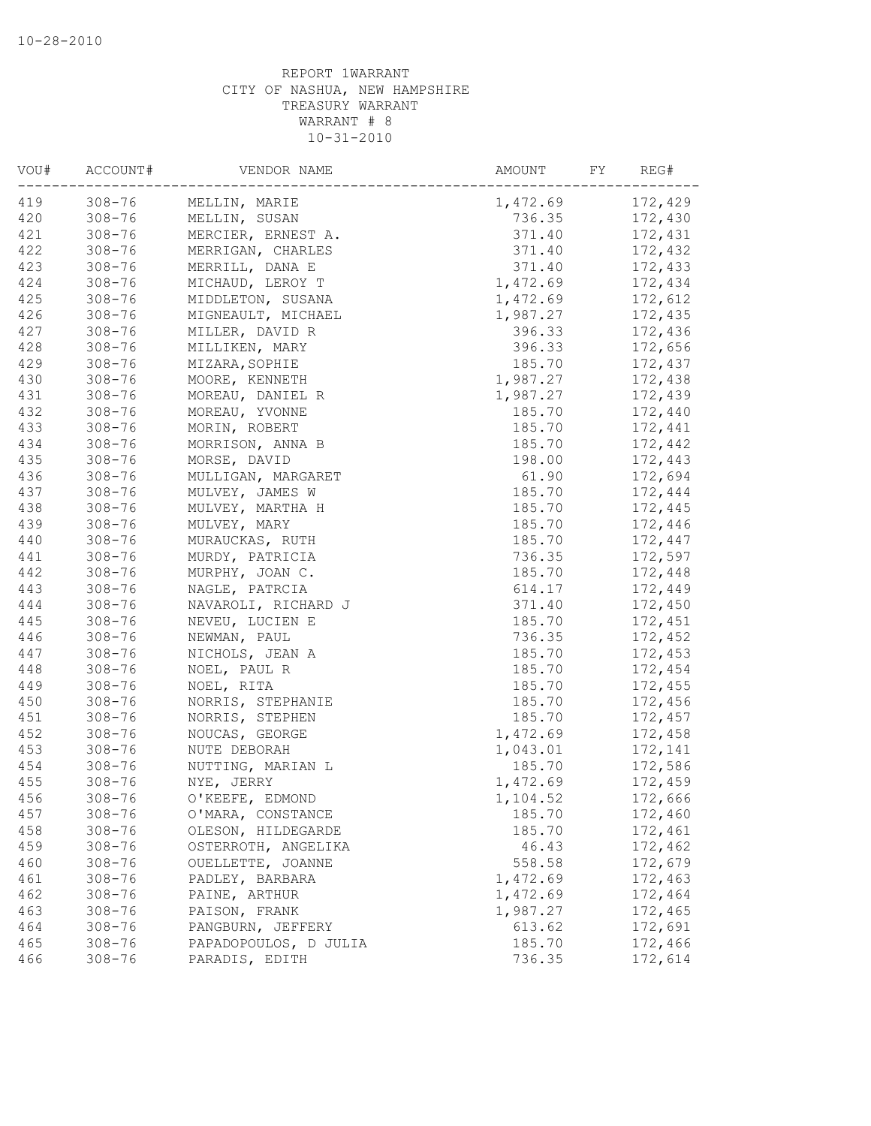| $308 - 76$<br>172,429<br>1,472.69<br>MELLIN, MARIE<br>$308 - 76$<br>MELLIN, SUSAN<br>736.35<br>172,430<br>$308 - 76$<br>371.40<br>172,431<br>MERCIER, ERNEST A.<br>$308 - 76$<br>371.40<br>172,432<br>MERRIGAN, CHARLES<br>$308 - 76$<br>MERRILL, DANA E<br>371.40<br>172,433<br>$308 - 76$<br>MICHAUD, LEROY T<br>1,472.69<br>172,434<br>1,472.69<br>$308 - 76$<br>MIDDLETON, SUSANA<br>172,612<br>1,987.27<br>$308 - 76$<br>MIGNEAULT, MICHAEL<br>172,435<br>$308 - 76$<br>MILLER, DAVID R<br>396.33<br>172,436<br>$308 - 76$<br>MILLIKEN, MARY<br>396.33<br>172,656<br>$308 - 76$<br>MIZARA, SOPHIE<br>185.70<br>172,437<br>$308 - 76$<br>MOORE, KENNETH<br>1,987.27<br>172,438<br>$308 - 76$<br>1,987.27<br>172,439<br>MOREAU, DANIEL R<br>$308 - 76$<br>MOREAU, YVONNE<br>185.70<br>172,440<br>$308 - 76$<br>MORIN, ROBERT<br>185.70<br>172,441<br>MORRISON, ANNA B<br>172,442<br>$308 - 76$<br>185.70<br>172,443<br>$308 - 76$<br>MORSE, DAVID<br>198.00<br>436<br>$308 - 76$<br>61.90<br>172,694<br>MULLIGAN, MARGARET<br>437<br>$308 - 76$<br>MULVEY, JAMES W<br>185.70<br>172,444<br>438<br>$308 - 76$<br>MULVEY, MARTHA H<br>185.70<br>172,445<br>439<br>$308 - 76$<br>MULVEY, MARY<br>185.70<br>172,446<br>440<br>$308 - 76$<br>185.70<br>172,447<br>MURAUCKAS, RUTH<br>441<br>$308 - 76$<br>736.35<br>172,597<br>MURDY, PATRICIA<br>$308 - 76$<br>442<br>MURPHY, JOAN C.<br>185.70<br>172,448<br>NAGLE, PATRCIA<br>443<br>$308 - 76$<br>614.17<br>172,449<br>444<br>$308 - 76$<br>NAVAROLI, RICHARD J<br>371.40<br>172,450<br>445<br>$308 - 76$<br>NEVEU, LUCIEN E<br>185.70<br>172,451<br>446<br>$308 - 76$<br>736.35<br>172,452<br>NEWMAN, PAUL<br>$308 - 76$<br>447<br>NICHOLS, JEAN A<br>185.70<br>172,453<br>448<br>$308 - 76$<br>185.70<br>172,454<br>NOEL, PAUL R<br>449<br>$308 - 76$<br>NOEL, RITA<br>185.70<br>172,455<br>450<br>$308 - 76$<br>185.70<br>172,456<br>NORRIS, STEPHANIE<br>451<br>$308 - 76$<br>NORRIS, STEPHEN<br>185.70<br>172,457<br>452<br>$308 - 76$<br>NOUCAS, GEORGE<br>1,472.69<br>172,458<br>1,043.01<br>172,141<br>453<br>$308 - 76$<br>NUTE DEBORAH<br>454<br>$308 - 76$<br>185.70<br>172,586<br>NUTTING, MARIAN L<br>455<br>$308 - 76$<br>NYE, JERRY<br>1,472.69<br>172,459<br>456<br>$308 - 76$<br>O'KEEFE, EDMOND<br>1,104.52<br>172,666<br>457<br>$308 - 76$<br>O'MARA, CONSTANCE<br>185.70<br>172,460<br>458<br>$308 - 76$<br>OLESON, HILDEGARDE<br>185.70<br>172,461<br>459<br>$308 - 76$<br>46.43<br>172,462<br>OSTERROTH, ANGELIKA<br>460<br>$308 - 76$<br>OUELLETTE, JOANNE<br>558.58<br>172,679<br>461<br>PADLEY, BARBARA<br>1,472.69<br>172,463<br>$308 - 76$<br>PAINE, ARTHUR<br>462<br>$308 - 76$<br>1,472.69<br>172,464<br>1,987.27<br>463<br>PAISON, FRANK<br>172,465<br>$308 - 76$<br>464<br>613.62<br>172,691<br>$308 - 76$<br>PANGBURN, JEFFERY<br>465<br>185.70<br>172,466<br>$308 - 76$<br>PAPADOPOULOS, D JULIA<br>172,614<br>$308 - 76$<br>PARADIS, EDITH<br>736.35 | VOU# | ACCOUNT# | VENDOR NAME | AMOUNT<br>FY | REG# |
|------------------------------------------------------------------------------------------------------------------------------------------------------------------------------------------------------------------------------------------------------------------------------------------------------------------------------------------------------------------------------------------------------------------------------------------------------------------------------------------------------------------------------------------------------------------------------------------------------------------------------------------------------------------------------------------------------------------------------------------------------------------------------------------------------------------------------------------------------------------------------------------------------------------------------------------------------------------------------------------------------------------------------------------------------------------------------------------------------------------------------------------------------------------------------------------------------------------------------------------------------------------------------------------------------------------------------------------------------------------------------------------------------------------------------------------------------------------------------------------------------------------------------------------------------------------------------------------------------------------------------------------------------------------------------------------------------------------------------------------------------------------------------------------------------------------------------------------------------------------------------------------------------------------------------------------------------------------------------------------------------------------------------------------------------------------------------------------------------------------------------------------------------------------------------------------------------------------------------------------------------------------------------------------------------------------------------------------------------------------------------------------------------------------------------------------------------------------------------------------------------------------------------------------------------------------------------------------------------------------------------------------------------------------------------------------------------------------------------------------------------------------------------------------------------------------------------------------------------------------------------------------------------------------------------------------|------|----------|-------------|--------------|------|
|                                                                                                                                                                                                                                                                                                                                                                                                                                                                                                                                                                                                                                                                                                                                                                                                                                                                                                                                                                                                                                                                                                                                                                                                                                                                                                                                                                                                                                                                                                                                                                                                                                                                                                                                                                                                                                                                                                                                                                                                                                                                                                                                                                                                                                                                                                                                                                                                                                                                                                                                                                                                                                                                                                                                                                                                                                                                                                                                          | 419  |          |             |              |      |
|                                                                                                                                                                                                                                                                                                                                                                                                                                                                                                                                                                                                                                                                                                                                                                                                                                                                                                                                                                                                                                                                                                                                                                                                                                                                                                                                                                                                                                                                                                                                                                                                                                                                                                                                                                                                                                                                                                                                                                                                                                                                                                                                                                                                                                                                                                                                                                                                                                                                                                                                                                                                                                                                                                                                                                                                                                                                                                                                          | 420  |          |             |              |      |
|                                                                                                                                                                                                                                                                                                                                                                                                                                                                                                                                                                                                                                                                                                                                                                                                                                                                                                                                                                                                                                                                                                                                                                                                                                                                                                                                                                                                                                                                                                                                                                                                                                                                                                                                                                                                                                                                                                                                                                                                                                                                                                                                                                                                                                                                                                                                                                                                                                                                                                                                                                                                                                                                                                                                                                                                                                                                                                                                          | 421  |          |             |              |      |
|                                                                                                                                                                                                                                                                                                                                                                                                                                                                                                                                                                                                                                                                                                                                                                                                                                                                                                                                                                                                                                                                                                                                                                                                                                                                                                                                                                                                                                                                                                                                                                                                                                                                                                                                                                                                                                                                                                                                                                                                                                                                                                                                                                                                                                                                                                                                                                                                                                                                                                                                                                                                                                                                                                                                                                                                                                                                                                                                          | 422  |          |             |              |      |
|                                                                                                                                                                                                                                                                                                                                                                                                                                                                                                                                                                                                                                                                                                                                                                                                                                                                                                                                                                                                                                                                                                                                                                                                                                                                                                                                                                                                                                                                                                                                                                                                                                                                                                                                                                                                                                                                                                                                                                                                                                                                                                                                                                                                                                                                                                                                                                                                                                                                                                                                                                                                                                                                                                                                                                                                                                                                                                                                          | 423  |          |             |              |      |
|                                                                                                                                                                                                                                                                                                                                                                                                                                                                                                                                                                                                                                                                                                                                                                                                                                                                                                                                                                                                                                                                                                                                                                                                                                                                                                                                                                                                                                                                                                                                                                                                                                                                                                                                                                                                                                                                                                                                                                                                                                                                                                                                                                                                                                                                                                                                                                                                                                                                                                                                                                                                                                                                                                                                                                                                                                                                                                                                          | 424  |          |             |              |      |
|                                                                                                                                                                                                                                                                                                                                                                                                                                                                                                                                                                                                                                                                                                                                                                                                                                                                                                                                                                                                                                                                                                                                                                                                                                                                                                                                                                                                                                                                                                                                                                                                                                                                                                                                                                                                                                                                                                                                                                                                                                                                                                                                                                                                                                                                                                                                                                                                                                                                                                                                                                                                                                                                                                                                                                                                                                                                                                                                          | 425  |          |             |              |      |
|                                                                                                                                                                                                                                                                                                                                                                                                                                                                                                                                                                                                                                                                                                                                                                                                                                                                                                                                                                                                                                                                                                                                                                                                                                                                                                                                                                                                                                                                                                                                                                                                                                                                                                                                                                                                                                                                                                                                                                                                                                                                                                                                                                                                                                                                                                                                                                                                                                                                                                                                                                                                                                                                                                                                                                                                                                                                                                                                          | 426  |          |             |              |      |
|                                                                                                                                                                                                                                                                                                                                                                                                                                                                                                                                                                                                                                                                                                                                                                                                                                                                                                                                                                                                                                                                                                                                                                                                                                                                                                                                                                                                                                                                                                                                                                                                                                                                                                                                                                                                                                                                                                                                                                                                                                                                                                                                                                                                                                                                                                                                                                                                                                                                                                                                                                                                                                                                                                                                                                                                                                                                                                                                          | 427  |          |             |              |      |
|                                                                                                                                                                                                                                                                                                                                                                                                                                                                                                                                                                                                                                                                                                                                                                                                                                                                                                                                                                                                                                                                                                                                                                                                                                                                                                                                                                                                                                                                                                                                                                                                                                                                                                                                                                                                                                                                                                                                                                                                                                                                                                                                                                                                                                                                                                                                                                                                                                                                                                                                                                                                                                                                                                                                                                                                                                                                                                                                          | 428  |          |             |              |      |
|                                                                                                                                                                                                                                                                                                                                                                                                                                                                                                                                                                                                                                                                                                                                                                                                                                                                                                                                                                                                                                                                                                                                                                                                                                                                                                                                                                                                                                                                                                                                                                                                                                                                                                                                                                                                                                                                                                                                                                                                                                                                                                                                                                                                                                                                                                                                                                                                                                                                                                                                                                                                                                                                                                                                                                                                                                                                                                                                          | 429  |          |             |              |      |
|                                                                                                                                                                                                                                                                                                                                                                                                                                                                                                                                                                                                                                                                                                                                                                                                                                                                                                                                                                                                                                                                                                                                                                                                                                                                                                                                                                                                                                                                                                                                                                                                                                                                                                                                                                                                                                                                                                                                                                                                                                                                                                                                                                                                                                                                                                                                                                                                                                                                                                                                                                                                                                                                                                                                                                                                                                                                                                                                          | 430  |          |             |              |      |
|                                                                                                                                                                                                                                                                                                                                                                                                                                                                                                                                                                                                                                                                                                                                                                                                                                                                                                                                                                                                                                                                                                                                                                                                                                                                                                                                                                                                                                                                                                                                                                                                                                                                                                                                                                                                                                                                                                                                                                                                                                                                                                                                                                                                                                                                                                                                                                                                                                                                                                                                                                                                                                                                                                                                                                                                                                                                                                                                          | 431  |          |             |              |      |
|                                                                                                                                                                                                                                                                                                                                                                                                                                                                                                                                                                                                                                                                                                                                                                                                                                                                                                                                                                                                                                                                                                                                                                                                                                                                                                                                                                                                                                                                                                                                                                                                                                                                                                                                                                                                                                                                                                                                                                                                                                                                                                                                                                                                                                                                                                                                                                                                                                                                                                                                                                                                                                                                                                                                                                                                                                                                                                                                          | 432  |          |             |              |      |
|                                                                                                                                                                                                                                                                                                                                                                                                                                                                                                                                                                                                                                                                                                                                                                                                                                                                                                                                                                                                                                                                                                                                                                                                                                                                                                                                                                                                                                                                                                                                                                                                                                                                                                                                                                                                                                                                                                                                                                                                                                                                                                                                                                                                                                                                                                                                                                                                                                                                                                                                                                                                                                                                                                                                                                                                                                                                                                                                          | 433  |          |             |              |      |
|                                                                                                                                                                                                                                                                                                                                                                                                                                                                                                                                                                                                                                                                                                                                                                                                                                                                                                                                                                                                                                                                                                                                                                                                                                                                                                                                                                                                                                                                                                                                                                                                                                                                                                                                                                                                                                                                                                                                                                                                                                                                                                                                                                                                                                                                                                                                                                                                                                                                                                                                                                                                                                                                                                                                                                                                                                                                                                                                          | 434  |          |             |              |      |
|                                                                                                                                                                                                                                                                                                                                                                                                                                                                                                                                                                                                                                                                                                                                                                                                                                                                                                                                                                                                                                                                                                                                                                                                                                                                                                                                                                                                                                                                                                                                                                                                                                                                                                                                                                                                                                                                                                                                                                                                                                                                                                                                                                                                                                                                                                                                                                                                                                                                                                                                                                                                                                                                                                                                                                                                                                                                                                                                          | 435  |          |             |              |      |
|                                                                                                                                                                                                                                                                                                                                                                                                                                                                                                                                                                                                                                                                                                                                                                                                                                                                                                                                                                                                                                                                                                                                                                                                                                                                                                                                                                                                                                                                                                                                                                                                                                                                                                                                                                                                                                                                                                                                                                                                                                                                                                                                                                                                                                                                                                                                                                                                                                                                                                                                                                                                                                                                                                                                                                                                                                                                                                                                          |      |          |             |              |      |
|                                                                                                                                                                                                                                                                                                                                                                                                                                                                                                                                                                                                                                                                                                                                                                                                                                                                                                                                                                                                                                                                                                                                                                                                                                                                                                                                                                                                                                                                                                                                                                                                                                                                                                                                                                                                                                                                                                                                                                                                                                                                                                                                                                                                                                                                                                                                                                                                                                                                                                                                                                                                                                                                                                                                                                                                                                                                                                                                          |      |          |             |              |      |
|                                                                                                                                                                                                                                                                                                                                                                                                                                                                                                                                                                                                                                                                                                                                                                                                                                                                                                                                                                                                                                                                                                                                                                                                                                                                                                                                                                                                                                                                                                                                                                                                                                                                                                                                                                                                                                                                                                                                                                                                                                                                                                                                                                                                                                                                                                                                                                                                                                                                                                                                                                                                                                                                                                                                                                                                                                                                                                                                          |      |          |             |              |      |
|                                                                                                                                                                                                                                                                                                                                                                                                                                                                                                                                                                                                                                                                                                                                                                                                                                                                                                                                                                                                                                                                                                                                                                                                                                                                                                                                                                                                                                                                                                                                                                                                                                                                                                                                                                                                                                                                                                                                                                                                                                                                                                                                                                                                                                                                                                                                                                                                                                                                                                                                                                                                                                                                                                                                                                                                                                                                                                                                          |      |          |             |              |      |
|                                                                                                                                                                                                                                                                                                                                                                                                                                                                                                                                                                                                                                                                                                                                                                                                                                                                                                                                                                                                                                                                                                                                                                                                                                                                                                                                                                                                                                                                                                                                                                                                                                                                                                                                                                                                                                                                                                                                                                                                                                                                                                                                                                                                                                                                                                                                                                                                                                                                                                                                                                                                                                                                                                                                                                                                                                                                                                                                          |      |          |             |              |      |
|                                                                                                                                                                                                                                                                                                                                                                                                                                                                                                                                                                                                                                                                                                                                                                                                                                                                                                                                                                                                                                                                                                                                                                                                                                                                                                                                                                                                                                                                                                                                                                                                                                                                                                                                                                                                                                                                                                                                                                                                                                                                                                                                                                                                                                                                                                                                                                                                                                                                                                                                                                                                                                                                                                                                                                                                                                                                                                                                          |      |          |             |              |      |
|                                                                                                                                                                                                                                                                                                                                                                                                                                                                                                                                                                                                                                                                                                                                                                                                                                                                                                                                                                                                                                                                                                                                                                                                                                                                                                                                                                                                                                                                                                                                                                                                                                                                                                                                                                                                                                                                                                                                                                                                                                                                                                                                                                                                                                                                                                                                                                                                                                                                                                                                                                                                                                                                                                                                                                                                                                                                                                                                          |      |          |             |              |      |
|                                                                                                                                                                                                                                                                                                                                                                                                                                                                                                                                                                                                                                                                                                                                                                                                                                                                                                                                                                                                                                                                                                                                                                                                                                                                                                                                                                                                                                                                                                                                                                                                                                                                                                                                                                                                                                                                                                                                                                                                                                                                                                                                                                                                                                                                                                                                                                                                                                                                                                                                                                                                                                                                                                                                                                                                                                                                                                                                          |      |          |             |              |      |
|                                                                                                                                                                                                                                                                                                                                                                                                                                                                                                                                                                                                                                                                                                                                                                                                                                                                                                                                                                                                                                                                                                                                                                                                                                                                                                                                                                                                                                                                                                                                                                                                                                                                                                                                                                                                                                                                                                                                                                                                                                                                                                                                                                                                                                                                                                                                                                                                                                                                                                                                                                                                                                                                                                                                                                                                                                                                                                                                          |      |          |             |              |      |
|                                                                                                                                                                                                                                                                                                                                                                                                                                                                                                                                                                                                                                                                                                                                                                                                                                                                                                                                                                                                                                                                                                                                                                                                                                                                                                                                                                                                                                                                                                                                                                                                                                                                                                                                                                                                                                                                                                                                                                                                                                                                                                                                                                                                                                                                                                                                                                                                                                                                                                                                                                                                                                                                                                                                                                                                                                                                                                                                          |      |          |             |              |      |
|                                                                                                                                                                                                                                                                                                                                                                                                                                                                                                                                                                                                                                                                                                                                                                                                                                                                                                                                                                                                                                                                                                                                                                                                                                                                                                                                                                                                                                                                                                                                                                                                                                                                                                                                                                                                                                                                                                                                                                                                                                                                                                                                                                                                                                                                                                                                                                                                                                                                                                                                                                                                                                                                                                                                                                                                                                                                                                                                          |      |          |             |              |      |
|                                                                                                                                                                                                                                                                                                                                                                                                                                                                                                                                                                                                                                                                                                                                                                                                                                                                                                                                                                                                                                                                                                                                                                                                                                                                                                                                                                                                                                                                                                                                                                                                                                                                                                                                                                                                                                                                                                                                                                                                                                                                                                                                                                                                                                                                                                                                                                                                                                                                                                                                                                                                                                                                                                                                                                                                                                                                                                                                          |      |          |             |              |      |
|                                                                                                                                                                                                                                                                                                                                                                                                                                                                                                                                                                                                                                                                                                                                                                                                                                                                                                                                                                                                                                                                                                                                                                                                                                                                                                                                                                                                                                                                                                                                                                                                                                                                                                                                                                                                                                                                                                                                                                                                                                                                                                                                                                                                                                                                                                                                                                                                                                                                                                                                                                                                                                                                                                                                                                                                                                                                                                                                          |      |          |             |              |      |
|                                                                                                                                                                                                                                                                                                                                                                                                                                                                                                                                                                                                                                                                                                                                                                                                                                                                                                                                                                                                                                                                                                                                                                                                                                                                                                                                                                                                                                                                                                                                                                                                                                                                                                                                                                                                                                                                                                                                                                                                                                                                                                                                                                                                                                                                                                                                                                                                                                                                                                                                                                                                                                                                                                                                                                                                                                                                                                                                          |      |          |             |              |      |
|                                                                                                                                                                                                                                                                                                                                                                                                                                                                                                                                                                                                                                                                                                                                                                                                                                                                                                                                                                                                                                                                                                                                                                                                                                                                                                                                                                                                                                                                                                                                                                                                                                                                                                                                                                                                                                                                                                                                                                                                                                                                                                                                                                                                                                                                                                                                                                                                                                                                                                                                                                                                                                                                                                                                                                                                                                                                                                                                          |      |          |             |              |      |
|                                                                                                                                                                                                                                                                                                                                                                                                                                                                                                                                                                                                                                                                                                                                                                                                                                                                                                                                                                                                                                                                                                                                                                                                                                                                                                                                                                                                                                                                                                                                                                                                                                                                                                                                                                                                                                                                                                                                                                                                                                                                                                                                                                                                                                                                                                                                                                                                                                                                                                                                                                                                                                                                                                                                                                                                                                                                                                                                          |      |          |             |              |      |
|                                                                                                                                                                                                                                                                                                                                                                                                                                                                                                                                                                                                                                                                                                                                                                                                                                                                                                                                                                                                                                                                                                                                                                                                                                                                                                                                                                                                                                                                                                                                                                                                                                                                                                                                                                                                                                                                                                                                                                                                                                                                                                                                                                                                                                                                                                                                                                                                                                                                                                                                                                                                                                                                                                                                                                                                                                                                                                                                          |      |          |             |              |      |
|                                                                                                                                                                                                                                                                                                                                                                                                                                                                                                                                                                                                                                                                                                                                                                                                                                                                                                                                                                                                                                                                                                                                                                                                                                                                                                                                                                                                                                                                                                                                                                                                                                                                                                                                                                                                                                                                                                                                                                                                                                                                                                                                                                                                                                                                                                                                                                                                                                                                                                                                                                                                                                                                                                                                                                                                                                                                                                                                          |      |          |             |              |      |
|                                                                                                                                                                                                                                                                                                                                                                                                                                                                                                                                                                                                                                                                                                                                                                                                                                                                                                                                                                                                                                                                                                                                                                                                                                                                                                                                                                                                                                                                                                                                                                                                                                                                                                                                                                                                                                                                                                                                                                                                                                                                                                                                                                                                                                                                                                                                                                                                                                                                                                                                                                                                                                                                                                                                                                                                                                                                                                                                          |      |          |             |              |      |
|                                                                                                                                                                                                                                                                                                                                                                                                                                                                                                                                                                                                                                                                                                                                                                                                                                                                                                                                                                                                                                                                                                                                                                                                                                                                                                                                                                                                                                                                                                                                                                                                                                                                                                                                                                                                                                                                                                                                                                                                                                                                                                                                                                                                                                                                                                                                                                                                                                                                                                                                                                                                                                                                                                                                                                                                                                                                                                                                          |      |          |             |              |      |
|                                                                                                                                                                                                                                                                                                                                                                                                                                                                                                                                                                                                                                                                                                                                                                                                                                                                                                                                                                                                                                                                                                                                                                                                                                                                                                                                                                                                                                                                                                                                                                                                                                                                                                                                                                                                                                                                                                                                                                                                                                                                                                                                                                                                                                                                                                                                                                                                                                                                                                                                                                                                                                                                                                                                                                                                                                                                                                                                          |      |          |             |              |      |
|                                                                                                                                                                                                                                                                                                                                                                                                                                                                                                                                                                                                                                                                                                                                                                                                                                                                                                                                                                                                                                                                                                                                                                                                                                                                                                                                                                                                                                                                                                                                                                                                                                                                                                                                                                                                                                                                                                                                                                                                                                                                                                                                                                                                                                                                                                                                                                                                                                                                                                                                                                                                                                                                                                                                                                                                                                                                                                                                          |      |          |             |              |      |
|                                                                                                                                                                                                                                                                                                                                                                                                                                                                                                                                                                                                                                                                                                                                                                                                                                                                                                                                                                                                                                                                                                                                                                                                                                                                                                                                                                                                                                                                                                                                                                                                                                                                                                                                                                                                                                                                                                                                                                                                                                                                                                                                                                                                                                                                                                                                                                                                                                                                                                                                                                                                                                                                                                                                                                                                                                                                                                                                          |      |          |             |              |      |
|                                                                                                                                                                                                                                                                                                                                                                                                                                                                                                                                                                                                                                                                                                                                                                                                                                                                                                                                                                                                                                                                                                                                                                                                                                                                                                                                                                                                                                                                                                                                                                                                                                                                                                                                                                                                                                                                                                                                                                                                                                                                                                                                                                                                                                                                                                                                                                                                                                                                                                                                                                                                                                                                                                                                                                                                                                                                                                                                          |      |          |             |              |      |
|                                                                                                                                                                                                                                                                                                                                                                                                                                                                                                                                                                                                                                                                                                                                                                                                                                                                                                                                                                                                                                                                                                                                                                                                                                                                                                                                                                                                                                                                                                                                                                                                                                                                                                                                                                                                                                                                                                                                                                                                                                                                                                                                                                                                                                                                                                                                                                                                                                                                                                                                                                                                                                                                                                                                                                                                                                                                                                                                          |      |          |             |              |      |
|                                                                                                                                                                                                                                                                                                                                                                                                                                                                                                                                                                                                                                                                                                                                                                                                                                                                                                                                                                                                                                                                                                                                                                                                                                                                                                                                                                                                                                                                                                                                                                                                                                                                                                                                                                                                                                                                                                                                                                                                                                                                                                                                                                                                                                                                                                                                                                                                                                                                                                                                                                                                                                                                                                                                                                                                                                                                                                                                          |      |          |             |              |      |
|                                                                                                                                                                                                                                                                                                                                                                                                                                                                                                                                                                                                                                                                                                                                                                                                                                                                                                                                                                                                                                                                                                                                                                                                                                                                                                                                                                                                                                                                                                                                                                                                                                                                                                                                                                                                                                                                                                                                                                                                                                                                                                                                                                                                                                                                                                                                                                                                                                                                                                                                                                                                                                                                                                                                                                                                                                                                                                                                          |      |          |             |              |      |
|                                                                                                                                                                                                                                                                                                                                                                                                                                                                                                                                                                                                                                                                                                                                                                                                                                                                                                                                                                                                                                                                                                                                                                                                                                                                                                                                                                                                                                                                                                                                                                                                                                                                                                                                                                                                                                                                                                                                                                                                                                                                                                                                                                                                                                                                                                                                                                                                                                                                                                                                                                                                                                                                                                                                                                                                                                                                                                                                          |      |          |             |              |      |
|                                                                                                                                                                                                                                                                                                                                                                                                                                                                                                                                                                                                                                                                                                                                                                                                                                                                                                                                                                                                                                                                                                                                                                                                                                                                                                                                                                                                                                                                                                                                                                                                                                                                                                                                                                                                                                                                                                                                                                                                                                                                                                                                                                                                                                                                                                                                                                                                                                                                                                                                                                                                                                                                                                                                                                                                                                                                                                                                          |      |          |             |              |      |
|                                                                                                                                                                                                                                                                                                                                                                                                                                                                                                                                                                                                                                                                                                                                                                                                                                                                                                                                                                                                                                                                                                                                                                                                                                                                                                                                                                                                                                                                                                                                                                                                                                                                                                                                                                                                                                                                                                                                                                                                                                                                                                                                                                                                                                                                                                                                                                                                                                                                                                                                                                                                                                                                                                                                                                                                                                                                                                                                          |      |          |             |              |      |
|                                                                                                                                                                                                                                                                                                                                                                                                                                                                                                                                                                                                                                                                                                                                                                                                                                                                                                                                                                                                                                                                                                                                                                                                                                                                                                                                                                                                                                                                                                                                                                                                                                                                                                                                                                                                                                                                                                                                                                                                                                                                                                                                                                                                                                                                                                                                                                                                                                                                                                                                                                                                                                                                                                                                                                                                                                                                                                                                          | 466  |          |             |              |      |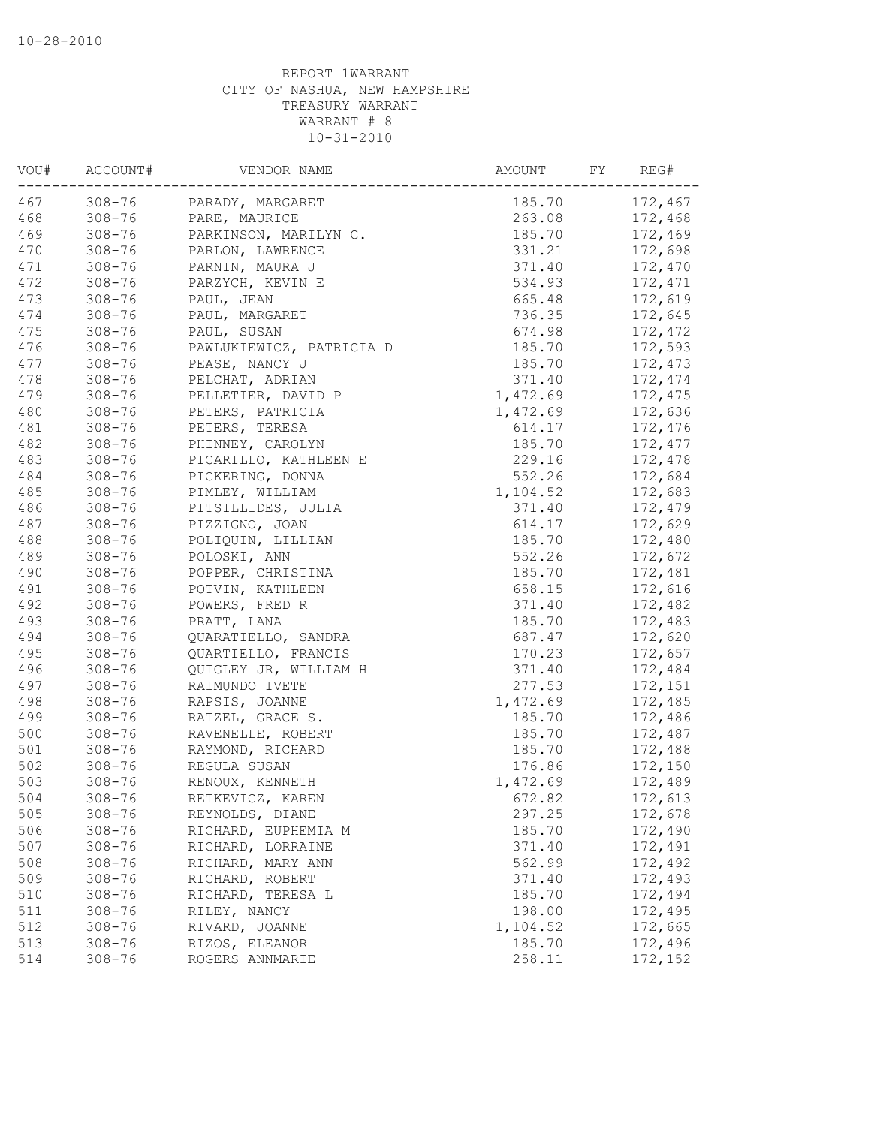| 172,467<br>$308 - 76$<br>185.70<br>PARADY, MARGARET<br>$308 - 76$<br>PARE, MAURICE<br>263.08<br>172,468<br>$308 - 76$<br>PARKINSON, MARILYN C.<br>185.70<br>172,469<br>$308 - 76$<br>PARLON, LAWRENCE<br>331.21<br>172,698<br>$308 - 76$<br>PARNIN, MAURA J<br>371.40<br>172,470<br>$308 - 76$<br>534.93<br>PARZYCH, KEVIN E<br>172,471<br>$308 - 76$<br>PAUL, JEAN<br>172,619<br>665.48<br>$308 - 76$<br>PAUL, MARGARET<br>736.35<br>172,645<br>$308 - 76$<br>PAUL, SUSAN<br>674.98<br>172,472<br>$308 - 76$<br>172,593<br>PAWLUKIEWICZ, PATRICIA D<br>185.70<br>$308 - 76$<br>PEASE, NANCY J<br>185.70<br>172,473<br>$308 - 76$<br>PELCHAT, ADRIAN<br>371.40<br>172,474<br>$308 - 76$<br>1,472.69<br>172,475<br>PELLETIER, DAVID P<br>$308 - 76$<br>1,472.69<br>172,636<br>PETERS, PATRICIA<br>$308 - 76$<br>PETERS, TERESA<br>614.17<br>172,476<br>482<br>$308 - 76$<br>185.70<br>172,477<br>PHINNEY, CAROLYN<br>483<br>$308 - 76$<br>172,478<br>PICARILLO, KATHLEEN E<br>229.16<br>$308 - 76$<br>484<br>PICKERING, DONNA<br>552.26<br>172,684<br>485<br>$308 - 76$<br>1,104.52<br>PIMLEY, WILLIAM<br>172,683<br>486<br>$308 - 76$<br>PITSILLIDES, JULIA<br>371.40<br>172,479<br>487<br>$308 - 76$<br>614.17<br>172,629<br>PIZZIGNO, JOAN<br>488<br>$308 - 76$<br>185.70<br>172,480<br>POLIQUIN, LILLIAN<br>489<br>$308 - 76$<br>552.26<br>172,672<br>POLOSKI, ANN<br>490<br>$308 - 76$<br>POPPER, CHRISTINA<br>172,481<br>185.70<br>$308 - 76$<br>POTVIN, KATHLEEN<br>491<br>658.15<br>172,616<br>492<br>$308 - 76$<br>POWERS, FRED R<br>371.40<br>172,482<br>$308 - 76$<br>PRATT, LANA<br>493<br>185.70<br>172,483<br>$308 - 76$<br>494<br>687.47<br>172,620<br>QUARATIELLO, SANDRA<br>495<br>$308 - 76$<br>QUARTIELLO, FRANCIS<br>170.23<br>172,657<br>496<br>$308 - 76$<br>QUIGLEY JR, WILLIAM H<br>371.40<br>172,484<br>$308 - 76$<br>497<br>277.53<br>172,151<br>RAIMUNDO IVETE<br>498<br>$308 - 76$<br>1,472.69<br>172,485<br>RAPSIS, JOANNE<br>185.70<br>499<br>$308 - 76$<br>RATZEL, GRACE S.<br>172,486<br>$308 - 76$<br>RAVENELLE, ROBERT<br>172,487<br>500<br>185.70<br>501<br>$308 - 76$<br>RAYMOND, RICHARD<br>172,488<br>185.70<br>502<br>$308 - 76$<br>176.86<br>172,150<br>REGULA SUSAN<br>503<br>$308 - 76$<br>RENOUX, KENNETH<br>1,472.69<br>172,489<br>504<br>$308 - 76$<br>RETKEVICZ, KAREN<br>672.82<br>172,613<br>505<br>$308 - 76$<br>297.25<br>172,678<br>REYNOLDS, DIANE<br>506<br>$308 - 76$<br>RICHARD, EUPHEMIA M<br>185.70<br>172,490<br>507<br>371.40<br>172,491<br>$308 - 76$<br>RICHARD, LORRAINE<br>508<br>$308 - 76$<br>RICHARD, MARY ANN<br>562.99<br>172,492<br>RICHARD, ROBERT<br>172,493<br>509<br>$308 - 76$<br>371.40<br>RICHARD, TERESA L<br>172,494<br>510<br>$308 - 76$<br>185.70<br>511<br>RILEY, NANCY<br>198.00<br>172,495<br>$308 - 76$<br>512<br>RIVARD, JOANNE<br>172,665<br>$308 - 76$<br>1,104.52<br>RIZOS, ELEANOR<br>513<br>$308 - 76$<br>185.70<br>172,496<br>$308 - 76$<br>258.11<br>514<br>ROGERS ANNMARIE<br>172,152 | VOU# | ACCOUNT# | VENDOR NAME | AMOUNT | FY | REG# |
|-----------------------------------------------------------------------------------------------------------------------------------------------------------------------------------------------------------------------------------------------------------------------------------------------------------------------------------------------------------------------------------------------------------------------------------------------------------------------------------------------------------------------------------------------------------------------------------------------------------------------------------------------------------------------------------------------------------------------------------------------------------------------------------------------------------------------------------------------------------------------------------------------------------------------------------------------------------------------------------------------------------------------------------------------------------------------------------------------------------------------------------------------------------------------------------------------------------------------------------------------------------------------------------------------------------------------------------------------------------------------------------------------------------------------------------------------------------------------------------------------------------------------------------------------------------------------------------------------------------------------------------------------------------------------------------------------------------------------------------------------------------------------------------------------------------------------------------------------------------------------------------------------------------------------------------------------------------------------------------------------------------------------------------------------------------------------------------------------------------------------------------------------------------------------------------------------------------------------------------------------------------------------------------------------------------------------------------------------------------------------------------------------------------------------------------------------------------------------------------------------------------------------------------------------------------------------------------------------------------------------------------------------------------------------------------------------------------------------------------------------------------------------------------------------------------------------------------------------------------------------------------------------------------------------------------------------------------------------------------|------|----------|-------------|--------|----|------|
|                                                                                                                                                                                                                                                                                                                                                                                                                                                                                                                                                                                                                                                                                                                                                                                                                                                                                                                                                                                                                                                                                                                                                                                                                                                                                                                                                                                                                                                                                                                                                                                                                                                                                                                                                                                                                                                                                                                                                                                                                                                                                                                                                                                                                                                                                                                                                                                                                                                                                                                                                                                                                                                                                                                                                                                                                                                                                                                                                                                   | 467  |          |             |        |    |      |
|                                                                                                                                                                                                                                                                                                                                                                                                                                                                                                                                                                                                                                                                                                                                                                                                                                                                                                                                                                                                                                                                                                                                                                                                                                                                                                                                                                                                                                                                                                                                                                                                                                                                                                                                                                                                                                                                                                                                                                                                                                                                                                                                                                                                                                                                                                                                                                                                                                                                                                                                                                                                                                                                                                                                                                                                                                                                                                                                                                                   | 468  |          |             |        |    |      |
|                                                                                                                                                                                                                                                                                                                                                                                                                                                                                                                                                                                                                                                                                                                                                                                                                                                                                                                                                                                                                                                                                                                                                                                                                                                                                                                                                                                                                                                                                                                                                                                                                                                                                                                                                                                                                                                                                                                                                                                                                                                                                                                                                                                                                                                                                                                                                                                                                                                                                                                                                                                                                                                                                                                                                                                                                                                                                                                                                                                   | 469  |          |             |        |    |      |
|                                                                                                                                                                                                                                                                                                                                                                                                                                                                                                                                                                                                                                                                                                                                                                                                                                                                                                                                                                                                                                                                                                                                                                                                                                                                                                                                                                                                                                                                                                                                                                                                                                                                                                                                                                                                                                                                                                                                                                                                                                                                                                                                                                                                                                                                                                                                                                                                                                                                                                                                                                                                                                                                                                                                                                                                                                                                                                                                                                                   | 470  |          |             |        |    |      |
|                                                                                                                                                                                                                                                                                                                                                                                                                                                                                                                                                                                                                                                                                                                                                                                                                                                                                                                                                                                                                                                                                                                                                                                                                                                                                                                                                                                                                                                                                                                                                                                                                                                                                                                                                                                                                                                                                                                                                                                                                                                                                                                                                                                                                                                                                                                                                                                                                                                                                                                                                                                                                                                                                                                                                                                                                                                                                                                                                                                   | 471  |          |             |        |    |      |
|                                                                                                                                                                                                                                                                                                                                                                                                                                                                                                                                                                                                                                                                                                                                                                                                                                                                                                                                                                                                                                                                                                                                                                                                                                                                                                                                                                                                                                                                                                                                                                                                                                                                                                                                                                                                                                                                                                                                                                                                                                                                                                                                                                                                                                                                                                                                                                                                                                                                                                                                                                                                                                                                                                                                                                                                                                                                                                                                                                                   | 472  |          |             |        |    |      |
|                                                                                                                                                                                                                                                                                                                                                                                                                                                                                                                                                                                                                                                                                                                                                                                                                                                                                                                                                                                                                                                                                                                                                                                                                                                                                                                                                                                                                                                                                                                                                                                                                                                                                                                                                                                                                                                                                                                                                                                                                                                                                                                                                                                                                                                                                                                                                                                                                                                                                                                                                                                                                                                                                                                                                                                                                                                                                                                                                                                   | 473  |          |             |        |    |      |
|                                                                                                                                                                                                                                                                                                                                                                                                                                                                                                                                                                                                                                                                                                                                                                                                                                                                                                                                                                                                                                                                                                                                                                                                                                                                                                                                                                                                                                                                                                                                                                                                                                                                                                                                                                                                                                                                                                                                                                                                                                                                                                                                                                                                                                                                                                                                                                                                                                                                                                                                                                                                                                                                                                                                                                                                                                                                                                                                                                                   | 474  |          |             |        |    |      |
|                                                                                                                                                                                                                                                                                                                                                                                                                                                                                                                                                                                                                                                                                                                                                                                                                                                                                                                                                                                                                                                                                                                                                                                                                                                                                                                                                                                                                                                                                                                                                                                                                                                                                                                                                                                                                                                                                                                                                                                                                                                                                                                                                                                                                                                                                                                                                                                                                                                                                                                                                                                                                                                                                                                                                                                                                                                                                                                                                                                   | 475  |          |             |        |    |      |
|                                                                                                                                                                                                                                                                                                                                                                                                                                                                                                                                                                                                                                                                                                                                                                                                                                                                                                                                                                                                                                                                                                                                                                                                                                                                                                                                                                                                                                                                                                                                                                                                                                                                                                                                                                                                                                                                                                                                                                                                                                                                                                                                                                                                                                                                                                                                                                                                                                                                                                                                                                                                                                                                                                                                                                                                                                                                                                                                                                                   | 476  |          |             |        |    |      |
|                                                                                                                                                                                                                                                                                                                                                                                                                                                                                                                                                                                                                                                                                                                                                                                                                                                                                                                                                                                                                                                                                                                                                                                                                                                                                                                                                                                                                                                                                                                                                                                                                                                                                                                                                                                                                                                                                                                                                                                                                                                                                                                                                                                                                                                                                                                                                                                                                                                                                                                                                                                                                                                                                                                                                                                                                                                                                                                                                                                   | 477  |          |             |        |    |      |
|                                                                                                                                                                                                                                                                                                                                                                                                                                                                                                                                                                                                                                                                                                                                                                                                                                                                                                                                                                                                                                                                                                                                                                                                                                                                                                                                                                                                                                                                                                                                                                                                                                                                                                                                                                                                                                                                                                                                                                                                                                                                                                                                                                                                                                                                                                                                                                                                                                                                                                                                                                                                                                                                                                                                                                                                                                                                                                                                                                                   | 478  |          |             |        |    |      |
|                                                                                                                                                                                                                                                                                                                                                                                                                                                                                                                                                                                                                                                                                                                                                                                                                                                                                                                                                                                                                                                                                                                                                                                                                                                                                                                                                                                                                                                                                                                                                                                                                                                                                                                                                                                                                                                                                                                                                                                                                                                                                                                                                                                                                                                                                                                                                                                                                                                                                                                                                                                                                                                                                                                                                                                                                                                                                                                                                                                   | 479  |          |             |        |    |      |
|                                                                                                                                                                                                                                                                                                                                                                                                                                                                                                                                                                                                                                                                                                                                                                                                                                                                                                                                                                                                                                                                                                                                                                                                                                                                                                                                                                                                                                                                                                                                                                                                                                                                                                                                                                                                                                                                                                                                                                                                                                                                                                                                                                                                                                                                                                                                                                                                                                                                                                                                                                                                                                                                                                                                                                                                                                                                                                                                                                                   | 480  |          |             |        |    |      |
|                                                                                                                                                                                                                                                                                                                                                                                                                                                                                                                                                                                                                                                                                                                                                                                                                                                                                                                                                                                                                                                                                                                                                                                                                                                                                                                                                                                                                                                                                                                                                                                                                                                                                                                                                                                                                                                                                                                                                                                                                                                                                                                                                                                                                                                                                                                                                                                                                                                                                                                                                                                                                                                                                                                                                                                                                                                                                                                                                                                   | 481  |          |             |        |    |      |
|                                                                                                                                                                                                                                                                                                                                                                                                                                                                                                                                                                                                                                                                                                                                                                                                                                                                                                                                                                                                                                                                                                                                                                                                                                                                                                                                                                                                                                                                                                                                                                                                                                                                                                                                                                                                                                                                                                                                                                                                                                                                                                                                                                                                                                                                                                                                                                                                                                                                                                                                                                                                                                                                                                                                                                                                                                                                                                                                                                                   |      |          |             |        |    |      |
|                                                                                                                                                                                                                                                                                                                                                                                                                                                                                                                                                                                                                                                                                                                                                                                                                                                                                                                                                                                                                                                                                                                                                                                                                                                                                                                                                                                                                                                                                                                                                                                                                                                                                                                                                                                                                                                                                                                                                                                                                                                                                                                                                                                                                                                                                                                                                                                                                                                                                                                                                                                                                                                                                                                                                                                                                                                                                                                                                                                   |      |          |             |        |    |      |
|                                                                                                                                                                                                                                                                                                                                                                                                                                                                                                                                                                                                                                                                                                                                                                                                                                                                                                                                                                                                                                                                                                                                                                                                                                                                                                                                                                                                                                                                                                                                                                                                                                                                                                                                                                                                                                                                                                                                                                                                                                                                                                                                                                                                                                                                                                                                                                                                                                                                                                                                                                                                                                                                                                                                                                                                                                                                                                                                                                                   |      |          |             |        |    |      |
|                                                                                                                                                                                                                                                                                                                                                                                                                                                                                                                                                                                                                                                                                                                                                                                                                                                                                                                                                                                                                                                                                                                                                                                                                                                                                                                                                                                                                                                                                                                                                                                                                                                                                                                                                                                                                                                                                                                                                                                                                                                                                                                                                                                                                                                                                                                                                                                                                                                                                                                                                                                                                                                                                                                                                                                                                                                                                                                                                                                   |      |          |             |        |    |      |
|                                                                                                                                                                                                                                                                                                                                                                                                                                                                                                                                                                                                                                                                                                                                                                                                                                                                                                                                                                                                                                                                                                                                                                                                                                                                                                                                                                                                                                                                                                                                                                                                                                                                                                                                                                                                                                                                                                                                                                                                                                                                                                                                                                                                                                                                                                                                                                                                                                                                                                                                                                                                                                                                                                                                                                                                                                                                                                                                                                                   |      |          |             |        |    |      |
|                                                                                                                                                                                                                                                                                                                                                                                                                                                                                                                                                                                                                                                                                                                                                                                                                                                                                                                                                                                                                                                                                                                                                                                                                                                                                                                                                                                                                                                                                                                                                                                                                                                                                                                                                                                                                                                                                                                                                                                                                                                                                                                                                                                                                                                                                                                                                                                                                                                                                                                                                                                                                                                                                                                                                                                                                                                                                                                                                                                   |      |          |             |        |    |      |
|                                                                                                                                                                                                                                                                                                                                                                                                                                                                                                                                                                                                                                                                                                                                                                                                                                                                                                                                                                                                                                                                                                                                                                                                                                                                                                                                                                                                                                                                                                                                                                                                                                                                                                                                                                                                                                                                                                                                                                                                                                                                                                                                                                                                                                                                                                                                                                                                                                                                                                                                                                                                                                                                                                                                                                                                                                                                                                                                                                                   |      |          |             |        |    |      |
|                                                                                                                                                                                                                                                                                                                                                                                                                                                                                                                                                                                                                                                                                                                                                                                                                                                                                                                                                                                                                                                                                                                                                                                                                                                                                                                                                                                                                                                                                                                                                                                                                                                                                                                                                                                                                                                                                                                                                                                                                                                                                                                                                                                                                                                                                                                                                                                                                                                                                                                                                                                                                                                                                                                                                                                                                                                                                                                                                                                   |      |          |             |        |    |      |
|                                                                                                                                                                                                                                                                                                                                                                                                                                                                                                                                                                                                                                                                                                                                                                                                                                                                                                                                                                                                                                                                                                                                                                                                                                                                                                                                                                                                                                                                                                                                                                                                                                                                                                                                                                                                                                                                                                                                                                                                                                                                                                                                                                                                                                                                                                                                                                                                                                                                                                                                                                                                                                                                                                                                                                                                                                                                                                                                                                                   |      |          |             |        |    |      |
|                                                                                                                                                                                                                                                                                                                                                                                                                                                                                                                                                                                                                                                                                                                                                                                                                                                                                                                                                                                                                                                                                                                                                                                                                                                                                                                                                                                                                                                                                                                                                                                                                                                                                                                                                                                                                                                                                                                                                                                                                                                                                                                                                                                                                                                                                                                                                                                                                                                                                                                                                                                                                                                                                                                                                                                                                                                                                                                                                                                   |      |          |             |        |    |      |
|                                                                                                                                                                                                                                                                                                                                                                                                                                                                                                                                                                                                                                                                                                                                                                                                                                                                                                                                                                                                                                                                                                                                                                                                                                                                                                                                                                                                                                                                                                                                                                                                                                                                                                                                                                                                                                                                                                                                                                                                                                                                                                                                                                                                                                                                                                                                                                                                                                                                                                                                                                                                                                                                                                                                                                                                                                                                                                                                                                                   |      |          |             |        |    |      |
|                                                                                                                                                                                                                                                                                                                                                                                                                                                                                                                                                                                                                                                                                                                                                                                                                                                                                                                                                                                                                                                                                                                                                                                                                                                                                                                                                                                                                                                                                                                                                                                                                                                                                                                                                                                                                                                                                                                                                                                                                                                                                                                                                                                                                                                                                                                                                                                                                                                                                                                                                                                                                                                                                                                                                                                                                                                                                                                                                                                   |      |          |             |        |    |      |
|                                                                                                                                                                                                                                                                                                                                                                                                                                                                                                                                                                                                                                                                                                                                                                                                                                                                                                                                                                                                                                                                                                                                                                                                                                                                                                                                                                                                                                                                                                                                                                                                                                                                                                                                                                                                                                                                                                                                                                                                                                                                                                                                                                                                                                                                                                                                                                                                                                                                                                                                                                                                                                                                                                                                                                                                                                                                                                                                                                                   |      |          |             |        |    |      |
|                                                                                                                                                                                                                                                                                                                                                                                                                                                                                                                                                                                                                                                                                                                                                                                                                                                                                                                                                                                                                                                                                                                                                                                                                                                                                                                                                                                                                                                                                                                                                                                                                                                                                                                                                                                                                                                                                                                                                                                                                                                                                                                                                                                                                                                                                                                                                                                                                                                                                                                                                                                                                                                                                                                                                                                                                                                                                                                                                                                   |      |          |             |        |    |      |
|                                                                                                                                                                                                                                                                                                                                                                                                                                                                                                                                                                                                                                                                                                                                                                                                                                                                                                                                                                                                                                                                                                                                                                                                                                                                                                                                                                                                                                                                                                                                                                                                                                                                                                                                                                                                                                                                                                                                                                                                                                                                                                                                                                                                                                                                                                                                                                                                                                                                                                                                                                                                                                                                                                                                                                                                                                                                                                                                                                                   |      |          |             |        |    |      |
|                                                                                                                                                                                                                                                                                                                                                                                                                                                                                                                                                                                                                                                                                                                                                                                                                                                                                                                                                                                                                                                                                                                                                                                                                                                                                                                                                                                                                                                                                                                                                                                                                                                                                                                                                                                                                                                                                                                                                                                                                                                                                                                                                                                                                                                                                                                                                                                                                                                                                                                                                                                                                                                                                                                                                                                                                                                                                                                                                                                   |      |          |             |        |    |      |
|                                                                                                                                                                                                                                                                                                                                                                                                                                                                                                                                                                                                                                                                                                                                                                                                                                                                                                                                                                                                                                                                                                                                                                                                                                                                                                                                                                                                                                                                                                                                                                                                                                                                                                                                                                                                                                                                                                                                                                                                                                                                                                                                                                                                                                                                                                                                                                                                                                                                                                                                                                                                                                                                                                                                                                                                                                                                                                                                                                                   |      |          |             |        |    |      |
|                                                                                                                                                                                                                                                                                                                                                                                                                                                                                                                                                                                                                                                                                                                                                                                                                                                                                                                                                                                                                                                                                                                                                                                                                                                                                                                                                                                                                                                                                                                                                                                                                                                                                                                                                                                                                                                                                                                                                                                                                                                                                                                                                                                                                                                                                                                                                                                                                                                                                                                                                                                                                                                                                                                                                                                                                                                                                                                                                                                   |      |          |             |        |    |      |
|                                                                                                                                                                                                                                                                                                                                                                                                                                                                                                                                                                                                                                                                                                                                                                                                                                                                                                                                                                                                                                                                                                                                                                                                                                                                                                                                                                                                                                                                                                                                                                                                                                                                                                                                                                                                                                                                                                                                                                                                                                                                                                                                                                                                                                                                                                                                                                                                                                                                                                                                                                                                                                                                                                                                                                                                                                                                                                                                                                                   |      |          |             |        |    |      |
|                                                                                                                                                                                                                                                                                                                                                                                                                                                                                                                                                                                                                                                                                                                                                                                                                                                                                                                                                                                                                                                                                                                                                                                                                                                                                                                                                                                                                                                                                                                                                                                                                                                                                                                                                                                                                                                                                                                                                                                                                                                                                                                                                                                                                                                                                                                                                                                                                                                                                                                                                                                                                                                                                                                                                                                                                                                                                                                                                                                   |      |          |             |        |    |      |
|                                                                                                                                                                                                                                                                                                                                                                                                                                                                                                                                                                                                                                                                                                                                                                                                                                                                                                                                                                                                                                                                                                                                                                                                                                                                                                                                                                                                                                                                                                                                                                                                                                                                                                                                                                                                                                                                                                                                                                                                                                                                                                                                                                                                                                                                                                                                                                                                                                                                                                                                                                                                                                                                                                                                                                                                                                                                                                                                                                                   |      |          |             |        |    |      |
|                                                                                                                                                                                                                                                                                                                                                                                                                                                                                                                                                                                                                                                                                                                                                                                                                                                                                                                                                                                                                                                                                                                                                                                                                                                                                                                                                                                                                                                                                                                                                                                                                                                                                                                                                                                                                                                                                                                                                                                                                                                                                                                                                                                                                                                                                                                                                                                                                                                                                                                                                                                                                                                                                                                                                                                                                                                                                                                                                                                   |      |          |             |        |    |      |
|                                                                                                                                                                                                                                                                                                                                                                                                                                                                                                                                                                                                                                                                                                                                                                                                                                                                                                                                                                                                                                                                                                                                                                                                                                                                                                                                                                                                                                                                                                                                                                                                                                                                                                                                                                                                                                                                                                                                                                                                                                                                                                                                                                                                                                                                                                                                                                                                                                                                                                                                                                                                                                                                                                                                                                                                                                                                                                                                                                                   |      |          |             |        |    |      |
|                                                                                                                                                                                                                                                                                                                                                                                                                                                                                                                                                                                                                                                                                                                                                                                                                                                                                                                                                                                                                                                                                                                                                                                                                                                                                                                                                                                                                                                                                                                                                                                                                                                                                                                                                                                                                                                                                                                                                                                                                                                                                                                                                                                                                                                                                                                                                                                                                                                                                                                                                                                                                                                                                                                                                                                                                                                                                                                                                                                   |      |          |             |        |    |      |
|                                                                                                                                                                                                                                                                                                                                                                                                                                                                                                                                                                                                                                                                                                                                                                                                                                                                                                                                                                                                                                                                                                                                                                                                                                                                                                                                                                                                                                                                                                                                                                                                                                                                                                                                                                                                                                                                                                                                                                                                                                                                                                                                                                                                                                                                                                                                                                                                                                                                                                                                                                                                                                                                                                                                                                                                                                                                                                                                                                                   |      |          |             |        |    |      |
|                                                                                                                                                                                                                                                                                                                                                                                                                                                                                                                                                                                                                                                                                                                                                                                                                                                                                                                                                                                                                                                                                                                                                                                                                                                                                                                                                                                                                                                                                                                                                                                                                                                                                                                                                                                                                                                                                                                                                                                                                                                                                                                                                                                                                                                                                                                                                                                                                                                                                                                                                                                                                                                                                                                                                                                                                                                                                                                                                                                   |      |          |             |        |    |      |
|                                                                                                                                                                                                                                                                                                                                                                                                                                                                                                                                                                                                                                                                                                                                                                                                                                                                                                                                                                                                                                                                                                                                                                                                                                                                                                                                                                                                                                                                                                                                                                                                                                                                                                                                                                                                                                                                                                                                                                                                                                                                                                                                                                                                                                                                                                                                                                                                                                                                                                                                                                                                                                                                                                                                                                                                                                                                                                                                                                                   |      |          |             |        |    |      |
|                                                                                                                                                                                                                                                                                                                                                                                                                                                                                                                                                                                                                                                                                                                                                                                                                                                                                                                                                                                                                                                                                                                                                                                                                                                                                                                                                                                                                                                                                                                                                                                                                                                                                                                                                                                                                                                                                                                                                                                                                                                                                                                                                                                                                                                                                                                                                                                                                                                                                                                                                                                                                                                                                                                                                                                                                                                                                                                                                                                   |      |          |             |        |    |      |
|                                                                                                                                                                                                                                                                                                                                                                                                                                                                                                                                                                                                                                                                                                                                                                                                                                                                                                                                                                                                                                                                                                                                                                                                                                                                                                                                                                                                                                                                                                                                                                                                                                                                                                                                                                                                                                                                                                                                                                                                                                                                                                                                                                                                                                                                                                                                                                                                                                                                                                                                                                                                                                                                                                                                                                                                                                                                                                                                                                                   |      |          |             |        |    |      |
|                                                                                                                                                                                                                                                                                                                                                                                                                                                                                                                                                                                                                                                                                                                                                                                                                                                                                                                                                                                                                                                                                                                                                                                                                                                                                                                                                                                                                                                                                                                                                                                                                                                                                                                                                                                                                                                                                                                                                                                                                                                                                                                                                                                                                                                                                                                                                                                                                                                                                                                                                                                                                                                                                                                                                                                                                                                                                                                                                                                   |      |          |             |        |    |      |
|                                                                                                                                                                                                                                                                                                                                                                                                                                                                                                                                                                                                                                                                                                                                                                                                                                                                                                                                                                                                                                                                                                                                                                                                                                                                                                                                                                                                                                                                                                                                                                                                                                                                                                                                                                                                                                                                                                                                                                                                                                                                                                                                                                                                                                                                                                                                                                                                                                                                                                                                                                                                                                                                                                                                                                                                                                                                                                                                                                                   |      |          |             |        |    |      |
|                                                                                                                                                                                                                                                                                                                                                                                                                                                                                                                                                                                                                                                                                                                                                                                                                                                                                                                                                                                                                                                                                                                                                                                                                                                                                                                                                                                                                                                                                                                                                                                                                                                                                                                                                                                                                                                                                                                                                                                                                                                                                                                                                                                                                                                                                                                                                                                                                                                                                                                                                                                                                                                                                                                                                                                                                                                                                                                                                                                   |      |          |             |        |    |      |
|                                                                                                                                                                                                                                                                                                                                                                                                                                                                                                                                                                                                                                                                                                                                                                                                                                                                                                                                                                                                                                                                                                                                                                                                                                                                                                                                                                                                                                                                                                                                                                                                                                                                                                                                                                                                                                                                                                                                                                                                                                                                                                                                                                                                                                                                                                                                                                                                                                                                                                                                                                                                                                                                                                                                                                                                                                                                                                                                                                                   |      |          |             |        |    |      |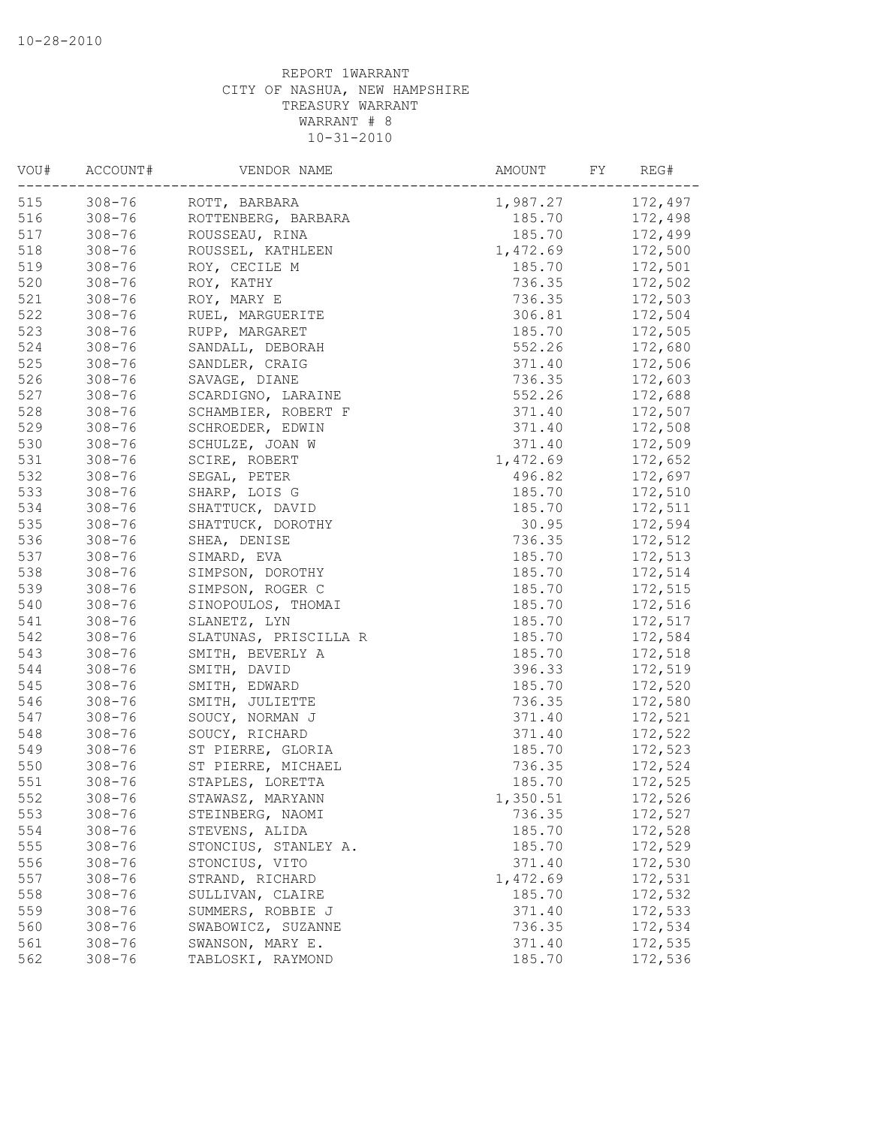| VOU# | ACCOUNT#   | VENDOR NAME                | AMOUNT           | FY<br>REG# |
|------|------------|----------------------------|------------------|------------|
| 515  |            | 308-76 ROTT, BARBARA       | 1,987.27 172,497 |            |
| 516  |            | 308-76 ROTTENBERG, BARBARA | 185.70           | 172,498    |
| 517  | $308 - 76$ | ROUSSEAU, RINA             | 185.70           | 172,499    |
| 518  | $308 - 76$ | ROUSSEL, KATHLEEN          | 1,472.69         | 172,500    |
| 519  | $308 - 76$ | ROY, CECILE M              | 185.70           | 172,501    |
| 520  | $308 - 76$ | ROY, KATHY                 | 736.35           | 172,502    |
| 521  | $308 - 76$ | ROY, MARY E                | 736.35           | 172,503    |
| 522  |            | 308-76 RUEL, MARGUERITE    | 306.81           | 172,504    |
| 523  |            | 308-76 RUPP, MARGARET      | 185.70           | 172,505    |
| 524  |            | 308-76 SANDALL, DEBORAH    | 552.26           | 172,680    |
| 525  | $308 - 76$ | SANDLER, CRAIG             | 371.40           | 172,506    |
| 526  | $308 - 76$ | SAVAGE, DIANE              | 736.35           | 172,603    |
| 527  | $308 - 76$ | SCARDIGNO, LARAINE         | 552.26           | 172,688    |
| 528  | $308 - 76$ | SCHAMBIER, ROBERT F        | 371.40           | 172,507    |
| 529  | $308 - 76$ | SCHROEDER, EDWIN           | 371.40           | 172,508    |
| 530  | $308 - 76$ | SCHULZE, JOAN W            | 371.40           | 172,509    |
| 531  | $308 - 76$ | SCIRE, ROBERT              | 1,472.69         | 172,652    |
| 532  | $308 - 76$ | SEGAL, PETER               | 496.82           | 172,697    |
| 533  | $308 - 76$ | SHARP, LOIS G              | 185.70           | 172,510    |
| 534  | $308 - 76$ | SHATTUCK, DAVID            | 185.70           | 172,511    |
| 535  | $308 - 76$ | SHATTUCK, DOROTHY          | 30.95            | 172,594    |
| 536  | $308 - 76$ | SHEA, DENISE               | 736.35           | 172,512    |
| 537  | $308 - 76$ | SIMARD, EVA                | 185.70           | 172,513    |
| 538  | $308 - 76$ | SIMPSON, DOROTHY           | 185.70           | 172,514    |
| 539  | $308 - 76$ | SIMPSON, ROGER C           | 185.70           | 172,515    |
| 540  | $308 - 76$ | SINOPOULOS, THOMAI         | 185.70           | 172,516    |
| 541  | $308 - 76$ | SLANETZ, LYN               | 185.70           | 172,517    |
| 542  | $308 - 76$ | SLATUNAS, PRISCILLA R      | 185.70           | 172,584    |
| 543  | $308 - 76$ | SMITH, BEVERLY A           | 185.70           | 172,518    |
| 544  | $308 - 76$ | SMITH, DAVID               | 396.33           | 172,519    |
| 545  | $308 - 76$ | SMITH, EDWARD              | 185.70           | 172,520    |
| 546  | $308 - 76$ | SMITH, JULIETTE            | 736.35           | 172,580    |
| 547  | $308 - 76$ | SOUCY, NORMAN J            | 371.40           | 172,521    |
| 548  | $308 - 76$ | SOUCY, RICHARD             | 371.40           | 172,522    |
| 549  | $308 - 76$ | ST PIERRE, GLORIA          | 185.70           | 172,523    |
| 550  | $308 - 76$ | ST PIERRE, MICHAEL         | 736.35           | 172,524    |
| 551  | $308 - 76$ | STAPLES, LORETTA           | 185.70           | 172,525    |
| 552  | $308 - 76$ | STAWASZ, MARYANN           | 1,350.51         | 172,526    |
| 553  | $308 - 76$ | STEINBERG, NAOMI           | 736.35           | 172,527    |
| 554  | $308 - 76$ | STEVENS, ALIDA             | 185.70           | 172,528    |
| 555  | $308 - 76$ | STONCIUS, STANLEY A.       | 185.70           | 172,529    |
| 556  | $308 - 76$ | STONCIUS, VITO             | 371.40           | 172,530    |
| 557  | $308 - 76$ | STRAND, RICHARD            | 1,472.69         | 172,531    |
| 558  | $308 - 76$ | SULLIVAN, CLAIRE           | 185.70           | 172,532    |
| 559  | $308 - 76$ | SUMMERS, ROBBIE J          | 371.40           | 172,533    |
| 560  | $308 - 76$ | SWABOWICZ, SUZANNE         | 736.35           | 172,534    |
| 561  | $308 - 76$ | SWANSON, MARY E.           | 371.40           | 172,535    |
| 562  | $308 - 76$ | TABLOSKI, RAYMOND          | 185.70           | 172,536    |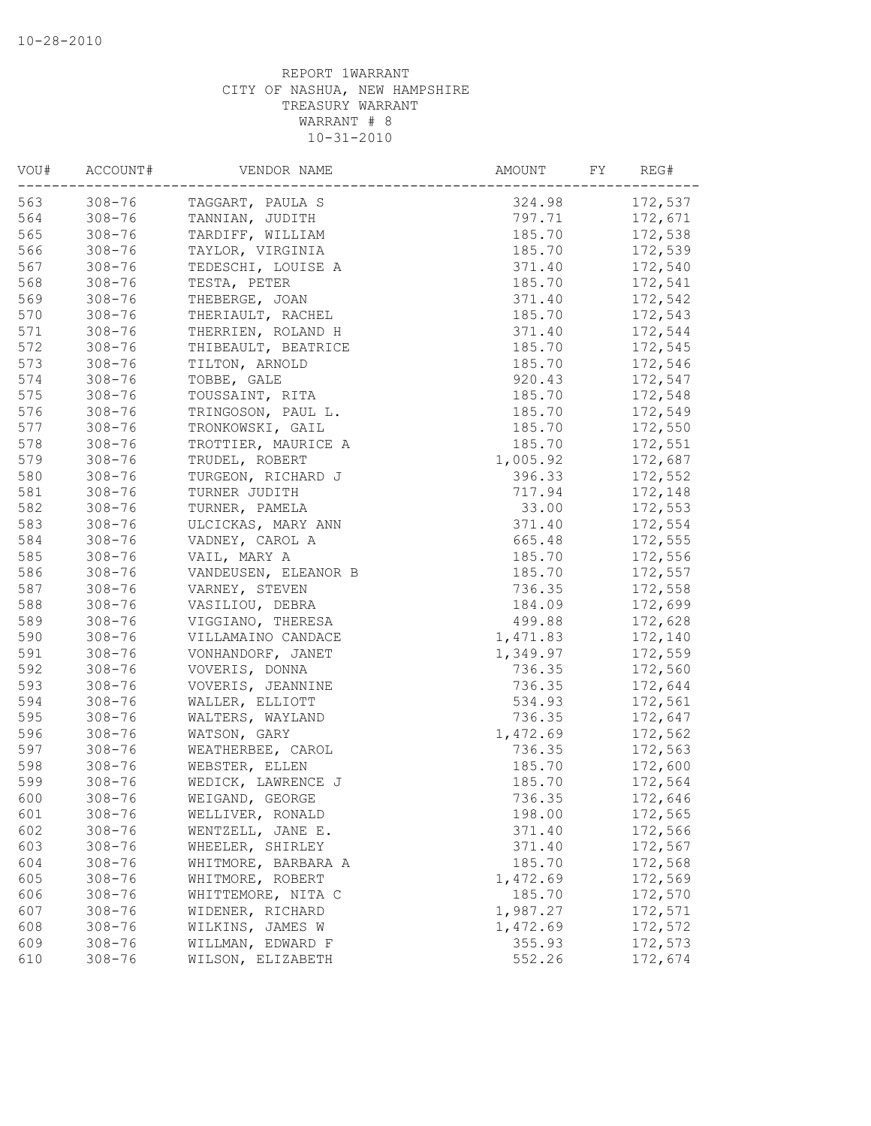| VOU# | ACCOUNT#                 | VENDOR NAME          | AMOUNT   | FY<br>REG#         |
|------|--------------------------|----------------------|----------|--------------------|
| 563  | $308 - 76$               | TAGGART, PAULA S     | 324.98   | 172,537            |
| 564  | $308 - 76$               | TANNIAN, JUDITH      | 797.71   | 172,671            |
| 565  | $308 - 76$               | TARDIFF, WILLIAM     | 185.70   | 172,538            |
| 566  | $308 - 76$               | TAYLOR, VIRGINIA     | 185.70   | 172,539            |
| 567  | $308 - 76$               | TEDESCHI, LOUISE A   | 371.40   | 172,540            |
| 568  | $308 - 76$               | TESTA, PETER         | 185.70   | 172,541            |
| 569  | $308 - 76$               | THEBERGE, JOAN       | 371.40   | 172,542            |
| 570  | $308 - 76$               | THERIAULT, RACHEL    | 185.70   | 172,543            |
| 571  | $308 - 76$               | THERRIEN, ROLAND H   | 371.40   | 172,544            |
| 572  | $308 - 76$               | THIBEAULT, BEATRICE  | 185.70   | 172,545            |
| 573  | $308 - 76$               | TILTON, ARNOLD       | 185.70   | 172,546            |
| 574  | $308 - 76$               | TOBBE, GALE          | 920.43   | 172,547            |
| 575  | $308 - 76$               | TOUSSAINT, RITA      | 185.70   | 172,548            |
| 576  | $308 - 76$               | TRINGOSON, PAUL L.   | 185.70   | 172,549            |
| 577  | $308 - 76$               | TRONKOWSKI, GAIL     | 185.70   | 172,550            |
| 578  | $308 - 76$               | TROTTIER, MAURICE A  | 185.70   | 172,551            |
| 579  | $308 - 76$               | TRUDEL, ROBERT       | 1,005.92 | 172,687            |
| 580  | $308 - 76$               | TURGEON, RICHARD J   | 396.33   | 172,552            |
| 581  | $308 - 76$               | TURNER JUDITH        | 717.94   | 172,148            |
| 582  | $308 - 76$               | TURNER, PAMELA       | 33.00    | 172,553            |
| 583  | $308 - 76$               | ULCICKAS, MARY ANN   | 371.40   | 172,554            |
| 584  | $308 - 76$               | VADNEY, CAROL A      | 665.48   | 172,555            |
| 585  | $308 - 76$               | VAIL, MARY A         | 185.70   | 172,556            |
| 586  | $308 - 76$               | VANDEUSEN, ELEANOR B | 185.70   | 172,557            |
| 587  | $308 - 76$               | VARNEY, STEVEN       | 736.35   | 172,558            |
| 588  | $308 - 76$               | VASILIOU, DEBRA      | 184.09   | 172,699            |
| 589  | $308 - 76$               | VIGGIANO, THERESA    | 499.88   | 172,628            |
| 590  | $308 - 76$               | VILLAMAINO CANDACE   | 1,471.83 | 172,140            |
| 591  | $308 - 76$               | VONHANDORF, JANET    | 1,349.97 | 172,559            |
| 592  | $308 - 76$               | VOVERIS, DONNA       | 736.35   | 172,560            |
| 593  | $308 - 76$               | VOVERIS, JEANNINE    | 736.35   | 172,644            |
| 594  | $308 - 76$               | WALLER, ELLIOTT      | 534.93   | 172,561            |
| 595  | $308 - 76$               | WALTERS, WAYLAND     | 736.35   | 172,647            |
| 596  | $308 - 76$               | WATSON, GARY         | 1,472.69 | 172,562            |
| 597  | $308 - 76$               | WEATHERBEE, CAROL    | 736.35   | 172,563            |
| 598  | $308 - 76$               | WEBSTER, ELLEN       | 185.70   | 172,600            |
| 599  | $308 - 76$               | WEDICK, LAWRENCE J   | 185.70   | 172,564            |
| 600  | $308 - 76$               | WEIGAND, GEORGE      | 736.35   | 172,646            |
| 601  | $308 - 76$               |                      |          |                    |
| 602  |                          | WELLIVER, RONALD     | 198.00   | 172,565            |
|      | $308 - 76$<br>$308 - 76$ | WENTZELL, JANE E.    | 371.40   | 172,566            |
| 603  |                          | WHEELER, SHIRLEY     | 371.40   | 172,567<br>172,568 |
| 604  | $308 - 76$               | WHITMORE, BARBARA A  | 185.70   |                    |
| 605  | $308 - 76$               | WHITMORE, ROBERT     | 1,472.69 | 172,569            |
| 606  | $308 - 76$               | WHITTEMORE, NITA C   | 185.70   | 172,570            |
| 607  | $308 - 76$               | WIDENER, RICHARD     | 1,987.27 | 172,571            |
| 608  | $308 - 76$               | WILKINS, JAMES W     | 1,472.69 | 172,572            |
| 609  | $308 - 76$               | WILLMAN, EDWARD F    | 355.93   | 172,573            |
| 610  | $308 - 76$               | WILSON, ELIZABETH    | 552.26   | 172,674            |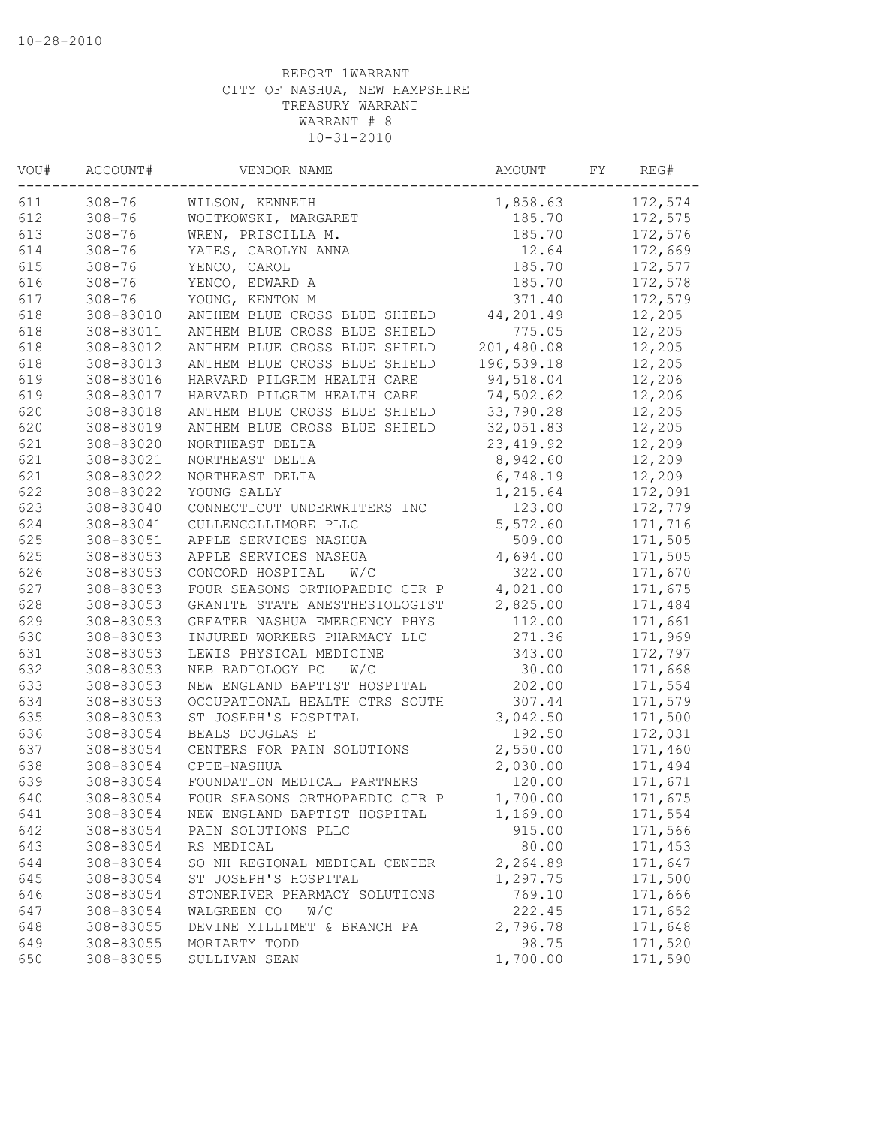| VOU# | ACCOUNT#   | VENDOR NAME                    | AMOUNT     | FY | REG#    |
|------|------------|--------------------------------|------------|----|---------|
| 611  | $308 - 76$ | WILSON, KENNETH                | 1,858.63   |    | 172,574 |
| 612  | $308 - 76$ | WOITKOWSKI, MARGARET           | 185.70     |    | 172,575 |
| 613  | $308 - 76$ | WREN, PRISCILLA M.             | 185.70     |    | 172,576 |
| 614  | $308 - 76$ | YATES, CAROLYN ANNA            | 12.64      |    | 172,669 |
| 615  | $308 - 76$ | YENCO, CAROL                   | 185.70     |    | 172,577 |
| 616  | $308 - 76$ | YENCO, EDWARD A                | 185.70     |    | 172,578 |
| 617  | $308 - 76$ | YOUNG, KENTON M                | 371.40     |    | 172,579 |
| 618  | 308-83010  | ANTHEM BLUE CROSS BLUE SHIELD  | 44,201.49  |    | 12,205  |
| 618  | 308-83011  | ANTHEM BLUE CROSS BLUE SHIELD  | 775.05     |    | 12,205  |
| 618  | 308-83012  | ANTHEM BLUE CROSS BLUE SHIELD  | 201,480.08 |    | 12,205  |
| 618  | 308-83013  | ANTHEM BLUE CROSS BLUE SHIELD  | 196,539.18 |    | 12,205  |
| 619  | 308-83016  | HARVARD PILGRIM HEALTH CARE    | 94,518.04  |    | 12,206  |
| 619  | 308-83017  | HARVARD PILGRIM HEALTH CARE    | 74,502.62  |    | 12,206  |
| 620  | 308-83018  | ANTHEM BLUE CROSS BLUE SHIELD  | 33,790.28  |    | 12,205  |
| 620  | 308-83019  | ANTHEM BLUE CROSS BLUE SHIELD  | 32,051.83  |    | 12,205  |
| 621  | 308-83020  | NORTHEAST DELTA                | 23, 419.92 |    | 12,209  |
| 621  | 308-83021  | NORTHEAST DELTA                | 8,942.60   |    | 12,209  |
| 621  | 308-83022  | NORTHEAST DELTA                | 6,748.19   |    | 12,209  |
| 622  | 308-83022  | YOUNG SALLY                    | 1,215.64   |    | 172,091 |
| 623  | 308-83040  | CONNECTICUT UNDERWRITERS INC   | 123.00     |    | 172,779 |
| 624  | 308-83041  | CULLENCOLLIMORE PLLC           | 5,572.60   |    | 171,716 |
| 625  | 308-83051  | APPLE SERVICES NASHUA          | 509.00     |    | 171,505 |
| 625  | 308-83053  | APPLE SERVICES NASHUA          | 4,694.00   |    | 171,505 |
| 626  | 308-83053  | CONCORD HOSPITAL<br>W/C        | 322.00     |    | 171,670 |
| 627  | 308-83053  | FOUR SEASONS ORTHOPAEDIC CTR P | 4,021.00   |    | 171,675 |
| 628  | 308-83053  | GRANITE STATE ANESTHESIOLOGIST | 2,825.00   |    | 171,484 |
| 629  | 308-83053  | GREATER NASHUA EMERGENCY PHYS  | 112.00     |    | 171,661 |
| 630  | 308-83053  | INJURED WORKERS PHARMACY LLC   | 271.36     |    | 171,969 |
| 631  | 308-83053  | LEWIS PHYSICAL MEDICINE        | 343.00     |    | 172,797 |
| 632  | 308-83053  | NEB RADIOLOGY PC<br>W/C        | 30.00      |    | 171,668 |
| 633  | 308-83053  | NEW ENGLAND BAPTIST HOSPITAL   | 202.00     |    | 171,554 |
| 634  | 308-83053  | OCCUPATIONAL HEALTH CTRS SOUTH | 307.44     |    | 171,579 |
| 635  | 308-83053  | ST JOSEPH'S HOSPITAL           | 3,042.50   |    | 171,500 |
| 636  | 308-83054  | BEALS DOUGLAS E                | 192.50     |    | 172,031 |
| 637  | 308-83054  | CENTERS FOR PAIN SOLUTIONS     | 2,550.00   |    | 171,460 |
| 638  | 308-83054  | CPTE-NASHUA                    | 2,030.00   |    |         |
| 639  |            | FOUNDATION MEDICAL PARTNERS    | 120.00     |    | 171,494 |
|      | 308-83054  |                                |            |    | 171,671 |
| 640  | 308-83054  | FOUR SEASONS ORTHOPAEDIC CTR P | 1,700.00   |    | 171,675 |
| 641  | 308-83054  | NEW ENGLAND BAPTIST HOSPITAL   | 1,169.00   |    | 171,554 |
| 642  | 308-83054  | PAIN SOLUTIONS PLLC            | 915.00     |    | 171,566 |
| 643  | 308-83054  | RS MEDICAL                     | 80.00      |    | 171,453 |
| 644  | 308-83054  | SO NH REGIONAL MEDICAL CENTER  | 2,264.89   |    | 171,647 |
| 645  | 308-83054  | ST JOSEPH'S HOSPITAL           | 1,297.75   |    | 171,500 |
| 646  | 308-83054  | STONERIVER PHARMACY SOLUTIONS  | 769.10     |    | 171,666 |
| 647  | 308-83054  | WALGREEN CO<br>W/C             | 222.45     |    | 171,652 |
| 648  | 308-83055  | DEVINE MILLIMET & BRANCH PA    | 2,796.78   |    | 171,648 |
| 649  | 308-83055  | MORIARTY TODD                  | 98.75      |    | 171,520 |
| 650  | 308-83055  | SULLIVAN SEAN                  | 1,700.00   |    | 171,590 |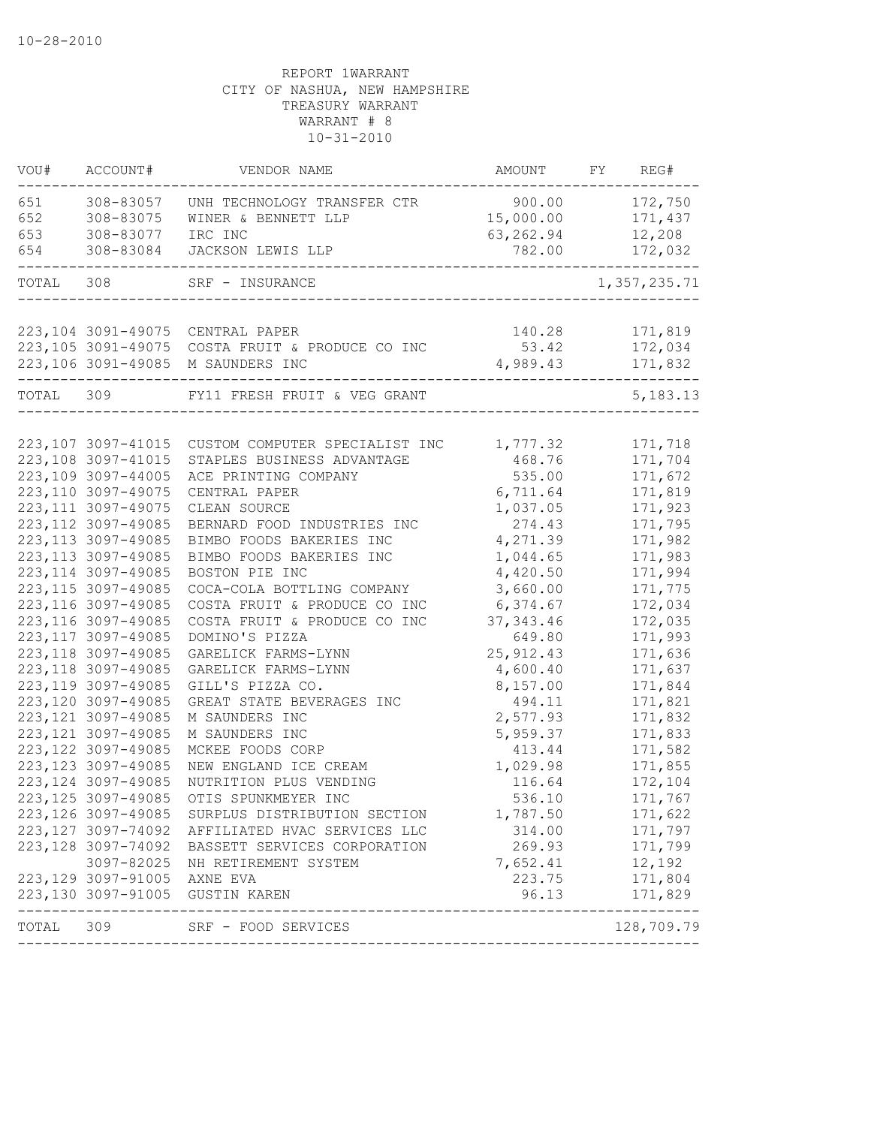| VOU#      | ACCOUNT#                                   | VENDOR NAME                                       | AMOUNT               | FY REG#                |
|-----------|--------------------------------------------|---------------------------------------------------|----------------------|------------------------|
| 651       | 308-83057                                  | UNH TECHNOLOGY TRANSFER CTR                       | 900.00               | 172,750                |
| 652       | 308-83075                                  | WINER & BENNETT LLP                               | 15,000.00            | 171,437                |
| 653       | 308-83077                                  | IRC INC                                           | 63,262.94            | 12,208                 |
| 654       | 308-83084                                  | JACKSON LEWIS LLP                                 | 782.00               | 172,032                |
| TOTAL     | 308                                        | SRF - INSURANCE                                   |                      | 1,357,235.71           |
|           |                                            | 223,104 3091-49075 CENTRAL PAPER                  | 140.28               | 171,819                |
|           |                                            | 223,105 3091-49075 COSTA FRUIT & PRODUCE CO INC   | 53.42                | 172,034                |
|           |                                            | 223,106 3091-49085 M SAUNDERS INC                 | 4,989.43             | 171,832                |
| TOTAL 309 |                                            | FY11 FRESH FRUIT & VEG GRANT                      |                      | 5, 183. 13             |
|           |                                            |                                                   |                      |                        |
|           | 223,107 3097-41015                         | CUSTOM COMPUTER SPECIALIST INC                    | 1,777.32             | 171,718                |
|           | 223,108 3097-41015                         | STAPLES BUSINESS ADVANTAGE                        | 468.76               | 171,704                |
|           | 223,109 3097-44005                         | ACE PRINTING COMPANY                              | 535.00               | 171,672                |
|           | 223, 110 3097-49075                        | CENTRAL PAPER                                     | 6,711.64             | 171,819                |
|           | 223, 111 3097-49075                        | CLEAN SOURCE                                      | 1,037.05             | 171,923                |
|           | 223, 112 3097-49085                        | BERNARD FOOD INDUSTRIES INC                       | 274.43               | 171,795                |
|           | 223, 113 3097-49085                        | BIMBO FOODS BAKERIES INC                          | 4,271.39             | 171,982                |
|           | 223, 113 3097-49085                        | BIMBO FOODS BAKERIES INC                          | 1,044.65             | 171,983                |
|           | 223, 114 3097-49085<br>223, 115 3097-49085 | BOSTON PIE INC<br>COCA-COLA BOTTLING COMPANY      | 4,420.50             | 171,994<br>171,775     |
|           | 223, 116 3097-49085                        | COSTA FRUIT & PRODUCE CO INC                      | 3,660.00<br>6,374.67 | 172,034                |
|           | 223, 116 3097-49085                        | COSTA FRUIT & PRODUCE CO INC                      | 37, 343.46           | 172,035                |
|           | 223, 117 3097-49085                        | DOMINO'S PIZZA                                    | 649.80               | 171,993                |
|           | 223, 118 3097-49085                        | GARELICK FARMS-LYNN                               | 25, 912.43           | 171,636                |
|           | 223, 118 3097-49085                        | GARELICK FARMS-LYNN                               | 4,600.40             | 171,637                |
|           | 223, 119 3097-49085                        | GILL'S PIZZA CO.                                  | 8,157.00             | 171,844                |
|           | 223,120 3097-49085                         | GREAT STATE BEVERAGES INC                         | 494.11               | 171,821                |
|           | 223, 121 3097-49085                        | M SAUNDERS INC                                    | 2,577.93             | 171,832                |
|           | 223, 121 3097-49085                        | M SAUNDERS INC                                    | 5,959.37             | 171,833                |
|           | 223, 122 3097-49085                        | MCKEE FOODS CORP                                  | 413.44               | 171,582                |
|           | 223, 123 3097-49085                        | NEW ENGLAND ICE CREAM                             | 1,029.98             | 171,855                |
|           | 223, 124 3097-49085                        | NUTRITION PLUS VENDING                            | 116.64               | 172,104                |
|           | 223, 125 3097-49085                        | OTIS SPUNKMEYER INC                               | 536.10               | 171,767                |
|           | 223, 126 3097-49085                        | SURPLUS DISTRIBUTION SECTION                      | 1,787.50             | 171,622                |
|           | 223, 127 3097-74092                        | AFFILIATED HVAC SERVICES LLC                      | 314.00               | 171,797                |
|           | 223, 128 3097-74092                        | BASSETT SERVICES CORPORATION                      | 269.93               | 171,799                |
|           | 3097-82025                                 | NH RETIREMENT SYSTEM                              | 7,652.41             | 12,192                 |
|           | 223, 129 3097-91005                        | AXNE EVA                                          | 223.75               | 171,804                |
|           |                                            | 223,130 3097-91005 GUSTIN KAREN                   | 96.13                | 171,829                |
| TOTAL     | 309                                        | --------------------------<br>SRF - FOOD SERVICES |                      | --------<br>128,709.79 |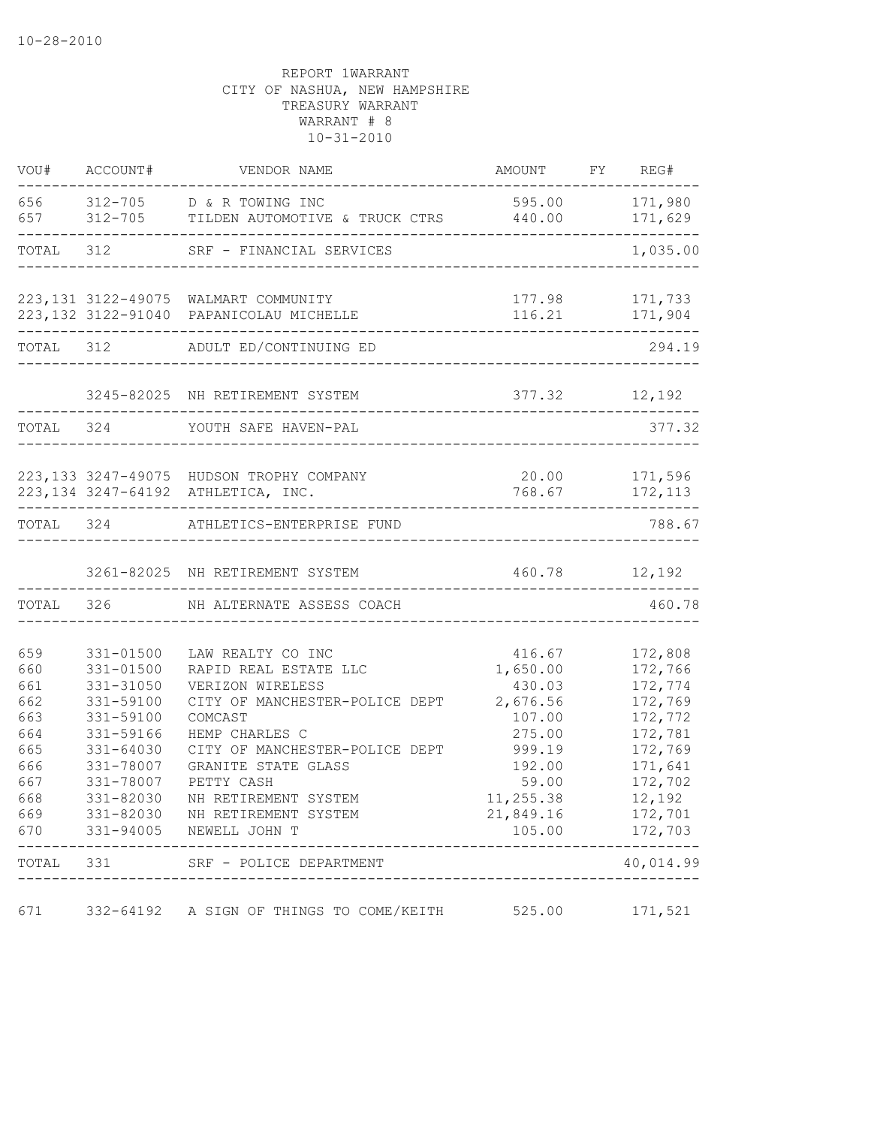| VOU#                                                                             | ACCOUNT#                                                                                                                                    | VENDOR NAME                                                                                                                                                                                                                                                                                                          | AMOUNT FY REG#                                                                                                                |                                                                                                                                              |
|----------------------------------------------------------------------------------|---------------------------------------------------------------------------------------------------------------------------------------------|----------------------------------------------------------------------------------------------------------------------------------------------------------------------------------------------------------------------------------------------------------------------------------------------------------------------|-------------------------------------------------------------------------------------------------------------------------------|----------------------------------------------------------------------------------------------------------------------------------------------|
| 657                                                                              |                                                                                                                                             | 656 312-705 D & R TOWING INC<br>312-705 TILDEN AUTOMOTIVE & TRUCK CTRS                                                                                                                                                                                                                                               | 440.00                                                                                                                        | 595.00 171,980<br>171,629<br>$- - - - - - - -$                                                                                               |
| TOTAL                                                                            |                                                                                                                                             | 312 SRF - FINANCIAL SERVICES                                                                                                                                                                                                                                                                                         |                                                                                                                               | 1,035.00                                                                                                                                     |
|                                                                                  |                                                                                                                                             | 223,131 3122-49075 WALMART COMMUNITY<br>223,132 3122-91040 PAPANICOLAU MICHELLE                                                                                                                                                                                                                                      | 177.98<br>116.21                                                                                                              | 171,733<br>171,904                                                                                                                           |
|                                                                                  |                                                                                                                                             | TOTAL 312 ADULT ED/CONTINUING ED                                                                                                                                                                                                                                                                                     |                                                                                                                               | 294.19                                                                                                                                       |
|                                                                                  |                                                                                                                                             | 3245-82025 NH RETIREMENT SYSTEM                                                                                                                                                                                                                                                                                      |                                                                                                                               | 377.32 12,192                                                                                                                                |
| TOTAL 324                                                                        |                                                                                                                                             | YOUTH SAFE HAVEN-PAL                                                                                                                                                                                                                                                                                                 |                                                                                                                               | 377.32                                                                                                                                       |
|                                                                                  | --------------------                                                                                                                        | 223,133 3247-49075 HUDSON TROPHY COMPANY<br>223,134 3247-64192 ATHLETICA, INC.                                                                                                                                                                                                                                       | 20.00 171,596<br>768.67                                                                                                       | 172,113                                                                                                                                      |
|                                                                                  |                                                                                                                                             | TOTAL 324 ATHLETICS-ENTERPRISE FUND                                                                                                                                                                                                                                                                                  |                                                                                                                               | 788.67                                                                                                                                       |
|                                                                                  |                                                                                                                                             | 3261-82025 NH RETIREMENT SYSTEM                                                                                                                                                                                                                                                                                      |                                                                                                                               | 460.78 12,192                                                                                                                                |
|                                                                                  |                                                                                                                                             | TOTAL 326 NH ALTERNATE ASSESS COACH                                                                                                                                                                                                                                                                                  |                                                                                                                               | 460.78                                                                                                                                       |
| 659<br>660<br>661<br>662<br>663<br>664<br>665<br>666<br>667<br>668<br>669<br>670 | 331-01500<br>331-01500<br>331-31050<br>331-59100<br>331-59100<br>331-59166<br>331-64030<br>331-78007<br>331-78007<br>331-82030<br>TOTAL 331 | LAW REALTY CO INC<br>RAPID REAL ESTATE LLC<br>VERIZON WIRELESS<br>CITY OF MANCHESTER-POLICE DEPT<br>COMCAST<br>HEMP CHARLES C<br>CITY OF MANCHESTER-POLICE DEPT<br>GRANITE STATE GLASS<br>PETTY CASH<br>NH RETIREMENT SYSTEM<br>331-82030 NH RETIREMENT SYSTEM<br>331-94005 NEWELL JOHN T<br>SRF - POLICE DEPARTMENT | 416.67<br>1,650.00<br>430.03<br>2,676.56<br>107.00<br>275.00<br>999.19<br>192.00<br>59.00<br>11,255.38<br>21,849.16<br>105.00 | 172,808<br>172,766<br>172,774<br>172,769<br>172,772<br>172,781<br>172,769<br>171,641<br>172,702<br>12,192<br>172,701<br>172,703<br>40,014.99 |
|                                                                                  | ------                                                                                                                                      |                                                                                                                                                                                                                                                                                                                      |                                                                                                                               |                                                                                                                                              |
| 671                                                                              |                                                                                                                                             | 332-64192 A SIGN OF THINGS TO COME/KEITH 525.00                                                                                                                                                                                                                                                                      |                                                                                                                               | 171,521                                                                                                                                      |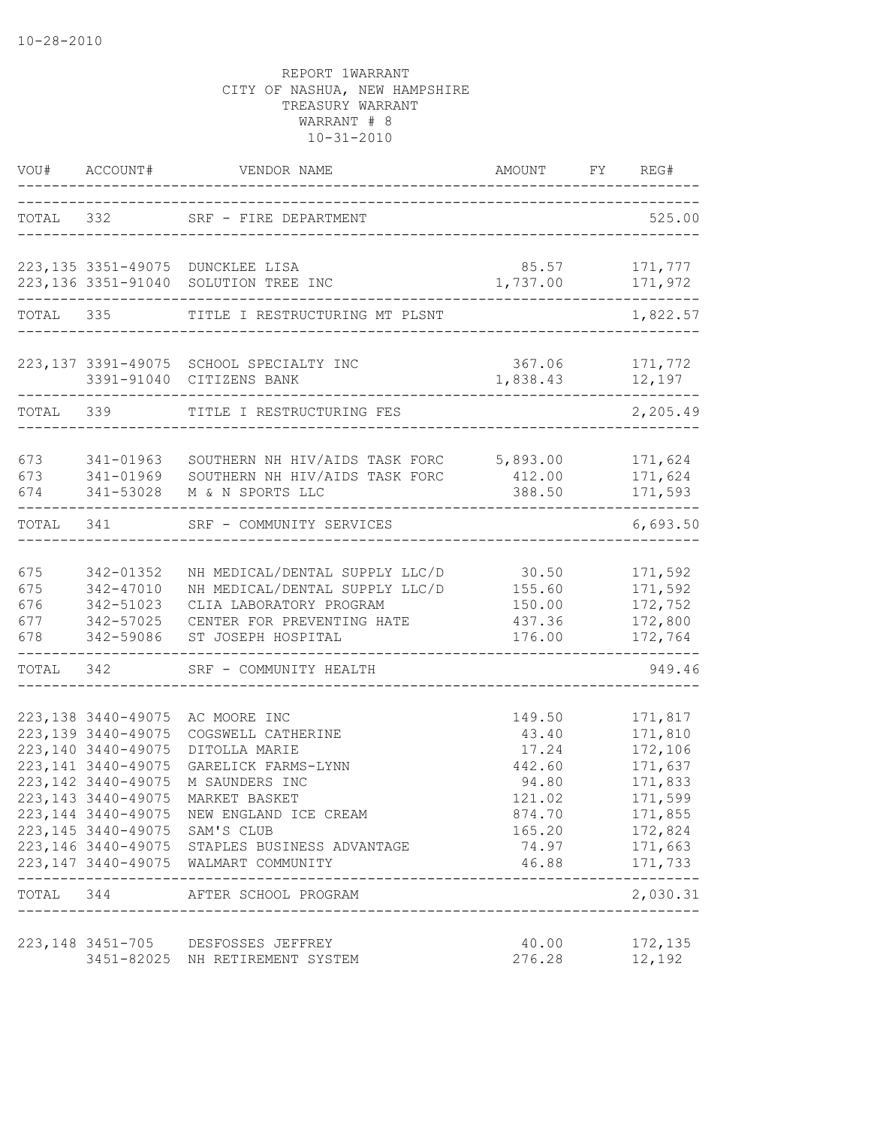|                                 | VOU# ACCOUNT#                                                                                                                                                          | VENDOR NAME                                                                                                                                                                                                                                                                                                                 | AMOUNT                                                                                      | FY REG#                                                                                                                                 |
|---------------------------------|------------------------------------------------------------------------------------------------------------------------------------------------------------------------|-----------------------------------------------------------------------------------------------------------------------------------------------------------------------------------------------------------------------------------------------------------------------------------------------------------------------------|---------------------------------------------------------------------------------------------|-----------------------------------------------------------------------------------------------------------------------------------------|
| TOTAL 332                       |                                                                                                                                                                        | SRF - FIRE DEPARTMENT                                                                                                                                                                                                                                                                                                       |                                                                                             | 525.00                                                                                                                                  |
|                                 |                                                                                                                                                                        | 223,135 3351-49075 DUNCKLEE LISA<br>223,136 3351-91040 SOLUTION TREE INC                                                                                                                                                                                                                                                    | 85.57<br>1,737.00                                                                           | 171,777<br>171,972                                                                                                                      |
| TOTAL 335                       |                                                                                                                                                                        | TITLE I RESTRUCTURING MT PLSNT                                                                                                                                                                                                                                                                                              |                                                                                             | 1,822.57                                                                                                                                |
|                                 |                                                                                                                                                                        | 223,137 3391-49075 SCHOOL SPECIALTY INC<br>3391-91040 CITIZENS BANK                                                                                                                                                                                                                                                         | 367.06<br>1,838.43                                                                          | 171,772<br>12,197                                                                                                                       |
| TOTAL 339                       |                                                                                                                                                                        | TITLE I RESTRUCTURING FES                                                                                                                                                                                                                                                                                                   |                                                                                             | 2,205.49                                                                                                                                |
| 673<br>673<br>674               | 341-01963<br>341-01969<br>341-53028                                                                                                                                    | SOUTHERN NH HIV/AIDS TASK FORC<br>SOUTHERN NH HIV/AIDS TASK FORC<br>M & N SPORTS LLC                                                                                                                                                                                                                                        | 5,893.00<br>412.00<br>388.50                                                                | 171,624<br>171,624<br>171,593                                                                                                           |
| TOTAL 341                       |                                                                                                                                                                        | SRF - COMMUNITY SERVICES                                                                                                                                                                                                                                                                                                    |                                                                                             | $- - - - - - -$<br>6,693.50                                                                                                             |
| 675<br>675<br>676<br>677<br>678 | 342-01352<br>342-47010<br>342-51023<br>342-57025<br>342-59086                                                                                                          | NH MEDICAL/DENTAL SUPPLY LLC/D 30.50<br>NH MEDICAL/DENTAL SUPPLY LLC/D<br>CLIA LABORATORY PROGRAM<br>CENTER FOR PREVENTING HATE<br>ST JOSEPH HOSPITAL                                                                                                                                                                       | 155.60<br>150.00<br>437.36<br>176.00                                                        | 171,592<br>171,592<br>172,752<br>172,800<br>172,764                                                                                     |
| TOTAL 342                       |                                                                                                                                                                        | SRF - COMMUNITY HEALTH                                                                                                                                                                                                                                                                                                      |                                                                                             | 949.46                                                                                                                                  |
|                                 | 223, 138 3440-49075<br>223, 139 3440-49075<br>223,140 3440-49075<br>223, 141 3440-49075<br>223, 142 3440-49075<br>223, 143 3440-49075<br>223,145 3440-49075 SAM'S CLUB | AC MOORE INC<br>COGSWELL CATHERINE<br>DITOLLA MARIE<br>GARELICK FARMS-LYNN<br>M SAUNDERS INC<br>MARKET BASKET<br>223,144 3440-49075 NEW ENGLAND ICE CREAM<br>223,146 3440-49075 STAPLES BUSINESS ADVANTAGE<br>223,147 3440-49075 WALMART COMMUNITY<br>-----------------------------------<br>TOTAL 344 AFTER SCHOOL PROGRAM | 149.50<br>43.40<br>17.24<br>442.60<br>94.80<br>121.02<br>874.70<br>165.20<br>74.97<br>46.88 | 171,817<br>171,810<br>172,106<br>171,637<br>171,833<br>171,599<br>171,855<br>172,824<br>171,663<br>171,733<br>-------------<br>2,030.31 |
|                                 |                                                                                                                                                                        | 223,148 3451-705 DESFOSSES JEFFREY<br>3451-82025 NH RETIREMENT SYSTEM                                                                                                                                                                                                                                                       | 40.00<br>276.28                                                                             | 172,135<br>12,192                                                                                                                       |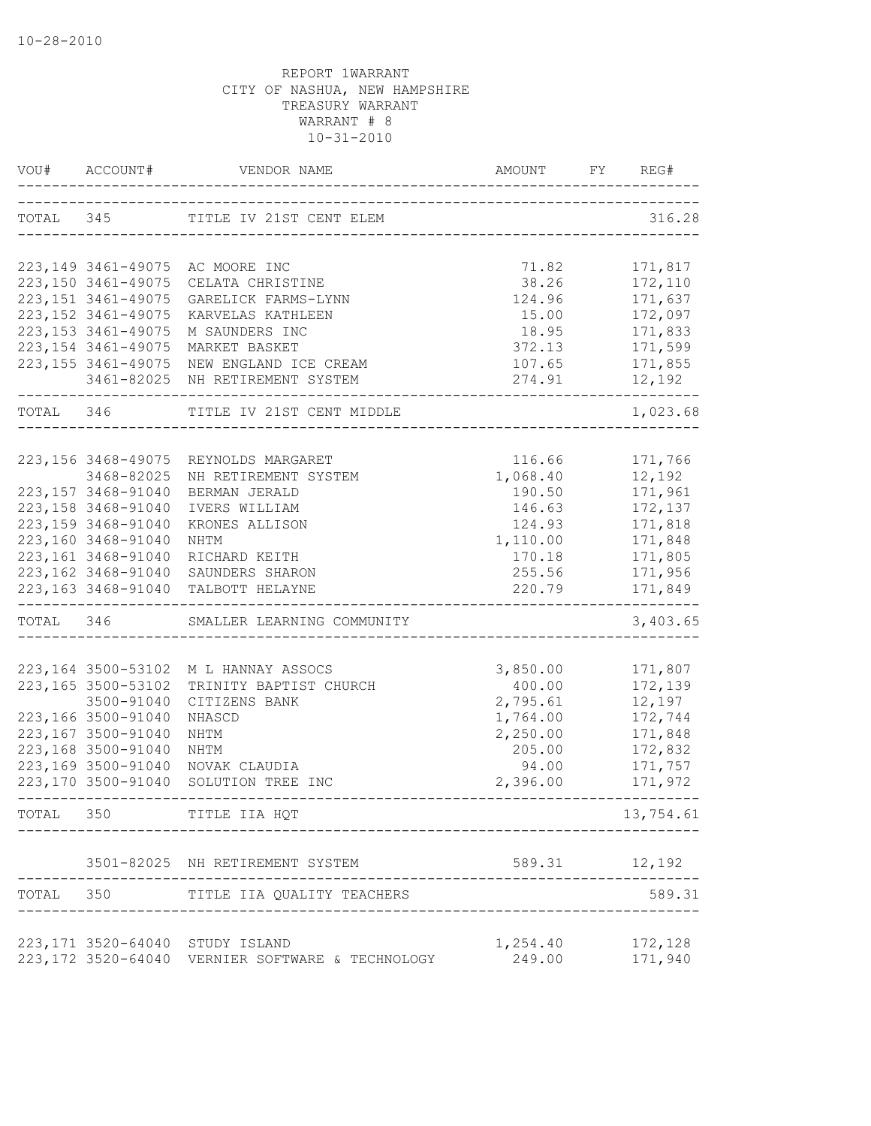|           | VOU# ACCOUNT#       | VENDOR NAME                                                                         | AMOUNT                  | FY | REG#               |
|-----------|---------------------|-------------------------------------------------------------------------------------|-------------------------|----|--------------------|
| TOTAL 345 |                     | TITLE IV 21ST CENT ELEM                                                             | ----------------------- |    | 316.28             |
|           |                     | 223,149 3461-49075 AC MOORE INC                                                     | 71.82                   |    | 171,817            |
|           | 223, 150 3461-49075 | CELATA CHRISTINE                                                                    | 38.26                   |    | 172,110            |
|           | 223, 151 3461-49075 | GARELICK FARMS-LYNN                                                                 | 124.96                  |    | 171,637            |
|           | 223, 152 3461-49075 | KARVELAS KATHLEEN                                                                   | 15.00                   |    | 172,097            |
|           | 223, 153 3461-49075 | M SAUNDERS INC                                                                      | 18.95                   |    | 171,833            |
|           | 223, 154 3461-49075 | MARKET BASKET                                                                       | 372.13                  |    | 171,599            |
|           | 223, 155 3461-49075 | NEW ENGLAND ICE CREAM                                                               | 107.65                  |    | 171,855            |
|           | 3461-82025          | NH RETIREMENT SYSTEM                                                                | 274.91                  |    | 12,192             |
| TOTAL 346 |                     | TITLE IV 21ST CENT MIDDLE                                                           |                         |    | 1,023.68           |
|           |                     |                                                                                     |                         |    |                    |
|           |                     | 223,156 3468-49075 REYNOLDS MARGARET                                                | 116.66                  |    | 171,766            |
|           | 3468-82025          | NH RETIREMENT SYSTEM                                                                | 1,068.40                |    | 12,192             |
|           | 223, 157 3468-91040 | BERMAN JERALD                                                                       | 190.50                  |    | 171,961            |
|           | 223, 158 3468-91040 | IVERS WILLIAM                                                                       | 146.63                  |    | 172,137            |
|           | 223, 159 3468-91040 | KRONES ALLISON                                                                      | 124.93                  |    | 171,818            |
|           | 223,160 3468-91040  | NHTM                                                                                | 1,110.00                |    | 171,848            |
|           | 223, 161 3468-91040 | RICHARD KEITH                                                                       | 170.18                  |    | 171,805            |
|           |                     | 223,162 3468-91040 SAUNDERS SHARON                                                  | 255.56                  |    | 171,956            |
|           | 223,163 3468-91040  | TALBOTT HELAYNE<br>-------                                                          | 220.79                  |    | 171,849            |
| TOTAL 346 |                     | SMALLER LEARNING COMMUNITY                                                          |                         |    | 3,403.65           |
|           |                     |                                                                                     |                         |    |                    |
|           | 223, 164 3500-53102 | M L HANNAY ASSOCS                                                                   | 3,850.00                |    | 171,807            |
|           | 223,165 3500-53102  | TRINITY BAPTIST CHURCH                                                              | 400.00                  |    | 172,139            |
|           | 3500-91040          | CITIZENS BANK                                                                       | 2,795.61                |    | 12,197             |
|           | 223,166 3500-91040  | NHASCD                                                                              | 1,764.00                |    | 172,744            |
|           | 223,167 3500-91040  | NHTM                                                                                | 2,250.00                |    | 171,848            |
|           | 223,168 3500-91040  | NHTM                                                                                | 205.00                  |    | 172,832            |
|           | 223,169 3500-91040  | NOVAK CLAUDIA                                                                       | 94.00                   |    | 171,757            |
|           | 223,170 3500-91040  | SOLUTION TREE INC                                                                   | 2,396.00                |    | 171,972            |
| TOTAL     | 350                 | TITLE IIA HQT                                                                       |                         |    | 13,754.61          |
|           |                     | 3501-82025 NH RETIREMENT SYSTEM                                                     | 589.31                  |    | 12,192             |
| TOTAL     | 350                 | TITLE IIA QUALITY TEACHERS                                                          |                         |    | 589.31             |
|           |                     |                                                                                     |                         |    |                    |
|           |                     | 223,171 3520-64040 STUDY ISLAND<br>223,172 3520-64040 VERNIER SOFTWARE & TECHNOLOGY | 1,254.40<br>249.00      |    | 172,128<br>171,940 |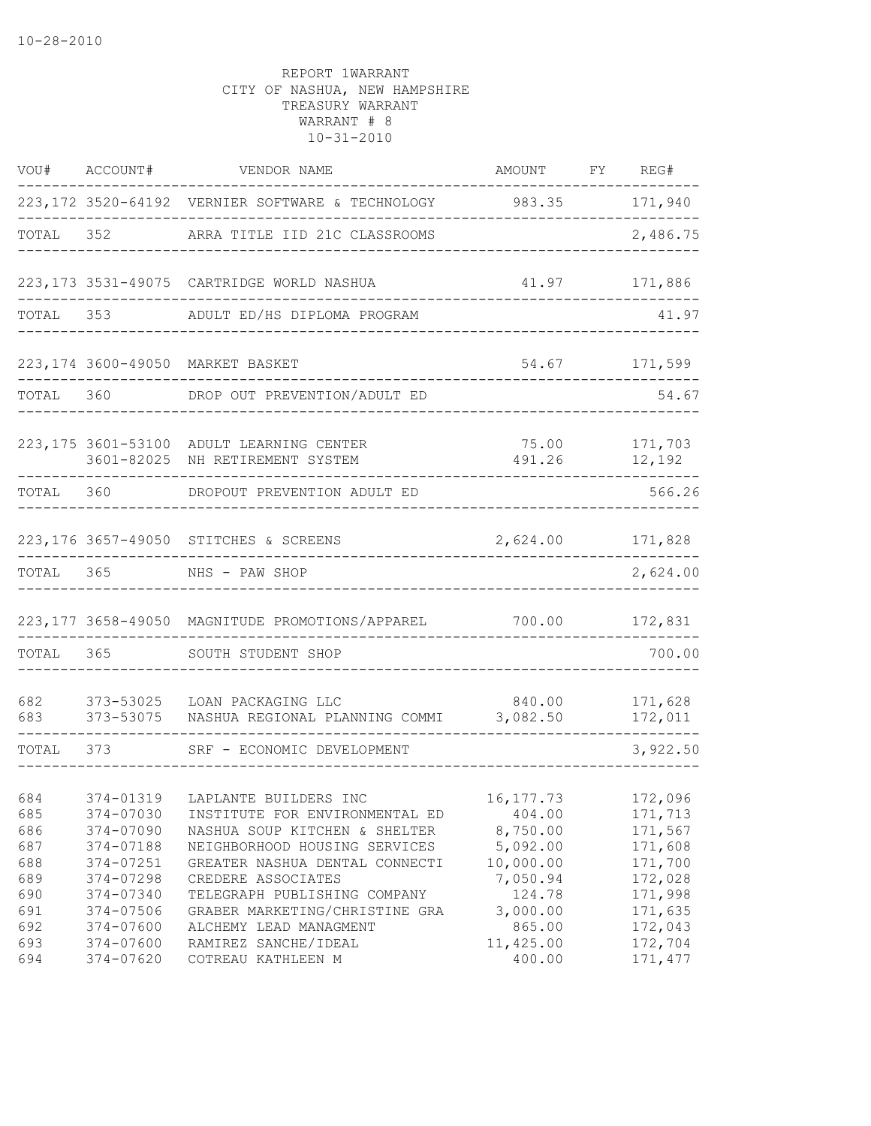|                                        | VOU# ACCOUNT#                                                 | VENDOR NAME                                                                                                                                                                                 | AMOUNT                                                                          | FY REG#                                              |
|----------------------------------------|---------------------------------------------------------------|---------------------------------------------------------------------------------------------------------------------------------------------------------------------------------------------|---------------------------------------------------------------------------------|------------------------------------------------------|
|                                        |                                                               | 223,172 3520-64192 VERNIER SOFTWARE & TECHNOLOGY 983.35 171,940                                                                                                                             |                                                                                 |                                                      |
| TOTAL                                  | 352                                                           | ARRA TITLE IID 21C CLASSROOMS                                                                                                                                                               |                                                                                 | 2,486.75                                             |
|                                        |                                                               | 223,173 3531-49075 CARTRIDGE WORLD NASHUA                                                                                                                                                   |                                                                                 | 41.97 171,886                                        |
| TOTAL                                  | 353                                                           | ADULT ED/HS DIPLOMA PROGRAM                                                                                                                                                                 |                                                                                 | 41.97                                                |
|                                        |                                                               | 223,174 3600-49050 MARKET BASKET                                                                                                                                                            |                                                                                 | 54.67 171,599                                        |
| TOTAL                                  | 360                                                           | DROP OUT PREVENTION/ADULT ED                                                                                                                                                                |                                                                                 | 54.67                                                |
|                                        |                                                               | 223,175 3601-53100 ADULT LEARNING CENTER<br>3601-82025 NH RETIREMENT SYSTEM                                                                                                                 | 75.00<br>491.26                                                                 | 171,703<br>12,192                                    |
|                                        |                                                               | TOTAL 360 DROPOUT PREVENTION ADULT ED                                                                                                                                                       |                                                                                 | 566.26                                               |
|                                        |                                                               | 223,176 3657-49050 STITCHES & SCREENS                                                                                                                                                       | 2,624.00                                                                        | 171,828                                              |
| TOTAL                                  | 365                                                           | NHS - PAW SHOP                                                                                                                                                                              |                                                                                 | 2,624.00                                             |
|                                        |                                                               | 223,177  3658-49050  MAGNITUDE  PROMOTIONS/APPAREL                                                                                                                                          | 700.00                                                                          | 172,831                                              |
| TOTAL                                  | 365                                                           | SOUTH STUDENT SHOP                                                                                                                                                                          |                                                                                 | 700.00                                               |
| 682<br>683                             | 373-53025<br>373-53075                                        | LOAN PACKAGING LLC<br>NASHUA REGIONAL PLANNING COMMI 3,082.50                                                                                                                               | 840.00                                                                          | 171,628<br>172,011                                   |
| TOTAL                                  | 373                                                           | SRF - ECONOMIC DEVELOPMENT                                                                                                                                                                  |                                                                                 | 3,922.50                                             |
| 684<br>685<br>686<br>687<br>688<br>689 | 374-07030<br>374-07090<br>374-07188<br>374-07251<br>374-07298 | 374-01319 LAPLANTE BUILDERS INC<br>INSTITUTE FOR ENVIRONMENTAL ED<br>NASHUA SOUP KITCHEN & SHELTER<br>NEIGHBORHOOD HOUSING SERVICES<br>GREATER NASHUA DENTAL CONNECTI<br>CREDERE ASSOCIATES | $16, 177.73$ 172,096<br>404.00<br>8,750.00<br>5,092.00<br>10,000.00<br>7,050.94 | 171,713<br>171,567<br>171,608<br>171,700<br>172,028  |
| 690<br>691<br>692<br>693<br>694        | 374-07340<br>374-07506<br>374-07600<br>374-07600<br>374-07620 | TELEGRAPH PUBLISHING COMPANY<br>GRABER MARKETING/CHRISTINE GRA<br>ALCHEMY LEAD MANAGMENT<br>RAMIREZ SANCHE/IDEAL<br>COTREAU KATHLEEN M                                                      | 124.78<br>3,000.00<br>865.00<br>11,425.00<br>400.00                             | 171,998<br>171,635<br>172,043<br>172,704<br>171, 477 |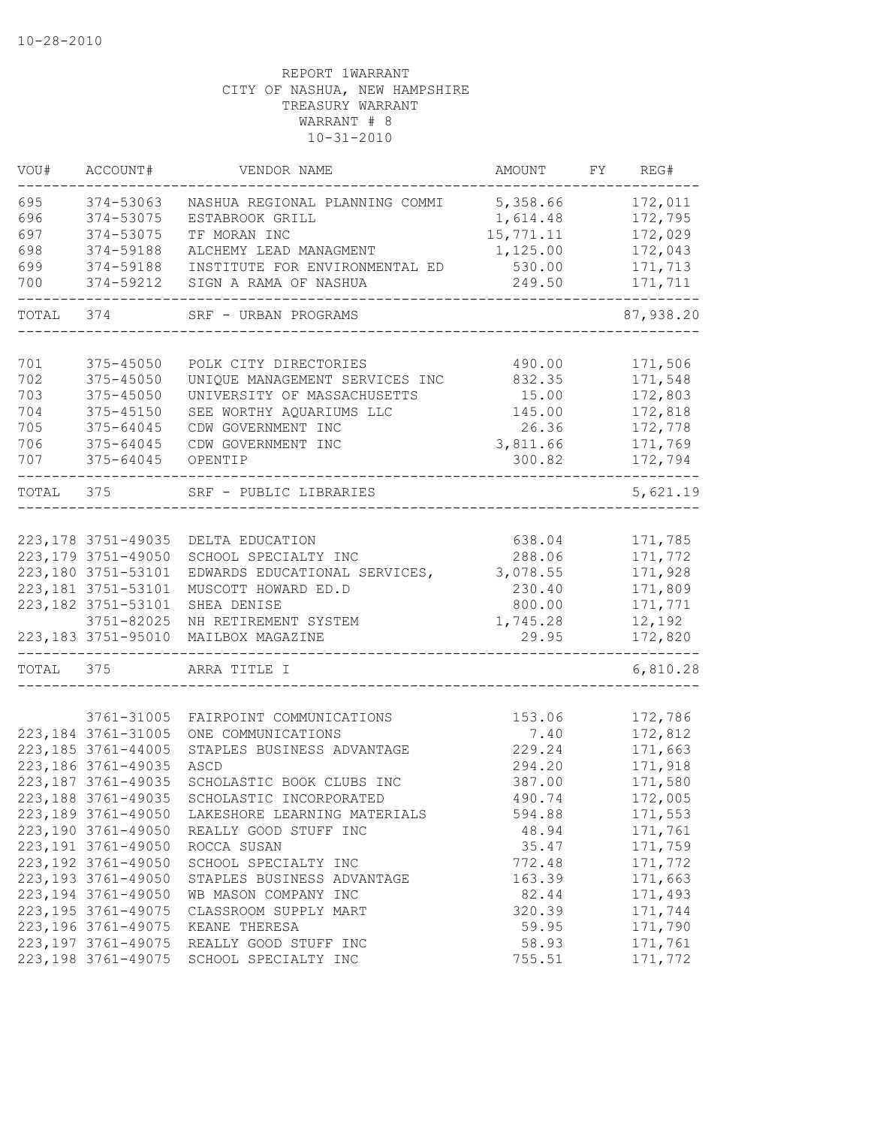| VOU#      | ACCOUNT#                                   | VENDOR NAME                                        | AMOUNT            | FY REG#            |
|-----------|--------------------------------------------|----------------------------------------------------|-------------------|--------------------|
| 695       | 374-53063                                  | NASHUA REGIONAL PLANNING COMMI                     | 5,358.66          | 172,011            |
| 696       | 374-53075                                  | ESTABROOK GRILL                                    | 1,614.48          | 172,795            |
| 697       | 374-53075                                  | TF MORAN INC                                       | 15,771.11         | 172,029            |
| 698       | 374-59188                                  | ALCHEMY LEAD MANAGMENT                             | 1,125.00          | 172,043            |
| 699       | 374-59188                                  | INSTITUTE FOR ENVIRONMENTAL ED                     | 530.00            | 171,713            |
| 700       | 374-59212                                  | SIGN A RAMA OF NASHUA                              | 249.50            | 171,711            |
| TOTAL     | 374                                        | SRF - URBAN PROGRAMS                               |                   | 87,938.20          |
|           |                                            |                                                    |                   |                    |
| 701       | 375-45050                                  | POLK CITY DIRECTORIES                              | 490.00            | 171,506            |
| 702       | 375-45050                                  | UNIQUE MANAGEMENT SERVICES INC                     | 832.35            | 171,548            |
| 703       | 375-45050                                  | UNIVERSITY OF MASSACHUSETTS                        | 15.00             | 172,803            |
| 704       | 375-45150                                  | SEE WORTHY AQUARIUMS LLC                           | 145.00            | 172,818            |
| 705       | 375-64045                                  | CDW GOVERNMENT INC                                 | 26.36             | 172,778            |
| 706       | 375-64045                                  | CDW GOVERNMENT INC                                 | 3,811.66          | 171,769            |
| 707       | $375 - 64045$                              | OPENTIP                                            | 300.82            | 172,794            |
| TOTAL 375 |                                            | SRF - PUBLIC LIBRARIES                             |                   | 5,621.19           |
|           |                                            |                                                    |                   |                    |
|           | 223, 178 3751-49035                        | DELTA EDUCATION                                    | 638.04            | 171,785            |
|           | 223, 179 3751-49050                        | SCHOOL SPECIALTY INC                               | 288.06            | 171,772            |
|           | 223,180 3751-53101                         | EDWARDS EDUCATIONAL SERVICES,                      | 3,078.55          | 171,928            |
|           | 223, 181 3751-53101                        | MUSCOTT HOWARD ED.D                                | 230.40            | 171,809            |
|           | 223, 182 3751-53101                        | SHEA DENISE                                        | 800.00            | 171,771            |
|           | 3751-82025<br>223, 183 3751-95010          | NH RETIREMENT SYSTEM<br>MAILBOX MAGAZINE           | 1,745.28<br>29.95 | 12,192<br>172,820  |
|           |                                            |                                                    |                   |                    |
| TOTAL 375 |                                            | ARRA TITLE I                                       |                   | 6,810.28           |
|           |                                            |                                                    |                   |                    |
|           | 3761-31005                                 | FAIRPOINT COMMUNICATIONS                           | 153.06            | 172,786            |
|           | 223, 184 3761-31005                        | ONE COMMUNICATIONS                                 | 7.40              | 172,812            |
|           | 223, 185 3761-44005                        | STAPLES BUSINESS ADVANTAGE                         | 229.24            | 171,663            |
|           | 223, 186 3761-49035                        | ASCD                                               | 294.20            | 171,918            |
|           | 223, 187 3761-49035                        | SCHOLASTIC BOOK CLUBS INC                          | 387.00            | 171,580            |
|           |                                            | 223,188 3761-49035 SCHOLASTIC INCORPORATED         | 490.74            | 172,005            |
|           | 223,189 3761-49050                         | LAKESHORE LEARNING MATERIALS                       | 594.88            | 171,553            |
|           | 223,190 3761-49050                         | REALLY GOOD STUFF INC                              | 48.94             | 171,761            |
|           | 223, 191 3761-49050                        | ROCCA SUSAN                                        | 35.47             | 171,759            |
|           | 223, 192 3761-49050                        | SCHOOL SPECIALTY INC                               | 772.48            | 171,772            |
|           | 223, 193 3761-49050                        | STAPLES BUSINESS ADVANTAGE<br>WB MASON COMPANY INC | 163.39            | 171,663            |
|           | 223, 194 3761-49050<br>223, 195 3761-49075 |                                                    | 82.44<br>320.39   | 171,493            |
|           | 223, 196 3761-49075                        | CLASSROOM SUPPLY MART<br>KEANE THERESA             | 59.95             | 171,744<br>171,790 |
|           | 223, 197 3761-49075                        | REALLY GOOD STUFF INC                              | 58.93             | 171,761            |
|           | 223, 198 3761-49075                        | SCHOOL SPECIALTY INC                               | 755.51            | 171,772            |
|           |                                            |                                                    |                   |                    |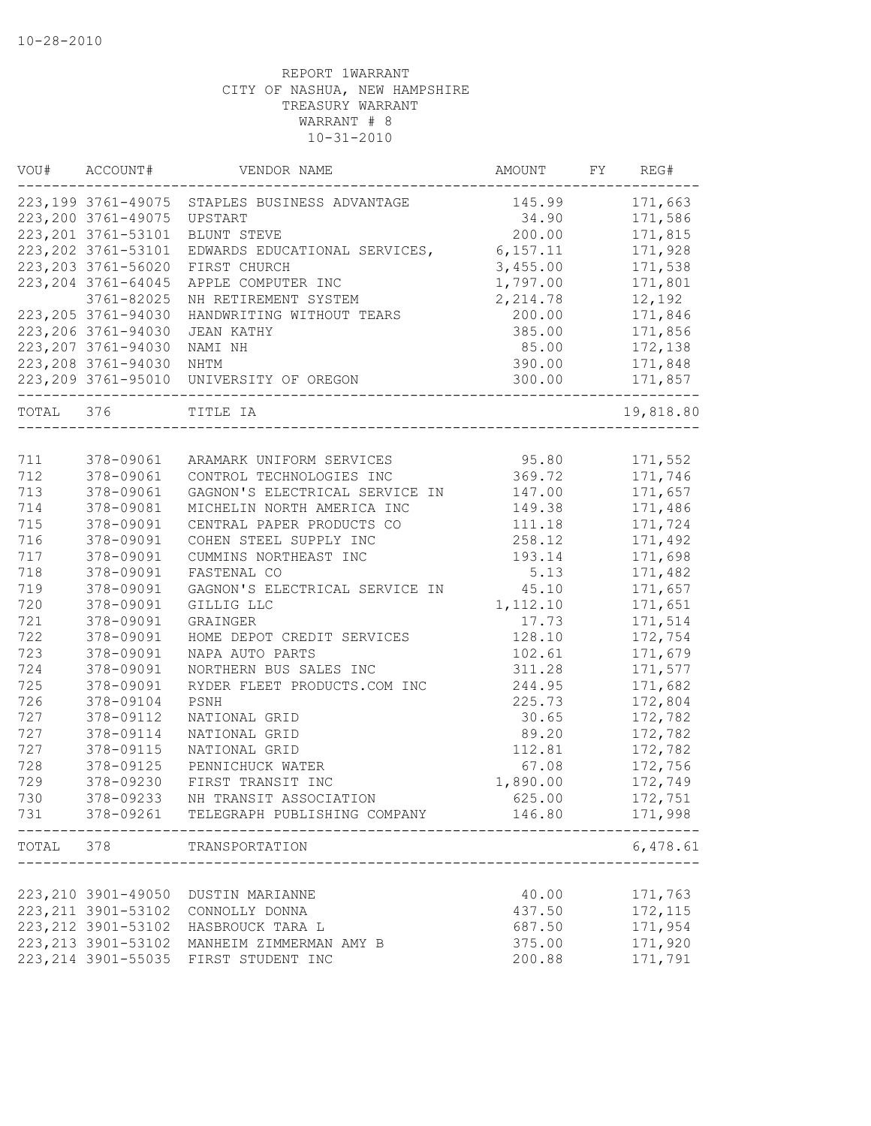| VOU#      | ACCOUNT#            | VENDOR NAME                                   | AMOUNT    | FY | REG#      |
|-----------|---------------------|-----------------------------------------------|-----------|----|-----------|
|           |                     | 223,199 3761-49075 STAPLES BUSINESS ADVANTAGE | 145.99    |    | 171,663   |
|           | 223, 200 3761-49075 | UPSTART                                       | 34.90     |    | 171,586   |
|           | 223, 201 3761-53101 | BLUNT STEVE                                   | 200.00    |    | 171,815   |
|           | 223, 202 3761-53101 | EDWARDS EDUCATIONAL SERVICES,                 | 6,157.11  |    | 171,928   |
|           | 223, 203 3761-56020 | FIRST CHURCH                                  | 3,455.00  |    | 171,538   |
|           | 223, 204 3761-64045 | APPLE COMPUTER INC                            | 1,797.00  |    | 171,801   |
|           | 3761-82025          | NH RETIREMENT SYSTEM                          | 2, 214.78 |    | 12,192    |
|           | 223, 205 3761-94030 | HANDWRITING WITHOUT TEARS                     | 200.00    |    | 171,846   |
|           | 223, 206 3761-94030 | <b>JEAN KATHY</b>                             | 385.00    |    | 171,856   |
|           | 223, 207 3761-94030 | NAMI NH                                       | 85.00     |    | 172,138   |
|           | 223, 208 3761-94030 | $\texttt{NHTM}{}$                             | 390.00    |    | 171,848   |
|           |                     | 223, 209 3761-95010 UNIVERSITY OF OREGON      | 300.00    |    | 171,857   |
| TOTAL 376 |                     | TITLE IA                                      |           |    | 19,818.80 |
|           |                     |                                               |           |    |           |
| 711       | 378-09061           | ARAMARK UNIFORM SERVICES                      | 95.80     |    | 171,552   |
| 712       | 378-09061           | CONTROL TECHNOLOGIES INC                      | 369.72    |    | 171,746   |
| 713       | 378-09061           | GAGNON'S ELECTRICAL SERVICE IN                | 147.00    |    | 171,657   |
| 714       | 378-09081           | MICHELIN NORTH AMERICA INC                    | 149.38    |    | 171,486   |
| 715       | 378-09091           | CENTRAL PAPER PRODUCTS CO                     | 111.18    |    | 171,724   |
| 716       | 378-09091           | COHEN STEEL SUPPLY INC                        | 258.12    |    | 171,492   |
| 717       | 378-09091           | CUMMINS NORTHEAST INC                         | 193.14    |    | 171,698   |
| 718       | 378-09091           | FASTENAL CO                                   | 5.13      |    | 171,482   |
| 719       | 378-09091           | GAGNON'S ELECTRICAL SERVICE IN                | 45.10     |    | 171,657   |
| 720       | 378-09091           | GILLIG LLC                                    | 1,112.10  |    | 171,651   |
| 721       | 378-09091           | GRAINGER                                      | 17.73     |    | 171,514   |
| 722       | 378-09091           | HOME DEPOT CREDIT SERVICES                    | 128.10    |    | 172,754   |
| 723       | 378-09091           | NAPA AUTO PARTS                               | 102.61    |    | 171,679   |
| 724       | 378-09091           | NORTHERN BUS SALES INC                        | 311.28    |    | 171,577   |
| 725       | 378-09091           | RYDER FLEET PRODUCTS.COM INC                  | 244.95    |    | 171,682   |
| 726       | 378-09104           | PSNH                                          | 225.73    |    | 172,804   |
| 727       | 378-09112           | NATIONAL GRID                                 | 30.65     |    | 172,782   |
| 727       | 378-09114           | NATIONAL GRID                                 | 89.20     |    | 172,782   |
| 727       | 378-09115           | NATIONAL GRID                                 | 112.81    |    | 172,782   |
| 728       | 378-09125           | PENNICHUCK WATER                              | 67.08     |    | 172,756   |
| 729       | 378-09230           | FIRST TRANSIT INC                             | 1,890.00  |    | 172,749   |
| 730       | 378-09233           | NH TRANSIT ASSOCIATION                        | 625.00    |    | 172,751   |
| 731       |                     | 378-09261 TELEGRAPH PUBLISHING COMPANY        | 146.80    |    | 171,998   |
| TOTAL 378 |                     | TRANSPORTATION                                |           |    | 6,478.61  |
|           |                     |                                               |           |    |           |
|           | 223, 210 3901-49050 | DUSTIN MARIANNE                               | 40.00     |    | 171,763   |
|           | 223, 211 3901-53102 | CONNOLLY DONNA                                | 437.50    |    | 172, 115  |
|           | 223, 212 3901-53102 | HASBROUCK TARA L                              | 687.50    |    | 171,954   |
|           | 223, 213 3901-53102 | MANHEIM ZIMMERMAN AMY B                       | 375.00    |    | 171,920   |
|           | 223, 214 3901-55035 | FIRST STUDENT INC                             | 200.88    |    | 171,791   |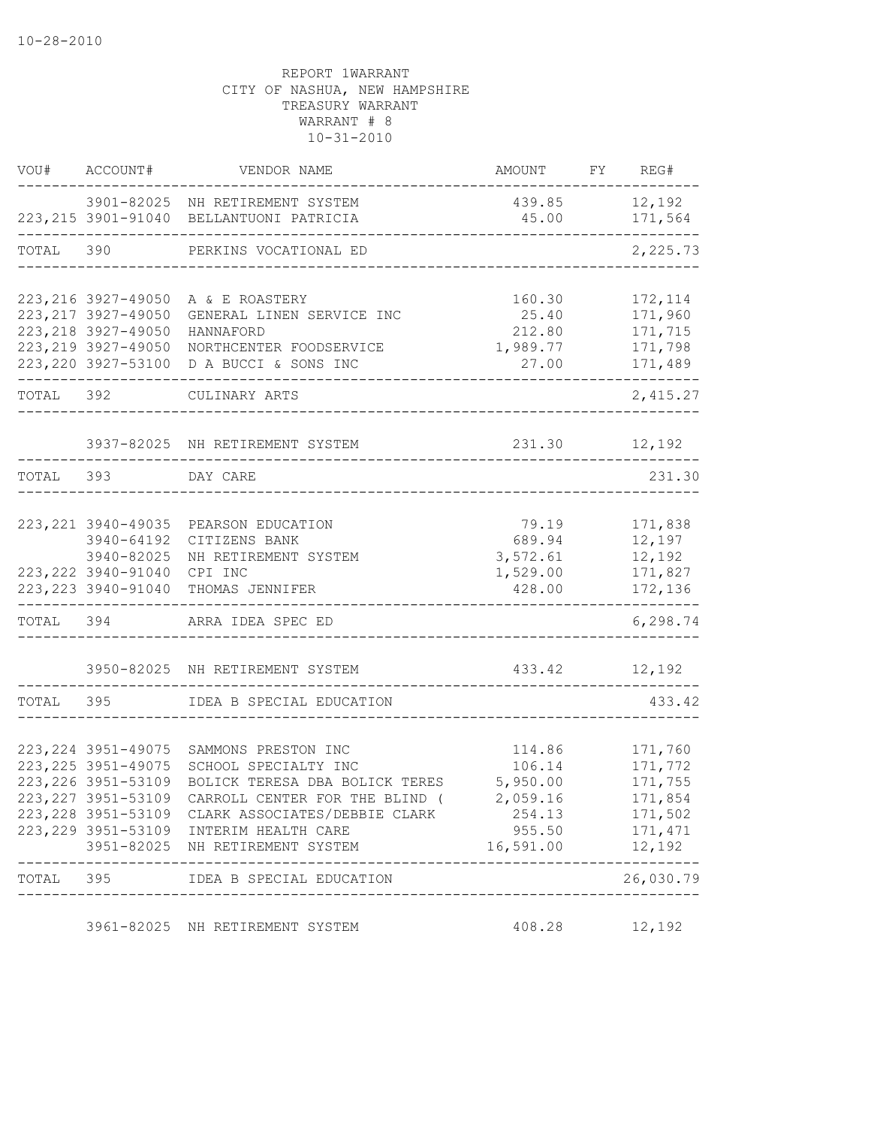|           | VOU# ACCOUNT#                                                                                                   | VENDOR NAME                                                                                                                                                                                                                                        | AMOUNT                                                                                   | FY REG#                                                       |
|-----------|-----------------------------------------------------------------------------------------------------------------|----------------------------------------------------------------------------------------------------------------------------------------------------------------------------------------------------------------------------------------------------|------------------------------------------------------------------------------------------|---------------------------------------------------------------|
|           |                                                                                                                 | 3901-82025 NH RETIREMENT SYSTEM<br>223, 215 3901-91040 BELLANTUONI PATRICIA                                                                                                                                                                        | 439.85<br>45.00                                                                          | 12,192<br>171,564                                             |
| TOTAL     | 390                                                                                                             | PERKINS VOCATIONAL ED                                                                                                                                                                                                                              |                                                                                          | 2,225.73                                                      |
|           | 223, 216 3927-49050<br>223, 217 3927-49050<br>223, 218 3927-49050<br>223, 219 3927-49050<br>223, 220 3927-53100 | A & E ROASTERY<br>GENERAL LINEN SERVICE INC<br>HANNAFORD<br>NORTHCENTER FOODSERVICE<br>D A BUCCI & SONS INC                                                                                                                                        | 160.30<br>25.40<br>212.80<br>1,989.77<br>27.00                                           | 172, 114<br>171,960<br>171,715<br>171,798<br>171,489          |
| TOTAL     | 392                                                                                                             | CULINARY ARTS                                                                                                                                                                                                                                      |                                                                                          | 2,415.27                                                      |
|           |                                                                                                                 | 3937-82025 NH RETIREMENT SYSTEM                                                                                                                                                                                                                    |                                                                                          | 231.30 12,192                                                 |
| TOTAL 393 |                                                                                                                 | DAY CARE                                                                                                                                                                                                                                           |                                                                                          | 231.30                                                        |
|           | 223, 221 3940-49035<br>3940-64192<br>3940-82025<br>223, 222 3940-91040<br>223, 223 3940-91040                   | PEARSON EDUCATION<br>CITIZENS BANK<br>NH RETIREMENT SYSTEM<br>CPI INC<br>THOMAS JENNIFER                                                                                                                                                           | 79.19<br>689.94<br>3,572.61<br>1,529.00<br>428.00                                        | 171,838<br>12,197<br>12,192<br>171,827<br>172,136             |
| TOTAL 394 |                                                                                                                 | ARRA IDEA SPEC ED                                                                                                                                                                                                                                  |                                                                                          | 6,298.74                                                      |
|           |                                                                                                                 | 3950-82025 NH RETIREMENT SYSTEM                                                                                                                                                                                                                    | 433.42                                                                                   | 12,192                                                        |
| TOTAL     | 395                                                                                                             | IDEA B SPECIAL EDUCATION                                                                                                                                                                                                                           |                                                                                          | 433.42                                                        |
|           | 223, 224 3951-49075<br>223, 225 3951-49075<br>223, 226 3951-53109<br>223, 227 3951-53109<br>-----------         | SAMMONS PRESTON INC<br>SCHOOL SPECIALTY INC<br>BOLICK TERESA DBA BOLICK TERES<br>CARROLL CENTER FOR THE BLIND (<br>223, 228 3951-53109 CLARK ASSOCIATES/DEBBIE CLARK<br>223, 229 3951-53109 INTERIM HEALTH CARE<br>3951-82025 NH RETIREMENT SYSTEM | 114.86<br>106.14<br>5,950.00<br>2,059.16<br>254.13<br>955.50 171,471<br>16,591.00 12,192 | 171,760<br>171,772<br>171,755<br>171,854<br>171,502<br>------ |
|           | ----------                                                                                                      | TOTAL 395 IDEA B SPECIAL EDUCATION                                                                                                                                                                                                                 |                                                                                          | 26,030.79                                                     |
|           |                                                                                                                 | 3961-82025 NH RETIREMENT SYSTEM                                                                                                                                                                                                                    | 408.28 12,192                                                                            |                                                               |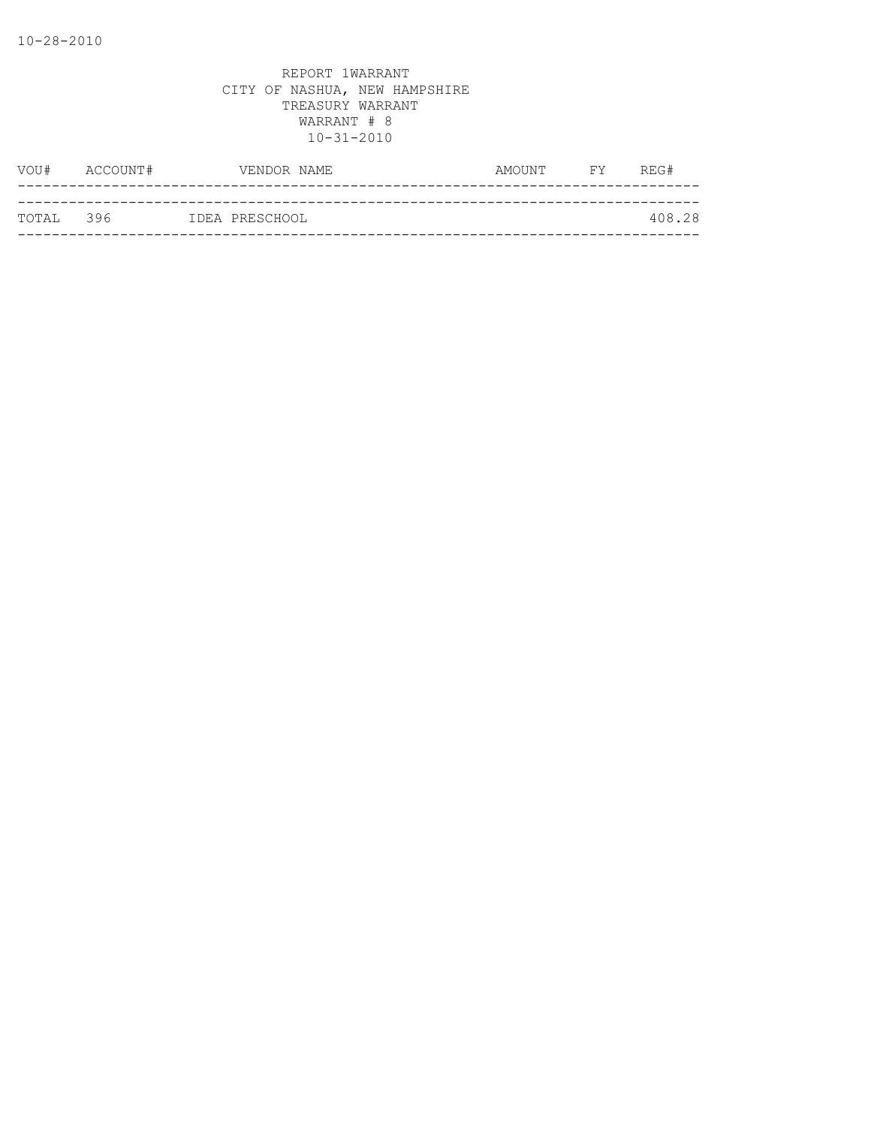| VOU#      | ACCOUNT# | VENDOR NAME    | AMOUNT | FY | REG#   |
|-----------|----------|----------------|--------|----|--------|
|           |          |                |        |    |        |
| TOTAL 396 |          | IDEA PRESCHOOL |        |    | 408.28 |
|           |          |                |        |    |        |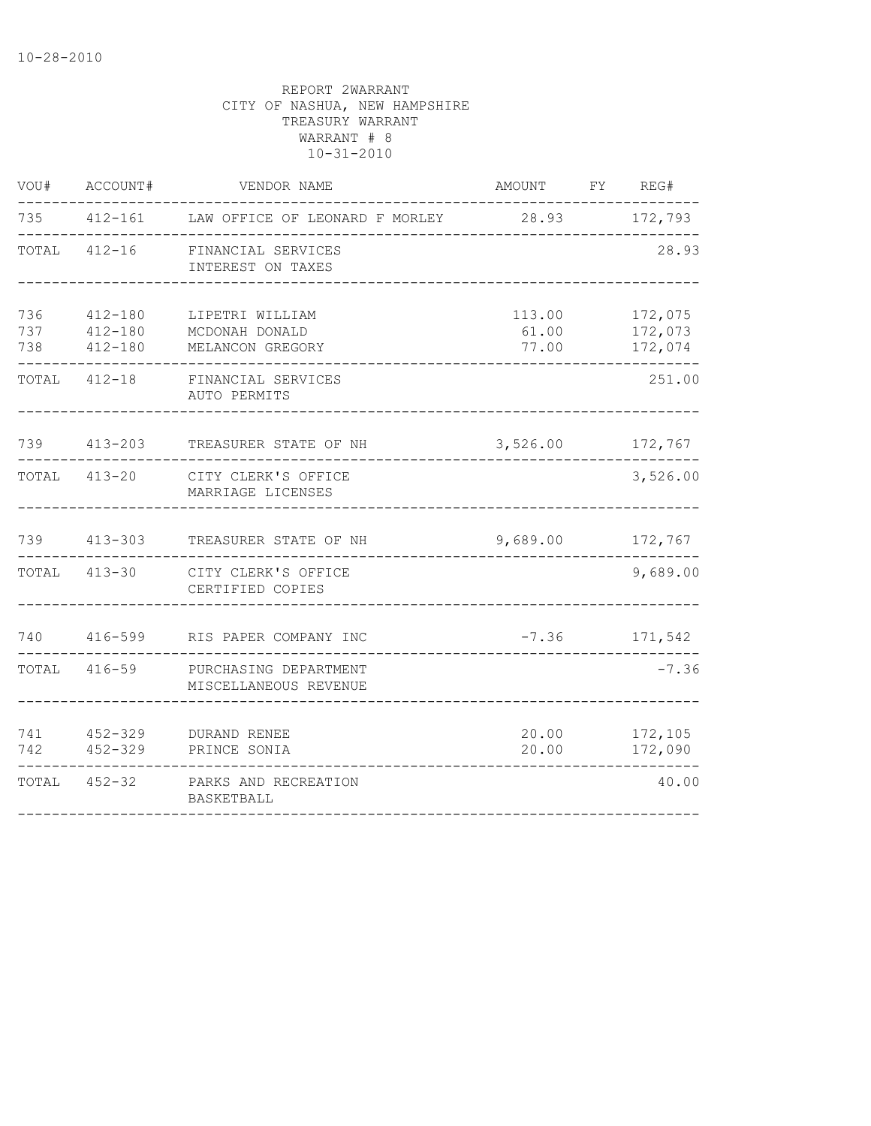| VOU#              | ACCOUNT#                                  | VENDOR NAME                                           | AMOUNT FY REG#           |                               |
|-------------------|-------------------------------------------|-------------------------------------------------------|--------------------------|-------------------------------|
| 735               |                                           | 412-161 LAW OFFICE OF LEONARD F MORLEY                | 28.93 172,793            |                               |
| TOTAL             | $412 - 16$                                | FINANCIAL SERVICES<br>INTEREST ON TAXES               |                          | 28.93                         |
| 736<br>737<br>738 | $412 - 180$<br>$412 - 180$<br>$412 - 180$ | LIPETRI WILLIAM<br>MCDONAH DONALD<br>MELANCON GREGORY | 113.00<br>61.00<br>77.00 | 172,075<br>172,073<br>172,074 |
| TOTAL             | $412 - 18$                                | FINANCIAL SERVICES<br>AUTO PERMITS                    |                          | 251.00                        |
| 739               | 413-203                                   | TREASURER STATE OF NH                                 | 3,526.00 172,767         |                               |
|                   | TOTAL 413-20                              | CITY CLERK'S OFFICE<br>MARRIAGE LICENSES              |                          | 3,526.00                      |
| 739               | $413 - 303$                               | TREASURER STATE OF NH                                 | 9,689.00                 | 172,767                       |
| TOTAL             | $413 - 30$                                | CITY CLERK'S OFFICE<br>CERTIFIED COPIES               |                          | 9,689.00                      |
| 740               | 416-599                                   | RIS PAPER COMPANY INC                                 | $-7.36$                  | 171,542                       |
| TOTAL             | $416 - 59$                                | PURCHASING DEPARTMENT<br>MISCELLANEOUS REVENUE        |                          | $-7.36$                       |
| 741<br>742        | $452 - 329$<br>$452 - 329$                | DURAND RENEE<br>PRINCE SONIA                          | 20.00<br>20.00           | 172,105<br>172,090            |
| TOTAL             | $452 - 32$                                | PARKS AND RECREATION<br><b>BASKETBALL</b>             |                          | 40.00                         |
|                   |                                           |                                                       |                          |                               |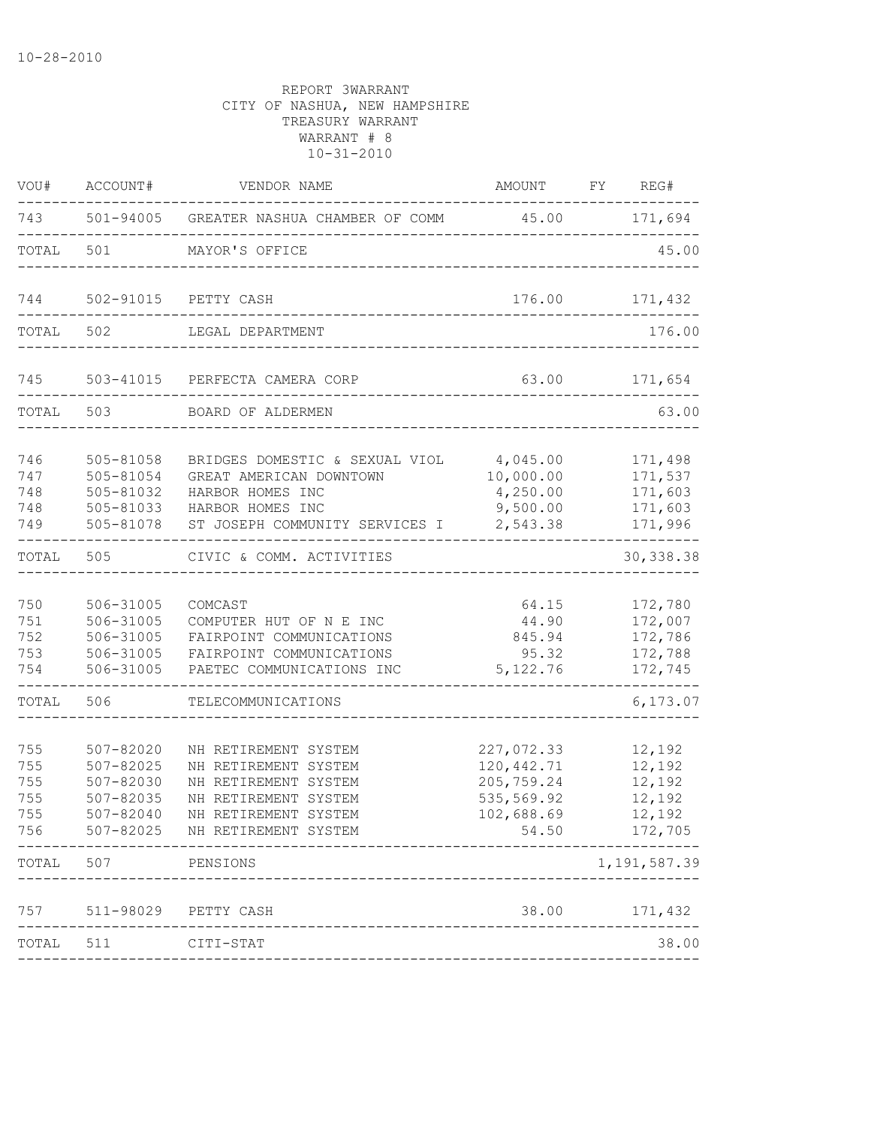| ACCOUNT#                                                      | VENDOR NAME                                                                                                                                  | AMOUNT                                                                                                                          | FY REG#                                                        |
|---------------------------------------------------------------|----------------------------------------------------------------------------------------------------------------------------------------------|---------------------------------------------------------------------------------------------------------------------------------|----------------------------------------------------------------|
|                                                               |                                                                                                                                              |                                                                                                                                 |                                                                |
| 501                                                           | MAYOR'S OFFICE                                                                                                                               |                                                                                                                                 | 45.00                                                          |
|                                                               | PETTY CASH                                                                                                                                   | 176.00                                                                                                                          | 171,432                                                        |
| 502                                                           | LEGAL DEPARTMENT                                                                                                                             |                                                                                                                                 | 176.00                                                         |
|                                                               |                                                                                                                                              |                                                                                                                                 | 171,654                                                        |
| 503                                                           | BOARD OF ALDERMEN                                                                                                                            |                                                                                                                                 | 63.00                                                          |
| 505-81058<br>505-81054<br>505-81032<br>505-81033<br>505-81078 | BRIDGES DOMESTIC & SEXUAL VIOL<br>GREAT AMERICAN DOWNTOWN<br>HARBOR HOMES INC<br>HARBOR HOMES INC<br>ST JOSEPH COMMUNITY SERVICES I          | 4,045.00<br>10,000.00<br>4,250.00<br>9,500.00<br>2,543.38                                                                       | 171,498<br>171,537<br>171,603<br>171,603<br>171,996            |
| 505                                                           | CIVIC & COMM. ACTIVITIES                                                                                                                     |                                                                                                                                 | 30, 338.38                                                     |
| 506-31005<br>506-31005<br>506-31005<br>506-31005<br>506-31005 | COMCAST<br>COMPUTER HUT OF N E INC<br>FAIRPOINT COMMUNICATIONS<br>FAIRPOINT COMMUNICATIONS<br>PAETEC COMMUNICATIONS INC                      | 64.15<br>44.90<br>845.94<br>95.32<br>5, 122.76                                                                                  | 172,780<br>172,007<br>172,786<br>172,788<br>172,745            |
| 506                                                           | TELECOMMUNICATIONS                                                                                                                           |                                                                                                                                 | 6,173.07                                                       |
| 507-82020<br>507-82025<br>507-82030<br>507-82035<br>507-82040 | NH RETIREMENT SYSTEM<br>NH RETIREMENT SYSTEM<br>NH RETIREMENT SYSTEM<br>NH RETIREMENT SYSTEM<br>NH RETIREMENT SYSTEM<br>NH RETIREMENT SYSTEM | 227,072.33<br>120, 442.71<br>205,759.24<br>535,569.92<br>102,688.69<br>54.50                                                    | 12,192<br>12,192<br>12,192<br>12,192<br>12,192<br>172,705      |
| 507                                                           | PENSIONS                                                                                                                                     |                                                                                                                                 | 1, 191, 587.39                                                 |
| 511-98029                                                     |                                                                                                                                              | 38.00                                                                                                                           | 171,432                                                        |
| 511                                                           |                                                                                                                                              |                                                                                                                                 | 38.00                                                          |
|                                                               |                                                                                                                                              | 501-94005 GREATER NASHUA CHAMBER OF COMM<br>502-91015<br>503-41015 PERFECTA CAMERA CORP<br>507-82025<br>PETTY CASH<br>CITI-STAT | 45.00 171,694<br>____________________________________<br>63.00 |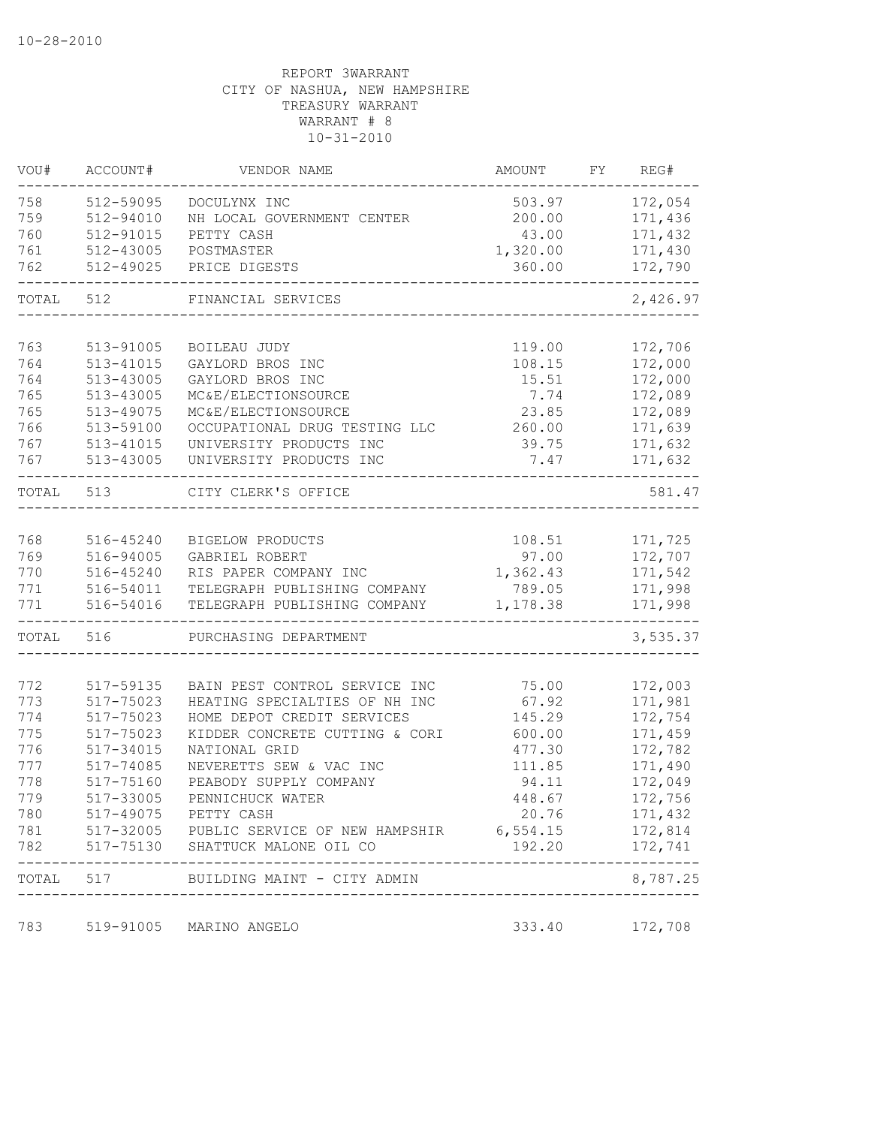| VOU#       | ACCOUNT#               | VENDOR NAME                                                                       | AMOUNT           | FY | REG#                       |
|------------|------------------------|-----------------------------------------------------------------------------------|------------------|----|----------------------------|
| 758        | 512-59095              | DOCULYNX INC                                                                      | 503.97           |    | 172,054                    |
| 759        | 512-94010              | NH LOCAL GOVERNMENT CENTER                                                        | 200.00           |    | 171,436                    |
| 760        | 512-91015              | PETTY CASH                                                                        | 43.00            |    | 171,432                    |
| 761        | 512-43005              | POSTMASTER                                                                        | 1,320.00         |    | 171,430                    |
| 762        | 512-49025              | PRICE DIGESTS                                                                     | 360.00           |    | 172,790                    |
| TOTAL      | 512                    | FINANCIAL SERVICES                                                                |                  |    | 2,426.97                   |
| 763        | 513-91005              | BOILEAU JUDY                                                                      | 119.00           |    | 172,706                    |
| 764        | 513-41015              | GAYLORD BROS INC                                                                  | 108.15           |    | 172,000                    |
| 764        | 513-43005              | GAYLORD BROS INC                                                                  | 15.51            |    | 172,000                    |
| 765        | 513-43005              | MC&E/ELECTIONSOURCE                                                               | 7.74             |    | 172,089                    |
| 765        | 513-49075              | MC&E/ELECTIONSOURCE                                                               | 23.85            |    | 172,089                    |
| 766        | 513-59100              | OCCUPATIONAL DRUG TESTING LLC                                                     | 260.00           |    | 171,639                    |
| 767        | 513-41015              | UNIVERSITY PRODUCTS INC                                                           | 39.75            |    | 171,632                    |
| 767        | 513-43005              | UNIVERSITY PRODUCTS INC                                                           | 7.47             |    | 171,632                    |
| TOTAL      | 513                    | CITY CLERK'S OFFICE                                                               |                  |    | 581.47                     |
|            |                        |                                                                                   |                  |    |                            |
| 768        | 516-45240              | BIGELOW PRODUCTS                                                                  | 108.51           |    | 171,725                    |
| 769        | 516-94005              | GABRIEL ROBERT                                                                    | 97.00            |    | 172,707                    |
| 770        | 516-45240              | RIS PAPER COMPANY INC                                                             | 1,362.43         |    | 171,542                    |
| 771        | 516-54011              | TELEGRAPH PUBLISHING COMPANY                                                      | 789.05           |    | 171,998                    |
| 771        | 516-54016              | TELEGRAPH PUBLISHING COMPANY                                                      | 1,178.38         |    | 171,998                    |
| TOTAL      | 516                    | PURCHASING DEPARTMENT                                                             |                  |    | 3,535.37                   |
|            |                        |                                                                                   |                  |    |                            |
| 772        | 517-59135              | BAIN PEST CONTROL SERVICE INC                                                     | 75.00            |    | 172,003                    |
| 773        | 517-75023              | HEATING SPECIALTIES OF NH INC                                                     | 67.92            |    | 171,981                    |
| 774        | 517-75023              | HOME DEPOT CREDIT SERVICES<br>KIDDER CONCRETE CUTTING & CORI                      | 145.29           |    | 172,754                    |
| 775        | 517-75023              |                                                                                   | 600.00           |    | 171,459<br>172,782         |
| 776<br>777 | 517-34015              | NATIONAL GRID<br>NEVERETTS SEW & VAC INC                                          | 477.30<br>111.85 |    | 171,490                    |
| 778        | 517-74085<br>517-75160 | PEABODY SUPPLY COMPANY                                                            | 94.11            |    | 172,049                    |
|            | 517-33005              | PENNICHUCK WATER                                                                  | 448.67           |    |                            |
| 779        |                        |                                                                                   |                  |    | 172,756                    |
| 780<br>781 |                        | 517-49075 PETTY CASH<br>517-32005 PUBLIC SERVICE OF NEW HAMPSHIR 6,554.15 172,814 | 20.76            |    | 171,432                    |
| 782        |                        | 517-75130 SHATTUCK MALONE OIL CO                                                  | 192.20           |    | 172,741                    |
|            |                        | TOTAL 517 BUILDING MAINT - CITY ADMIN                                             |                  |    | --------------<br>8,787.25 |
|            |                        |                                                                                   |                  |    |                            |
| 783        |                        | 519-91005 MARINO ANGELO                                                           | 333.40           |    | 172,708                    |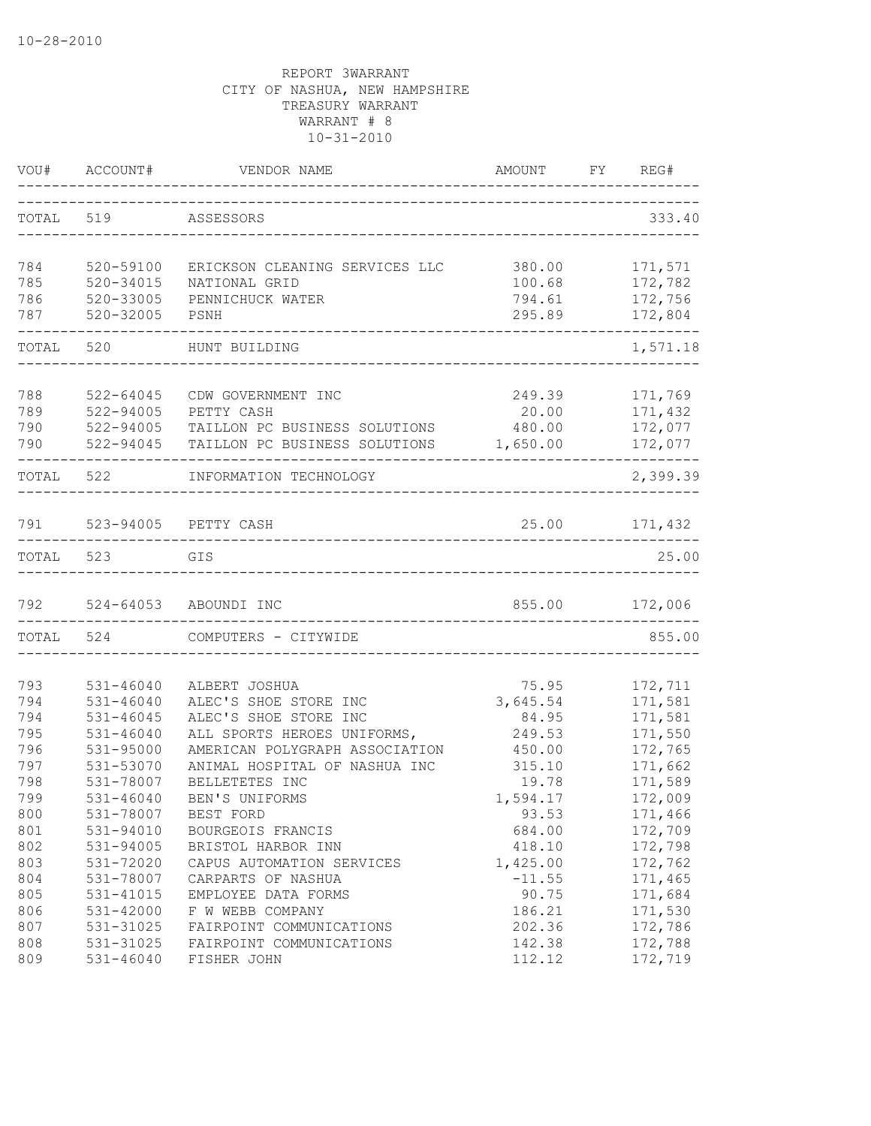| VOU#       | ACCOUNT#                   | VENDOR NAME                                    | <b>AMOUNT</b>     | FY | REG#               |
|------------|----------------------------|------------------------------------------------|-------------------|----|--------------------|
| TOTAL      | 519                        | ASSESSORS<br>____________________________      |                   |    | 333.40             |
| 784        | 520-59100                  | ERICKSON CLEANING SERVICES LLC                 | 380.00            |    | 171,571            |
| 785        | 520-34015                  | NATIONAL GRID                                  | 100.68            |    | 172,782            |
| 786        | 520-33005                  | PENNICHUCK WATER                               | 794.61            |    | 172,756            |
| 787        | $520 - 32005$              | PSNH                                           | 295.89            |    | 172,804            |
| TOTAL      | 520                        | HUNT BUILDING                                  |                   |    | 1,571.18           |
|            |                            |                                                |                   |    |                    |
| 788<br>789 | $522 - 64045$              | CDW GOVERNMENT INC<br>PETTY CASH               | 249.39            |    | 171,769<br>171,432 |
| 790        | 522-94005<br>522-94005     | TAILLON PC BUSINESS SOLUTIONS                  | 20.00<br>480.00   |    | 172,077            |
| 790        | 522-94045                  | TAILLON PC BUSINESS SOLUTIONS                  | 1,650.00          |    | 172,077            |
| TOTAL      | 522                        | INFORMATION TECHNOLOGY                         |                   |    | 2,399.39           |
|            |                            |                                                |                   |    |                    |
| 791        |                            | 523-94005 PETTY CASH                           | 25.00             |    | 171,432            |
| TOTAL      | 523                        | GIS                                            |                   |    | 25.00              |
| 792        |                            | 524-64053 ABOUNDI INC                          |                   |    | 855.00 172,006     |
| TOTAL      | 524                        | COMPUTERS - CITYWIDE                           |                   |    | 855.00             |
|            |                            |                                                |                   |    |                    |
| 793        | $531 - 46040$              | ALBERT JOSHUA                                  | 75.95             |    | 172,711            |
| 794<br>794 | $531 - 46040$              | ALEC'S SHOE STORE INC<br>ALEC'S SHOE STORE INC | 3,645.54<br>84.95 |    | 171,581            |
| 795        | 531-46045<br>$531 - 46040$ | ALL SPORTS HEROES UNIFORMS,                    |                   |    | 171,581<br>171,550 |
| 796        | $531 - 95000$              | AMERICAN POLYGRAPH ASSOCIATION                 | 249.53<br>450.00  |    | 172,765            |
| 797        | 531-53070                  | ANIMAL HOSPITAL OF NASHUA INC                  | 315.10            |    | 171,662            |
| 798        | 531-78007                  | BELLETETES INC                                 | 19.78             |    | 171,589            |
| 799        | $531 - 46040$              | BEN'S UNIFORMS                                 | 1,594.17          |    | 172,009            |
| 800        | 531-78007                  | BEST FORD                                      | 93.53             |    | 171,466            |
| 801        | 531-94010                  | BOURGEOIS FRANCIS                              | 684.00            |    | 172,709            |
| 802        | 531-94005                  | BRISTOL HARBOR INN                             | 418.10            |    | 172,798            |
| 803        | 531-72020                  | CAPUS AUTOMATION SERVICES                      | 1,425.00          |    | 172,762            |
| 804        | 531-78007                  | CARPARTS OF NASHUA                             | $-11.55$          |    | 171,465            |
| 805        | 531-41015                  | EMPLOYEE DATA FORMS                            | 90.75             |    | 171,684            |
| 806        | 531-42000                  | F W WEBB COMPANY                               | 186.21            |    | 171,530            |
| 807        | 531-31025                  | FAIRPOINT COMMUNICATIONS                       | 202.36            |    | 172,786            |
| 808        | 531-31025                  | FAIRPOINT COMMUNICATIONS                       | 142.38            |    | 172,788            |
| 809        | 531-46040                  | FISHER JOHN                                    | 112.12            |    | 172,719            |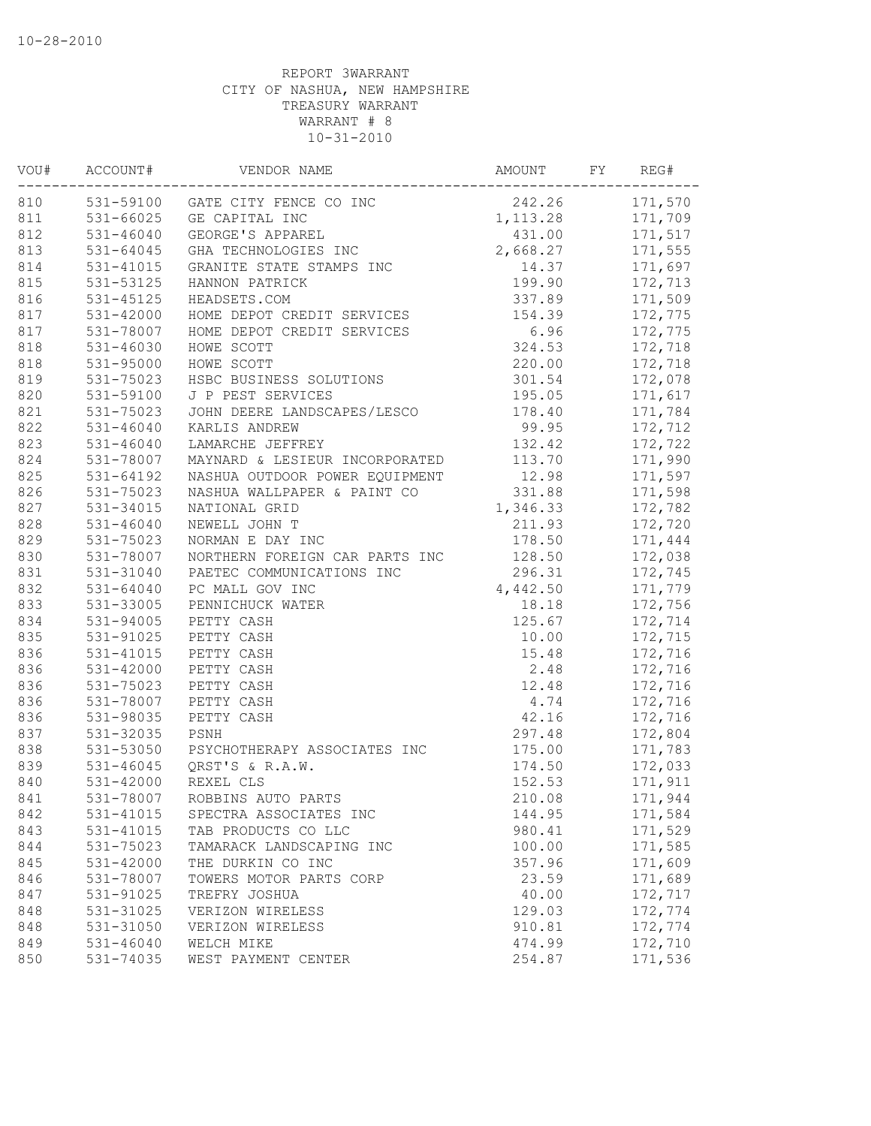| VOU# | ACCOUNT#      | VENDOR NAME                      | AMOUNT    | FY | REG#    |
|------|---------------|----------------------------------|-----------|----|---------|
| 810  |               | 531-59100 GATE CITY FENCE CO INC | 242.26    |    | 171,570 |
| 811  | 531-66025     | GE CAPITAL INC                   | 1, 113.28 |    | 171,709 |
| 812  | $531 - 46040$ | GEORGE'S APPAREL                 | 431.00    |    | 171,517 |
| 813  | $531 - 64045$ | GHA TECHNOLOGIES INC             | 2,668.27  |    | 171,555 |
| 814  | 531-41015     | GRANITE STATE STAMPS INC         | 14.37     |    | 171,697 |
| 815  | 531-53125     | HANNON PATRICK                   | 199.90    |    | 172,713 |
| 816  | 531-45125     | HEADSETS.COM                     | 337.89    |    | 171,509 |
| 817  | 531-42000     | HOME DEPOT CREDIT SERVICES       | 154.39    |    | 172,775 |
| 817  | 531-78007     | HOME DEPOT CREDIT SERVICES       | 6.96      |    | 172,775 |
| 818  | $531 - 46030$ | HOWE SCOTT                       | 324.53    |    | 172,718 |
| 818  | 531-95000     | HOWE SCOTT                       | 220.00    |    | 172,718 |
| 819  | 531-75023     | HSBC BUSINESS SOLUTIONS          | 301.54    |    | 172,078 |
| 820  | 531-59100     | J P PEST SERVICES                | 195.05    |    | 171,617 |
| 821  | 531-75023     | JOHN DEERE LANDSCAPES/LESCO      | 178.40    |    | 171,784 |
| 822  | $531 - 46040$ | KARLIS ANDREW                    | 99.95     |    | 172,712 |
| 823  | $531 - 46040$ | LAMARCHE JEFFREY                 | 132.42    |    | 172,722 |
| 824  | 531-78007     | MAYNARD & LESIEUR INCORPORATED   | 113.70    |    | 171,990 |
| 825  | 531-64192     | NASHUA OUTDOOR POWER EQUIPMENT   | 12.98     |    | 171,597 |
| 826  | 531-75023     | NASHUA WALLPAPER & PAINT CO      | 331.88    |    | 171,598 |
| 827  | 531-34015     | NATIONAL GRID                    | 1,346.33  |    | 172,782 |
| 828  | $531 - 46040$ | NEWELL JOHN T                    | 211.93    |    | 172,720 |
| 829  | 531-75023     | NORMAN E DAY INC                 | 178.50    |    | 171,444 |
| 830  | 531-78007     | NORTHERN FOREIGN CAR PARTS INC   | 128.50    |    | 172,038 |
| 831  | 531-31040     | PAETEC COMMUNICATIONS INC        | 296.31    |    | 172,745 |
| 832  | $531 - 64040$ | PC MALL GOV INC                  | 4,442.50  |    | 171,779 |
| 833  | 531-33005     | PENNICHUCK WATER                 | 18.18     |    | 172,756 |
| 834  | 531-94005     | PETTY CASH                       | 125.67    |    | 172,714 |
| 835  | 531-91025     | PETTY CASH                       | 10.00     |    | 172,715 |
| 836  | 531-41015     | PETTY CASH                       | 15.48     |    | 172,716 |
| 836  | $531 - 42000$ | PETTY CASH                       | 2.48      |    | 172,716 |
| 836  | 531-75023     | PETTY CASH                       | 12.48     |    | 172,716 |
| 836  | 531-78007     | PETTY CASH                       | 4.74      |    | 172,716 |
| 836  | 531-98035     | PETTY CASH                       | 42.16     |    | 172,716 |
| 837  | 531-32035     | PSNH                             | 297.48    |    | 172,804 |
| 838  | 531-53050     | PSYCHOTHERAPY ASSOCIATES INC     | 175.00    |    | 171,783 |
| 839  | 531-46045     | QRST'S & R.A.W.                  | 174.50    |    | 172,033 |
| 840  | 531-42000     | REXEL CLS                        | 152.53    |    | 171,911 |
| 841  | 531-78007     | ROBBINS AUTO PARTS               | 210.08    |    | 171,944 |
| 842  | 531-41015     | SPECTRA ASSOCIATES INC           | 144.95    |    | 171,584 |
| 843  | 531-41015     | TAB PRODUCTS CO LLC              | 980.41    |    | 171,529 |
| 844  | 531-75023     | TAMARACK LANDSCAPING INC         | 100.00    |    | 171,585 |
| 845  | $531 - 42000$ | THE DURKIN CO INC                | 357.96    |    | 171,609 |
| 846  | 531-78007     | TOWERS MOTOR PARTS CORP          | 23.59     |    | 171,689 |
| 847  | 531-91025     | TREFRY JOSHUA                    | 40.00     |    | 172,717 |
| 848  | 531-31025     | VERIZON WIRELESS                 | 129.03    |    | 172,774 |
| 848  | 531-31050     | VERIZON WIRELESS                 | 910.81    |    | 172,774 |
| 849  | $531 - 46040$ | WELCH MIKE                       | 474.99    |    | 172,710 |
| 850  | 531-74035     | WEST PAYMENT CENTER              | 254.87    |    | 171,536 |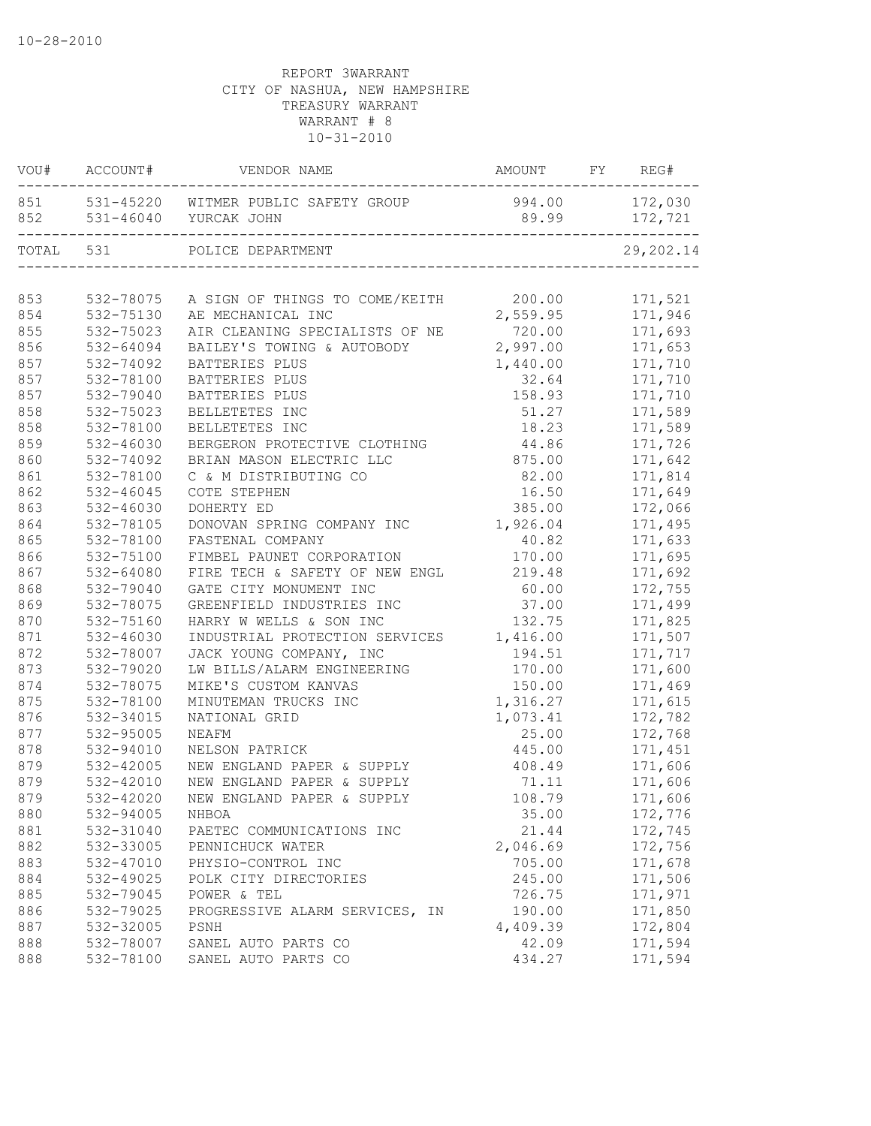|           | VOU# ACCOUNT# | VENDOR NAME                              | AMOUNT FY REG# |               |
|-----------|---------------|------------------------------------------|----------------|---------------|
|           |               | 851 531-45220 WITMER PUBLIC SAFETY GROUP | 994.00 172,030 |               |
|           |               | 852 531-46040 YURCAK JOHN                |                | 89.99 172,721 |
| TOTAL 531 |               | POLICE DEPARTMENT                        |                | 29, 202.14    |
|           |               |                                          |                |               |
| 853       | 532-78075     | A SIGN OF THINGS TO COME/KEITH 200.00    |                | 171,521       |
| 854       | 532-75130     | AE MECHANICAL INC                        | 2,559.95       | 171,946       |
| 855       | 532-75023     | AIR CLEANING SPECIALISTS OF NE           | 720.00         | 171,693       |
| 856       | 532-64094     | BAILEY'S TOWING & AUTOBODY               | 2,997.00       | 171,653       |
| 857       | 532-74092     | BATTERIES PLUS                           | 1,440.00       | 171,710       |
| 857       | 532-78100     | BATTERIES PLUS                           | 32.64          | 171,710       |
| 857       | 532-79040     | BATTERIES PLUS                           | 158.93         | 171,710       |
| 858       | 532-75023     | BELLETETES INC                           | 51.27          | 171,589       |
| 858       | 532-78100     | BELLETETES INC                           | 18.23          | 171,589       |
| 859       | $532 - 46030$ | BERGERON PROTECTIVE CLOTHING             | 44.86          | 171,726       |
| 860       | 532-74092     | BRIAN MASON ELECTRIC LLC                 | 875.00         | 171,642       |
| 861       | 532-78100     | C & M DISTRIBUTING CO                    | 82.00          | 171,814       |
| 862       | $532 - 46045$ | COTE STEPHEN                             | 16.50          | 171,649       |
| 863       | $532 - 46030$ | DOHERTY ED                               | 385.00         | 172,066       |
| 864       | 532-78105     | DONOVAN SPRING COMPANY INC               | 1,926.04       | 171,495       |
| 865       | 532-78100     | FASTENAL COMPANY                         | 40.82          | 171,633       |
| 866       | 532-75100     | FIMBEL PAUNET CORPORATION                | 170.00         | 171,695       |
| 867       | 532-64080     | FIRE TECH & SAFETY OF NEW ENGL           | 219.48         | 171,692       |
| 868       | 532-79040     | GATE CITY MONUMENT INC                   | 60.00          | 172,755       |
| 869       | 532-78075     | GREENFIELD INDUSTRIES INC                | 37.00          | 171,499       |
| 870       | 532-75160     | HARRY W WELLS & SON INC                  | 132.75         | 171,825       |
| 871       | $532 - 46030$ | INDUSTRIAL PROTECTION SERVICES           | 1,416.00       | 171,507       |
| 872       | 532-78007     | JACK YOUNG COMPANY, INC                  | 194.51         | 171,717       |
| 873       | 532-79020     | LW BILLS/ALARM ENGINEERING               | 170.00         | 171,600       |
| 874       | 532-78075     | MIKE'S CUSTOM KANVAS                     | 150.00         | 171,469       |
| 875       | 532-78100     | MINUTEMAN TRUCKS INC                     | 1,316.27       | 171,615       |
| 876       | 532-34015     | NATIONAL GRID                            | 1,073.41       | 172,782       |
| 877       | 532-95005     | <b>NEAFM</b>                             | 25.00          | 172,768       |
| 878       | 532-94010     | NELSON PATRICK                           | 445.00         | 171,451       |
| 879       | 532-42005     | NEW ENGLAND PAPER & SUPPLY               | 408.49         | 171,606       |
| 879       | 532-42010     | NEW ENGLAND PAPER & SUPPLY               | 71.11          | 171,606       |
| 879       | 532-42020     | NEW ENGLAND PAPER & SUPPLY               | 108.79         | 171,606       |
| 880       | 532-94005     | NHBOA                                    | 35.00          | 172,776       |
| 881       | 532-31040     | PAETEC COMMUNICATIONS INC                | 21.44          | 172,745       |
| 882       | 532-33005     | PENNICHUCK WATER                         | 2,046.69       | 172,756       |
| 883       | 532-47010     | PHYSIO-CONTROL INC                       | 705.00         | 171,678       |
| 884       | 532-49025     | POLK CITY DIRECTORIES                    | 245.00         | 171,506       |
| 885       | 532-79045     | POWER & TEL                              | 726.75         | 171,971       |
| 886       | 532-79025     | PROGRESSIVE ALARM SERVICES, IN           | 190.00         | 171,850       |
| 887       | 532-32005     | PSNH                                     | 4,409.39       | 172,804       |
| 888       | 532-78007     | SANEL AUTO PARTS CO                      | 42.09          | 171,594       |
| 888       | 532-78100     | SANEL AUTO PARTS CO                      | 434.27         | 171,594       |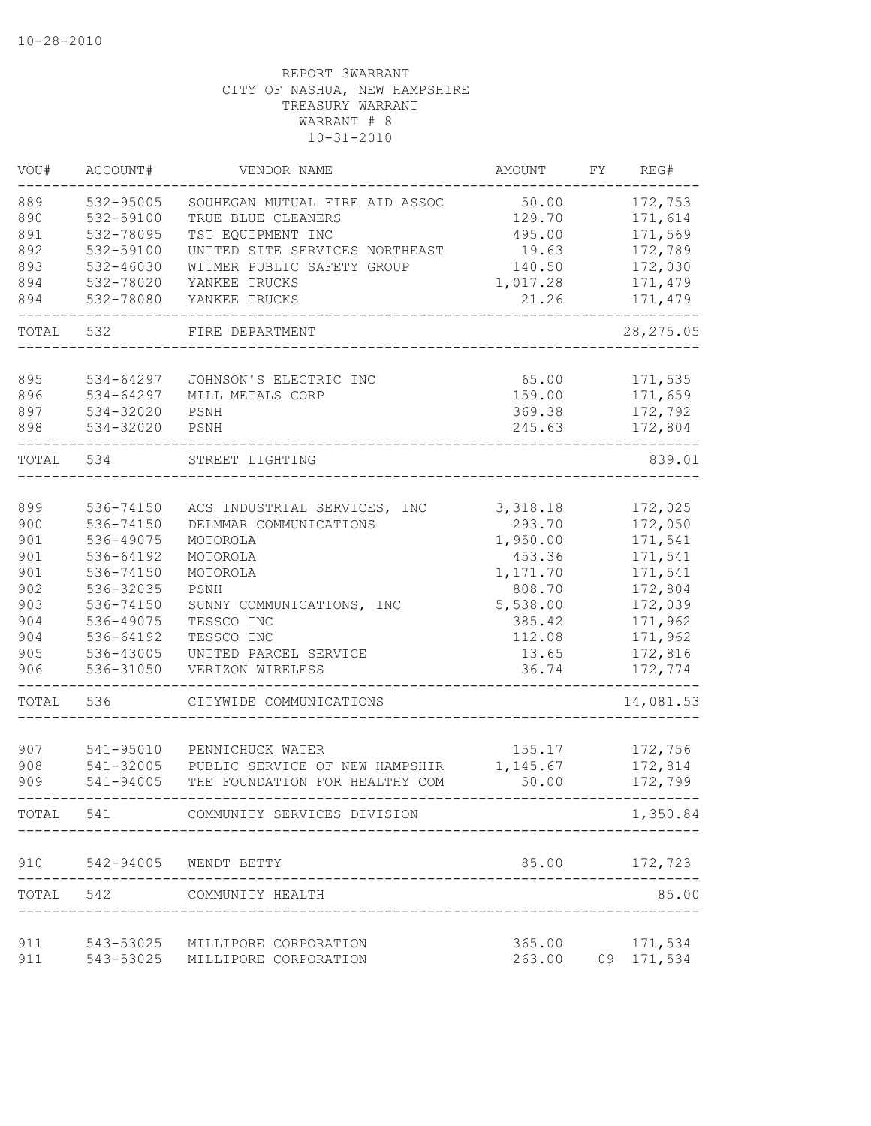| VOU#  | ACCOUNT#  | VENDOR NAME                     | AMOUNT   | FY. | REG#          |
|-------|-----------|---------------------------------|----------|-----|---------------|
| 889   | 532-95005 | SOUHEGAN MUTUAL FIRE AID ASSOC  | 50.00    |     | 172,753       |
| 890   | 532-59100 | TRUE BLUE CLEANERS              | 129.70   |     | 171,614       |
| 891   | 532-78095 | TST EQUIPMENT INC               | 495.00   |     | 171,569       |
| 892   | 532-59100 | UNITED SITE SERVICES NORTHEAST  | 19.63    |     | 172,789       |
| 893   | 532-46030 | WITMER PUBLIC SAFETY GROUP      | 140.50   |     | 172,030       |
| 894   | 532-78020 | YANKEE TRUCKS                   | 1,017.28 |     | 171,479       |
| 894   | 532-78080 | YANKEE TRUCKS                   | 21.26    |     | 171,479       |
| TOTAL | 532       | FIRE DEPARTMENT                 |          |     | 28, 275.05    |
|       |           |                                 |          |     |               |
| 895   | 534-64297 | JOHNSON'S ELECTRIC INC          | 65.00    |     | 171,535       |
| 896   | 534-64297 | MILL METALS CORP                | 159.00   |     | 171,659       |
| 897   | 534-32020 | PSNH                            | 369.38   |     | 172,792       |
| 898   | 534-32020 | PSNH                            | 245.63   |     | 172,804       |
| TOTAL | 534       | STREET LIGHTING                 |          |     | 839.01        |
|       |           |                                 |          |     |               |
| 899   | 536-74150 | ACS INDUSTRIAL SERVICES, INC    | 3,318.18 |     | 172,025       |
| 900   | 536-74150 | DELMMAR COMMUNICATIONS          | 293.70   |     | 172,050       |
| 901   | 536-49075 | MOTOROLA                        | 1,950.00 |     | 171,541       |
| 901   | 536-64192 | MOTOROLA                        | 453.36   |     | 171,541       |
| 901   | 536-74150 | MOTOROLA                        | 1,171.70 |     | 171,541       |
| 902   | 536-32035 | PSNH                            | 808.70   |     | 172,804       |
| 903   | 536-74150 | SUNNY COMMUNICATIONS, INC       | 5,538.00 |     | 172,039       |
| 904   | 536-49075 | TESSCO INC                      | 385.42   |     | 171,962       |
| 904   | 536-64192 | TESSCO INC                      | 112.08   |     | 171,962       |
| 905   | 536-43005 | UNITED PARCEL SERVICE           | 13.65    |     | 172,816       |
| 906   | 536-31050 | VERIZON WIRELESS                | 36.74    |     | 172,774       |
| TOTAL | 536       | CITYWIDE COMMUNICATIONS         |          |     | 14,081.53     |
|       |           |                                 |          |     |               |
| 907   | 541-95010 | PENNICHUCK WATER                | 155.17   |     | 172,756       |
| 908   | 541-32005 | PUBLIC SERVICE OF NEW HAMPSHIR  | 1,145.67 |     | 172,814       |
| 909   | 541-94005 | THE FOUNDATION FOR HEALTHY COM  | 50.00    |     | 172,799       |
| TOTAL | 541       | COMMUNITY SERVICES DIVISION     |          |     | 1,350.84      |
| 910   | 542-94005 | WENDT BETTY                     |          |     | 85.00 172,723 |
| TOTAL | 542       | COMMUNITY HEALTH                |          |     | 85.00         |
|       |           |                                 |          |     |               |
| 911   |           | 543-53025 MILLIPORE CORPORATION | 365.00   |     | 171,534       |
| 911   |           | 543-53025 MILLIPORE CORPORATION | 263.00   |     | 09 171,534    |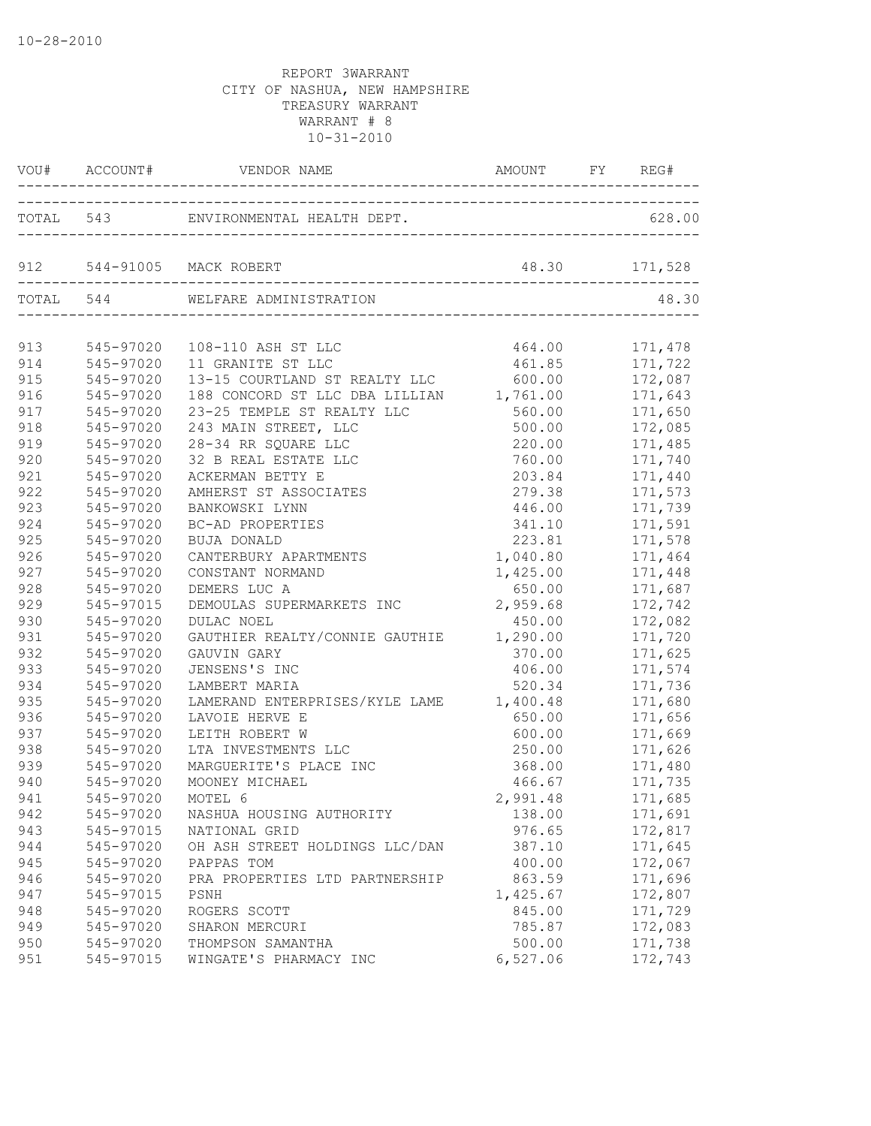|            |                        | VOU# ACCOUNT# VENDOR NAME AMOUNT FY REG#        |                              |                    |
|------------|------------------------|-------------------------------------------------|------------------------------|--------------------|
|            |                        |                                                 |                              |                    |
|            |                        | 912 544-91005 MACK ROBERT                       | 48.30 171,528                |                    |
|            |                        | TOTAL 544 WELFARE ADMINISTRATION                |                              | 48.30              |
|            | 913 545-97020          | 108-110 ASH ST LLC                              | 464.00 171,478               |                    |
|            | 545-97020              | 11 GRANITE ST LLC                               | 461.85                       | 171,722            |
| 914<br>915 | 545-97020              | 13-15 COURTLAND ST REALTY LLC                   | 600.00 172,087               |                    |
|            | 545-97020              | 188 CONCORD ST LLC DBA LILLIAN 1,761.00 171,643 |                              |                    |
| 916        |                        |                                                 |                              |                    |
| 917        | 545-97020<br>545-97020 | 23-25 TEMPLE ST REALTY LLC                      | 560.00 171,650               |                    |
| 918        |                        | 243 MAIN STREET, LLC                            | 220.00                       | 500.00 172,085     |
| 919        | 545-97020              | 28-34 RR SQUARE LLC<br>32 B REAL ESTATE LLC     |                              | 171,485            |
| 920<br>921 | 545-97020<br>545-97020 | ACKERMAN BETTY E                                | 760.00<br>203.84             | 171,740<br>171,440 |
| 922        |                        |                                                 |                              | 171,573            |
| 923        | 545-97020<br>545-97020 | AMHERST ST ASSOCIATES<br>BANKOWSKI LYNN         | 279.38<br>446.00             | 171,739            |
| 924        | 545-97020              | BC-AD PROPERTIES                                | 341.10                       | 171,591            |
| 925        | 545-97020              | <b>BUJA DONALD</b>                              | 223.81                       | 171,578            |
| 926        | 545-97020              | CANTERBURY APARTMENTS                           |                              |                    |
| 927        | 545-97020              | CONSTANT NORMAND                                | 1,040.80 171,464<br>1,425.00 | 171,448            |
| 928        | 545-97020              | DEMERS LUC A                                    | 650.00                       | 171,687            |
| 929        | 545-97015              | DEMOULAS SUPERMARKETS INC                       | 2,959.68                     | 172,742            |
| 930        | 545-97020              | DULAC NOEL                                      | 450.00                       | 172,082            |
| 931        | 545-97020              | GAUTHIER REALTY/CONNIE GAUTHIE 1,290.00         |                              | 171,720            |
| 932        | 545-97020              | GAUVIN GARY                                     | 370.00                       | 171,625            |
| 933        | 545-97020              | JENSENS'S INC                                   | 406.00                       | 171,574            |
| 934        | 545-97020              | LAMBERT MARIA                                   | 520.34                       | 171,736            |
| 935        | 545-97020              | LAMERAND ENTERPRISES/KYLE LAME 1,400.48 171,680 |                              |                    |
| 936        | 545-97020              | LAVOIE HERVE E                                  |                              | 650.00 171,656     |
| 937        | 545-97020              | LEITH ROBERT W                                  | 600.00                       | 171,669            |
| 938        | 545-97020              | LTA INVESTMENTS LLC                             | 250.00                       | 171,626            |
| 939        | 545-97020              | MARGUERITE'S PLACE INC                          | 368.00                       |                    |
| 940        | 545-97020              | MOONEY MICHAEL                                  | 466.67                       | 171,480<br>171,735 |
| 941        |                        | 545-97020 MOTEL 6                               | 2,991.48                     | 171,685            |
| 942        | 545-97020              | NASHUA HOUSING AUTHORITY                        | 138.00                       | 171,691            |
| 943        | 545-97015              | NATIONAL GRID                                   | 976.65                       | 172,817            |
| 944        | 545-97020              | OH ASH STREET HOLDINGS LLC/DAN                  | 387.10                       | 171,645            |
| 945        | 545-97020              | PAPPAS TOM                                      | 400.00                       | 172,067            |
| 946        | 545-97020              | PRA PROPERTIES LTD PARTNERSHIP                  | 863.59                       | 171,696            |
| 947        | 545-97015              | PSNH                                            | 1,425.67                     | 172,807            |
| 948        | 545-97020              | ROGERS SCOTT                                    | 845.00                       | 171,729            |
| 949        | 545-97020              | SHARON MERCURI                                  | 785.87                       | 172,083            |
| 950        | 545-97020              | THOMPSON SAMANTHA                               | 500.00                       | 171,738            |
| 951        | 545-97015              | WINGATE'S PHARMACY INC                          | 6,527.06                     | 172,743            |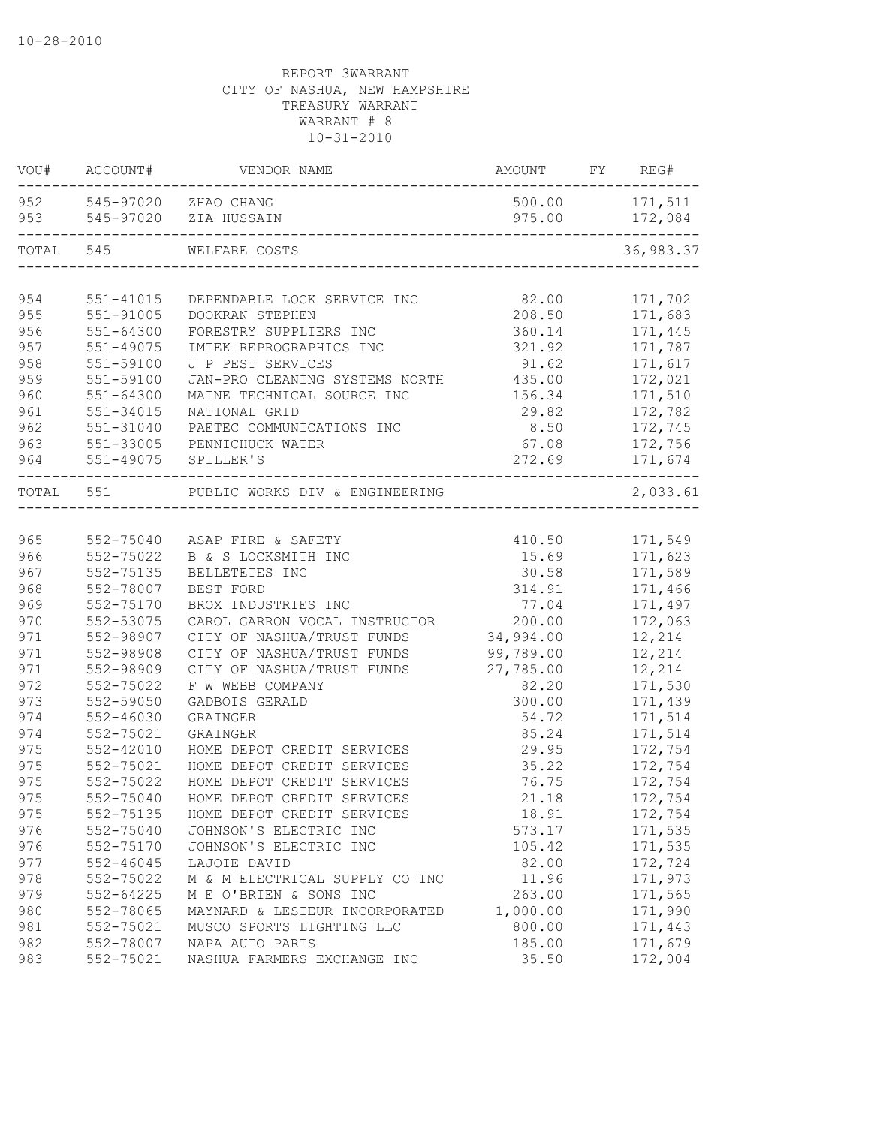| VOU#      | ACCOUNT#      | VENDOR NAME                                        | AMOUNT    | FY | REG#           |
|-----------|---------------|----------------------------------------------------|-----------|----|----------------|
|           |               | 952 545-97020 ZHAO CHANG                           |           |    | 500.00 171,511 |
| 953       |               | 545-97020 ZIA HUSSAIN                              | 975.00    |    | 172,084        |
| TOTAL     | 545           | WELFARE COSTS<br>_________________________________ |           |    | 36,983.37      |
|           |               |                                                    |           |    |                |
| 954       | $551 - 41015$ | DEPENDABLE LOCK SERVICE INC                        | 82.00     |    | 171,702        |
| 955       | 551-91005     | DOOKRAN STEPHEN                                    | 208.50    |    | 171,683        |
| 956       | $551 - 64300$ | FORESTRY SUPPLIERS INC                             | 360.14    |    | 171,445        |
| 957       | $551 - 49075$ | IMTEK REPROGRAPHICS INC                            | 321.92    |    | 171,787        |
| 958       | 551-59100     | J P PEST SERVICES                                  | 91.62     |    | 171,617        |
| 959       | 551-59100     | JAN-PRO CLEANING SYSTEMS NORTH                     | 435.00    |    | 172,021        |
| 960       | $551 - 64300$ | MAINE TECHNICAL SOURCE INC                         | 156.34    |    | 171,510        |
| 961       | 551-34015     | NATIONAL GRID                                      | 29.82     |    | 172,782        |
| 962       | 551-31040     | PAETEC COMMUNICATIONS INC                          | 8.50      |    | 172,745        |
| 963       | 551-33005     | PENNICHUCK WATER                                   | 67.08     |    | 172,756        |
| 964       | 551-49075     | SPILLER'S                                          | 272.69    |    | 171,674        |
| TOTAL 551 |               | PUBLIC WORKS DIV & ENGINEERING                     |           |    | 2,033.61       |
|           |               |                                                    |           |    |                |
| 965       | 552-75040     | ASAP FIRE & SAFETY                                 | 410.50    |    | 171,549        |
| 966       | 552-75022     | B & S LOCKSMITH INC                                | 15.69     |    | 171,623        |
| 967       | 552-75135     | BELLETETES INC                                     | 30.58     |    | 171,589        |
| 968       | 552-78007     | BEST FORD                                          | 314.91    |    | 171,466        |
| 969       | 552-75170     | BROX INDUSTRIES INC                                | 77.04     |    | 171,497        |
| 970       | 552-53075     | CAROL GARRON VOCAL INSTRUCTOR                      | 200.00    |    | 172,063        |
| 971       | 552-98907     | CITY OF NASHUA/TRUST FUNDS                         | 34,994.00 |    | 12,214         |
| 971       | 552-98908     | CITY OF NASHUA/TRUST FUNDS                         | 99,789.00 |    | 12,214         |
| 971       | 552-98909     | CITY OF NASHUA/TRUST FUNDS                         | 27,785.00 |    | 12,214         |
| 972       | 552-75022     | F W WEBB COMPANY                                   | 82.20     |    | 171,530        |
| 973       | 552-59050     | GADBOIS GERALD                                     | 300.00    |    | 171,439        |
| 974       | 552-46030     | GRAINGER                                           | 54.72     |    | 171,514        |
| 974       | 552-75021     | <b>GRAINGER</b>                                    | 85.24     |    | 171,514        |
| 975       | $552 - 42010$ | HOME DEPOT CREDIT SERVICES                         | 29.95     |    | 172,754        |
| 975       | 552-75021     | HOME DEPOT CREDIT SERVICES                         | 35.22     |    | 172,754        |
| 975       | 552-75022     | HOME DEPOT CREDIT SERVICES                         | 76.75     |    | 172,754        |
| 975       | 552-75040     | HOME DEPOT CREDIT SERVICES                         | 21.18     |    | 172,754        |
| 975       | 552-75135     | HOME DEPOT CREDIT SERVICES                         | 18.91     |    | 172,754        |
| 976       | 552-75040     | JOHNSON'S ELECTRIC INC                             | 573.17    |    | 171,535        |
| 976       | 552-75170     | JOHNSON'S ELECTRIC INC                             | 105.42    |    | 171,535        |
| 977       | $552 - 46045$ | LAJOIE DAVID                                       | 82.00     |    | 172,724        |
| 978       | 552-75022     | M & M ELECTRICAL SUPPLY CO INC                     | 11.96     |    | 171,973        |
| 979       | 552-64225     | M E O'BRIEN & SONS INC                             | 263.00    |    | 171,565        |
| 980       | 552-78065     | MAYNARD & LESIEUR INCORPORATED                     | 1,000.00  |    | 171,990        |
| 981       | 552-75021     | MUSCO SPORTS LIGHTING LLC                          | 800.00    |    | 171,443        |
| 982       | 552-78007     | NAPA AUTO PARTS                                    | 185.00    |    | 171,679        |
| 983       | 552-75021     | NASHUA FARMERS EXCHANGE INC                        | 35.50     |    | 172,004        |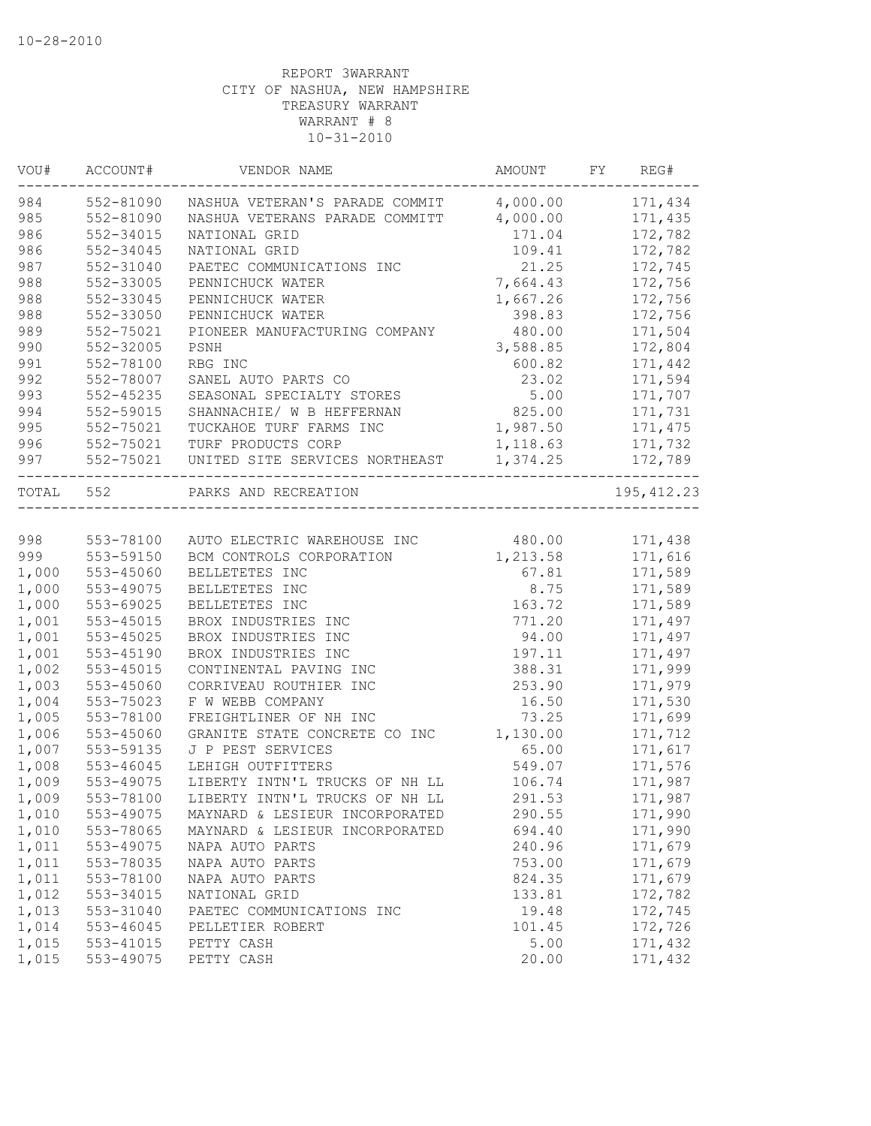| VOU#      | ACCOUNT#      | VENDOR NAME                    | AMOUNT   | FY<br>REG#  |
|-----------|---------------|--------------------------------|----------|-------------|
| 984       | 552-81090     | NASHUA VETERAN'S PARADE COMMIT | 4,000.00 | 171,434     |
| 985       | 552-81090     | NASHUA VETERANS PARADE COMMITT | 4,000.00 | 171,435     |
| 986       | 552-34015     | NATIONAL GRID                  | 171.04   | 172,782     |
| 986       | 552-34045     | NATIONAL GRID                  | 109.41   | 172,782     |
| 987       | 552-31040     | PAETEC COMMUNICATIONS INC      | 21.25    | 172,745     |
| 988       | 552-33005     | PENNICHUCK WATER               | 7,664.43 | 172,756     |
| 988       | 552-33045     | PENNICHUCK WATER               | 1,667.26 | 172,756     |
| 988       | 552-33050     | PENNICHUCK WATER               | 398.83   | 172,756     |
| 989       | 552-75021     | PIONEER MANUFACTURING COMPANY  | 480.00   | 171,504     |
| 990       | 552-32005     | PSNH                           | 3,588.85 | 172,804     |
| 991       | 552-78100     | RBG INC                        | 600.82   | 171,442     |
| 992       | 552-78007     | SANEL AUTO PARTS CO            | 23.02    | 171,594     |
| 993       | 552-45235     | SEASONAL SPECIALTY STORES      | 5.00     | 171,707     |
| 994       | 552-59015     | SHANNACHIE/ W B HEFFERNAN      | 825.00   | 171,731     |
| 995       | 552-75021     | TUCKAHOE TURF FARMS INC        | 1,987.50 | 171,475     |
| 996       | 552-75021     | TURF PRODUCTS CORP             | 1,118.63 | 171,732     |
| 997       | 552-75021     | UNITED SITE SERVICES NORTHEAST | 1,374.25 | 172,789     |
| TOTAL 552 |               | PARKS AND RECREATION           |          | 195, 412.23 |
|           |               |                                |          |             |
| 998       | 553-78100     | AUTO ELECTRIC WAREHOUSE INC    | 480.00   | 171,438     |
| 999       | 553-59150     | BCM CONTROLS CORPORATION       | 1,213.58 | 171,616     |
| 1,000     | 553-45060     | BELLETETES INC                 | 67.81    | 171,589     |
| 1,000     | 553-49075     | BELLETETES INC                 | 8.75     | 171,589     |
| 1,000     | 553-69025     | BELLETETES INC                 | 163.72   | 171,589     |
| 1,001     | 553-45015     | BROX INDUSTRIES INC            | 771.20   | 171,497     |
| 1,001     | 553-45025     | BROX INDUSTRIES INC            | 94.00    | 171,497     |
| 1,001     | 553-45190     | BROX INDUSTRIES INC            | 197.11   | 171,497     |
| 1,002     | $553 - 45015$ | CONTINENTAL PAVING INC         | 388.31   | 171,999     |
| 1,003     | 553-45060     | CORRIVEAU ROUTHIER INC         | 253.90   | 171,979     |
| 1,004     | 553-75023     | F W WEBB COMPANY               | 16.50    | 171,530     |
| 1,005     | 553-78100     | FREIGHTLINER OF NH INC         | 73.25    | 171,699     |
| 1,006     | 553-45060     | GRANITE STATE CONCRETE CO INC  | 1,130.00 | 171,712     |
| 1,007     | 553-59135     | J P PEST SERVICES              | 65.00    | 171,617     |
| 1,008     | 553-46045     | LEHIGH OUTFITTERS              | 549.07   | 171,576     |
| 1,009     | 553-49075     | LIBERTY INTN'L TRUCKS OF NH LL | 106.74   | 171,987     |
| 1,009     | 553-78100     | LIBERTY INTN'L TRUCKS OF NH LL | 291.53   | 171,987     |
| 1,010     | 553-49075     | MAYNARD & LESIEUR INCORPORATED | 290.55   | 171,990     |
| 1,010     | 553-78065     | MAYNARD & LESIEUR INCORPORATED | 694.40   | 171,990     |
| 1,011     | 553-49075     | NAPA AUTO PARTS                | 240.96   | 171,679     |
| 1,011     | 553-78035     | NAPA AUTO PARTS                | 753.00   | 171,679     |
| 1,011     | 553-78100     | NAPA AUTO PARTS                | 824.35   | 171,679     |
| 1,012     | 553-34015     | NATIONAL GRID                  | 133.81   | 172,782     |
| 1,013     | 553-31040     | PAETEC COMMUNICATIONS INC      | 19.48    | 172,745     |
| 1,014     | 553-46045     | PELLETIER ROBERT               | 101.45   | 172,726     |
| 1,015     | 553-41015     | PETTY CASH                     | 5.00     | 171,432     |
| 1,015     | 553-49075     | PETTY CASH                     | 20.00    | 171,432     |
|           |               |                                |          |             |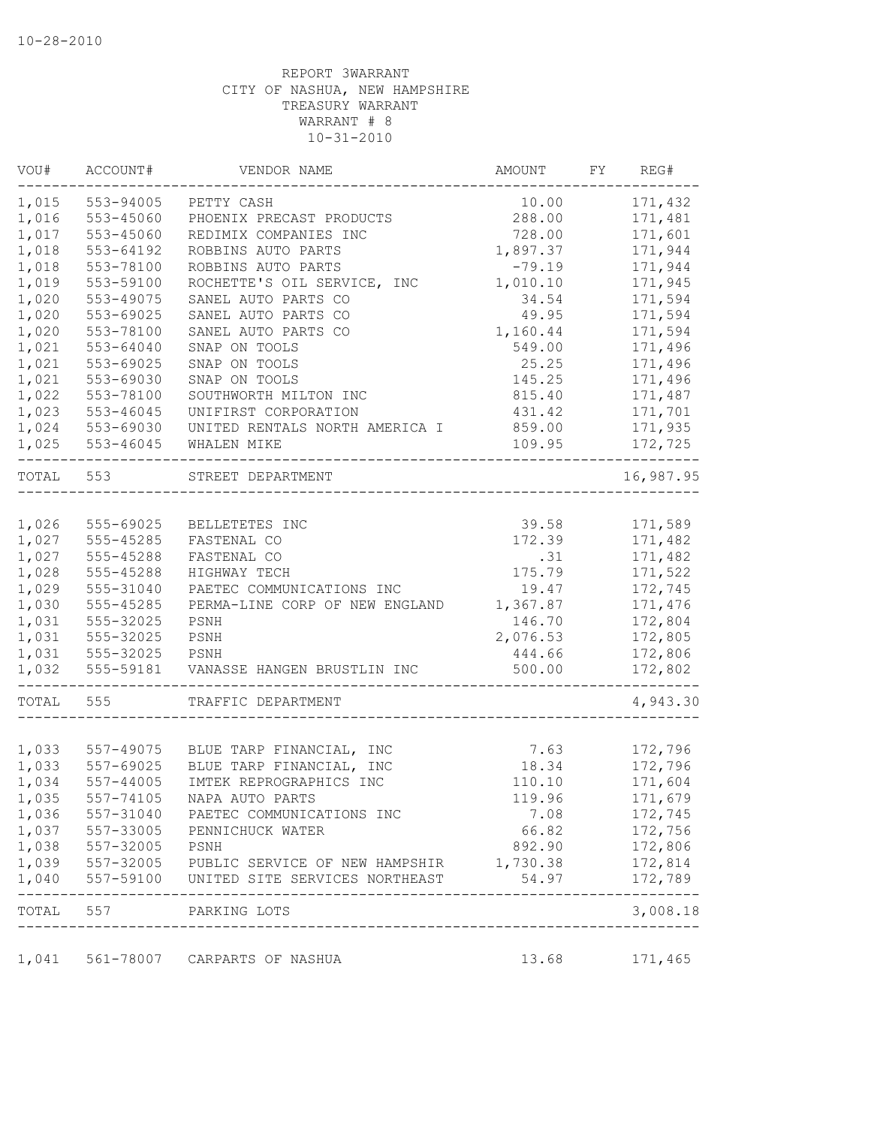| VOU#      | ACCOUNT#  | VENDOR NAME                                                | AMOUNT   | REG#<br>FY               |
|-----------|-----------|------------------------------------------------------------|----------|--------------------------|
| 1,015     | 553-94005 | PETTY CASH                                                 | 10.00    | 171,432                  |
| 1,016     | 553-45060 | PHOENIX PRECAST PRODUCTS                                   | 288.00   | 171,481                  |
| 1,017     | 553-45060 | REDIMIX COMPANIES INC                                      | 728.00   | 171,601                  |
| 1,018     | 553-64192 | ROBBINS AUTO PARTS                                         | 1,897.37 | 171,944                  |
| 1,018     | 553-78100 | ROBBINS AUTO PARTS                                         | $-79.19$ | 171,944                  |
| 1,019     | 553-59100 | ROCHETTE'S OIL SERVICE, INC                                | 1,010.10 | 171,945                  |
| 1,020     | 553-49075 | SANEL AUTO PARTS CO                                        | 34.54    | 171,594                  |
| 1,020     | 553-69025 | SANEL AUTO PARTS CO                                        | 49.95    | 171,594                  |
| 1,020     | 553-78100 | SANEL AUTO PARTS CO                                        | 1,160.44 | 171,594                  |
| 1,021     | 553-64040 | SNAP ON TOOLS                                              | 549.00   | 171,496                  |
| 1,021     | 553-69025 | SNAP ON TOOLS                                              | 25.25    | 171,496                  |
| 1,021     | 553-69030 | SNAP ON TOOLS                                              | 145.25   | 171,496                  |
| 1,022     | 553-78100 | SOUTHWORTH MILTON INC                                      | 815.40   | 171,487                  |
| 1,023     | 553-46045 | UNIFIRST CORPORATION                                       | 431.42   | 171,701                  |
| 1,024     | 553-69030 | UNITED RENTALS NORTH AMERICA I                             | 859.00   | 171,935                  |
| 1,025     | 553-46045 | WHALEN MIKE                                                | 109.95   | 172,725                  |
| TOTAL 553 |           | STREET DEPARTMENT                                          |          | 16,987.95                |
|           |           |                                                            |          |                          |
| 1,026     | 555-69025 | BELLETETES INC                                             | 39.58    | 171,589                  |
| 1,027     | 555-45285 | FASTENAL CO                                                | 172.39   | 171,482                  |
| 1,027     | 555-45288 | FASTENAL CO                                                | .31      | 171,482                  |
| 1,028     | 555-45288 | HIGHWAY TECH                                               | 175.79   | 171,522                  |
| 1,029     | 555-31040 | PAETEC COMMUNICATIONS INC                                  | 19.47    | 172,745                  |
| 1,030     | 555-45285 | PERMA-LINE CORP OF NEW ENGLAND                             | 1,367.87 | 171,476                  |
| 1,031     | 555-32025 | PSNH                                                       | 146.70   | 172,804                  |
| 1,031     | 555-32025 | PSNH                                                       | 2,076.53 | 172,805                  |
| 1,031     | 555-32025 | PSNH                                                       | 444.66   | 172,806                  |
| 1,032     | 555-59181 | VANASSE HANGEN BRUSTLIN INC                                | 500.00   | 172,802                  |
| TOTAL     | 555       | TRAFFIC DEPARTMENT                                         |          | 4,943.30                 |
| 1,033     |           | 557-49075 BLUE TARP FINANCIAL, INC                         | 7.63     | 172,796                  |
| 1,033     | 557-69025 | BLUE TARP FINANCIAL, INC                                   | 18.34    | 172,796                  |
| 1,034     | 557-44005 | IMTEK REPROGRAPHICS INC                                    | 110.10   | 171,604                  |
| 1,035     | 557-74105 | NAPA AUTO PARTS                                            | 119.96   | 171,679                  |
| 1,036     |           | 557-31040 PAETEC COMMUNICATIONS INC                        | 7.08     | 172,745                  |
|           |           | 1,037 557-33005 PENNICHUCK WATER                           | 66.82    | 172,756                  |
| 1,038     | 557-32005 | PSNH                                                       | 892.90   | 172,806                  |
|           |           | 1,039  557-32005  PUBLIC SERVICE OF NEW HAMPSHIR  1,730.38 |          | 172,814                  |
| 1,040     |           | 557-59100 UNITED SITE SERVICES NORTHEAST                   | 54.97    | 172,789                  |
|           |           | TOTAL 557 PARKING LOTS                                     |          | ____________<br>3,008.18 |
|           |           |                                                            |          |                          |
| 1,041     |           | 561-78007 CARPARTS OF NASHUA                               |          | 13.68 171,465            |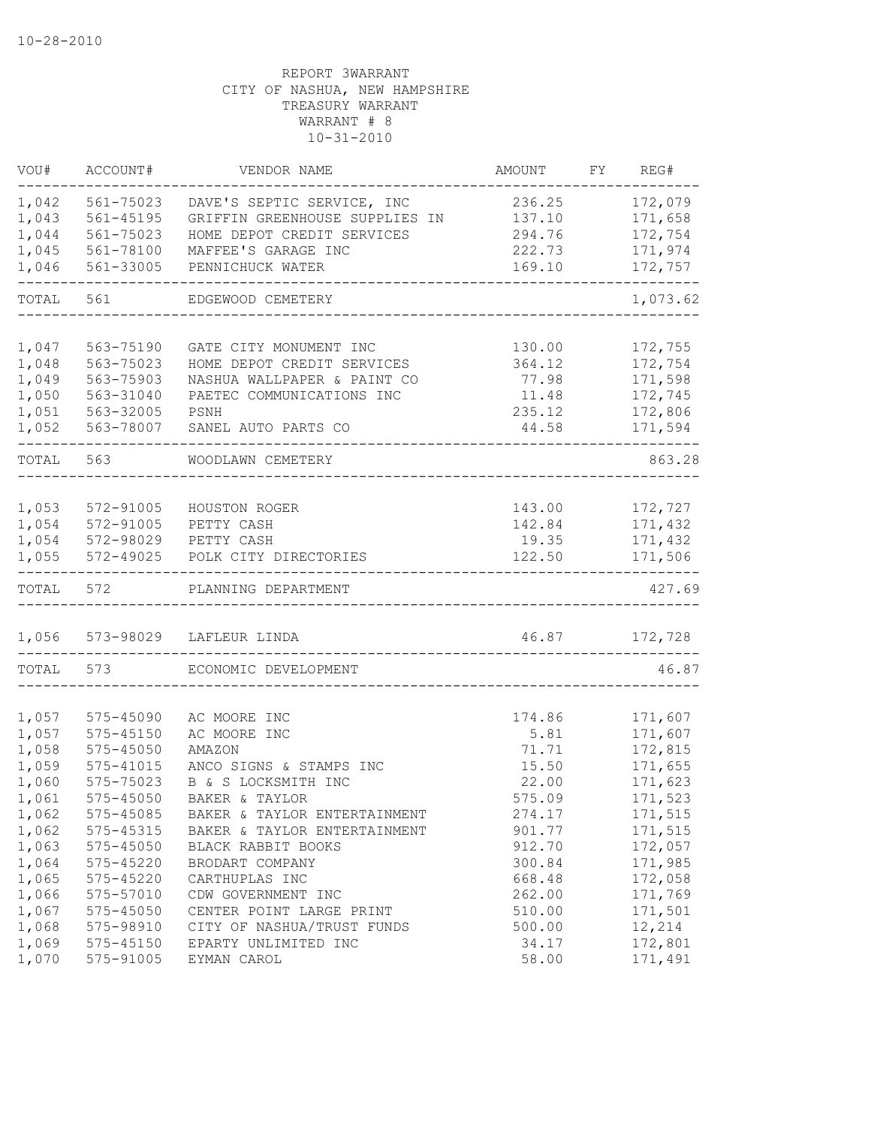| VOU#  | ACCOUNT#      | VENDOR NAME                                          | AMOUNT           | FY REG#            |
|-------|---------------|------------------------------------------------------|------------------|--------------------|
| 1,042 | 561-75023     | DAVE'S SEPTIC SERVICE, INC                           | 236.25           | 172,079            |
| 1,043 | 561-45195     | GRIFFIN GREENHOUSE SUPPLIES IN                       | 137.10           | 171,658            |
| 1,044 | 561-75023     | HOME DEPOT CREDIT SERVICES                           | 294.76           | 172,754            |
| 1,045 | 561-78100     | MAFFEE'S GARAGE INC                                  | 222.73           | 171,974            |
| 1,046 | 561-33005     | PENNICHUCK WATER                                     | 169.10           | 172,757            |
| TOTAL | 561           | EDGEWOOD CEMETERY                                    |                  | 1,073.62           |
| 1,047 | 563-75190     |                                                      |                  |                    |
| 1,048 | 563-75023     | GATE CITY MONUMENT INC<br>HOME DEPOT CREDIT SERVICES | 130.00<br>364.12 | 172,755<br>172,754 |
| 1,049 | 563-75903     | NASHUA WALLPAPER & PAINT CO                          | 77.98            | 171,598            |
| 1,050 | 563-31040     | PAETEC COMMUNICATIONS INC                            | 11.48            | 172,745            |
| 1,051 | 563-32005     | PSNH                                                 | 235.12           | 172,806            |
| 1,052 | 563-78007     | SANEL AUTO PARTS CO                                  | 44.58            | 171,594            |
| TOTAL | 563           | WOODLAWN CEMETERY                                    |                  | 863.28             |
|       |               |                                                      |                  |                    |
| 1,053 | 572-91005     | HOUSTON ROGER                                        | 143.00           | 172,727            |
| 1,054 | 572-91005     | PETTY CASH                                           | 142.84           | 171,432            |
| 1,054 | 572-98029     | PETTY CASH                                           | 19.35            | 171,432            |
| 1,055 | 572-49025     | POLK CITY DIRECTORIES                                | 122.50           | 171,506            |
| TOTAL | 572           | PLANNING DEPARTMENT                                  |                  | 427.69             |
|       |               | 1,056 573-98029 LAFLEUR LINDA                        | 46.87 172,728    |                    |
| TOTAL | 573           | -----------------------<br>ECONOMIC DEVELOPMENT      |                  | 46.87              |
|       |               |                                                      |                  |                    |
| 1,057 | 575-45090     | AC MOORE INC                                         | 174.86           | 171,607            |
| 1,057 | $575 - 45150$ | AC MOORE INC                                         | 5.81             | 171,607            |
| 1,058 | 575-45050     | AMAZON                                               | 71.71            | 172,815            |
| 1,059 | 575-41015     | ANCO SIGNS & STAMPS INC                              | 15.50            | 171,655            |
| 1,060 | 575-75023     | B & S LOCKSMITH INC                                  | 22.00            | 171,623            |
| 1,061 | 575-45050     | BAKER & TAYLOR                                       | 575.09           | 171,523            |
| 1,062 | 575-45085     | BAKER & TAYLOR ENTERTAINMENT                         | 274.17           | 171,515            |
| 1,062 | 575-45315     | BAKER & TAYLOR ENTERTAINMENT                         | 901.77           | 171,515            |
| 1,063 | 575-45050     | BLACK RABBIT BOOKS                                   | 912.70           | 172,057            |
| 1,064 | 575-45220     | BRODART COMPANY                                      | 300.84           | 171,985            |
| 1,065 | 575-45220     | CARTHUPLAS INC                                       | 668.48           | 172,058            |
| 1,066 | 575-57010     | CDW GOVERNMENT INC                                   | 262.00           | 171,769            |
| 1,067 | 575-45050     | CENTER POINT LARGE PRINT                             | 510.00           | 171,501            |
| 1,068 | 575-98910     | CITY OF NASHUA/TRUST FUNDS                           | 500.00           | 12,214             |
| 1,069 | 575-45150     | EPARTY UNLIMITED INC                                 | 34.17            | 172,801            |
| 1,070 | 575-91005     | EYMAN CAROL                                          | 58.00            | 171,491            |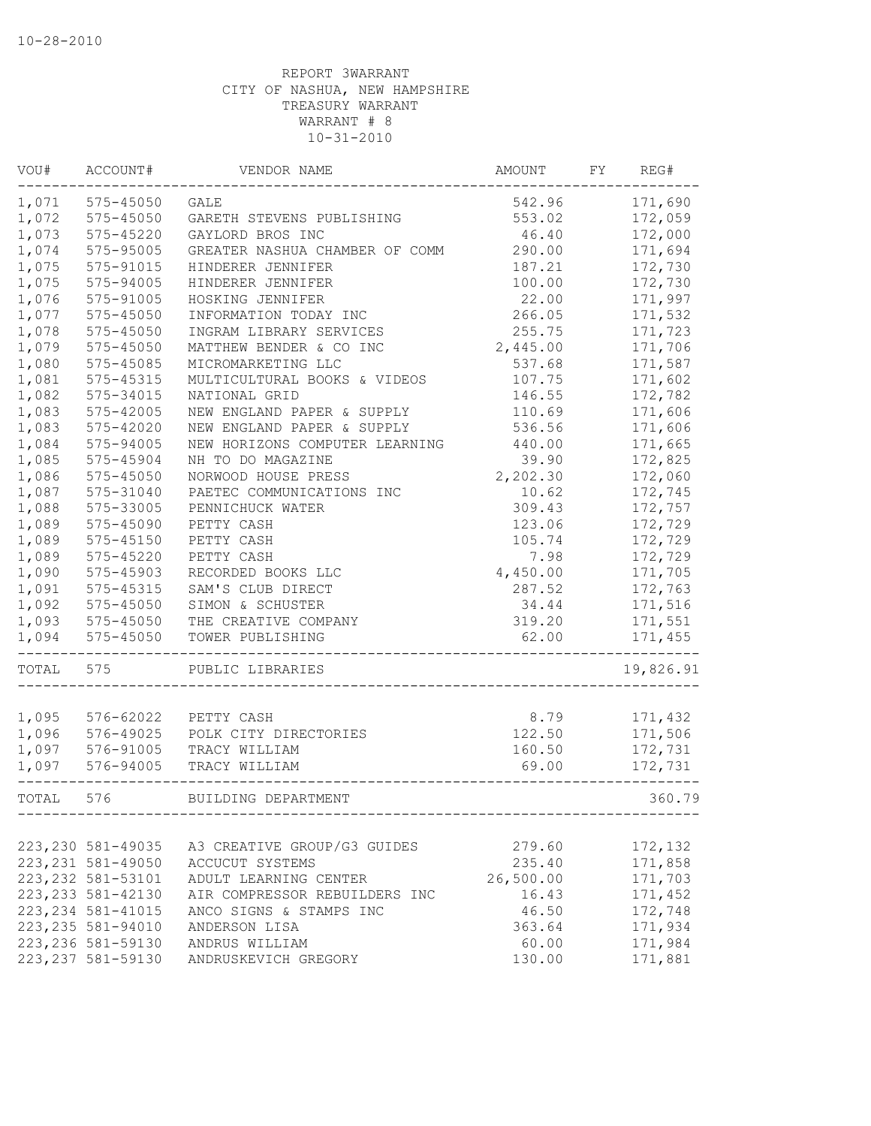| 171,690<br>575-45050<br>GALE<br>542.96<br>553.02<br>172,059<br>$575 - 45050$<br>GARETH STEVENS PUBLISHING<br>172,000<br>575-45220<br>GAYLORD BROS INC<br>46.40<br>575-95005<br>GREATER NASHUA CHAMBER OF COMM<br>290.00<br>171,694<br>575-91015<br>HINDERER JENNIFER<br>187.21<br>172,730<br>575-94005<br>172,730<br>HINDERER JENNIFER<br>100.00<br>171,997<br>575-91005<br>HOSKING JENNIFER<br>22.00<br>171,532<br>$575 - 45050$<br>INFORMATION TODAY INC<br>266.05<br>575-45050<br>INGRAM LIBRARY SERVICES<br>255.75<br>171,723<br>575-45050<br>2,445.00<br>MATTHEW BENDER & CO INC<br>171,706<br>575-45085<br>MICROMARKETING LLC<br>171,587<br>537.68<br>1,081<br>575-45315<br>MULTICULTURAL BOOKS & VIDEOS<br>107.75<br>171,602<br>1,082<br>575-34015<br>146.55<br>172,782<br>NATIONAL GRID<br>1,083<br>575-42005<br>NEW ENGLAND PAPER & SUPPLY<br>110.69<br>171,606<br>1,083<br>575-42020<br>171,606<br>NEW ENGLAND PAPER & SUPPLY<br>536.56<br>1,084<br>NEW HORIZONS COMPUTER LEARNING<br>171,665<br>575-94005<br>440.00<br>1,085<br>172,825<br>575-45904<br>NH TO DO MAGAZINE<br>39.90<br>1,086<br>2,202.30<br>575-45050<br>NORWOOD HOUSE PRESS<br>172,060<br>1,087<br>575-31040<br>PAETEC COMMUNICATIONS INC<br>10.62<br>172,745<br>1,088<br>575-33005<br>PENNICHUCK WATER<br>309.43<br>172,757<br>1,089<br>575-45090<br>PETTY CASH<br>123.06<br>172,729<br>1,089<br>575-45150<br>PETTY CASH<br>105.74<br>172,729<br>1,089<br>575-45220<br>PETTY CASH<br>7.98<br>172,729<br>1,090<br>575-45903<br>4,450.00<br>171,705<br>RECORDED BOOKS LLC<br>1,091<br>287.52<br>172,763<br>575-45315<br>SAM'S CLUB DIRECT<br>1,092<br>171,516<br>575-45050<br>SIMON & SCHUSTER<br>34.44<br>1,093<br>575-45050<br>THE CREATIVE COMPANY<br>319.20<br>171,551<br>$575 - 45050$<br>1,094<br>TOWER PUBLISHING<br>62.00<br>171,455<br>575<br>PUBLIC LIBRARIES<br>171,432<br>1,095<br>576-62022<br>8.79<br>PETTY CASH<br>1,096<br>171,506<br>576-49025<br>122.50<br>POLK CITY DIRECTORIES<br>1,097<br>160.50<br>172,731<br>576-91005<br>TRACY WILLIAM<br>1,097<br>576-94005<br>TRACY WILLIAM<br>69.00<br>172,731<br>576<br>BUILDING DEPARTMENT<br>223, 230 581-49035<br>A3 CREATIVE GROUP/G3 GUIDES<br>279.60<br>172,132<br>171,858<br>223, 231 581-49050<br>235.40<br>ACCUCUT SYSTEMS<br>223, 232 581-53101<br>171,703<br>26,500.00<br>ADULT LEARNING CENTER<br>223, 233 581-42130<br>171,452<br>16.43<br>AIR COMPRESSOR REBUILDERS INC<br>172,748<br>223, 234 581-41015<br>46.50<br>ANCO SIGNS & STAMPS INC<br>223, 235 581-94010<br>171,934<br>ANDERSON LISA<br>363.64<br>223, 236 581-59130<br>171,984<br>60.00<br>ANDRUS WILLIAM<br>223, 237 581-59130<br>171,881<br>130.00<br>ANDRUSKEVICH GREGORY | VOU#  | ACCOUNT# | VENDOR NAME | AMOUNT | FY | REG#      |
|---------------------------------------------------------------------------------------------------------------------------------------------------------------------------------------------------------------------------------------------------------------------------------------------------------------------------------------------------------------------------------------------------------------------------------------------------------------------------------------------------------------------------------------------------------------------------------------------------------------------------------------------------------------------------------------------------------------------------------------------------------------------------------------------------------------------------------------------------------------------------------------------------------------------------------------------------------------------------------------------------------------------------------------------------------------------------------------------------------------------------------------------------------------------------------------------------------------------------------------------------------------------------------------------------------------------------------------------------------------------------------------------------------------------------------------------------------------------------------------------------------------------------------------------------------------------------------------------------------------------------------------------------------------------------------------------------------------------------------------------------------------------------------------------------------------------------------------------------------------------------------------------------------------------------------------------------------------------------------------------------------------------------------------------------------------------------------------------------------------------------------------------------------------------------------------------------------------------------------------------------------------------------------------------------------------------------------------------------------------------------------------------------------------------------------------------------------------------------------------------------------------------------------------------------------------------------------------------------------------------------------------------------------------------------------------------|-------|----------|-------------|--------|----|-----------|
|                                                                                                                                                                                                                                                                                                                                                                                                                                                                                                                                                                                                                                                                                                                                                                                                                                                                                                                                                                                                                                                                                                                                                                                                                                                                                                                                                                                                                                                                                                                                                                                                                                                                                                                                                                                                                                                                                                                                                                                                                                                                                                                                                                                                                                                                                                                                                                                                                                                                                                                                                                                                                                                                                             | 1,071 |          |             |        |    |           |
|                                                                                                                                                                                                                                                                                                                                                                                                                                                                                                                                                                                                                                                                                                                                                                                                                                                                                                                                                                                                                                                                                                                                                                                                                                                                                                                                                                                                                                                                                                                                                                                                                                                                                                                                                                                                                                                                                                                                                                                                                                                                                                                                                                                                                                                                                                                                                                                                                                                                                                                                                                                                                                                                                             | 1,072 |          |             |        |    |           |
|                                                                                                                                                                                                                                                                                                                                                                                                                                                                                                                                                                                                                                                                                                                                                                                                                                                                                                                                                                                                                                                                                                                                                                                                                                                                                                                                                                                                                                                                                                                                                                                                                                                                                                                                                                                                                                                                                                                                                                                                                                                                                                                                                                                                                                                                                                                                                                                                                                                                                                                                                                                                                                                                                             | 1,073 |          |             |        |    |           |
|                                                                                                                                                                                                                                                                                                                                                                                                                                                                                                                                                                                                                                                                                                                                                                                                                                                                                                                                                                                                                                                                                                                                                                                                                                                                                                                                                                                                                                                                                                                                                                                                                                                                                                                                                                                                                                                                                                                                                                                                                                                                                                                                                                                                                                                                                                                                                                                                                                                                                                                                                                                                                                                                                             | 1,074 |          |             |        |    |           |
|                                                                                                                                                                                                                                                                                                                                                                                                                                                                                                                                                                                                                                                                                                                                                                                                                                                                                                                                                                                                                                                                                                                                                                                                                                                                                                                                                                                                                                                                                                                                                                                                                                                                                                                                                                                                                                                                                                                                                                                                                                                                                                                                                                                                                                                                                                                                                                                                                                                                                                                                                                                                                                                                                             | 1,075 |          |             |        |    |           |
|                                                                                                                                                                                                                                                                                                                                                                                                                                                                                                                                                                                                                                                                                                                                                                                                                                                                                                                                                                                                                                                                                                                                                                                                                                                                                                                                                                                                                                                                                                                                                                                                                                                                                                                                                                                                                                                                                                                                                                                                                                                                                                                                                                                                                                                                                                                                                                                                                                                                                                                                                                                                                                                                                             | 1,075 |          |             |        |    |           |
|                                                                                                                                                                                                                                                                                                                                                                                                                                                                                                                                                                                                                                                                                                                                                                                                                                                                                                                                                                                                                                                                                                                                                                                                                                                                                                                                                                                                                                                                                                                                                                                                                                                                                                                                                                                                                                                                                                                                                                                                                                                                                                                                                                                                                                                                                                                                                                                                                                                                                                                                                                                                                                                                                             | 1,076 |          |             |        |    |           |
|                                                                                                                                                                                                                                                                                                                                                                                                                                                                                                                                                                                                                                                                                                                                                                                                                                                                                                                                                                                                                                                                                                                                                                                                                                                                                                                                                                                                                                                                                                                                                                                                                                                                                                                                                                                                                                                                                                                                                                                                                                                                                                                                                                                                                                                                                                                                                                                                                                                                                                                                                                                                                                                                                             | 1,077 |          |             |        |    |           |
|                                                                                                                                                                                                                                                                                                                                                                                                                                                                                                                                                                                                                                                                                                                                                                                                                                                                                                                                                                                                                                                                                                                                                                                                                                                                                                                                                                                                                                                                                                                                                                                                                                                                                                                                                                                                                                                                                                                                                                                                                                                                                                                                                                                                                                                                                                                                                                                                                                                                                                                                                                                                                                                                                             | 1,078 |          |             |        |    |           |
|                                                                                                                                                                                                                                                                                                                                                                                                                                                                                                                                                                                                                                                                                                                                                                                                                                                                                                                                                                                                                                                                                                                                                                                                                                                                                                                                                                                                                                                                                                                                                                                                                                                                                                                                                                                                                                                                                                                                                                                                                                                                                                                                                                                                                                                                                                                                                                                                                                                                                                                                                                                                                                                                                             | 1,079 |          |             |        |    |           |
|                                                                                                                                                                                                                                                                                                                                                                                                                                                                                                                                                                                                                                                                                                                                                                                                                                                                                                                                                                                                                                                                                                                                                                                                                                                                                                                                                                                                                                                                                                                                                                                                                                                                                                                                                                                                                                                                                                                                                                                                                                                                                                                                                                                                                                                                                                                                                                                                                                                                                                                                                                                                                                                                                             | 1,080 |          |             |        |    |           |
|                                                                                                                                                                                                                                                                                                                                                                                                                                                                                                                                                                                                                                                                                                                                                                                                                                                                                                                                                                                                                                                                                                                                                                                                                                                                                                                                                                                                                                                                                                                                                                                                                                                                                                                                                                                                                                                                                                                                                                                                                                                                                                                                                                                                                                                                                                                                                                                                                                                                                                                                                                                                                                                                                             |       |          |             |        |    |           |
|                                                                                                                                                                                                                                                                                                                                                                                                                                                                                                                                                                                                                                                                                                                                                                                                                                                                                                                                                                                                                                                                                                                                                                                                                                                                                                                                                                                                                                                                                                                                                                                                                                                                                                                                                                                                                                                                                                                                                                                                                                                                                                                                                                                                                                                                                                                                                                                                                                                                                                                                                                                                                                                                                             |       |          |             |        |    |           |
|                                                                                                                                                                                                                                                                                                                                                                                                                                                                                                                                                                                                                                                                                                                                                                                                                                                                                                                                                                                                                                                                                                                                                                                                                                                                                                                                                                                                                                                                                                                                                                                                                                                                                                                                                                                                                                                                                                                                                                                                                                                                                                                                                                                                                                                                                                                                                                                                                                                                                                                                                                                                                                                                                             |       |          |             |        |    |           |
|                                                                                                                                                                                                                                                                                                                                                                                                                                                                                                                                                                                                                                                                                                                                                                                                                                                                                                                                                                                                                                                                                                                                                                                                                                                                                                                                                                                                                                                                                                                                                                                                                                                                                                                                                                                                                                                                                                                                                                                                                                                                                                                                                                                                                                                                                                                                                                                                                                                                                                                                                                                                                                                                                             |       |          |             |        |    |           |
|                                                                                                                                                                                                                                                                                                                                                                                                                                                                                                                                                                                                                                                                                                                                                                                                                                                                                                                                                                                                                                                                                                                                                                                                                                                                                                                                                                                                                                                                                                                                                                                                                                                                                                                                                                                                                                                                                                                                                                                                                                                                                                                                                                                                                                                                                                                                                                                                                                                                                                                                                                                                                                                                                             |       |          |             |        |    |           |
|                                                                                                                                                                                                                                                                                                                                                                                                                                                                                                                                                                                                                                                                                                                                                                                                                                                                                                                                                                                                                                                                                                                                                                                                                                                                                                                                                                                                                                                                                                                                                                                                                                                                                                                                                                                                                                                                                                                                                                                                                                                                                                                                                                                                                                                                                                                                                                                                                                                                                                                                                                                                                                                                                             |       |          |             |        |    |           |
|                                                                                                                                                                                                                                                                                                                                                                                                                                                                                                                                                                                                                                                                                                                                                                                                                                                                                                                                                                                                                                                                                                                                                                                                                                                                                                                                                                                                                                                                                                                                                                                                                                                                                                                                                                                                                                                                                                                                                                                                                                                                                                                                                                                                                                                                                                                                                                                                                                                                                                                                                                                                                                                                                             |       |          |             |        |    |           |
|                                                                                                                                                                                                                                                                                                                                                                                                                                                                                                                                                                                                                                                                                                                                                                                                                                                                                                                                                                                                                                                                                                                                                                                                                                                                                                                                                                                                                                                                                                                                                                                                                                                                                                                                                                                                                                                                                                                                                                                                                                                                                                                                                                                                                                                                                                                                                                                                                                                                                                                                                                                                                                                                                             |       |          |             |        |    |           |
|                                                                                                                                                                                                                                                                                                                                                                                                                                                                                                                                                                                                                                                                                                                                                                                                                                                                                                                                                                                                                                                                                                                                                                                                                                                                                                                                                                                                                                                                                                                                                                                                                                                                                                                                                                                                                                                                                                                                                                                                                                                                                                                                                                                                                                                                                                                                                                                                                                                                                                                                                                                                                                                                                             |       |          |             |        |    |           |
|                                                                                                                                                                                                                                                                                                                                                                                                                                                                                                                                                                                                                                                                                                                                                                                                                                                                                                                                                                                                                                                                                                                                                                                                                                                                                                                                                                                                                                                                                                                                                                                                                                                                                                                                                                                                                                                                                                                                                                                                                                                                                                                                                                                                                                                                                                                                                                                                                                                                                                                                                                                                                                                                                             |       |          |             |        |    |           |
|                                                                                                                                                                                                                                                                                                                                                                                                                                                                                                                                                                                                                                                                                                                                                                                                                                                                                                                                                                                                                                                                                                                                                                                                                                                                                                                                                                                                                                                                                                                                                                                                                                                                                                                                                                                                                                                                                                                                                                                                                                                                                                                                                                                                                                                                                                                                                                                                                                                                                                                                                                                                                                                                                             |       |          |             |        |    |           |
|                                                                                                                                                                                                                                                                                                                                                                                                                                                                                                                                                                                                                                                                                                                                                                                                                                                                                                                                                                                                                                                                                                                                                                                                                                                                                                                                                                                                                                                                                                                                                                                                                                                                                                                                                                                                                                                                                                                                                                                                                                                                                                                                                                                                                                                                                                                                                                                                                                                                                                                                                                                                                                                                                             |       |          |             |        |    |           |
|                                                                                                                                                                                                                                                                                                                                                                                                                                                                                                                                                                                                                                                                                                                                                                                                                                                                                                                                                                                                                                                                                                                                                                                                                                                                                                                                                                                                                                                                                                                                                                                                                                                                                                                                                                                                                                                                                                                                                                                                                                                                                                                                                                                                                                                                                                                                                                                                                                                                                                                                                                                                                                                                                             |       |          |             |        |    |           |
|                                                                                                                                                                                                                                                                                                                                                                                                                                                                                                                                                                                                                                                                                                                                                                                                                                                                                                                                                                                                                                                                                                                                                                                                                                                                                                                                                                                                                                                                                                                                                                                                                                                                                                                                                                                                                                                                                                                                                                                                                                                                                                                                                                                                                                                                                                                                                                                                                                                                                                                                                                                                                                                                                             |       |          |             |        |    |           |
|                                                                                                                                                                                                                                                                                                                                                                                                                                                                                                                                                                                                                                                                                                                                                                                                                                                                                                                                                                                                                                                                                                                                                                                                                                                                                                                                                                                                                                                                                                                                                                                                                                                                                                                                                                                                                                                                                                                                                                                                                                                                                                                                                                                                                                                                                                                                                                                                                                                                                                                                                                                                                                                                                             |       |          |             |        |    |           |
|                                                                                                                                                                                                                                                                                                                                                                                                                                                                                                                                                                                                                                                                                                                                                                                                                                                                                                                                                                                                                                                                                                                                                                                                                                                                                                                                                                                                                                                                                                                                                                                                                                                                                                                                                                                                                                                                                                                                                                                                                                                                                                                                                                                                                                                                                                                                                                                                                                                                                                                                                                                                                                                                                             |       |          |             |        |    |           |
|                                                                                                                                                                                                                                                                                                                                                                                                                                                                                                                                                                                                                                                                                                                                                                                                                                                                                                                                                                                                                                                                                                                                                                                                                                                                                                                                                                                                                                                                                                                                                                                                                                                                                                                                                                                                                                                                                                                                                                                                                                                                                                                                                                                                                                                                                                                                                                                                                                                                                                                                                                                                                                                                                             |       |          |             |        |    |           |
|                                                                                                                                                                                                                                                                                                                                                                                                                                                                                                                                                                                                                                                                                                                                                                                                                                                                                                                                                                                                                                                                                                                                                                                                                                                                                                                                                                                                                                                                                                                                                                                                                                                                                                                                                                                                                                                                                                                                                                                                                                                                                                                                                                                                                                                                                                                                                                                                                                                                                                                                                                                                                                                                                             |       |          |             |        |    |           |
|                                                                                                                                                                                                                                                                                                                                                                                                                                                                                                                                                                                                                                                                                                                                                                                                                                                                                                                                                                                                                                                                                                                                                                                                                                                                                                                                                                                                                                                                                                                                                                                                                                                                                                                                                                                                                                                                                                                                                                                                                                                                                                                                                                                                                                                                                                                                                                                                                                                                                                                                                                                                                                                                                             | TOTAL |          |             |        |    | 19,826.91 |
|                                                                                                                                                                                                                                                                                                                                                                                                                                                                                                                                                                                                                                                                                                                                                                                                                                                                                                                                                                                                                                                                                                                                                                                                                                                                                                                                                                                                                                                                                                                                                                                                                                                                                                                                                                                                                                                                                                                                                                                                                                                                                                                                                                                                                                                                                                                                                                                                                                                                                                                                                                                                                                                                                             |       |          |             |        |    |           |
|                                                                                                                                                                                                                                                                                                                                                                                                                                                                                                                                                                                                                                                                                                                                                                                                                                                                                                                                                                                                                                                                                                                                                                                                                                                                                                                                                                                                                                                                                                                                                                                                                                                                                                                                                                                                                                                                                                                                                                                                                                                                                                                                                                                                                                                                                                                                                                                                                                                                                                                                                                                                                                                                                             |       |          |             |        |    |           |
|                                                                                                                                                                                                                                                                                                                                                                                                                                                                                                                                                                                                                                                                                                                                                                                                                                                                                                                                                                                                                                                                                                                                                                                                                                                                                                                                                                                                                                                                                                                                                                                                                                                                                                                                                                                                                                                                                                                                                                                                                                                                                                                                                                                                                                                                                                                                                                                                                                                                                                                                                                                                                                                                                             |       |          |             |        |    |           |
|                                                                                                                                                                                                                                                                                                                                                                                                                                                                                                                                                                                                                                                                                                                                                                                                                                                                                                                                                                                                                                                                                                                                                                                                                                                                                                                                                                                                                                                                                                                                                                                                                                                                                                                                                                                                                                                                                                                                                                                                                                                                                                                                                                                                                                                                                                                                                                                                                                                                                                                                                                                                                                                                                             |       |          |             |        |    |           |
|                                                                                                                                                                                                                                                                                                                                                                                                                                                                                                                                                                                                                                                                                                                                                                                                                                                                                                                                                                                                                                                                                                                                                                                                                                                                                                                                                                                                                                                                                                                                                                                                                                                                                                                                                                                                                                                                                                                                                                                                                                                                                                                                                                                                                                                                                                                                                                                                                                                                                                                                                                                                                                                                                             |       |          |             |        |    |           |
|                                                                                                                                                                                                                                                                                                                                                                                                                                                                                                                                                                                                                                                                                                                                                                                                                                                                                                                                                                                                                                                                                                                                                                                                                                                                                                                                                                                                                                                                                                                                                                                                                                                                                                                                                                                                                                                                                                                                                                                                                                                                                                                                                                                                                                                                                                                                                                                                                                                                                                                                                                                                                                                                                             | TOTAL |          |             |        |    | 360.79    |
|                                                                                                                                                                                                                                                                                                                                                                                                                                                                                                                                                                                                                                                                                                                                                                                                                                                                                                                                                                                                                                                                                                                                                                                                                                                                                                                                                                                                                                                                                                                                                                                                                                                                                                                                                                                                                                                                                                                                                                                                                                                                                                                                                                                                                                                                                                                                                                                                                                                                                                                                                                                                                                                                                             |       |          |             |        |    |           |
|                                                                                                                                                                                                                                                                                                                                                                                                                                                                                                                                                                                                                                                                                                                                                                                                                                                                                                                                                                                                                                                                                                                                                                                                                                                                                                                                                                                                                                                                                                                                                                                                                                                                                                                                                                                                                                                                                                                                                                                                                                                                                                                                                                                                                                                                                                                                                                                                                                                                                                                                                                                                                                                                                             |       |          |             |        |    |           |
|                                                                                                                                                                                                                                                                                                                                                                                                                                                                                                                                                                                                                                                                                                                                                                                                                                                                                                                                                                                                                                                                                                                                                                                                                                                                                                                                                                                                                                                                                                                                                                                                                                                                                                                                                                                                                                                                                                                                                                                                                                                                                                                                                                                                                                                                                                                                                                                                                                                                                                                                                                                                                                                                                             |       |          |             |        |    |           |
|                                                                                                                                                                                                                                                                                                                                                                                                                                                                                                                                                                                                                                                                                                                                                                                                                                                                                                                                                                                                                                                                                                                                                                                                                                                                                                                                                                                                                                                                                                                                                                                                                                                                                                                                                                                                                                                                                                                                                                                                                                                                                                                                                                                                                                                                                                                                                                                                                                                                                                                                                                                                                                                                                             |       |          |             |        |    |           |
|                                                                                                                                                                                                                                                                                                                                                                                                                                                                                                                                                                                                                                                                                                                                                                                                                                                                                                                                                                                                                                                                                                                                                                                                                                                                                                                                                                                                                                                                                                                                                                                                                                                                                                                                                                                                                                                                                                                                                                                                                                                                                                                                                                                                                                                                                                                                                                                                                                                                                                                                                                                                                                                                                             |       |          |             |        |    |           |
|                                                                                                                                                                                                                                                                                                                                                                                                                                                                                                                                                                                                                                                                                                                                                                                                                                                                                                                                                                                                                                                                                                                                                                                                                                                                                                                                                                                                                                                                                                                                                                                                                                                                                                                                                                                                                                                                                                                                                                                                                                                                                                                                                                                                                                                                                                                                                                                                                                                                                                                                                                                                                                                                                             |       |          |             |        |    |           |
|                                                                                                                                                                                                                                                                                                                                                                                                                                                                                                                                                                                                                                                                                                                                                                                                                                                                                                                                                                                                                                                                                                                                                                                                                                                                                                                                                                                                                                                                                                                                                                                                                                                                                                                                                                                                                                                                                                                                                                                                                                                                                                                                                                                                                                                                                                                                                                                                                                                                                                                                                                                                                                                                                             |       |          |             |        |    |           |
|                                                                                                                                                                                                                                                                                                                                                                                                                                                                                                                                                                                                                                                                                                                                                                                                                                                                                                                                                                                                                                                                                                                                                                                                                                                                                                                                                                                                                                                                                                                                                                                                                                                                                                                                                                                                                                                                                                                                                                                                                                                                                                                                                                                                                                                                                                                                                                                                                                                                                                                                                                                                                                                                                             |       |          |             |        |    |           |
|                                                                                                                                                                                                                                                                                                                                                                                                                                                                                                                                                                                                                                                                                                                                                                                                                                                                                                                                                                                                                                                                                                                                                                                                                                                                                                                                                                                                                                                                                                                                                                                                                                                                                                                                                                                                                                                                                                                                                                                                                                                                                                                                                                                                                                                                                                                                                                                                                                                                                                                                                                                                                                                                                             |       |          |             |        |    |           |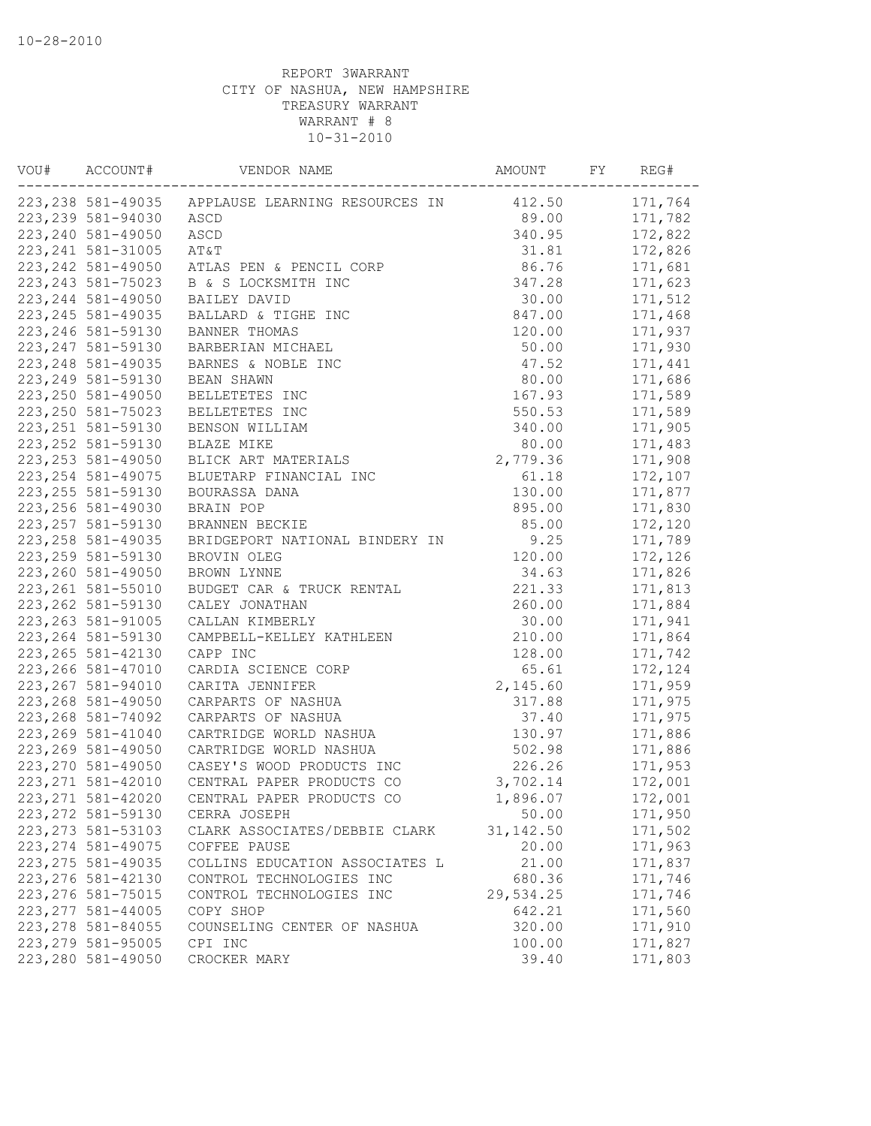| VOU# | ACCOUNT#           | VENDOR NAME                    | AMOUNT     | FY | REG#    |
|------|--------------------|--------------------------------|------------|----|---------|
|      | 223,238 581-49035  | APPLAUSE LEARNING RESOURCES IN | 412.50     |    | 171,764 |
|      | 223, 239 581-94030 | ASCD                           | 89.00      |    | 171,782 |
|      | 223, 240 581-49050 | ASCD                           | 340.95     |    | 172,822 |
|      | 223, 241 581-31005 | AT&T                           | 31.81      |    | 172,826 |
|      | 223, 242 581-49050 | ATLAS PEN & PENCIL CORP        | 86.76      |    | 171,681 |
|      | 223, 243 581-75023 | B & S LOCKSMITH INC            | 347.28     |    | 171,623 |
|      | 223, 244 581-49050 | BAILEY DAVID                   | 30.00      |    | 171,512 |
|      | 223, 245 581-49035 | BALLARD & TIGHE INC            | 847.00     |    | 171,468 |
|      | 223, 246 581-59130 | BANNER THOMAS                  | 120.00     |    | 171,937 |
|      | 223, 247 581-59130 | BARBERIAN MICHAEL              | 50.00      |    | 171,930 |
|      | 223, 248 581-49035 | BARNES & NOBLE INC             | 47.52      |    | 171,441 |
|      | 223, 249 581-59130 | BEAN SHAWN                     | 80.00      |    | 171,686 |
|      | 223, 250 581-49050 | BELLETETES INC                 | 167.93     |    | 171,589 |
|      | 223, 250 581-75023 | BELLETETES INC                 | 550.53     |    | 171,589 |
|      | 223, 251 581-59130 | BENSON WILLIAM                 | 340.00     |    | 171,905 |
|      | 223, 252 581-59130 | BLAZE MIKE                     | 80.00      |    | 171,483 |
|      | 223, 253 581-49050 | BLICK ART MATERIALS            | 2,779.36   |    | 171,908 |
|      | 223, 254 581-49075 | BLUETARP FINANCIAL INC         | 61.18      |    | 172,107 |
|      | 223, 255 581-59130 | BOURASSA DANA                  | 130.00     |    | 171,877 |
|      | 223, 256 581-49030 | BRAIN POP                      | 895.00     |    | 171,830 |
|      | 223, 257 581-59130 | BRANNEN BECKIE                 | 85.00      |    | 172,120 |
|      | 223, 258 581-49035 | BRIDGEPORT NATIONAL BINDERY IN | 9.25       |    | 171,789 |
|      | 223, 259 581-59130 | BROVIN OLEG                    | 120.00     |    | 172,126 |
|      | 223, 260 581-49050 | BROWN LYNNE                    | 34.63      |    | 171,826 |
|      | 223, 261 581-55010 | BUDGET CAR & TRUCK RENTAL      | 221.33     |    | 171,813 |
|      | 223, 262 581-59130 | CALEY JONATHAN                 | 260.00     |    | 171,884 |
|      | 223, 263 581-91005 | CALLAN KIMBERLY                | 30.00      |    | 171,941 |
|      | 223, 264 581-59130 | CAMPBELL-KELLEY KATHLEEN       | 210.00     |    | 171,864 |
|      | 223, 265 581-42130 | CAPP INC                       | 128.00     |    | 171,742 |
|      | 223, 266 581-47010 | CARDIA SCIENCE CORP            | 65.61      |    | 172,124 |
|      | 223, 267 581-94010 | CARITA JENNIFER                | 2,145.60   |    | 171,959 |
|      | 223, 268 581-49050 | CARPARTS OF NASHUA             | 317.88     |    | 171,975 |
|      | 223, 268 581-74092 | CARPARTS OF NASHUA             | 37.40      |    | 171,975 |
|      | 223, 269 581-41040 | CARTRIDGE WORLD NASHUA         | 130.97     |    | 171,886 |
|      | 223, 269 581-49050 | CARTRIDGE WORLD NASHUA         | 502.98     |    | 171,886 |
|      | 223, 270 581-49050 | CASEY'S WOOD PRODUCTS INC      | 226.26     |    | 171,953 |
|      | 223, 271 581-42010 | CENTRAL PAPER PRODUCTS CO      | 3,702.14   |    | 172,001 |
|      | 223, 271 581-42020 | CENTRAL PAPER PRODUCTS CO      | 1,896.07   |    | 172,001 |
|      | 223, 272 581-59130 | CERRA JOSEPH                   | 50.00      |    | 171,950 |
|      | 223, 273 581-53103 | CLARK ASSOCIATES/DEBBIE CLARK  | 31, 142.50 |    | 171,502 |
|      | 223, 274 581-49075 | COFFEE PAUSE                   | 20.00      |    | 171,963 |
|      | 223, 275 581-49035 | COLLINS EDUCATION ASSOCIATES L | 21.00      |    | 171,837 |
|      | 223, 276 581-42130 | CONTROL TECHNOLOGIES INC       | 680.36     |    | 171,746 |
|      | 223, 276 581-75015 | CONTROL TECHNOLOGIES INC       | 29,534.25  |    | 171,746 |
|      | 223, 277 581-44005 | COPY SHOP                      | 642.21     |    | 171,560 |
|      | 223, 278 581-84055 | COUNSELING CENTER OF NASHUA    | 320.00     |    | 171,910 |
|      | 223, 279 581-95005 | CPI INC                        | 100.00     |    | 171,827 |
|      | 223, 280 581-49050 | CROCKER MARY                   | 39.40      |    | 171,803 |
|      |                    |                                |            |    |         |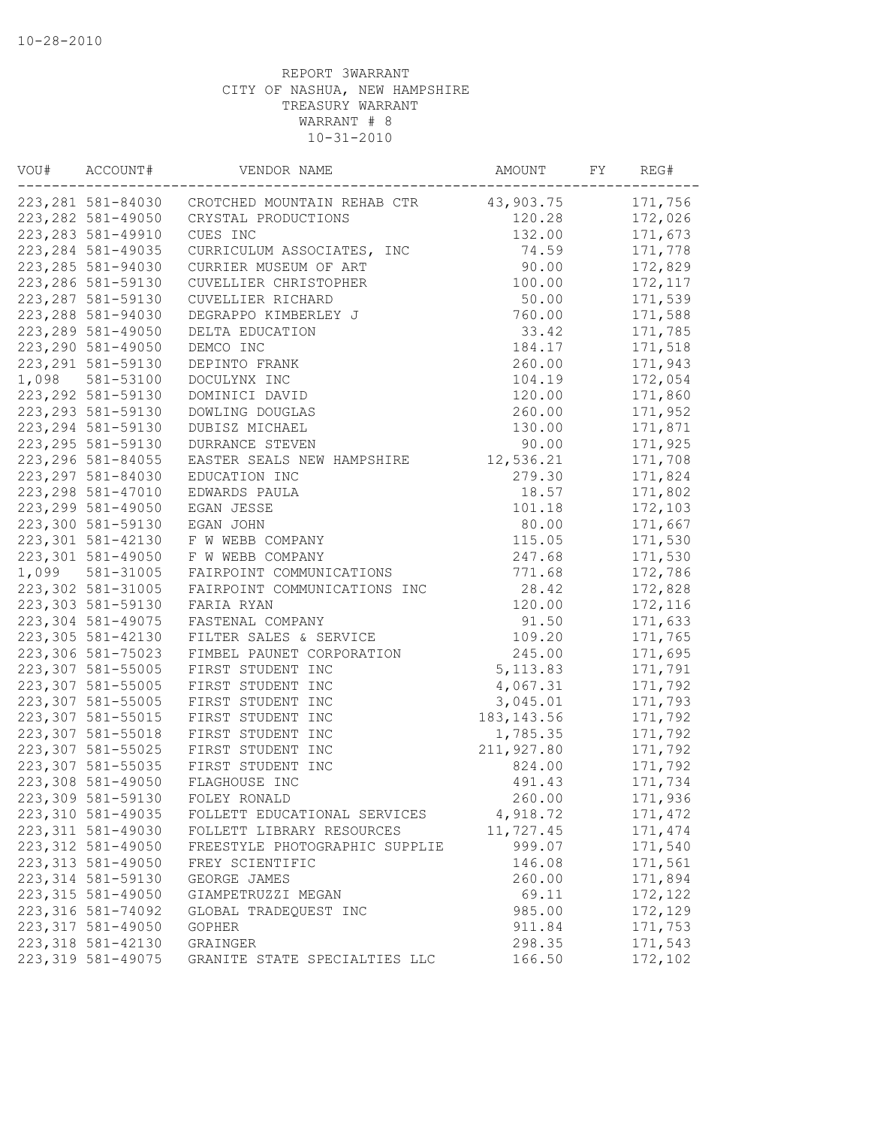| VOU#  | ACCOUNT#           | VENDOR NAME                                    | AMOUNT      | FY | REG#     |
|-------|--------------------|------------------------------------------------|-------------|----|----------|
|       |                    | 223, 281 581-84030 CROTCHED MOUNTAIN REHAB CTR | 43,903.75   |    | 171,756  |
|       | 223, 282 581-49050 | CRYSTAL PRODUCTIONS                            | 120.28      |    | 172,026  |
|       | 223, 283 581-49910 | CUES INC                                       | 132.00      |    | 171,673  |
|       | 223, 284 581-49035 | CURRICULUM ASSOCIATES, INC                     | 74.59       |    | 171,778  |
|       | 223, 285 581-94030 | CURRIER MUSEUM OF ART                          | 90.00       |    | 172,829  |
|       | 223, 286 581-59130 | CUVELLIER CHRISTOPHER                          | 100.00      |    | 172, 117 |
|       | 223, 287 581-59130 | CUVELLIER RICHARD                              | 50.00       |    | 171,539  |
|       | 223, 288 581-94030 | DEGRAPPO KIMBERLEY J                           | 760.00      |    | 171,588  |
|       | 223, 289 581-49050 | DELTA EDUCATION                                | 33.42       |    | 171,785  |
|       | 223, 290 581-49050 | DEMCO INC                                      | 184.17      |    | 171,518  |
|       | 223, 291 581-59130 | DEPINTO FRANK                                  | 260.00      |    | 171,943  |
| 1,098 | 581-53100          | DOCULYNX INC                                   | 104.19      |    | 172,054  |
|       | 223, 292 581-59130 | DOMINICI DAVID                                 | 120.00      |    | 171,860  |
|       | 223, 293 581-59130 | DOWLING DOUGLAS                                | 260.00      |    | 171,952  |
|       | 223, 294 581-59130 | DUBISZ MICHAEL                                 | 130.00      |    | 171,871  |
|       | 223, 295 581-59130 | DURRANCE STEVEN                                | 90.00       |    | 171,925  |
|       | 223, 296 581-84055 | EASTER SEALS NEW HAMPSHIRE                     | 12,536.21   |    | 171,708  |
|       | 223, 297 581-84030 | EDUCATION INC                                  | 279.30      |    | 171,824  |
|       | 223, 298 581-47010 | EDWARDS PAULA                                  | 18.57       |    | 171,802  |
|       | 223, 299 581-49050 | EGAN JESSE                                     | 101.18      |    | 172,103  |
|       | 223,300 581-59130  | EGAN JOHN                                      | 80.00       |    | 171,667  |
|       | 223, 301 581-42130 | F W WEBB COMPANY                               | 115.05      |    | 171,530  |
|       | 223,301 581-49050  | F W WEBB COMPANY                               | 247.68      |    | 171,530  |
|       | 1,099 581-31005    | FAIRPOINT COMMUNICATIONS                       | 771.68      |    | 172,786  |
|       | 223,302 581-31005  | FAIRPOINT COMMUNICATIONS INC                   | 28.42       |    | 172,828  |
|       | 223,303 581-59130  | FARIA RYAN                                     | 120.00      |    | 172,116  |
|       | 223,304 581-49075  | FASTENAL COMPANY                               | 91.50       |    | 171,633  |
|       | 223, 305 581-42130 | FILTER SALES & SERVICE                         | 109.20      |    | 171,765  |
|       | 223,306 581-75023  | FIMBEL PAUNET CORPORATION                      | 245.00      |    | 171,695  |
|       | 223,307 581-55005  | FIRST STUDENT INC                              | 5, 113.83   |    | 171,791  |
|       | 223,307 581-55005  | FIRST STUDENT INC                              | 4,067.31    |    | 171,792  |
|       | 223,307 581-55005  | FIRST STUDENT INC                              | 3,045.01    |    | 171,793  |
|       | 223, 307 581-55015 | FIRST STUDENT INC                              | 183, 143.56 |    | 171,792  |
|       | 223,307 581-55018  | FIRST STUDENT INC                              | 1,785.35    |    | 171,792  |
|       | 223,307 581-55025  | FIRST STUDENT INC                              | 211,927.80  |    | 171,792  |
|       | 223,307 581-55035  | FIRST STUDENT INC                              | 824.00      |    | 171,792  |
|       | 223,308 581-49050  | FLAGHOUSE INC                                  | 491.43      |    | 171,734  |
|       | 223,309 581-59130  | FOLEY RONALD                                   | 260.00      |    | 171,936  |
|       | 223,310 581-49035  | FOLLETT EDUCATIONAL SERVICES                   | 4,918.72    |    | 171,472  |
|       | 223, 311 581-49030 | FOLLETT LIBRARY RESOURCES                      | 11,727.45   |    | 171, 474 |
|       | 223, 312 581-49050 | FREESTYLE PHOTOGRAPHIC SUPPLIE                 | 999.07      |    | 171,540  |
|       | 223, 313 581-49050 | FREY SCIENTIFIC                                | 146.08      |    | 171,561  |
|       | 223, 314 581-59130 | GEORGE JAMES                                   | 260.00      |    | 171,894  |
|       | 223, 315 581-49050 | GIAMPETRUZZI MEGAN                             | 69.11       |    | 172,122  |
|       | 223, 316 581-74092 | GLOBAL TRADEQUEST INC                          | 985.00      |    | 172,129  |
|       | 223, 317 581-49050 | <b>GOPHER</b>                                  | 911.84      |    | 171,753  |
|       | 223, 318 581-42130 | GRAINGER                                       | 298.35      |    | 171,543  |
|       | 223, 319 581-49075 | GRANITE STATE SPECIALTIES LLC                  | 166.50      |    | 172,102  |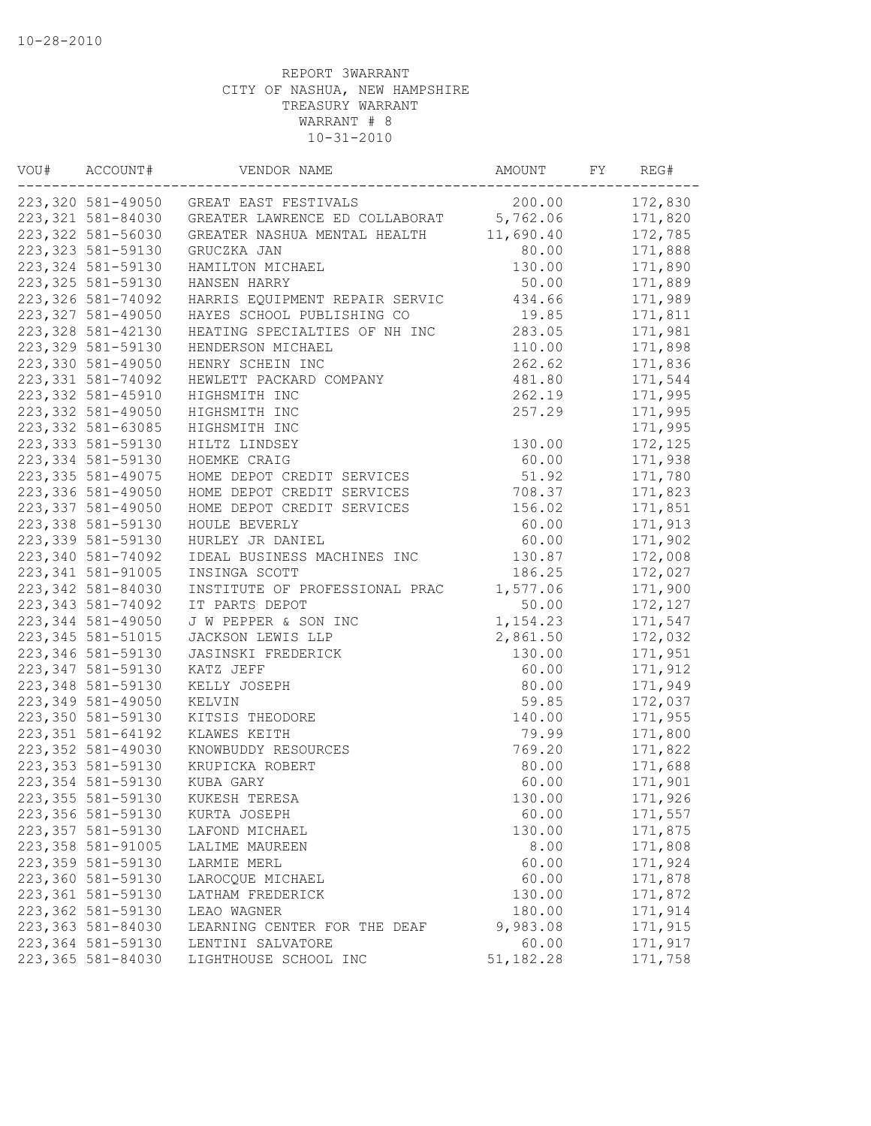| VOU# | ACCOUNT#           | VENDOR NAME                             | AMOUNT    | FY | REG#    |
|------|--------------------|-----------------------------------------|-----------|----|---------|
|      | 223,320 581-49050  | GREAT EAST FESTIVALS                    | 200.00    |    | 172,830 |
|      | 223, 321 581-84030 | GREATER LAWRENCE ED COLLABORAT 5,762.06 |           |    | 171,820 |
|      | 223, 322 581-56030 | GREATER NASHUA MENTAL HEALTH            | 11,690.40 |    | 172,785 |
|      | 223, 323 581-59130 | GRUCZKA JAN                             | 80.00     |    | 171,888 |
|      | 223, 324 581-59130 | HAMILTON MICHAEL                        | 130.00    |    | 171,890 |
|      | 223, 325 581-59130 | HANSEN HARRY                            | 50.00     |    | 171,889 |
|      | 223, 326 581-74092 | HARRIS EQUIPMENT REPAIR SERVIC          | 434.66    |    | 171,989 |
|      | 223, 327 581-49050 | HAYES SCHOOL PUBLISHING CO              | 19.85     |    | 171,811 |
|      | 223, 328 581-42130 | HEATING SPECIALTIES OF NH INC           | 283.05    |    | 171,981 |
|      | 223, 329 581-59130 | HENDERSON MICHAEL                       | 110.00    |    | 171,898 |
|      | 223,330 581-49050  | HENRY SCHEIN INC                        | 262.62    |    | 171,836 |
|      | 223, 331 581-74092 | HEWLETT PACKARD COMPANY                 | 481.80    |    | 171,544 |
|      | 223, 332 581-45910 | HIGHSMITH INC                           | 262.19    |    | 171,995 |
|      | 223, 332 581-49050 | HIGHSMITH INC                           | 257.29    |    | 171,995 |
|      | 223, 332 581-63085 | HIGHSMITH INC                           |           |    | 171,995 |
|      | 223, 333 581-59130 | HILTZ LINDSEY                           | 130.00    |    | 172,125 |
|      | 223, 334 581-59130 | HOEMKE CRAIG                            | 60.00     |    | 171,938 |
|      | 223, 335 581-49075 | HOME DEPOT CREDIT SERVICES              | 51.92     |    | 171,780 |
|      | 223,336 581-49050  | HOME DEPOT CREDIT SERVICES              | 708.37    |    | 171,823 |
|      | 223, 337 581-49050 | HOME DEPOT CREDIT SERVICES              | 156.02    |    | 171,851 |
|      | 223, 338 581-59130 | HOULE BEVERLY                           | 60.00     |    | 171,913 |
|      | 223, 339 581-59130 | HURLEY JR DANIEL                        | 60.00     |    | 171,902 |
|      | 223,340 581-74092  | IDEAL BUSINESS MACHINES INC             | 130.87    |    | 172,008 |
|      | 223, 341 581-91005 | INSINGA SCOTT                           | 186.25    |    | 172,027 |
|      | 223, 342 581-84030 | INSTITUTE OF PROFESSIONAL PRAC          | 1,577.06  |    | 171,900 |
|      | 223, 343 581-74092 | IT PARTS DEPOT                          | 50.00     |    | 172,127 |
|      | 223, 344 581-49050 | J W PEPPER & SON INC                    | 1,154.23  |    | 171,547 |
|      | 223, 345 581-51015 | JACKSON LEWIS LLP                       | 2,861.50  |    | 172,032 |
|      | 223, 346 581-59130 | JASINSKI FREDERICK                      |           |    |         |
|      |                    |                                         | 130.00    |    | 171,951 |
|      | 223, 347 581-59130 | KATZ JEFF                               | 60.00     |    | 171,912 |
|      | 223, 348 581-59130 | KELLY JOSEPH                            | 80.00     |    | 171,949 |
|      | 223,349 581-49050  | KELVIN                                  | 59.85     |    | 172,037 |
|      | 223,350 581-59130  | KITSIS THEODORE                         | 140.00    |    | 171,955 |
|      | 223, 351 581-64192 | KLAWES KEITH                            | 79.99     |    | 171,800 |
|      | 223, 352 581-49030 | KNOWBUDDY RESOURCES                     | 769.20    |    | 171,822 |
|      | 223, 353 581-59130 | KRUPICKA ROBERT                         | 80.00     |    | 171,688 |
|      | 223, 354 581-59130 | KUBA GARY                               | 60.00     |    | 171,901 |
|      | 223, 355 581-59130 | KUKESH TERESA                           | 130.00    |    | 171,926 |
|      | 223,356 581-59130  | KURTA JOSEPH                            | 60.00     |    | 171,557 |
|      | 223, 357 581-59130 | LAFOND MICHAEL                          | 130.00    |    | 171,875 |
|      | 223, 358 581-91005 | LALIME MAUREEN                          | 8.00      |    | 171,808 |
|      | 223, 359 581-59130 | LARMIE MERL                             | 60.00     |    | 171,924 |
|      | 223,360 581-59130  | LAROCQUE MICHAEL                        | 60.00     |    | 171,878 |
|      | 223,361 581-59130  | LATHAM FREDERICK                        | 130.00    |    | 171,872 |
|      | 223, 362 581-59130 | LEAO WAGNER                             | 180.00    |    | 171,914 |
|      | 223, 363 581-84030 | LEARNING CENTER FOR THE DEAF            | 9,983.08  |    | 171,915 |
|      | 223, 364 581-59130 | LENTINI SALVATORE                       | 60.00     |    | 171,917 |
|      | 223, 365 581-84030 | LIGHTHOUSE SCHOOL INC                   | 51,182.28 |    | 171,758 |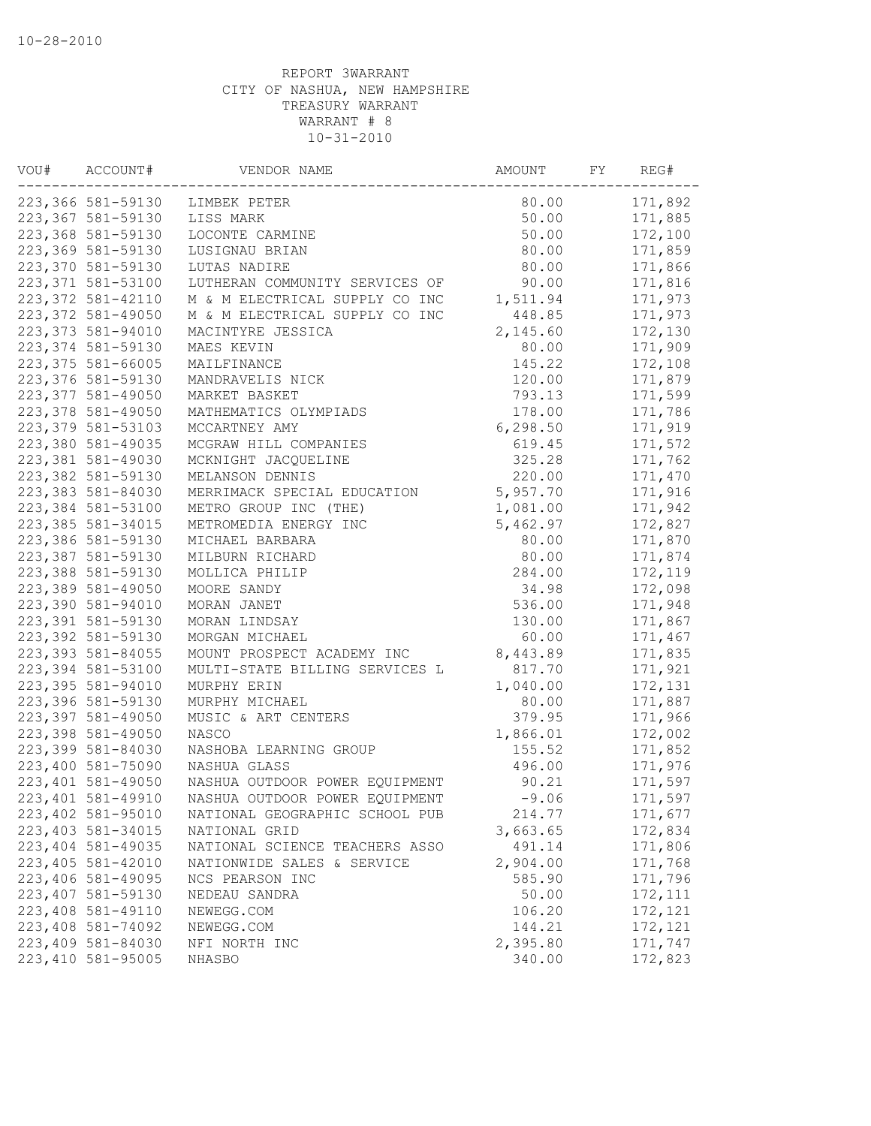| VOU# | ACCOUNT#           | VENDOR NAME                    | AMOUNT    | FY | REG#     |
|------|--------------------|--------------------------------|-----------|----|----------|
|      | 223,366 581-59130  | LIMBEK PETER                   | 80.00     |    | 171,892  |
|      | 223, 367 581-59130 | LISS MARK                      | 50.00     |    | 171,885  |
|      | 223,368 581-59130  | LOCONTE CARMINE                | 50.00     |    | 172,100  |
|      | 223,369 581-59130  | LUSIGNAU BRIAN                 | 80.00     |    | 171,859  |
|      | 223,370 581-59130  | LUTAS NADIRE                   | 80.00     |    | 171,866  |
|      | 223, 371 581-53100 | LUTHERAN COMMUNITY SERVICES OF | 90.00     |    | 171,816  |
|      | 223, 372 581-42110 | M & M ELECTRICAL SUPPLY CO INC | 1,511.94  |    | 171,973  |
|      | 223, 372 581-49050 | M & M ELECTRICAL SUPPLY CO INC | 448.85    |    | 171,973  |
|      | 223, 373 581-94010 | MACINTYRE JESSICA              | 2,145.60  |    | 172,130  |
|      | 223, 374 581-59130 | MAES KEVIN                     | 80.00     |    | 171,909  |
|      | 223, 375 581-66005 | MAILFINANCE                    | 145.22    |    | 172,108  |
|      | 223,376 581-59130  | MANDRAVELIS NICK               | 120.00    |    | 171,879  |
|      | 223, 377 581-49050 | MARKET BASKET                  | 793.13    |    | 171,599  |
|      | 223,378 581-49050  | MATHEMATICS OLYMPIADS          | 178.00    |    | 171,786  |
|      | 223, 379 581-53103 | MCCARTNEY AMY                  | 6, 298.50 |    | 171,919  |
|      | 223,380 581-49035  | MCGRAW HILL COMPANIES          | 619.45    |    | 171,572  |
|      | 223,381 581-49030  | MCKNIGHT JACQUELINE            | 325.28    |    | 171,762  |
|      | 223,382 581-59130  | MELANSON DENNIS                | 220.00    |    | 171,470  |
|      | 223, 383 581-84030 | MERRIMACK SPECIAL EDUCATION    | 5,957.70  |    | 171,916  |
|      | 223,384 581-53100  | METRO GROUP INC (THE)          | 1,081.00  |    | 171,942  |
|      | 223, 385 581-34015 | METROMEDIA ENERGY INC          | 5,462.97  |    | 172,827  |
|      | 223,386 581-59130  | MICHAEL BARBARA                | 80.00     |    | 171,870  |
|      | 223,387 581-59130  | MILBURN RICHARD                | 80.00     |    | 171,874  |
|      | 223,388 581-59130  | MOLLICA PHILIP                 | 284.00    |    | 172,119  |
|      | 223,389 581-49050  | MOORE SANDY                    | 34.98     |    | 172,098  |
|      | 223,390 581-94010  | MORAN JANET                    | 536.00    |    | 171,948  |
|      | 223, 391 581-59130 | MORAN LINDSAY                  | 130.00    |    | 171,867  |
|      | 223,392 581-59130  | MORGAN MICHAEL                 | 60.00     |    | 171,467  |
|      | 223, 393 581-84055 | MOUNT PROSPECT ACADEMY INC     | 8,443.89  |    | 171,835  |
|      | 223,394 581-53100  | MULTI-STATE BILLING SERVICES L | 817.70    |    | 171,921  |
|      | 223, 395 581-94010 | MURPHY ERIN                    | 1,040.00  |    | 172,131  |
|      | 223,396 581-59130  | MURPHY MICHAEL                 | 80.00     |    | 171,887  |
|      | 223,397 581-49050  | MUSIC & ART CENTERS            | 379.95    |    | 171,966  |
|      | 223,398 581-49050  | NASCO                          | 1,866.01  |    | 172,002  |
|      | 223,399 581-84030  | NASHOBA LEARNING GROUP         | 155.52    |    | 171,852  |
|      | 223,400 581-75090  | NASHUA GLASS                   | 496.00    |    | 171,976  |
|      | 223, 401 581-49050 | NASHUA OUTDOOR POWER EQUIPMENT | 90.21     |    | 171,597  |
|      | 223,401 581-49910  | NASHUA OUTDOOR POWER EQUIPMENT | $-9.06$   |    | 171,597  |
|      | 223,402 581-95010  | NATIONAL GEOGRAPHIC SCHOOL PUB | 214.77    |    | 171,677  |
|      | 223, 403 581-34015 | NATIONAL GRID                  | 3,663.65  |    | 172,834  |
|      | 223, 404 581-49035 | NATIONAL SCIENCE TEACHERS ASSO | 491.14    |    | 171,806  |
|      | 223,405 581-42010  | NATIONWIDE SALES & SERVICE     | 2,904.00  |    | 171,768  |
|      | 223,406 581-49095  | NCS PEARSON INC                | 585.90    |    | 171,796  |
|      | 223, 407 581-59130 | NEDEAU SANDRA                  | 50.00     |    | 172, 111 |
|      | 223,408 581-49110  | NEWEGG.COM                     | 106.20    |    | 172, 121 |
|      | 223,408 581-74092  | NEWEGG.COM                     | 144.21    |    | 172,121  |
|      | 223,409 581-84030  | NFI NORTH INC                  | 2,395.80  |    | 171,747  |
|      | 223,410 581-95005  | NHASBO                         | 340.00    |    | 172,823  |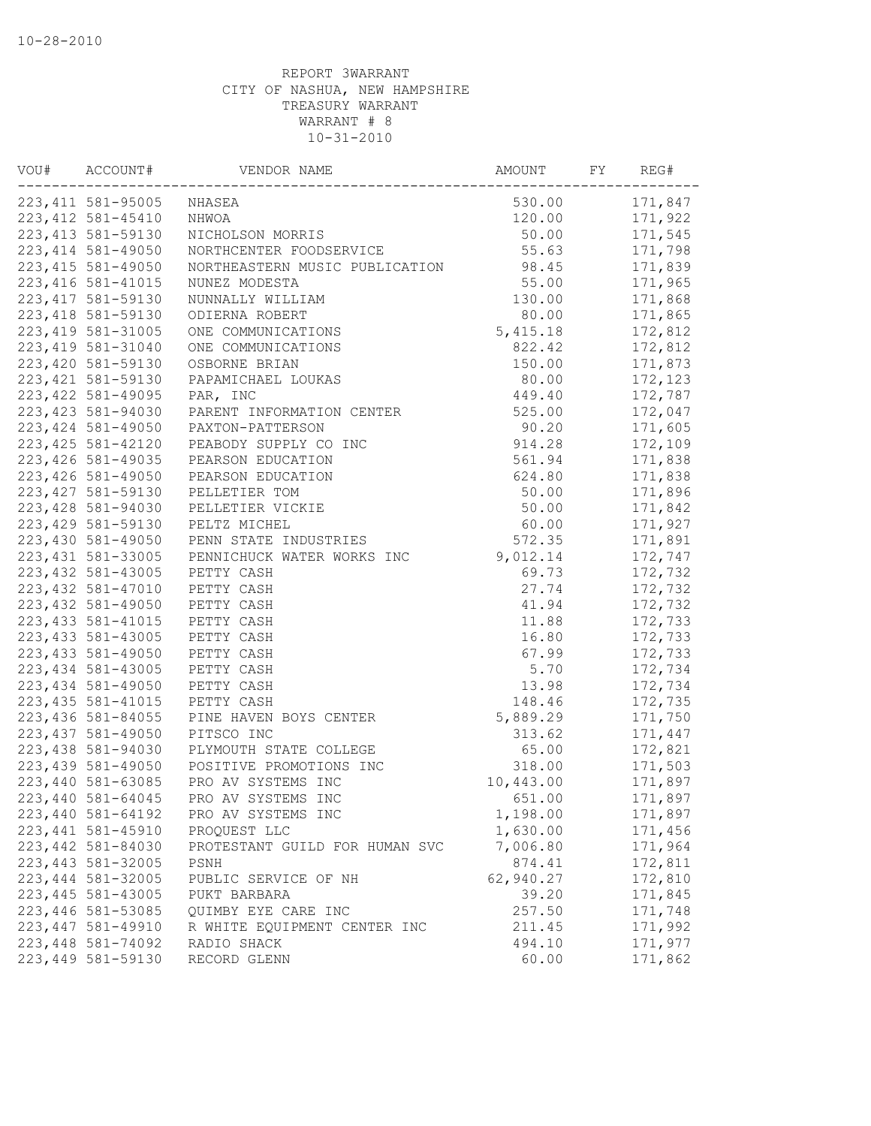| VOU# | ACCOUNT#           | VENDOR NAME                    | AMOUNT             | FY | REG#    |
|------|--------------------|--------------------------------|--------------------|----|---------|
|      | 223, 411 581-95005 | NHASEA                         | 530.00             |    | 171,847 |
|      | 223, 412 581-45410 | NHWOA                          | 120.00             |    | 171,922 |
|      | 223, 413 581-59130 | NICHOLSON MORRIS               | 50.00              |    | 171,545 |
|      | 223, 414 581-49050 | NORTHCENTER FOODSERVICE        | 55.63              |    | 171,798 |
|      | 223, 415 581-49050 | NORTHEASTERN MUSIC PUBLICATION | 98.45              |    | 171,839 |
|      | 223, 416 581-41015 | NUNEZ MODESTA                  | 55.00              |    | 171,965 |
|      | 223, 417 581-59130 | NUNNALLY WILLIAM               | 130.00             |    | 171,868 |
|      | 223, 418 581-59130 | ODIERNA ROBERT                 | 80.00              |    | 171,865 |
|      | 223, 419 581-31005 | ONE COMMUNICATIONS             | 5,415.18           |    | 172,812 |
|      | 223, 419 581-31040 | ONE COMMUNICATIONS             | 822.42             |    | 172,812 |
|      | 223, 420 581-59130 | OSBORNE BRIAN                  | 150.00             |    | 171,873 |
|      | 223, 421 581-59130 | PAPAMICHAEL LOUKAS             | 80.00              |    | 172,123 |
|      | 223, 422 581-49095 | PAR, INC                       | 449.40             |    | 172,787 |
|      | 223, 423 581-94030 | PARENT INFORMATION CENTER      | 525.00             |    | 172,047 |
|      | 223, 424 581-49050 | PAXTON-PATTERSON               | 90.20              |    | 171,605 |
|      | 223, 425 581-42120 | PEABODY SUPPLY CO INC          | 914.28             |    | 172,109 |
|      | 223, 426 581-49035 | PEARSON EDUCATION              | 561.94             |    | 171,838 |
|      | 223, 426 581-49050 | PEARSON EDUCATION              | 624.80             |    | 171,838 |
|      | 223, 427 581-59130 | PELLETIER TOM                  | 50.00              |    | 171,896 |
|      | 223, 428 581-94030 | PELLETIER VICKIE               | 50.00              |    | 171,842 |
|      | 223, 429 581-59130 | PELTZ MICHEL                   | 60.00              |    | 171,927 |
|      | 223,430 581-49050  | PENN STATE INDUSTRIES          | 572.35             |    | 171,891 |
|      | 223, 431 581-33005 | PENNICHUCK WATER WORKS INC     | 9,012.14           |    | 172,747 |
|      | 223, 432 581-43005 | PETTY CASH                     | 69.73              |    | 172,732 |
|      | 223, 432 581-47010 | PETTY CASH                     | 27.74              |    | 172,732 |
|      | 223, 432 581-49050 | PETTY CASH                     | 41.94              |    | 172,732 |
|      | 223, 433 581-41015 | PETTY CASH                     | 11.88              |    | 172,733 |
|      | 223, 433 581-43005 | PETTY CASH                     | 16.80              |    | 172,733 |
|      | 223, 433 581-49050 | PETTY CASH                     | 67.99              |    | 172,733 |
|      | 223, 434 581-43005 |                                |                    |    |         |
|      | 223, 434 581-49050 | PETTY CASH                     | 5.70               |    | 172,734 |
|      |                    | PETTY CASH                     | 13.98              |    | 172,734 |
|      | 223, 435 581-41015 | PETTY CASH                     | 148.46<br>5,889.29 |    | 172,735 |
|      | 223, 436 581-84055 | PINE HAVEN BOYS CENTER         |                    |    | 171,750 |
|      | 223, 437 581-49050 | PITSCO INC                     | 313.62             |    | 171,447 |
|      | 223,438 581-94030  | PLYMOUTH STATE COLLEGE         | 65.00              |    | 172,821 |
|      | 223, 439 581-49050 | POSITIVE PROMOTIONS INC        | 318.00             |    | 171,503 |
|      | 223, 440 581-63085 | PRO AV SYSTEMS INC             | 10,443.00          |    | 171,897 |
|      | 223,440 581-64045  | PRO AV SYSTEMS INC             | 651.00             |    | 171,897 |
|      | 223,440 581-64192  | PRO AV SYSTEMS INC             | 1,198.00           |    | 171,897 |
|      | 223, 441 581-45910 | PROQUEST LLC                   | 1,630.00           |    | 171,456 |
|      | 223, 442 581-84030 | PROTESTANT GUILD FOR HUMAN SVC | 7,006.80           |    | 171,964 |
|      | 223, 443 581-32005 | PSNH                           | 874.41             |    | 172,811 |
|      | 223, 444 581-32005 | PUBLIC SERVICE OF NH           | 62,940.27          |    | 172,810 |
|      | 223, 445 581-43005 | PUKT BARBARA                   | 39.20              |    | 171,845 |
|      | 223, 446 581-53085 | QUIMBY EYE CARE INC            | 257.50             |    | 171,748 |
|      | 223, 447 581-49910 | R WHITE EQUIPMENT CENTER INC   | 211.45             |    | 171,992 |
|      | 223, 448 581-74092 | RADIO SHACK                    | 494.10             |    | 171,977 |
|      | 223, 449 581-59130 | RECORD GLENN                   | 60.00              |    | 171,862 |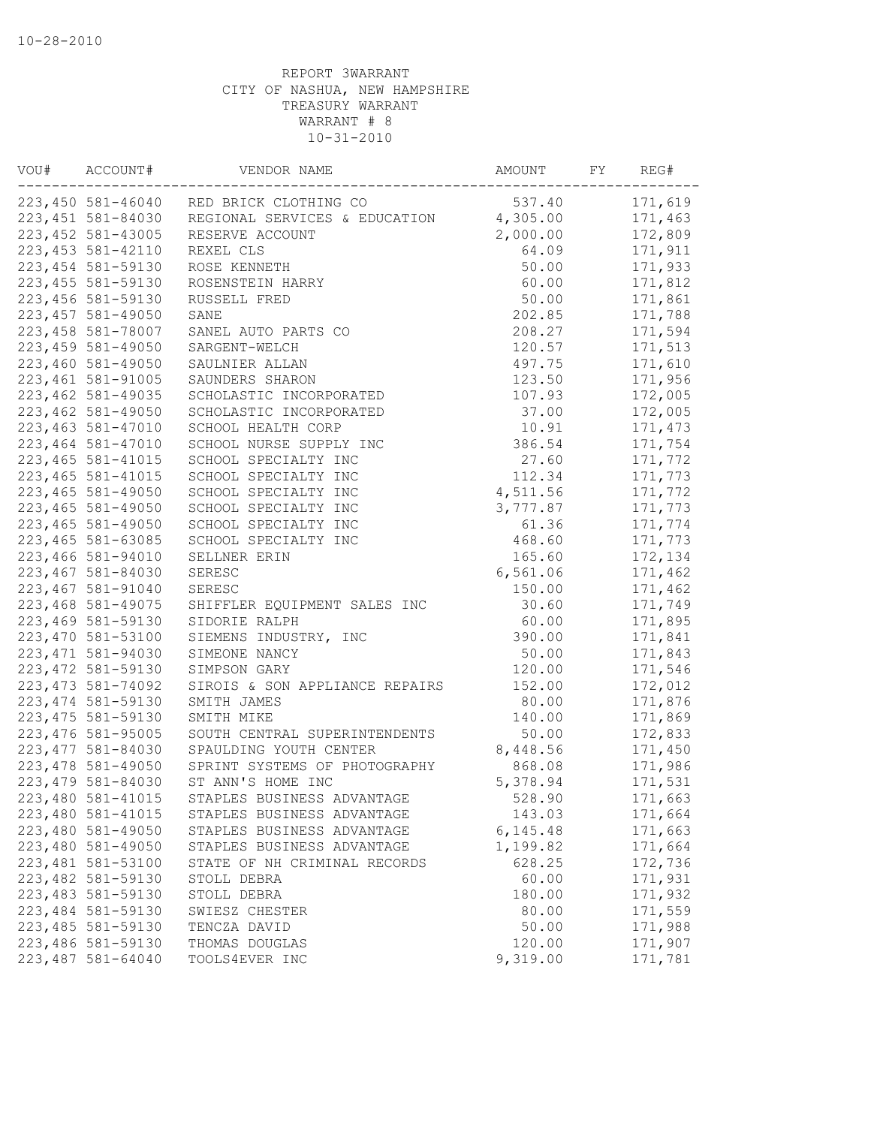| VOU# | ACCOUNT#           | VENDOR NAME                    | AMOUNT   | FY | REG#    |
|------|--------------------|--------------------------------|----------|----|---------|
|      | 223,450 581-46040  | RED BRICK CLOTHING CO          | 537.40   |    | 171,619 |
|      | 223, 451 581-84030 | REGIONAL SERVICES & EDUCATION  | 4,305.00 |    | 171,463 |
|      | 223, 452 581-43005 | RESERVE ACCOUNT                | 2,000.00 |    | 172,809 |
|      | 223, 453 581-42110 | REXEL CLS                      | 64.09    |    | 171,911 |
|      | 223, 454 581-59130 | ROSE KENNETH                   | 50.00    |    | 171,933 |
|      | 223, 455 581-59130 | ROSENSTEIN HARRY               | 60.00    |    | 171,812 |
|      | 223, 456 581-59130 | RUSSELL FRED                   | 50.00    |    | 171,861 |
|      | 223, 457 581-49050 | SANE                           | 202.85   |    | 171,788 |
|      | 223, 458 581-78007 | SANEL AUTO PARTS CO            | 208.27   |    | 171,594 |
|      | 223, 459 581-49050 | SARGENT-WELCH                  | 120.57   |    | 171,513 |
|      | 223,460 581-49050  | SAULNIER ALLAN                 | 497.75   |    | 171,610 |
|      | 223, 461 581-91005 | SAUNDERS SHARON                | 123.50   |    | 171,956 |
|      | 223, 462 581-49035 | SCHOLASTIC INCORPORATED        | 107.93   |    | 172,005 |
|      | 223, 462 581-49050 | SCHOLASTIC INCORPORATED        | 37.00    |    | 172,005 |
|      | 223, 463 581-47010 | SCHOOL HEALTH CORP             | 10.91    |    | 171,473 |
|      | 223, 464 581-47010 | SCHOOL NURSE SUPPLY INC        | 386.54   |    | 171,754 |
|      | 223, 465 581-41015 | SCHOOL SPECIALTY INC           | 27.60    |    | 171,772 |
|      | 223, 465 581-41015 | SCHOOL SPECIALTY INC           | 112.34   |    | 171,773 |
|      | 223, 465 581-49050 | SCHOOL SPECIALTY INC           | 4,511.56 |    | 171,772 |
|      | 223, 465 581-49050 | SCHOOL SPECIALTY INC           | 3,777.87 |    | 171,773 |
|      | 223, 465 581-49050 | SCHOOL SPECIALTY INC           | 61.36    |    | 171,774 |
|      | 223, 465 581-63085 | SCHOOL SPECIALTY INC           | 468.60   |    | 171,773 |
|      | 223,466 581-94010  | SELLNER ERIN                   | 165.60   |    | 172,134 |
|      | 223,467 581-84030  | SERESC                         | 6,561.06 |    | 171,462 |
|      | 223, 467 581-91040 | SERESC                         | 150.00   |    | 171,462 |
|      | 223, 468 581-49075 | SHIFFLER EQUIPMENT SALES INC   | 30.60    |    | 171,749 |
|      | 223,469 581-59130  | SIDORIE RALPH                  | 60.00    |    | 171,895 |
|      | 223,470 581-53100  | SIEMENS INDUSTRY, INC          | 390.00   |    | 171,841 |
|      | 223, 471 581-94030 | SIMEONE NANCY                  | 50.00    |    | 171,843 |
|      | 223, 472 581-59130 | SIMPSON GARY                   | 120.00   |    | 171,546 |
|      | 223, 473 581-74092 | SIROIS & SON APPLIANCE REPAIRS | 152.00   |    | 172,012 |
|      | 223, 474 581-59130 | SMITH JAMES                    | 80.00    |    | 171,876 |
|      | 223, 475 581-59130 | SMITH MIKE                     | 140.00   |    | 171,869 |
|      | 223, 476 581-95005 | SOUTH CENTRAL SUPERINTENDENTS  | 50.00    |    | 172,833 |
|      | 223, 477 581-84030 | SPAULDING YOUTH CENTER         | 8,448.56 |    | 171,450 |
|      | 223, 478 581-49050 | SPRINT SYSTEMS OF PHOTOGRAPHY  | 868.08   |    | 171,986 |
|      | 223, 479 581-84030 | ST ANN'S HOME INC              | 5,378.94 |    | 171,531 |
|      |                    |                                |          |    | 171,663 |
|      | 223,480 581-41015  | STAPLES BUSINESS ADVANTAGE     | 528.90   |    |         |
|      | 223,480 581-41015  | STAPLES BUSINESS ADVANTAGE     | 143.03   |    | 171,664 |
|      | 223,480 581-49050  | STAPLES BUSINESS ADVANTAGE     | 6,145.48 |    | 171,663 |
|      | 223,480 581-49050  | STAPLES BUSINESS ADVANTAGE     | 1,199.82 |    | 171,664 |
|      | 223, 481 581-53100 | STATE OF NH CRIMINAL RECORDS   | 628.25   |    | 172,736 |
|      | 223, 482 581-59130 | STOLL DEBRA                    | 60.00    |    | 171,931 |
|      | 223, 483 581-59130 | STOLL DEBRA                    | 180.00   |    | 171,932 |
|      | 223, 484 581-59130 | SWIESZ CHESTER                 | 80.00    |    | 171,559 |
|      | 223, 485 581-59130 | TENCZA DAVID                   | 50.00    |    | 171,988 |
|      | 223,486 581-59130  | THOMAS DOUGLAS                 | 120.00   |    | 171,907 |
|      | 223, 487 581-64040 | TOOLS4EVER INC                 | 9,319.00 |    | 171,781 |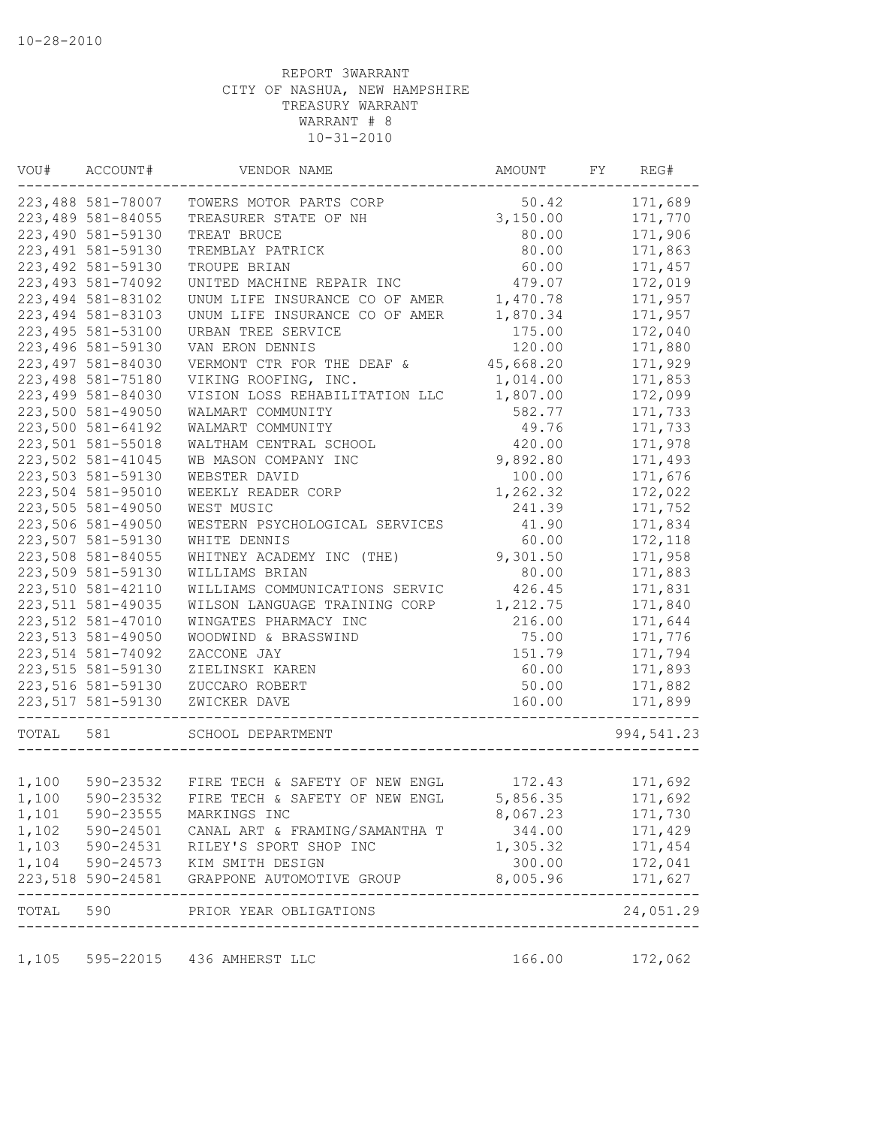| VOU#  | ACCOUNT#           | VENDOR NAME                                              | AMOUNT            | FY | REG#                         |
|-------|--------------------|----------------------------------------------------------|-------------------|----|------------------------------|
|       | 223,488 581-78007  | TOWERS MOTOR PARTS CORP                                  | 50.42             |    | 171,689                      |
|       | 223,489 581-84055  | TREASURER STATE OF NH                                    | 3,150.00          |    | 171,770                      |
|       | 223,490 581-59130  | TREAT BRUCE                                              | 80.00             |    | 171,906                      |
|       | 223, 491 581-59130 | TREMBLAY PATRICK                                         | 80.00             |    | 171,863                      |
|       | 223, 492 581-59130 | TROUPE BRIAN                                             | 60.00             |    | 171,457                      |
|       | 223, 493 581-74092 | UNITED MACHINE REPAIR INC                                | 479.07            |    | 172,019                      |
|       | 223, 494 581-83102 | UNUM LIFE INSURANCE CO OF AMER                           | 1,470.78          |    | 171,957                      |
|       | 223, 494 581-83103 | UNUM LIFE INSURANCE CO OF AMER                           | 1,870.34          |    | 171,957                      |
|       | 223, 495 581-53100 | URBAN TREE SERVICE                                       | 175.00            |    | 172,040                      |
|       | 223, 496 581-59130 | VAN ERON DENNIS                                          | 120.00            |    | 171,880                      |
|       | 223, 497 581-84030 | VERMONT CTR FOR THE DEAF &                               | 45,668.20         |    | 171,929                      |
|       | 223, 498 581-75180 | VIKING ROOFING, INC.                                     | 1,014.00          |    | 171,853                      |
|       | 223, 499 581-84030 | VISION LOSS REHABILITATION LLC                           | 1,807.00          |    | 172,099                      |
|       | 223,500 581-49050  | WALMART COMMUNITY                                        | 582.77            |    | 171,733                      |
|       | 223,500 581-64192  | WALMART COMMUNITY                                        | 49.76             |    | 171,733                      |
|       | 223,501 581-55018  | WALTHAM CENTRAL SCHOOL                                   | 420.00            |    | 171,978                      |
|       | 223,502 581-41045  | WB MASON COMPANY INC                                     | 9,892.80          |    | 171,493                      |
|       | 223,503 581-59130  | WEBSTER DAVID                                            | 100.00            |    | 171,676                      |
|       | 223,504 581-95010  | WEEKLY READER CORP                                       | 1,262.32          |    | 172,022                      |
|       | 223,505 581-49050  | WEST MUSIC                                               | 241.39            |    | 171,752                      |
|       | 223,506 581-49050  | WESTERN PSYCHOLOGICAL SERVICES                           | 41.90             |    | 171,834                      |
|       | 223,507 581-59130  | WHITE DENNIS                                             | 60.00             |    | 172,118                      |
|       |                    | WHITNEY ACADEMY INC (THE)                                | 9,301.50          |    |                              |
|       | 223,508 581-84055  |                                                          |                   |    | 171,958                      |
|       | 223,509 581-59130  | WILLIAMS BRIAN                                           | 80.00             |    | 171,883                      |
|       | 223,510 581-42110  | WILLIAMS COMMUNICATIONS SERVIC                           | 426.45            |    | 171,831                      |
|       | 223, 511 581-49035 | WILSON LANGUAGE TRAINING CORP                            | 1,212.75          |    | 171,840                      |
|       | 223, 512 581-47010 | WINGATES PHARMACY INC                                    | 216.00            |    | 171,644                      |
|       | 223, 513 581-49050 | WOODWIND & BRASSWIND                                     | 75.00             |    | 171,776                      |
|       | 223, 514 581-74092 | ZACCONE JAY                                              | 151.79            |    | 171,794                      |
|       | 223,515 581-59130  | ZIELINSKI KAREN                                          | 60.00             |    | 171,893                      |
|       | 223,516 581-59130  | ZUCCARO ROBERT                                           | 50.00             |    | 171,882                      |
|       | 223,517 581-59130  | ZWICKER DAVE                                             | 160.00            |    | 171,899                      |
| TOTAL | 581                | SCHOOL DEPARTMENT                                        |                   |    | 994,541.23                   |
|       |                    |                                                          |                   |    |                              |
| 1,100 |                    | 590-23532 FIRE TECH & SAFETY OF NEW ENGL                 | 172.43            |    | 171,692                      |
| 1,100 |                    | 590-23532 FIRE TECH & SAFETY OF NEW ENGL                 | 5,856.35          |    | 171,692                      |
|       |                    | 1,101 590-23555 MARKINGS INC                             | 8,067.23          |    | 171,730                      |
|       |                    | 1,102  590-24501  CANAL ART & FRAMING/SAMANTHA T  344.00 |                   |    | 171,429                      |
|       |                    | 1,103 590-24531 RILEY'S SPORT SHOP INC                   | 1,305.32          |    | 171,454                      |
|       |                    | 1,104 590-24573 KIM SMITH DESIGN                         | 300.00            |    | 172,041                      |
|       |                    | 223,518 590-24581 GRAPPONE AUTOMOTIVE GROUP 8,005.96     |                   |    | 171,627                      |
|       |                    | TOTAL 590 PRIOR YEAR OBLIGATIONS                         | ----------------- |    | ---------------<br>24,051.29 |
|       |                    |                                                          |                   |    |                              |
|       |                    | 1,105 595-22015 436 AMHERST LLC                          | 166.00 172,062    |    |                              |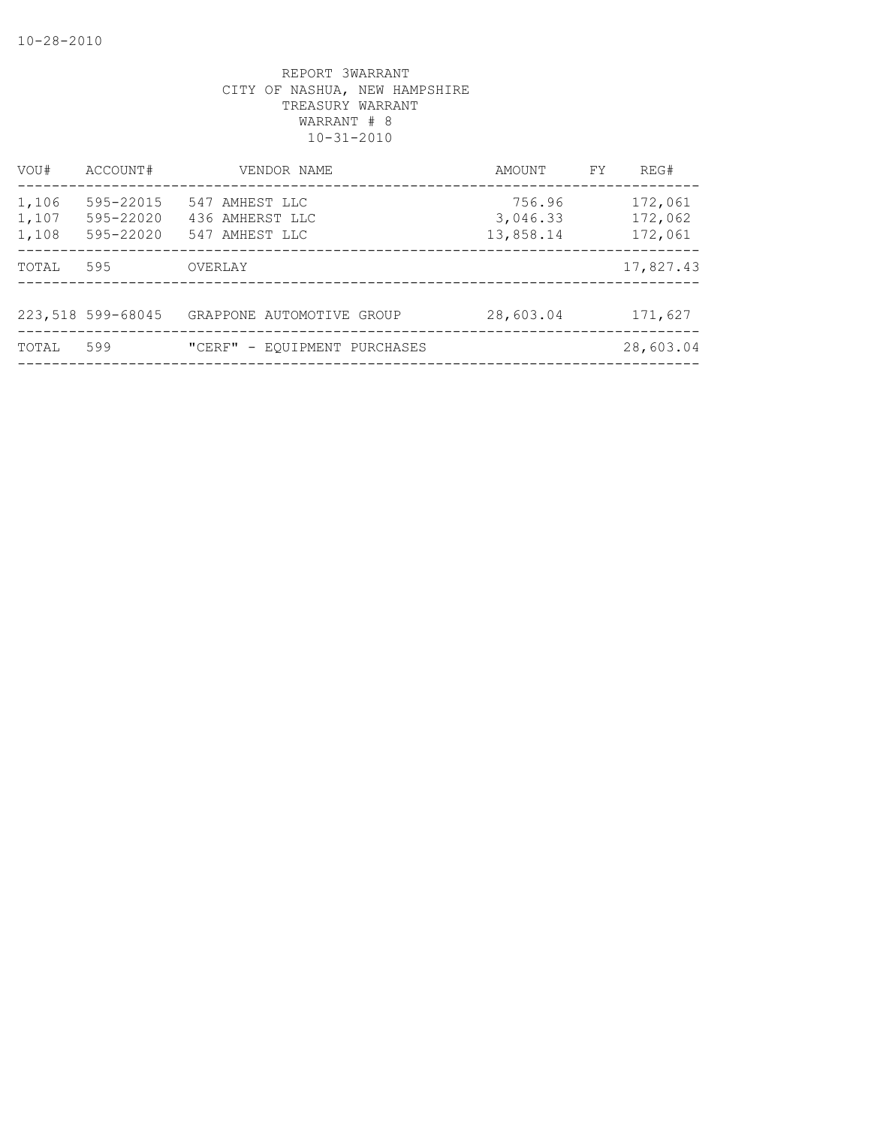| VOU#                    | ACCOUNT#                            | VENDOR NAME                                         | AMOUNT                          | FY | REG#                          |
|-------------------------|-------------------------------------|-----------------------------------------------------|---------------------------------|----|-------------------------------|
| 1,106<br>1,107<br>1,108 | 595-22015<br>595-22020<br>595-22020 | 547 AMHEST LLC<br>436 AMHERST LLC<br>547 AMHEST LLC | 756.96<br>3,046.33<br>13,858.14 |    | 172,061<br>172,062<br>172,061 |
| TOTAL                   | 595                                 | OVERLAY                                             |                                 |    | 17,827.43                     |
|                         | 223,518 599-68045                   | GRAPPONE AUTOMOTIVE GROUP                           | 28,603.04                       |    | 171,627                       |
| TOTAL                   | 599                                 | - EOUIPMENT PURCHASES<br>"CERF"                     |                                 |    | 28,603.04                     |
|                         |                                     |                                                     |                                 |    |                               |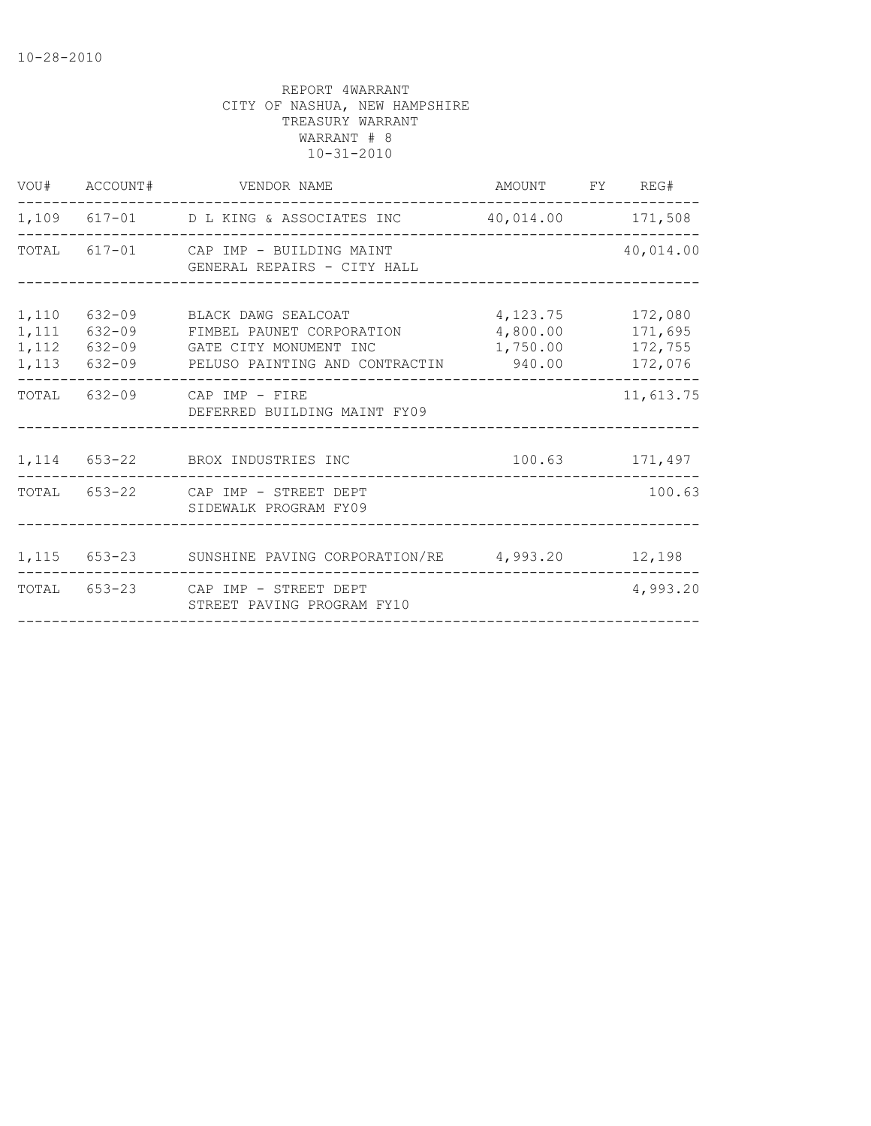|                         | VOU# ACCOUNT#              | VENDOR NAME                                                                                                               | AMOUNT FY REG#                                       |                               |
|-------------------------|----------------------------|---------------------------------------------------------------------------------------------------------------------------|------------------------------------------------------|-------------------------------|
|                         |                            | 1,109 617-01 D L KING & ASSOCIATES INC 40,014.00 171,508                                                                  |                                                      |                               |
|                         |                            | TOTAL 617-01 CAP IMP - BUILDING MAINT<br>GENERAL REPAIRS - CITY HALL                                                      |                                                      | 40,014.00                     |
| 1,110<br>1,111<br>1,112 | 632-09<br>632-09<br>632-09 | BLACK DAWG SEALCOAT<br>FIMBEL PAUNET CORPORATION<br>GATE CITY MONUMENT INC<br>1,113 632-09 PELUSO PAINTING AND CONTRACTIN | 4, 123. 75<br>4,800.00 171,695<br>1,750.00<br>940.00 | 172,080<br>172,755<br>172,076 |
| TOTAL                   |                            | 632-09 CAP IMP - FIRE<br>DEFERRED BUILDING MAINT FY09                                                                     |                                                      | 11,613.75                     |
|                         |                            | 1,114 653-22 BROX INDUSTRIES INC                                                                                          |                                                      | 100.63 171,497                |
|                         |                            | TOTAL 653-22 CAP IMP - STREET DEPT<br>SIDEWALK PROGRAM FY09                                                               |                                                      | 100.63                        |
|                         |                            | 1,115 653-23 SUNSHINE PAVING CORPORATION/RE 4,993.20 12,198                                                               |                                                      |                               |
|                         |                            | TOTAL 653-23 CAP IMP - STREET DEPT<br>STREET PAVING PROGRAM FY10                                                          |                                                      | 4,993.20                      |
|                         |                            |                                                                                                                           |                                                      |                               |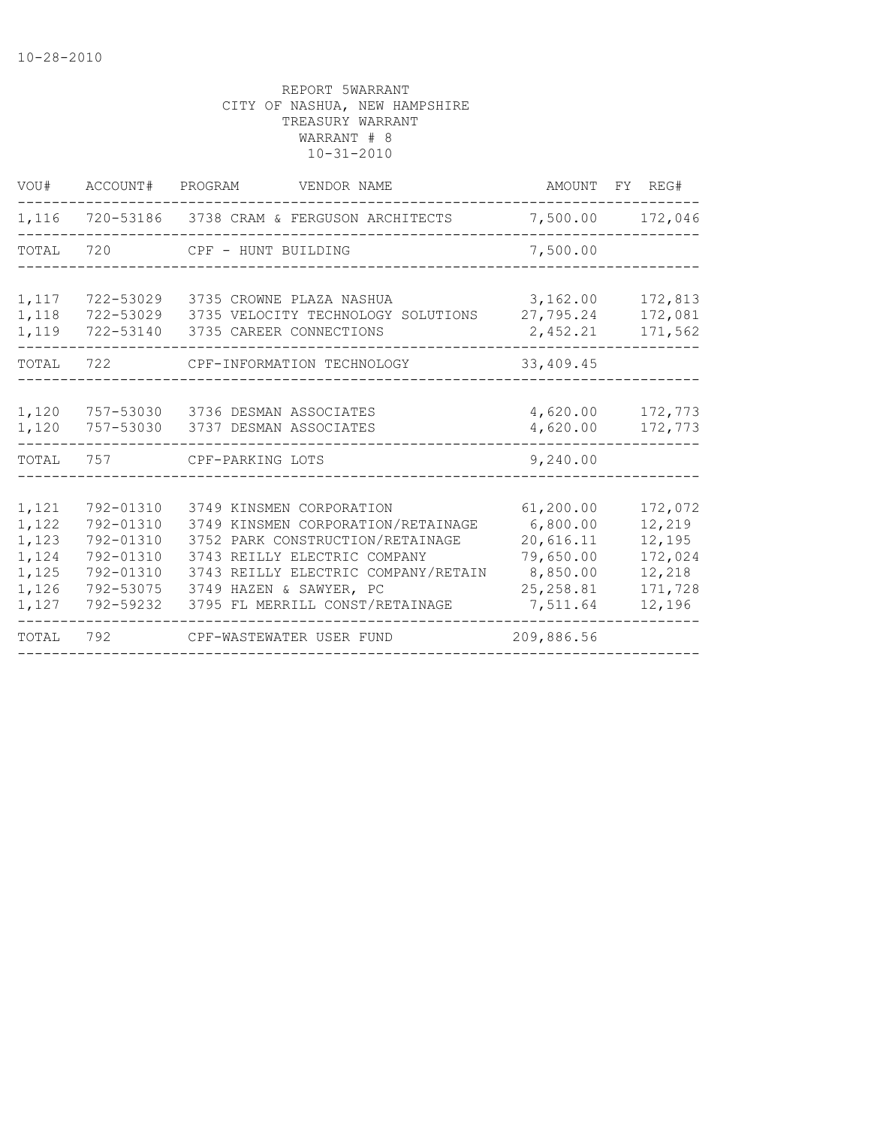| VOU#           | ACCOUNT#               | PROGRAM<br>VENDOR NAME                                         |                       | AMOUNT FY REG#   |
|----------------|------------------------|----------------------------------------------------------------|-----------------------|------------------|
| 1,116          |                        | 720-53186 3738 CRAM & FERGUSON ARCHITECTS                      | 7,500.00              | 172,046          |
| TOTAL          | 720                    | CPF - HUNT BUILDING                                            | 7,500.00              |                  |
|                |                        |                                                                |                       |                  |
| 1,117          | 722-53029              | 3735 CROWNE PLAZA NASHUA                                       | 3,162.00              | 172,813          |
| 1,118          | 722-53029              | 3735 VELOCITY TECHNOLOGY SOLUTIONS                             | 27,795.24             | 172,081          |
| 1,119          | 722-53140              | 3735 CAREER CONNECTIONS                                        | 2,452.21              | 171,562          |
| TOTAL          | 722                    | CPF-INFORMATION TECHNOLOGY                                     | 33,409.45             |                  |
|                |                        |                                                                |                       |                  |
| 1,120          | 757-53030              | 3736 DESMAN ASSOCIATES                                         | 4,620.00              | 172,773          |
| 1,120          | 757-53030              | 3737 DESMAN ASSOCIATES                                         | 4,620.00              | 172,773          |
| TOTAL          | 757                    | CPF-PARKING LOTS                                               | 9,240.00              |                  |
|                |                        |                                                                |                       |                  |
| 1,121<br>1,122 | 792-01310<br>792-01310 | 3749 KINSMEN CORPORATION<br>3749 KINSMEN CORPORATION/RETAINAGE | 61,200.00<br>6,800.00 | 172,072          |
| 1,123          | 792-01310              | 3752 PARK CONSTRUCTION/RETAINAGE                               | 20,616.11             | 12,219<br>12,195 |
| 1,124          | 792-01310              | 3743 REILLY ELECTRIC COMPANY                                   | 79,650.00             | 172,024          |
| 1,125          | 792-01310              | 3743 REILLY ELECTRIC COMPANY/RETAIN                            | 8,850.00              | 12,218           |
| 1,126          | 792-53075              | 3749 HAZEN & SAWYER, PC                                        | 25, 258.81            | 171,728          |
| 1,127          | 792-59232              | 3795 FL MERRILL CONST/RETAINAGE                                | 7,511.64              | 12,196           |
| TOTAL          | 792                    | CPF-WASTEWATER USER FUND                                       | 209,886.56            |                  |
|                |                        |                                                                |                       |                  |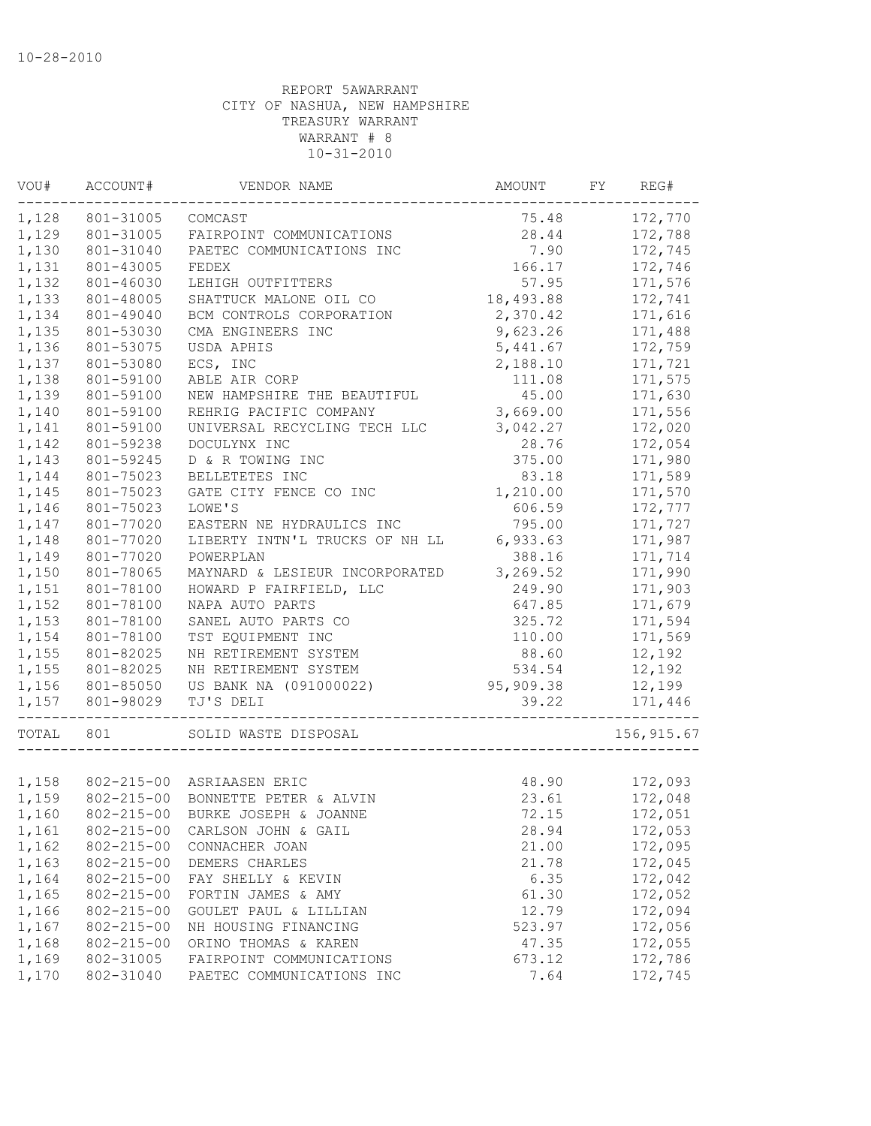| VOU#  | ACCOUNT#<br>VENDOR NAME |                                  | AMOUNT    | FY | REG#       |  |
|-------|-------------------------|----------------------------------|-----------|----|------------|--|
| 1,128 | 801-31005               | COMCAST                          | 75.48     |    | 172,770    |  |
| 1,129 | 801-31005               | FAIRPOINT COMMUNICATIONS         | 28.44     |    | 172,788    |  |
| 1,130 | 801-31040               | PAETEC COMMUNICATIONS INC        | 7.90      |    | 172,745    |  |
| 1,131 | 801-43005               | FEDEX                            | 166.17    |    | 172,746    |  |
| 1,132 | 801-46030               | LEHIGH OUTFITTERS                | 57.95     |    | 171,576    |  |
| 1,133 | 801-48005               | SHATTUCK MALONE OIL CO           | 18,493.88 |    | 172,741    |  |
| 1,134 | 801-49040               | BCM CONTROLS CORPORATION         | 2,370.42  |    | 171,616    |  |
| 1,135 | 801-53030               | CMA ENGINEERS INC                | 9,623.26  |    | 171,488    |  |
| 1,136 | 801-53075               | USDA APHIS                       | 5,441.67  |    | 172,759    |  |
| 1,137 | 801-53080               | ECS, INC                         | 2,188.10  |    | 171,721    |  |
| 1,138 | 801-59100               | ABLE AIR CORP                    | 111.08    |    | 171,575    |  |
| 1,139 | 801-59100               | NEW HAMPSHIRE THE BEAUTIFUL      | 45.00     |    | 171,630    |  |
| 1,140 | 801-59100               | REHRIG PACIFIC COMPANY           | 3,669.00  |    | 171,556    |  |
| 1,141 | 801-59100               | UNIVERSAL RECYCLING TECH LLC     | 3,042.27  |    | 172,020    |  |
| 1,142 | 801-59238               | DOCULYNX INC                     | 28.76     |    | 172,054    |  |
| 1,143 | 801-59245               | D & R TOWING INC                 | 375.00    |    | 171,980    |  |
| 1,144 | 801-75023               | BELLETETES INC                   | 83.18     |    | 171,589    |  |
| 1,145 | 801-75023               | GATE CITY FENCE CO INC           | 1,210.00  |    | 171,570    |  |
| 1,146 | 801-75023               | LOWE'S                           | 606.59    |    | 172,777    |  |
| 1,147 | 801-77020               | EASTERN NE HYDRAULICS INC        | 795.00    |    | 171,727    |  |
| 1,148 | 801-77020               | LIBERTY INTN'L TRUCKS OF NH LL   | 6,933.63  |    | 171,987    |  |
| 1,149 | 801-77020               | POWERPLAN                        | 388.16    |    | 171,714    |  |
| 1,150 | 801-78065               | MAYNARD & LESIEUR INCORPORATED   | 3,269.52  |    | 171,990    |  |
| 1,151 | 801-78100               | HOWARD P FAIRFIELD, LLC          | 249.90    |    | 171,903    |  |
| 1,152 | 801-78100               | NAPA AUTO PARTS                  | 647.85    |    | 171,679    |  |
| 1,153 | 801-78100               | SANEL AUTO PARTS CO              | 325.72    |    | 171,594    |  |
| 1,154 | 801-78100               | TST EQUIPMENT INC                | 110.00    |    | 171,569    |  |
| 1,155 | 801-82025               | NH RETIREMENT SYSTEM             | 88.60     |    | 12,192     |  |
| 1,155 | 801-82025               | NH RETIREMENT SYSTEM             | 534.54    |    | 12,192     |  |
| 1,156 | 801-85050               | US BANK NA (091000022)           | 95,909.38 |    | 12,199     |  |
| 1,157 | 801-98029               | TJ'S DELI                        | 39.22     |    | 171,446    |  |
| TOTAL | 801                     | SOLID WASTE DISPOSAL             |           |    | 156,915.67 |  |
|       |                         |                                  |           |    |            |  |
|       |                         | 1,158 802-215-00 ASRIAASEN ERIC  | 48.90     |    | 172,093    |  |
| 1,159 | 802-215-00              | BONNETTE PETER & ALVIN           | 23.61     |    | 172,048    |  |
| 1,160 |                         | 802-215-00 BURKE JOSEPH & JOANNE | 72.15     |    | 172,051    |  |
| 1,161 | $802 - 215 - 00$        | CARLSON JOHN & GAIL              | 28.94     |    | 172,053    |  |
| 1,162 | $802 - 215 - 00$        | CONNACHER JOAN                   | 21.00     |    | 172,095    |  |
| 1,163 | $802 - 215 - 00$        | DEMERS CHARLES                   | 21.78     |    | 172,045    |  |
| 1,164 | $802 - 215 - 00$        | FAY SHELLY & KEVIN               | 6.35      |    | 172,042    |  |
| 1,165 | $802 - 215 - 00$        | FORTIN JAMES & AMY               | 61.30     |    | 172,052    |  |
| 1,166 | $802 - 215 - 00$        | GOULET PAUL & LILLIAN            | 12.79     |    | 172,094    |  |
| 1,167 | $802 - 215 - 00$        | NH HOUSING FINANCING             | 523.97    |    | 172,056    |  |
| 1,168 | $802 - 215 - 00$        | ORINO THOMAS & KAREN             | 47.35     |    | 172,055    |  |
| 1,169 | 802-31005               | FAIRPOINT COMMUNICATIONS         | 673.12    |    | 172,786    |  |
| 1,170 | 802-31040               | PAETEC COMMUNICATIONS INC        | 7.64      |    | 172,745    |  |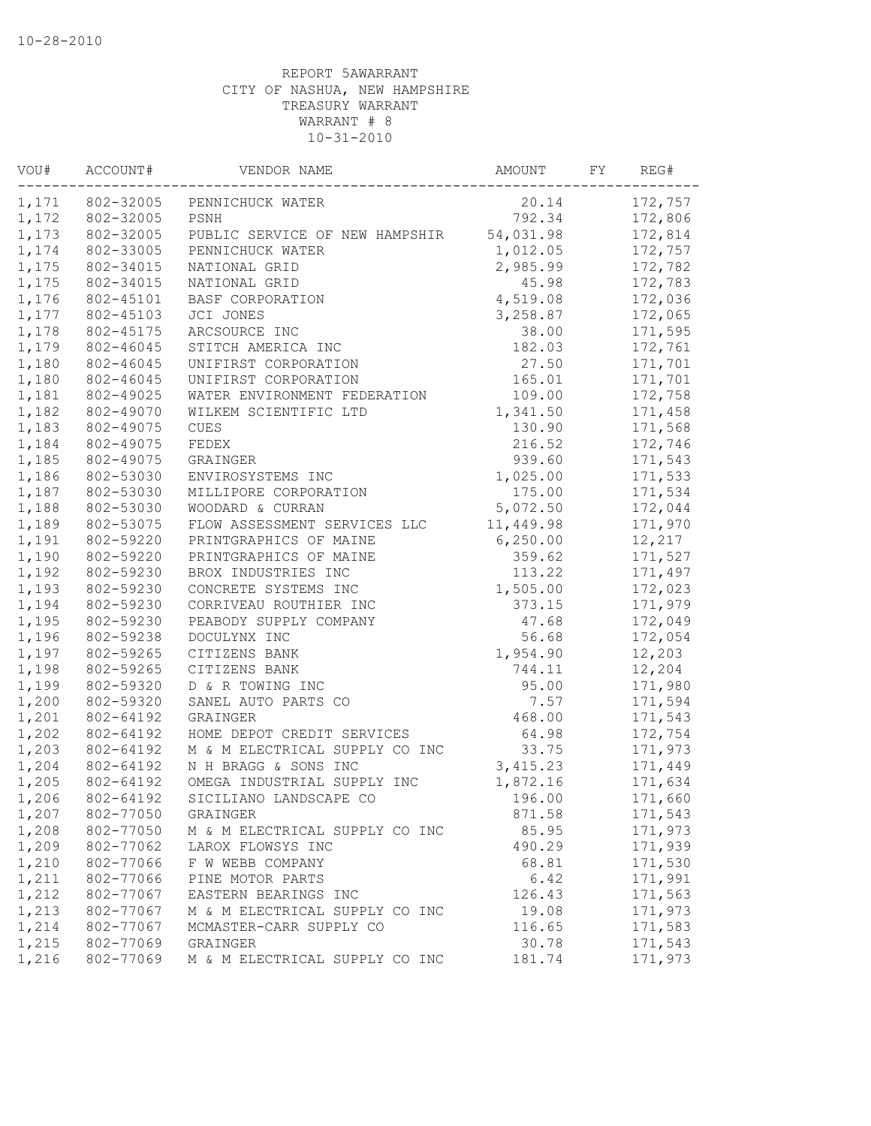| VOU#  | ACCOUNT#  | VENDOR NAME                    | AMOUNT    | FY | REG#    |
|-------|-----------|--------------------------------|-----------|----|---------|
| 1,171 | 802-32005 | PENNICHUCK WATER               | 20.14     |    | 172,757 |
| 1,172 | 802-32005 | PSNH                           | 792.34    |    | 172,806 |
| 1,173 | 802-32005 | PUBLIC SERVICE OF NEW HAMPSHIR | 54,031.98 |    | 172,814 |
| 1,174 | 802-33005 | PENNICHUCK WATER               | 1,012.05  |    | 172,757 |
| 1,175 | 802-34015 | NATIONAL GRID                  | 2,985.99  |    | 172,782 |
| 1,175 | 802-34015 | NATIONAL GRID                  | 45.98     |    | 172,783 |
| 1,176 | 802-45101 | BASF CORPORATION               | 4,519.08  |    | 172,036 |
| 1,177 | 802-45103 | JCI JONES                      | 3,258.87  |    | 172,065 |
| 1,178 | 802-45175 | ARCSOURCE INC                  | 38.00     |    | 171,595 |
| 1,179 | 802-46045 | STITCH AMERICA INC             | 182.03    |    | 172,761 |
| 1,180 | 802-46045 | UNIFIRST CORPORATION           | 27.50     |    | 171,701 |
| 1,180 | 802-46045 | UNIFIRST CORPORATION           | 165.01    |    | 171,701 |
| 1,181 | 802-49025 | WATER ENVIRONMENT FEDERATION   | 109.00    |    | 172,758 |
| 1,182 | 802-49070 | WILKEM SCIENTIFIC LTD          | 1,341.50  |    | 171,458 |
| 1,183 | 802-49075 | <b>CUES</b>                    | 130.90    |    | 171,568 |
| 1,184 | 802-49075 | FEDEX                          | 216.52    |    | 172,746 |
| 1,185 | 802-49075 | GRAINGER                       | 939.60    |    | 171,543 |
| 1,186 | 802-53030 | ENVIROSYSTEMS INC              | 1,025.00  |    | 171,533 |
| 1,187 | 802-53030 | MILLIPORE CORPORATION          | 175.00    |    | 171,534 |
| 1,188 | 802-53030 | WOODARD & CURRAN               | 5,072.50  |    | 172,044 |
| 1,189 | 802-53075 | FLOW ASSESSMENT SERVICES LLC   | 11,449.98 |    | 171,970 |
| 1,191 | 802-59220 | PRINTGRAPHICS OF MAINE         | 6, 250.00 |    | 12,217  |
| 1,190 | 802-59220 | PRINTGRAPHICS OF MAINE         | 359.62    |    | 171,527 |
| 1,192 | 802-59230 | BROX INDUSTRIES INC            | 113.22    |    | 171,497 |
| 1,193 | 802-59230 | CONCRETE SYSTEMS INC           | 1,505.00  |    | 172,023 |
| 1,194 | 802-59230 | CORRIVEAU ROUTHIER INC         | 373.15    |    | 171,979 |
| 1,195 | 802-59230 | PEABODY SUPPLY COMPANY         | 47.68     |    | 172,049 |
| 1,196 | 802-59238 | DOCULYNX INC                   | 56.68     |    | 172,054 |
| 1,197 | 802-59265 | CITIZENS BANK                  | 1,954.90  |    | 12,203  |
| 1,198 | 802-59265 | CITIZENS BANK                  | 744.11    |    | 12,204  |
| 1,199 | 802-59320 | D & R TOWING INC               | 95.00     |    | 171,980 |
| 1,200 | 802-59320 | SANEL AUTO PARTS CO            | 7.57      |    | 171,594 |
| 1,201 | 802-64192 | GRAINGER                       | 468.00    |    | 171,543 |
| 1,202 | 802-64192 | HOME DEPOT CREDIT SERVICES     | 64.98     |    | 172,754 |
| 1,203 | 802-64192 | M & M ELECTRICAL SUPPLY CO INC | 33.75     |    | 171,973 |
| 1,204 | 802-64192 | N H BRAGG & SONS INC           | 3,415.23  |    | 171,449 |
| 1,205 | 802-64192 | OMEGA INDUSTRIAL SUPPLY INC    | 1,872.16  |    | 171,634 |
| 1,206 | 802-64192 | SICILIANO LANDSCAPE CO         | 196.00    |    | 171,660 |
| 1,207 | 802-77050 | GRAINGER                       | 871.58    |    | 171,543 |
| 1,208 | 802-77050 | M & M ELECTRICAL SUPPLY CO INC | 85.95     |    | 171,973 |
| 1,209 | 802-77062 | LAROX FLOWSYS INC              | 490.29    |    | 171,939 |
| 1,210 | 802-77066 | F W WEBB COMPANY               | 68.81     |    | 171,530 |
| 1,211 | 802-77066 | PINE MOTOR PARTS               | 6.42      |    | 171,991 |
| 1,212 | 802-77067 | EASTERN BEARINGS INC           | 126.43    |    | 171,563 |
| 1,213 | 802-77067 | M & M ELECTRICAL SUPPLY CO INC | 19.08     |    | 171,973 |
| 1,214 | 802-77067 | MCMASTER-CARR SUPPLY CO        | 116.65    |    | 171,583 |
| 1,215 | 802-77069 | GRAINGER                       | 30.78     |    | 171,543 |
| 1,216 | 802-77069 | M & M ELECTRICAL SUPPLY CO INC | 181.74    |    | 171,973 |
|       |           |                                |           |    |         |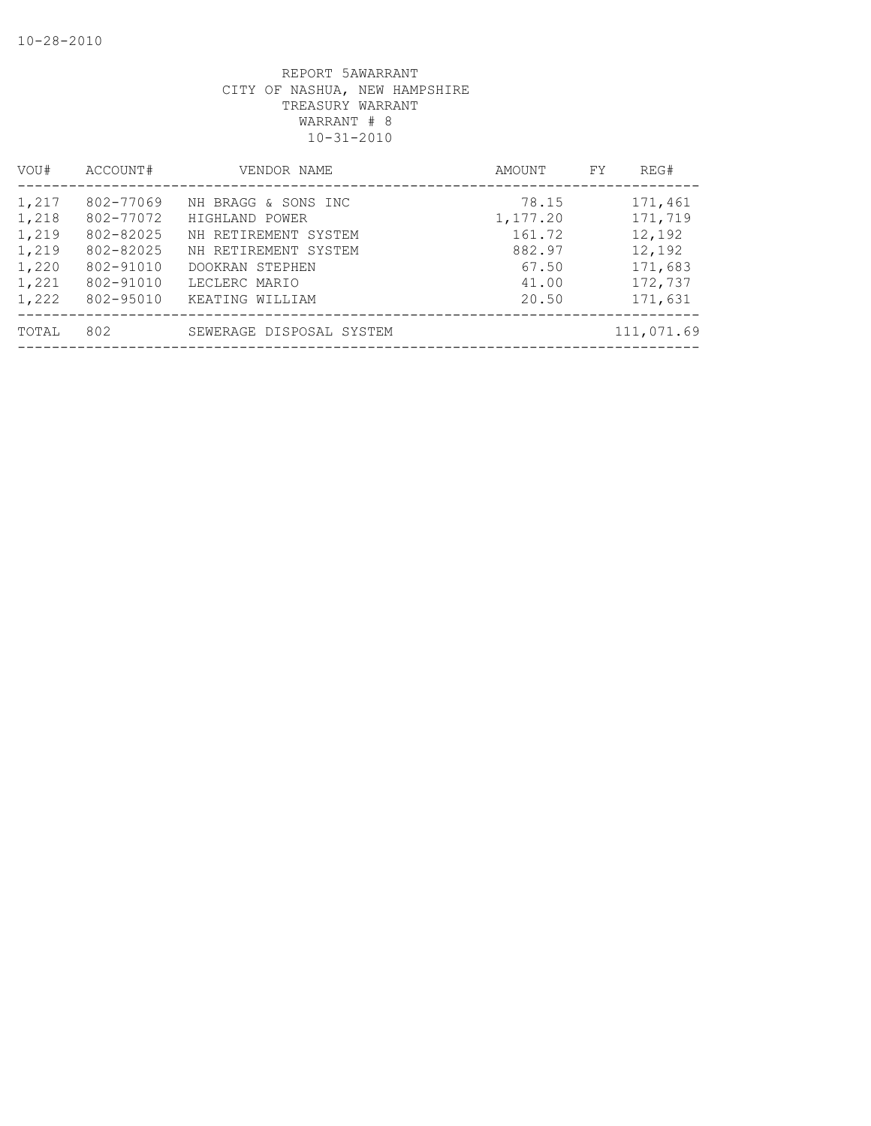| VOU#                                                        | ACCOUNT#                                                                                | VENDOR NAME                                                                                                                                  | AMOUNT                                                           | REG#<br>FY                                                              |
|-------------------------------------------------------------|-----------------------------------------------------------------------------------------|----------------------------------------------------------------------------------------------------------------------------------------------|------------------------------------------------------------------|-------------------------------------------------------------------------|
| 1,217<br>1,218<br>1,219<br>1,219<br>1,220<br>1,221<br>1,222 | 802-77069<br>802-77072<br>802-82025<br>802-82025<br>802-91010<br>802-91010<br>802-95010 | NH BRAGG & SONS INC<br>HIGHLAND POWER<br>NH RETIREMENT SYSTEM<br>NH RETIREMENT SYSTEM<br>DOOKRAN STEPHEN<br>LECLERC MARIO<br>KEATING WILLIAM | 78.15<br>1,177.20<br>161.72<br>882.97<br>67.50<br>41.00<br>20.50 | 171,461<br>171,719<br>12,192<br>12,192<br>171,683<br>172,737<br>171,631 |
| TOTAL                                                       | 802                                                                                     | SEWERAGE DISPOSAL SYSTEM                                                                                                                     |                                                                  | 111,071.69                                                              |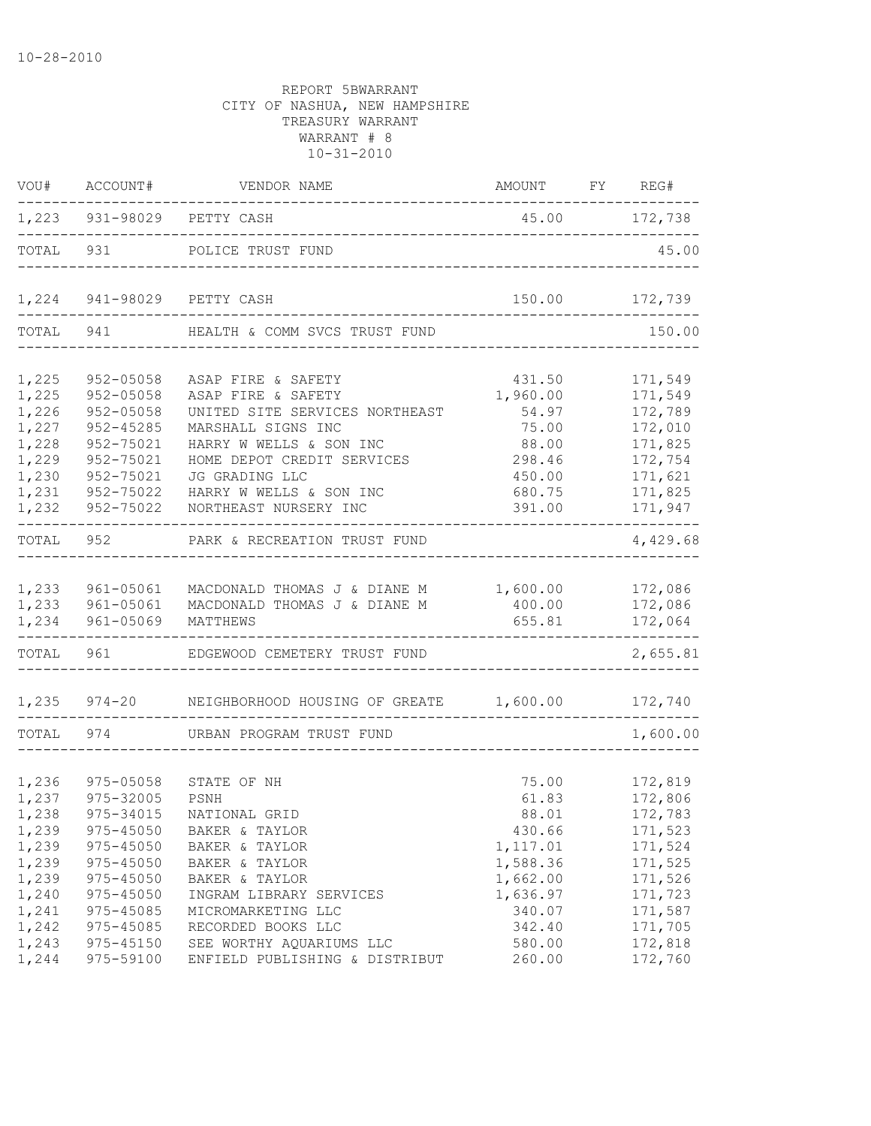| VOU#  |                  | ACCOUNT# VENDOR NAME                            | AMOUNT FY REG# |                     |
|-------|------------------|-------------------------------------------------|----------------|---------------------|
|       |                  | 1,223 931-98029 PETTY CASH                      | 45.00 172,738  |                     |
|       | TOTAL 931        | POLICE TRUST FUND                               |                | 45.00               |
|       | 1,224 941-98029  | PETTY CASH                                      |                | 150.00 172,739      |
| TOTAL | 941              | HEALTH & COMM SVCS TRUST FUND                   |                | 150.00              |
| 1,225 | 952-05058        | ASAP FIRE & SAFETY                              | 431.50         | 171,549             |
| 1,225 | $952 - 05058$    | ASAP FIRE & SAFETY                              | 1,960.00       | 171,549             |
| 1,226 | 952-05058        | UNITED SITE SERVICES NORTHEAST                  | 54.97          | 172,789             |
| 1,227 | $952 - 45285$    | MARSHALL SIGNS INC                              | 75.00          | 172,010             |
| 1,228 | 952-75021        | HARRY W WELLS & SON INC                         | 88.00          | 171,825             |
| 1,229 | 952-75021        | HOME DEPOT CREDIT SERVICES                      | 298.46         | 172,754             |
| 1,230 | 952-75021        | JG GRADING LLC                                  | 450.00         | 171,621             |
| 1,231 | 952-75022        | HARRY W WELLS & SON INC                         | 680.75         | 171,825             |
| 1,232 | 952-75022        | NORTHEAST NURSERY INC                           | 391.00         | 171,947             |
| TOTAL |                  | 952 PARK & RECREATION TRUST FUND                |                | -------<br>4,429.68 |
|       |                  |                                                 |                |                     |
| 1,233 | 961-05061        | MACDONALD THOMAS J & DIANE M $1,600.00$         |                | 172,086             |
| 1,233 | 961-05061        | MACDONALD THOMAS J & DIANE M                    | 400.00         | 172,086             |
| 1,234 | 961-05069        | MATTHEWS                                        | 655.81         | 172,064             |
| TOTAL |                  | 961 EDGEWOOD CEMETERY TRUST FUND                |                | 2,655.81            |
|       | $1,235$ $974-20$ | NEIGHBORHOOD HOUSING OF GREATE 1,600.00 172,740 |                |                     |
|       |                  |                                                 |                |                     |
| TOTAL | 974              | URBAN PROGRAM TRUST FUND                        |                | 1,600.00            |
|       |                  |                                                 |                |                     |
| 1,236 | 975-05058        | STATE OF NH                                     | 75.00          | 172,819             |
| 1,237 | 975-32005        | PSNH                                            | 61.83          | 172,806             |
| 1,238 | 975-34015        | NATIONAL GRID                                   | 88.01          | 172,783             |
| 1,239 | $975 - 45050$    | BAKER & TAYLOR                                  | 430.66         | 171,523             |
| 1,239 | 975-45050        | BAKER & TAYLOR                                  | 1,117.01       | 171,524             |
| 1,239 | 975-45050        | BAKER & TAYLOR                                  | 1,588.36       | 171,525             |
| 1,239 | 975-45050        | BAKER & TAYLOR                                  | 1,662.00       | 171,526             |
| 1,240 | 975-45050        | INGRAM LIBRARY SERVICES                         | 1,636.97       | 171,723             |
| 1,241 | 975-45085        | MICROMARKETING LLC                              | 340.07         | 171,587             |
| 1,242 | 975-45085        | RECORDED BOOKS LLC                              | 342.40         | 171,705             |
| 1,243 | 975-45150        | SEE WORTHY AQUARIUMS LLC                        | 580.00         | 172,818             |
| 1,244 | 975-59100        | ENFIELD PUBLISHING & DISTRIBUT                  | 260.00         | 172,760             |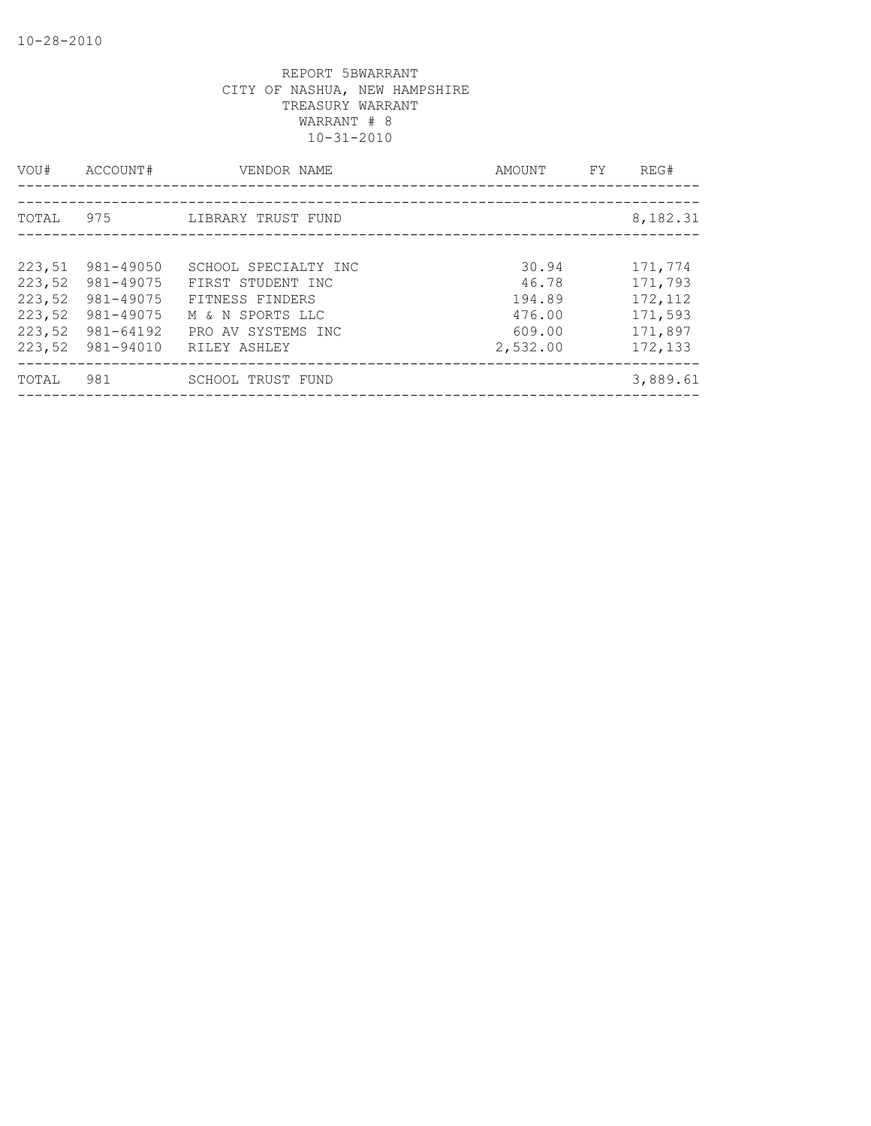| VOU#   | ACCOUNT#  | VENDOR NAME          | AMOUNT   | FY. | REG#     |
|--------|-----------|----------------------|----------|-----|----------|
|        |           |                      |          |     |          |
| TOTAL  | 975       | LIBRARY TRUST FUND   |          |     | 8,182.31 |
|        |           |                      |          |     |          |
| 223,51 | 981-49050 | SCHOOL SPECIALTY INC | 30.94    |     | 171,774  |
| 223,52 | 981-49075 | FIRST STUDENT INC    | 46.78    |     | 171,793  |
| 223,52 | 981-49075 | FITNESS FINDERS      | 194.89   |     | 172, 112 |
| 223,52 | 981-49075 | M & N SPORTS LLC     | 476.00   |     | 171,593  |
| 223,52 | 981-64192 | PRO AV SYSTEMS INC   | 609.00   |     | 171,897  |
| 223,52 | 981-94010 | RILEY ASHLEY         | 2,532.00 |     | 172,133  |
| TOTAL  | 981       | SCHOOL TRUST FUND    |          |     | 3,889.61 |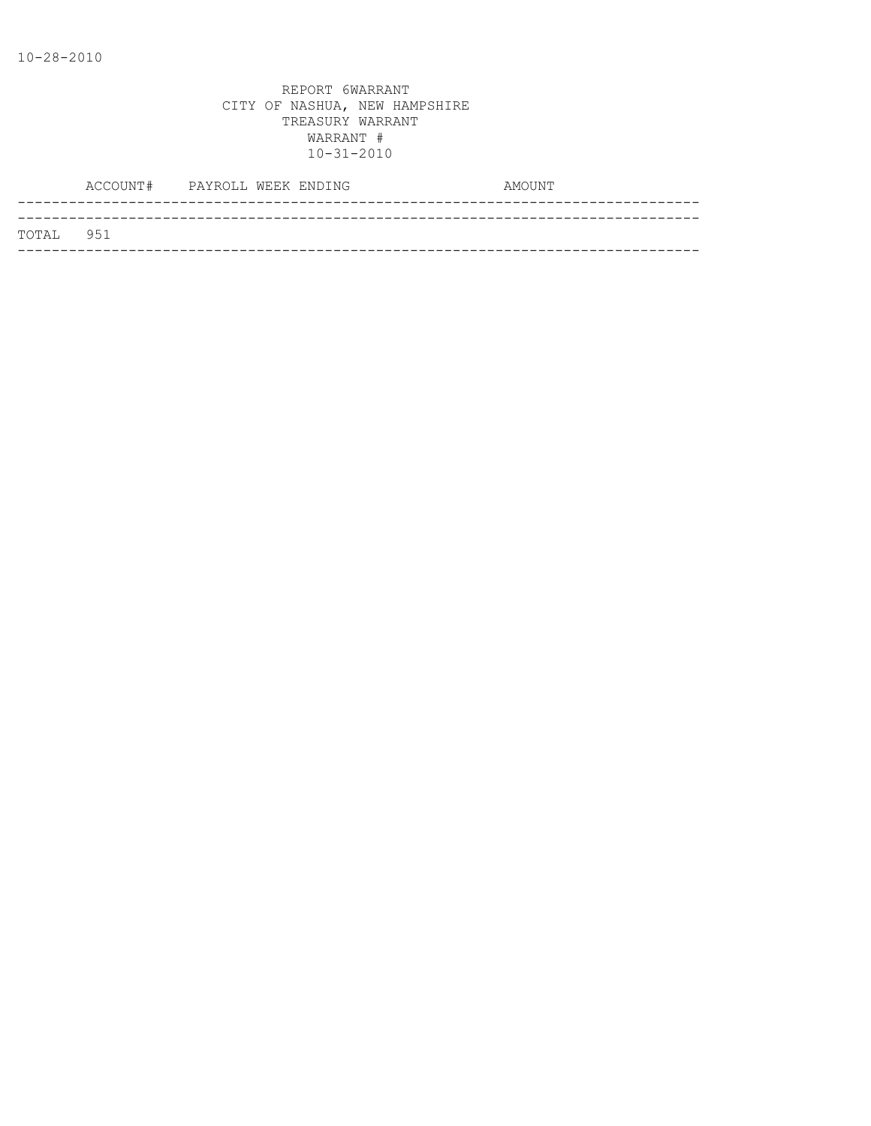|           | ACCOUNT# PAYROLL WEEK ENDING |  |  | AMOUNT |
|-----------|------------------------------|--|--|--------|
|           |                              |  |  |        |
| TOTAL 951 |                              |  |  |        |
|           |                              |  |  |        |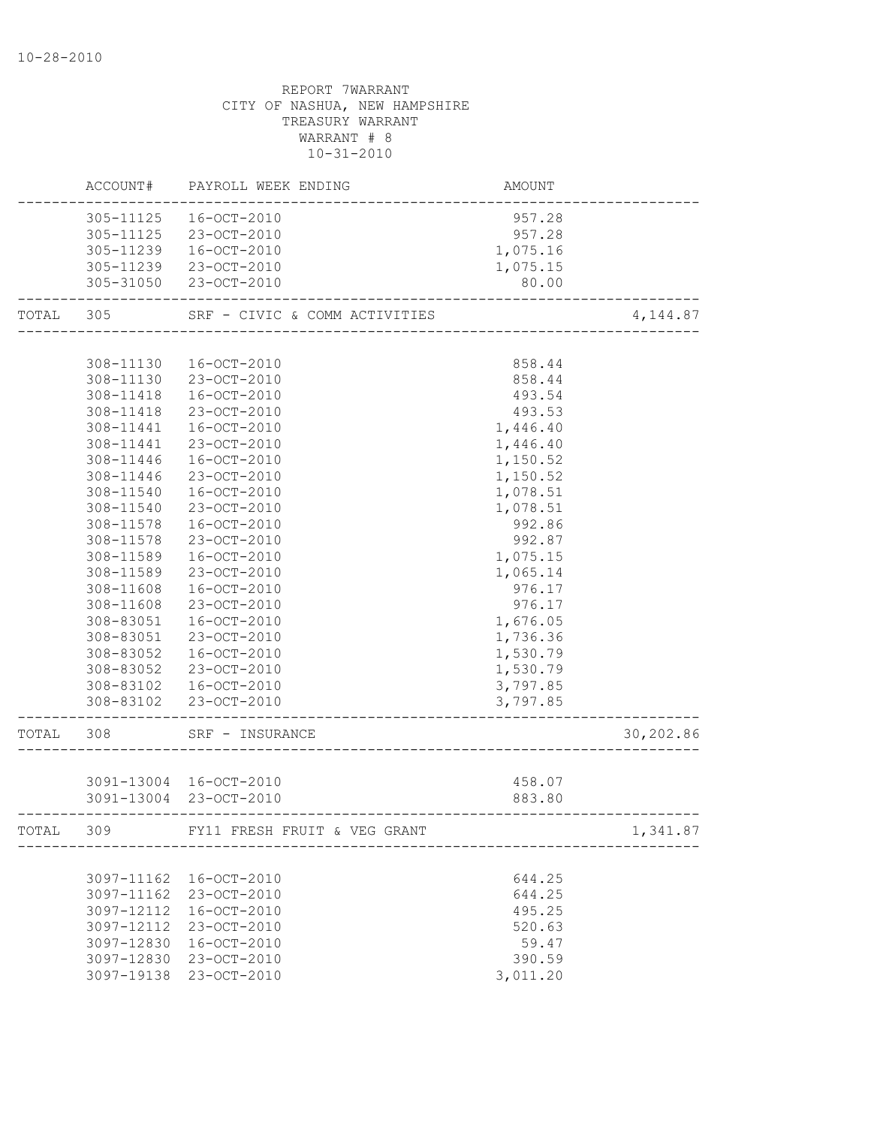|       |            | ACCOUNT# PAYROLL WEEK ENDING  | AMOUNT                                     |           |
|-------|------------|-------------------------------|--------------------------------------------|-----------|
|       | 305-11125  | 16-OCT-2010                   | 957.28                                     |           |
|       | 305-11125  | 23-OCT-2010                   | 957.28                                     |           |
|       | 305-11239  | 16-OCT-2010                   | 1,075.16                                   |           |
|       |            | 305-11239 23-OCT-2010         | 1,075.15                                   |           |
|       |            | 305-31050 23-OCT-2010         | 80.00                                      |           |
|       | TOTAL 305  | SRF - CIVIC & COMM ACTIVITIES | TIVITIES<br>------------------------------ | 4,144.87  |
|       |            |                               |                                            |           |
|       | 308-11130  | $16 - OCT - 2010$             | 858.44                                     |           |
|       |            | 308-11130 23-OCT-2010         | 858.44                                     |           |
|       | 308-11418  | 16-OCT-2010                   | 493.54                                     |           |
|       | 308-11418  | 23-OCT-2010                   | 493.53                                     |           |
|       | 308-11441  | 16-OCT-2010                   | 1,446.40                                   |           |
|       | 308-11441  | 23-OCT-2010                   | 1,446.40                                   |           |
|       | 308-11446  | 16-OCT-2010                   | 1,150.52                                   |           |
|       | 308-11446  | 23-OCT-2010                   | 1,150.52                                   |           |
|       | 308-11540  | 16-OCT-2010                   | 1,078.51                                   |           |
|       | 308-11540  | 23-OCT-2010                   | 1,078.51                                   |           |
|       | 308-11578  | 16-OCT-2010                   | 992.86                                     |           |
|       | 308-11578  | 23-OCT-2010                   | 992.87                                     |           |
|       | 308-11589  | 16-OCT-2010                   | 1,075.15                                   |           |
|       | 308-11589  | 23-OCT-2010                   | 1,065.14                                   |           |
|       | 308-11608  | 16-OCT-2010                   | 976.17                                     |           |
|       | 308-11608  | 23-OCT-2010                   | 976.17                                     |           |
|       | 308-83051  | 16-OCT-2010                   | 1,676.05                                   |           |
|       | 308-83051  | 23-OCT-2010                   | 1,736.36                                   |           |
|       | 308-83052  | 16-OCT-2010                   | 1,530.79                                   |           |
|       |            | 308-83052 23-OCT-2010         | 1,530.79                                   |           |
|       |            | 308-83102  16-OCT-2010        | 3,797.85                                   |           |
|       |            | 308-83102 23-OCT-2010         | 3,797.85                                   |           |
|       | TOTAL 308  | SRF - INSURANCE               |                                            | 30,202.86 |
|       |            |                               |                                            |           |
|       |            | 3091-13004 16-OCT-2010        | 458.07                                     |           |
|       |            | 3091-13004 23-OCT-2010        | 883.80                                     |           |
| TOTAL | 309        | FY11 FRESH FRUIT & VEG GRANT  |                                            | 1,341.87  |
|       |            |                               |                                            |           |
|       |            | 3097-11162 16-OCT-2010        | 644.25                                     |           |
|       |            | 3097-11162 23-OCT-2010        | 644.25                                     |           |
|       | 3097-12112 | 16-OCT-2010                   | 495.25                                     |           |
|       | 3097-12112 | 23-OCT-2010                   | 520.63                                     |           |
|       |            | 3097-12830 16-OCT-2010        | 59.47                                      |           |
|       |            | 3097-12830 23-OCT-2010        | 390.59                                     |           |
|       |            | 3097-19138 23-OCT-2010        | 3,011.20                                   |           |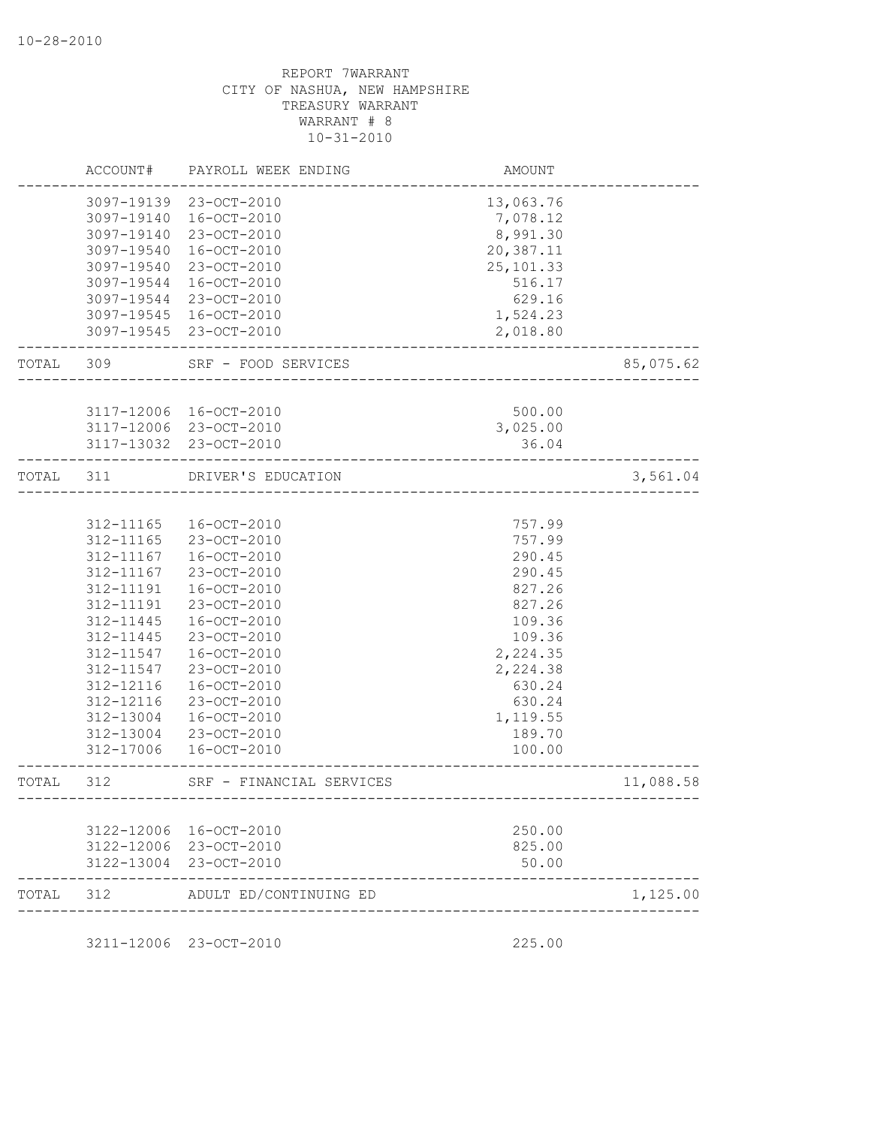|           | ACCOUNT#   | PAYROLL WEEK ENDING      | AMOUNT                             |           |
|-----------|------------|--------------------------|------------------------------------|-----------|
|           |            | 3097-19139 23-OCT-2010   | 13,063.76                          |           |
|           | 3097-19140 | 16-OCT-2010              | 7,078.12                           |           |
|           | 3097-19140 | 23-OCT-2010              | 8,991.30                           |           |
|           | 3097-19540 | 16-OCT-2010              | 20,387.11                          |           |
|           | 3097-19540 | 23-OCT-2010              | 25,101.33                          |           |
|           | 3097-19544 | 16-OCT-2010              | 516.17                             |           |
|           | 3097-19544 | 23-OCT-2010              | 629.16                             |           |
|           |            | 3097-19545 16-OCT-2010   | 1,524.23                           |           |
|           |            | 3097-19545 23-OCT-2010   | 2,018.80<br>______________         |           |
| TOTAL 309 |            | SRF - FOOD SERVICES      |                                    | 85,075.62 |
|           |            |                          |                                    |           |
|           |            | 3117-12006 16-OCT-2010   | 500.00                             |           |
|           |            | 3117-12006 23-OCT-2010   | 3,025.00                           |           |
|           |            | 3117-13032 23-OCT-2010   | 36.04                              |           |
| TOTAL     | 311        | DRIVER'S EDUCATION       |                                    | 3,561.04  |
|           |            |                          |                                    |           |
|           | 312-11165  | 16-OCT-2010              | 757.99                             |           |
|           | 312-11165  | 23-OCT-2010              | 757.99                             |           |
|           | 312-11167  | $16 - OCT - 2010$        | 290.45                             |           |
|           | 312-11167  | 23-OCT-2010              | 290.45                             |           |
|           | 312-11191  | 16-OCT-2010              | 827.26                             |           |
|           | 312-11191  | 23-OCT-2010              | 827.26                             |           |
|           | 312-11445  | $16 - OCT - 2010$        | 109.36                             |           |
|           | 312-11445  | 23-OCT-2010              | 109.36                             |           |
|           | 312-11547  | 16-OCT-2010              | 2,224.35                           |           |
|           | 312-11547  | 23-OCT-2010              | 2,224.38                           |           |
|           | 312-12116  | 16-OCT-2010              | 630.24                             |           |
|           | 312-12116  | 23-OCT-2010              | 630.24                             |           |
|           | 312-13004  | 16-OCT-2010              | 1,119.55                           |           |
|           | 312-13004  | 23-OCT-2010              | 189.70                             |           |
|           | 312-17006  | $16 - OCT - 2010$        | 100.00                             |           |
| TOTAL     | 312        | SRF - FINANCIAL SERVICES |                                    | 11,088.58 |
|           |            |                          | ---------------------------------- |           |
|           |            | 3122-12006 16-OCT-2010   | 250.00                             |           |
|           |            | 3122-12006 23-OCT-2010   | 825.00                             |           |
|           |            | 3122-13004 23-OCT-2010   | 50.00                              |           |
| TOTAL     | 312        | ADULT ED/CONTINUING ED   |                                    | 1,125.00  |
|           |            |                          |                                    |           |
|           |            | 3211-12006 23-OCT-2010   | 225.00                             |           |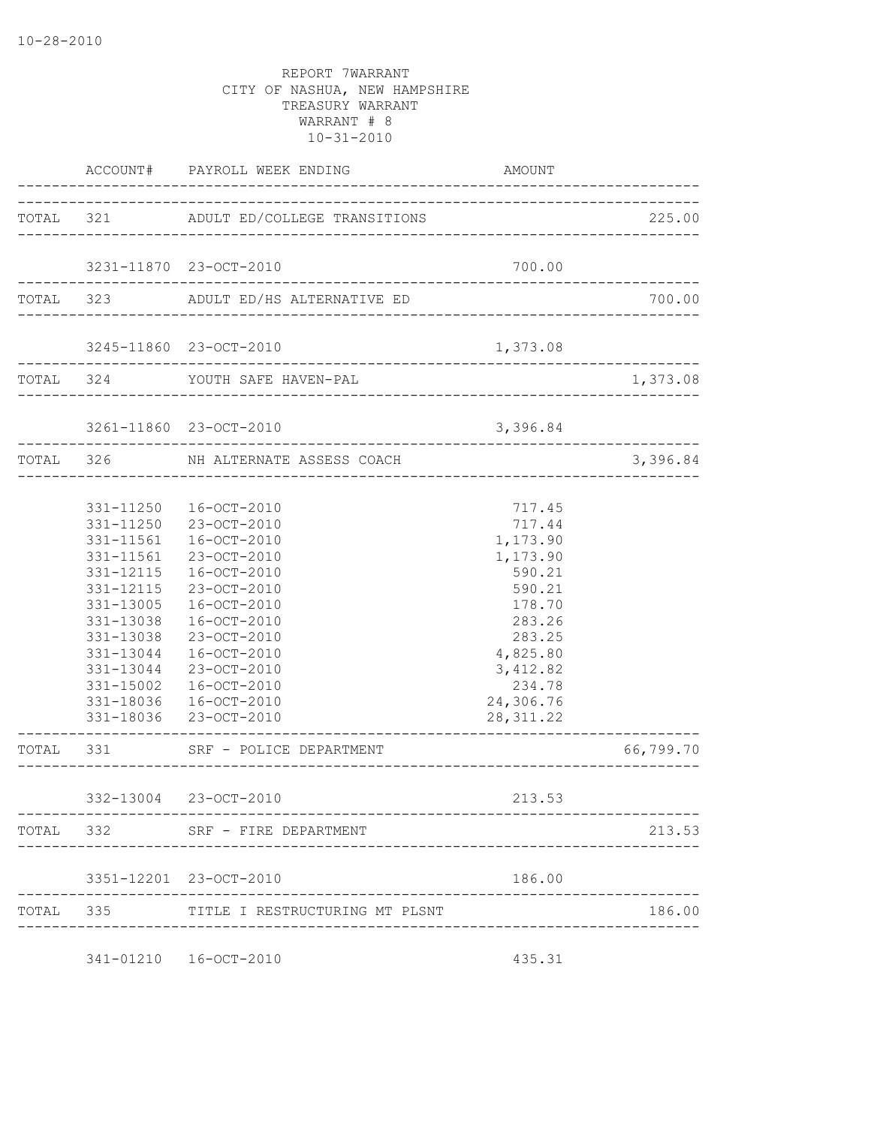|           |                                                                                                                   | ACCOUNT# PAYROLL WEEK ENDING                                                                                                                                                                                                                                       | AMOUNT                                                                                                                                                  |           |
|-----------|-------------------------------------------------------------------------------------------------------------------|--------------------------------------------------------------------------------------------------------------------------------------------------------------------------------------------------------------------------------------------------------------------|---------------------------------------------------------------------------------------------------------------------------------------------------------|-----------|
|           |                                                                                                                   | TOTAL 321 ADULT ED/COLLEGE TRANSITIONS                                                                                                                                                                                                                             |                                                                                                                                                         | 225.00    |
|           |                                                                                                                   | 3231-11870 23-OCT-2010                                                                                                                                                                                                                                             | 700.00                                                                                                                                                  |           |
|           |                                                                                                                   | TOTAL 323 ADULT ED/HS ALTERNATIVE ED                                                                                                                                                                                                                               |                                                                                                                                                         | 700.00    |
|           |                                                                                                                   | 3245-11860 23-OCT-2010<br>-----------------------                                                                                                                                                                                                                  | 1,373.08                                                                                                                                                |           |
|           |                                                                                                                   | TOTAL 324 YOUTH SAFE HAVEN-PAL                                                                                                                                                                                                                                     |                                                                                                                                                         | 1,373.08  |
|           |                                                                                                                   | 3261-11860 23-OCT-2010                                                                                                                                                                                                                                             | 3,396.84                                                                                                                                                |           |
|           | TOTAL 326                                                                                                         | NH ALTERNATE ASSESS COACH<br>_________________________                                                                                                                                                                                                             |                                                                                                                                                         | 3,396.84  |
|           | 331-11561<br>331-12115<br>331-12115<br>331-13005<br>331-13038<br>331-13038<br>331-13044<br>331-13044<br>331-15002 | 331-11250  16-OCT-2010<br>331-11250 23-OCT-2010<br>331-11561  16-OCT-2010<br>23-OCT-2010<br>16-OCT-2010<br>23-OCT-2010<br>16-OCT-2010<br>16-OCT-2010<br>23-OCT-2010<br>16-OCT-2010<br>23-OCT-2010<br>16-OCT-2010<br>331-18036 16-OCT-2010<br>331-18036 23-OCT-2010 | 717.45<br>717.44<br>1,173.90<br>1,173.90<br>590.21<br>590.21<br>178.70<br>283.26<br>283.25<br>4,825.80<br>3,412.82<br>234.78<br>24,306.76<br>28, 311.22 |           |
| TOTAL 331 |                                                                                                                   | SRF - POLICE DEPARTMENT<br>--------------------                                                                                                                                                                                                                    |                                                                                                                                                         | 66,799.70 |
|           |                                                                                                                   | 332-13004 23-OCT-2010                                                                                                                                                                                                                                              | 213.53                                                                                                                                                  |           |
|           |                                                                                                                   | TOTAL 332 SRF - FIRE DEPARTMENT                                                                                                                                                                                                                                    |                                                                                                                                                         | 213.53    |
|           |                                                                                                                   | 3351-12201 23-OCT-2010                                                                                                                                                                                                                                             | 186.00                                                                                                                                                  |           |
|           |                                                                                                                   | TOTAL 335 TITLE I RESTRUCTURING MT PLSNT                                                                                                                                                                                                                           |                                                                                                                                                         | 186.00    |
|           |                                                                                                                   | 341-01210  16-OCT-2010                                                                                                                                                                                                                                             | 435.31                                                                                                                                                  |           |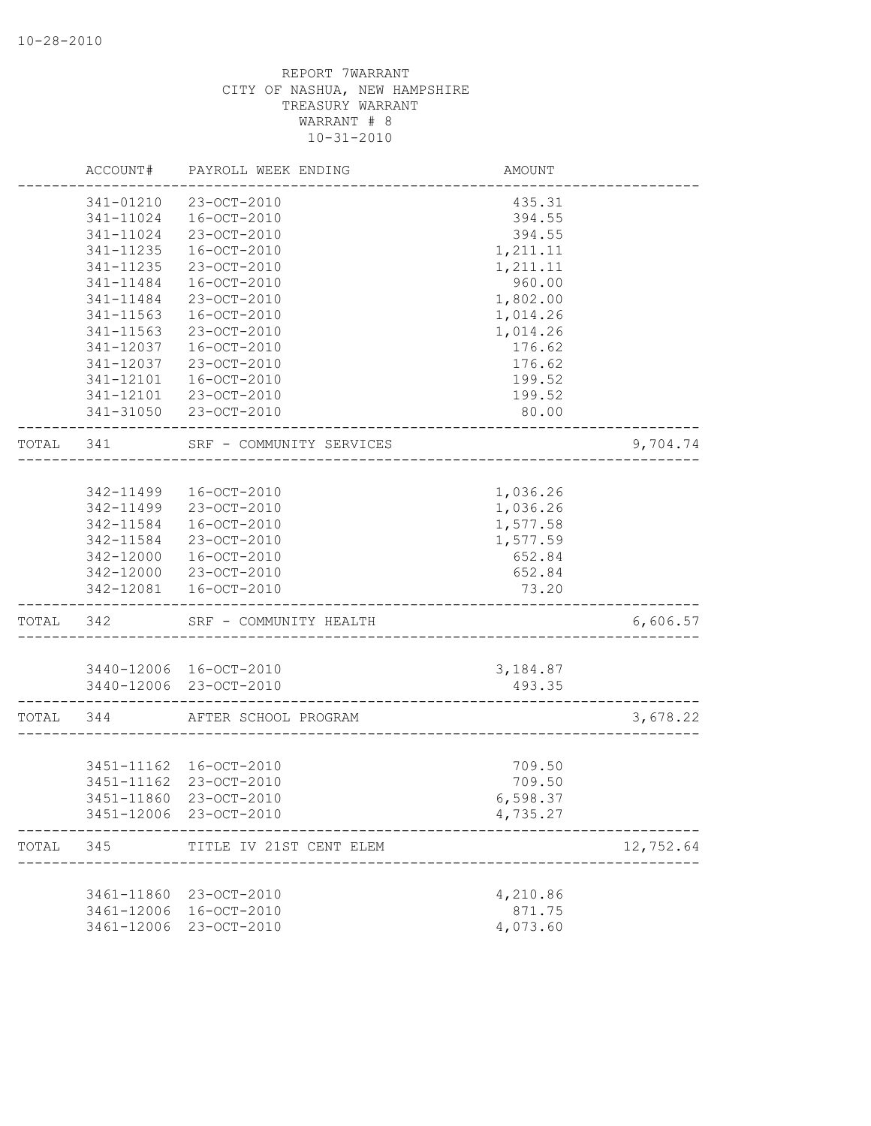|           | ACCOUNT#   | PAYROLL WEEK ENDING      | AMOUNT   |           |
|-----------|------------|--------------------------|----------|-----------|
|           | 341-01210  | 23-OCT-2010              | 435.31   |           |
|           | 341-11024  | 16-OCT-2010              | 394.55   |           |
|           | 341-11024  | 23-OCT-2010              | 394.55   |           |
|           | 341-11235  | 16-OCT-2010              | 1,211.11 |           |
|           | 341-11235  | 23-OCT-2010              | 1,211.11 |           |
|           | 341-11484  | 16-OCT-2010              | 960.00   |           |
|           | 341-11484  | 23-OCT-2010              | 1,802.00 |           |
|           | 341-11563  | 16-OCT-2010              | 1,014.26 |           |
|           | 341-11563  | $23 - OCT - 2010$        | 1,014.26 |           |
|           | 341-12037  | $16 - OCT - 2010$        | 176.62   |           |
|           | 341-12037  | 23-OCT-2010              | 176.62   |           |
|           | 341-12101  | 16-OCT-2010              | 199.52   |           |
|           | 341-12101  | 23-OCT-2010              | 199.52   |           |
|           | 341-31050  | 23-OCT-2010              | 80.00    |           |
| TOTAL     | 341        | SRF - COMMUNITY SERVICES |          | 9,704.74  |
|           |            |                          |          |           |
|           | 342-11499  | 16-OCT-2010              | 1,036.26 |           |
|           | 342-11499  | 23-OCT-2010              | 1,036.26 |           |
|           | 342-11584  | 16-OCT-2010              | 1,577.58 |           |
|           | 342-11584  | 23-OCT-2010              | 1,577.59 |           |
|           | 342-12000  | $16 - OCT - 2010$        | 652.84   |           |
|           | 342-12000  | 23-OCT-2010              | 652.84   |           |
|           | 342-12081  | $16 - OCT - 2010$        | 73.20    |           |
| TOTAL 342 |            | SRF - COMMUNITY HEALTH   |          | 6,606.57  |
|           |            |                          |          |           |
|           |            | 3440-12006 16-OCT-2010   | 3,184.87 |           |
|           |            | 3440-12006 23-OCT-2010   | 493.35   |           |
| TOTAL     | 344        | AFTER SCHOOL PROGRAM     |          | 3,678.22  |
|           |            |                          |          |           |
|           |            | 3451-11162 16-OCT-2010   | 709.50   |           |
|           | 3451-11162 | 23-OCT-2010              | 709.50   |           |
|           |            | 3451-11860 23-OCT-2010   | 6,598.37 |           |
|           |            | 3451-12006 23-OCT-2010   | 4,735.27 |           |
| TOTAL     | 345        | TITLE IV 21ST CENT ELEM  |          | 12,752.64 |
|           |            |                          |          |           |
|           | 3461-11860 | 23-OCT-2010              | 4,210.86 |           |
|           | 3461-12006 | 16-OCT-2010              | 871.75   |           |
|           | 3461-12006 | 23-OCT-2010              | 4,073.60 |           |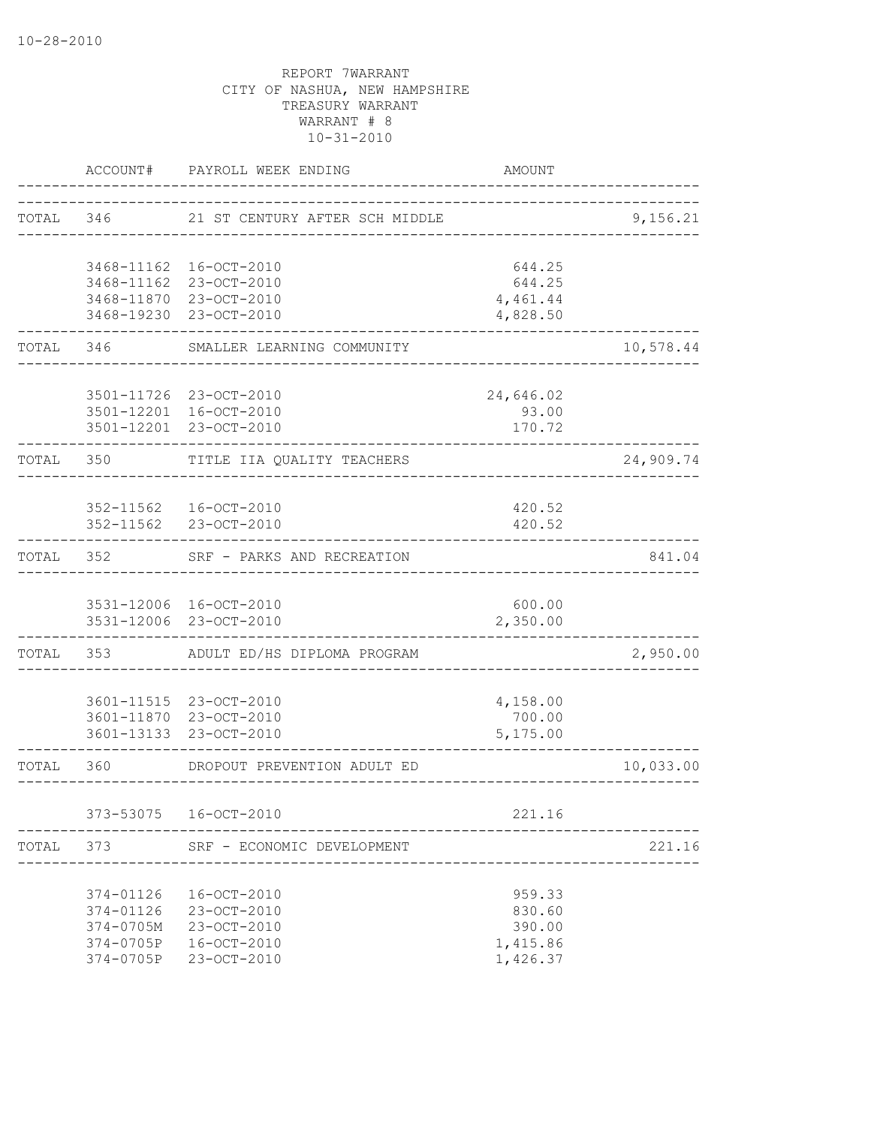|           | ACCOUNT#   | PAYROLL WEEK ENDING            | AMOUNT    |           |
|-----------|------------|--------------------------------|-----------|-----------|
| TOTAL 346 |            | 21 ST CENTURY AFTER SCH MIDDLE |           | 9,156.21  |
|           |            | 3468-11162 16-OCT-2010         | 644.25    |           |
|           |            | 3468-11162 23-OCT-2010         | 644.25    |           |
|           |            | 3468-11870 23-OCT-2010         | 4,461.44  |           |
|           | 3468-19230 | 23-OCT-2010                    | 4,828.50  |           |
| TOTAL 346 |            | SMALLER LEARNING COMMUNITY     |           | 10,578.44 |
|           |            | 3501-11726 23-OCT-2010         | 24,646.02 |           |
|           |            | 3501-12201 16-OCT-2010         | 93.00     |           |
|           |            | 3501-12201 23-OCT-2010         | 170.72    |           |
| TOTAL 350 |            | TITLE IIA QUALITY TEACHERS     |           | 24,909.74 |
|           |            | 352-11562  16-OCT-2010         | 420.52    |           |
|           |            | 352-11562 23-OCT-2010          | 420.52    |           |
| TOTAL     | 352        | SRF - PARKS AND RECREATION     |           | 841.04    |
|           |            | 3531-12006 16-OCT-2010         | 600.00    |           |
|           |            | 3531-12006 23-OCT-2010         | 2,350.00  |           |
| TOTAL     | 353        | ADULT ED/HS DIPLOMA PROGRAM    |           | 2,950.00  |
|           |            | 3601-11515 23-OCT-2010         | 4,158.00  |           |
|           |            | 3601-11870 23-OCT-2010         | 700.00    |           |
|           |            | 3601-13133 23-OCT-2010         | 5,175.00  |           |
| TOTAL     | 360        | DROPOUT PREVENTION ADULT ED    |           | 10,033.00 |
|           | 373-53075  | 16-OCT-2010                    | 221.16    |           |
| TOTAL     | 373        | SRF - ECONOMIC DEVELOPMENT     |           | 221.16    |
|           |            |                                |           |           |
|           | 374-01126  | $16 - OCT - 2010$              | 959.33    |           |
|           | 374-01126  | 23-OCT-2010                    | 830.60    |           |
|           | 374-0705M  | 23-OCT-2010                    | 390.00    |           |
|           | 374-0705P  | $16 - OCT - 2010$              | 1,415.86  |           |
|           | 374-0705P  | 23-OCT-2010                    | 1,426.37  |           |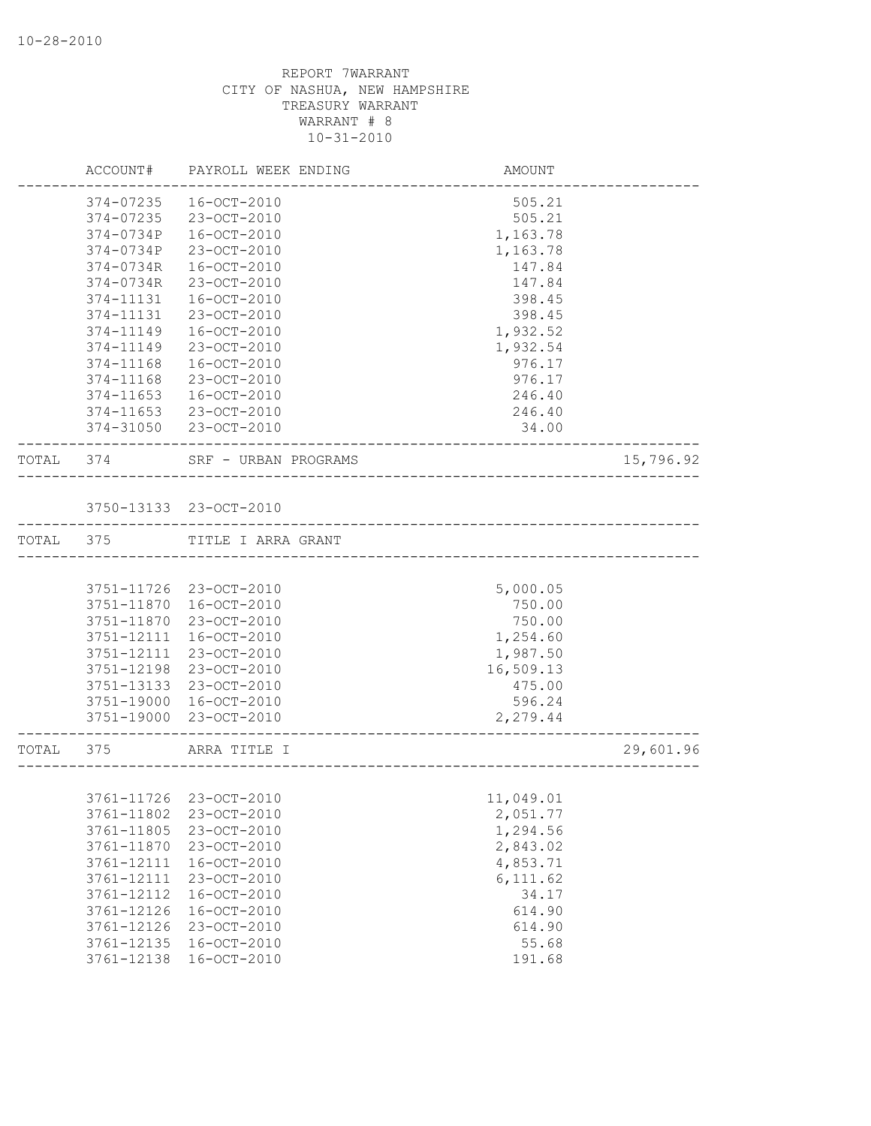|           | ACCOUNT#      | PAYROLL WEEK ENDING    | AMOUNT                 |           |
|-----------|---------------|------------------------|------------------------|-----------|
|           | 374-07235     | 16-OCT-2010            | 505.21                 |           |
|           | 374-07235     | 23-OCT-2010            | 505.21                 |           |
|           | 374-0734P     | $16 - OCT - 2010$      | 1,163.78               |           |
|           | 374-0734P     | 23-OCT-2010            | 1,163.78               |           |
|           | 374-0734R     | 16-OCT-2010            | 147.84                 |           |
|           | 374-0734R     | 23-OCT-2010            | 147.84                 |           |
|           | 374-11131     | $16 - OCT - 2010$      | 398.45                 |           |
|           | 374-11131     | 23-OCT-2010            | 398.45                 |           |
|           | 374-11149     | $16 - OCT - 2010$      | 1,932.52               |           |
|           | 374-11149     | 23-OCT-2010            | 1,932.54               |           |
|           | 374-11168     | $16 - OCT - 2010$      | 976.17                 |           |
|           | 374-11168     | 23-OCT-2010            | 976.17                 |           |
|           | 374-11653     | $16 - OCT - 2010$      | 246.40                 |           |
|           | $374 - 11653$ | 23-OCT-2010            | 246.40                 |           |
|           |               | 374-31050 23-OCT-2010  | 34.00                  |           |
| TOTAL 374 |               | SRF - URBAN PROGRAMS   | ------------------     | 15,796.92 |
|           |               | 3750-13133 23-OCT-2010 |                        |           |
|           |               |                        |                        |           |
| TOTAL 375 |               | TITLE I ARRA GRANT     |                        |           |
|           |               |                        |                        |           |
|           |               | 3751-11726 23-OCT-2010 | 5,000.05               |           |
|           |               | 3751-11870 16-OCT-2010 | 750.00                 |           |
|           | 3751-11870    | 23-OCT-2010            | 750.00                 |           |
|           | 3751-12111    | 16-OCT-2010            | 1,254.60               |           |
|           | 3751-12111    | 23-OCT-2010            | 1,987.50               |           |
|           | 3751-12198    | 23-OCT-2010            | 16,509.13              |           |
|           | 3751-13133    | 23-OCT-2010            | 475.00                 |           |
|           | 3751-19000    | 16-OCT-2010            | 596.24                 |           |
|           | 3751-19000    | 23-OCT-2010            | 2,279.44               |           |
| TOTAL 375 |               | ARRA TITLE I           | ______________________ | 29,601.96 |
|           |               |                        |                        |           |
|           |               | 3761-11726 23-OCT-2010 | 11,049.01              |           |
|           | 3761-11802    | 23-OCT-2010            | 2,051.77               |           |
|           | 3761-11805    | 23-OCT-2010            | 1,294.56               |           |
|           | 3761-11870    | 23-OCT-2010            | 2,843.02               |           |
|           | 3761-12111    | $16 - OCT - 2010$      | 4,853.71               |           |
|           | 3761-12111    | 23-OCT-2010            | 6, 111.62              |           |
|           | 3761-12112    | $16 - OCT - 2010$      | 34.17                  |           |
|           | 3761-12126    | $16 - OCT - 2010$      | 614.90                 |           |
|           | 3761-12126    | 23-OCT-2010            | 614.90                 |           |
|           | 3761-12135    | $16 - OCT - 2010$      | 55.68                  |           |
|           | 3761-12138    | 16-OCT-2010            | 191.68                 |           |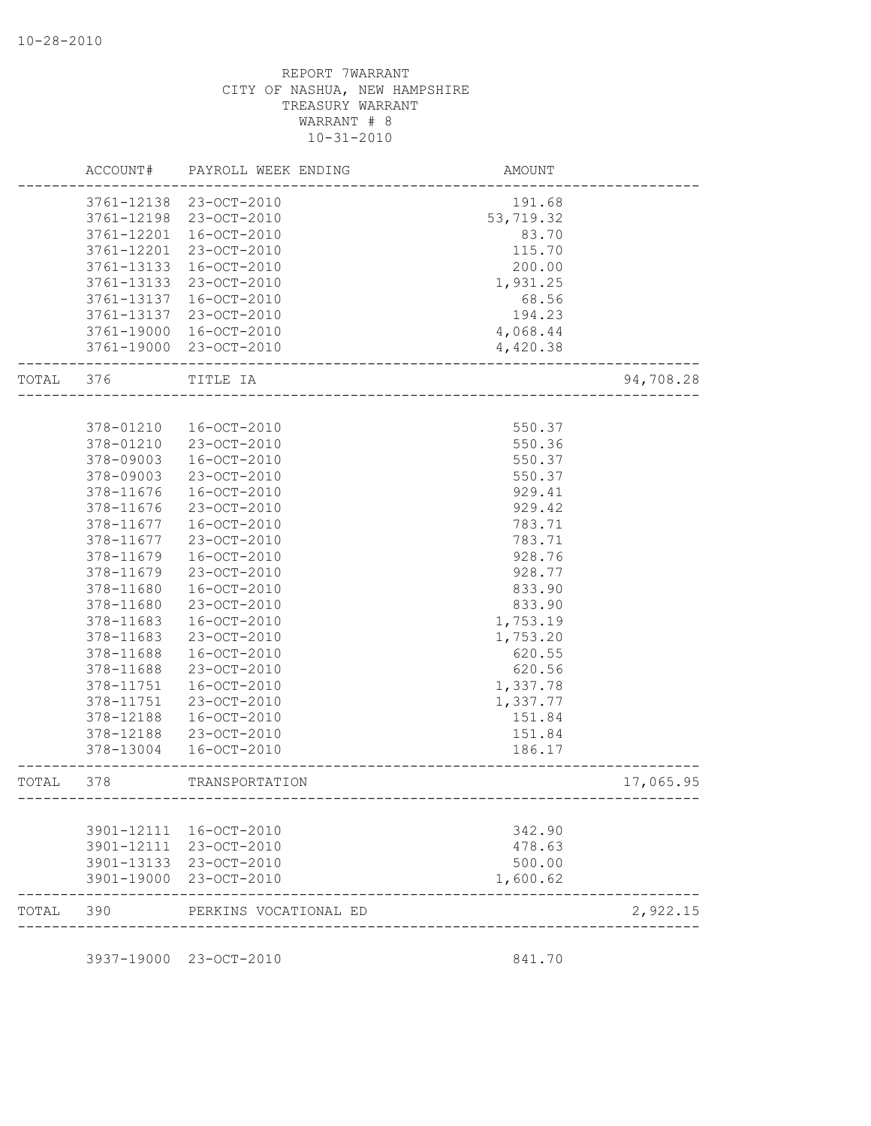|       | ACCOUNT#   | PAYROLL WEEK ENDING                   | AMOUNT                             |           |
|-------|------------|---------------------------------------|------------------------------------|-----------|
|       | 3761-12138 | 23-OCT-2010                           | 191.68                             |           |
|       | 3761-12198 | 23-OCT-2010                           | 53,719.32                          |           |
|       | 3761-12201 | 16-OCT-2010                           | 83.70                              |           |
|       | 3761-12201 | 23-OCT-2010                           | 115.70                             |           |
|       | 3761-13133 | 16-OCT-2010                           | 200.00                             |           |
|       | 3761-13133 | 23-OCT-2010                           | 1,931.25                           |           |
|       | 3761-13137 | 16-OCT-2010                           | 68.56                              |           |
|       | 3761-13137 | 23-OCT-2010                           | 194.23                             |           |
|       | 3761-19000 | 16-OCT-2010                           | 4,068.44                           |           |
|       | 3761-19000 | 23-OCT-2010                           | 4,420.38                           |           |
| TOTAL | 376        | TITLE IA                              |                                    | 94,708.28 |
|       |            |                                       |                                    |           |
|       | 378-01210  | $16 - OCT - 2010$                     | 550.37                             |           |
|       | 378-01210  | 23-OCT-2010                           | 550.36                             |           |
|       | 378-09003  | 16-OCT-2010                           | 550.37                             |           |
|       | 378-09003  | 23-OCT-2010                           | 550.37                             |           |
|       | 378-11676  | 16-OCT-2010                           | 929.41                             |           |
|       | 378-11676  | 23-OCT-2010                           | 929.42                             |           |
|       | 378-11677  | 16-OCT-2010                           | 783.71                             |           |
|       | 378-11677  | 23-OCT-2010                           | 783.71                             |           |
|       | 378-11679  | $16 - OCT - 2010$                     | 928.76                             |           |
|       | 378-11679  | 23-OCT-2010                           | 928.77                             |           |
|       | 378-11680  | 16-OCT-2010                           | 833.90                             |           |
|       | 378-11680  | 23-OCT-2010                           | 833.90                             |           |
|       | 378-11683  | $16 - OCT - 2010$                     | 1,753.19                           |           |
|       | 378-11683  | 23-OCT-2010                           | 1,753.20                           |           |
|       | 378-11688  | 16-OCT-2010                           | 620.55                             |           |
|       | 378-11688  | 23-OCT-2010                           | 620.56                             |           |
|       | 378-11751  | 16-OCT-2010                           | 1,337.78                           |           |
|       | 378-11751  | 23-OCT-2010                           | 1,337.77                           |           |
|       | 378-12188  | 16-OCT-2010                           | 151.84                             |           |
|       | 378-12188  | 23-OCT-2010                           | 151.84                             |           |
|       | 378-13004  | $16 - OCT - 2010$                     | 186.17                             |           |
| TOTAL | 378        | TRANSPORTATION                        | ---------------------------------- | 17,065.95 |
|       |            |                                       |                                    |           |
|       |            | 3901-12111 16-OCT-2010                | 342.90                             |           |
|       | 3901-12111 | 23-OCT-2010                           | 478.63                             |           |
|       | 3901-19000 | 3901-13133 23-OCT-2010<br>23-OCT-2010 | 500.00<br>1,600.62                 |           |
| TOTAL | 390        | PERKINS VOCATIONAL ED                 |                                    | 2,922.15  |
|       |            |                                       |                                    |           |
|       |            | 3937-19000 23-OCT-2010                | 841.70                             |           |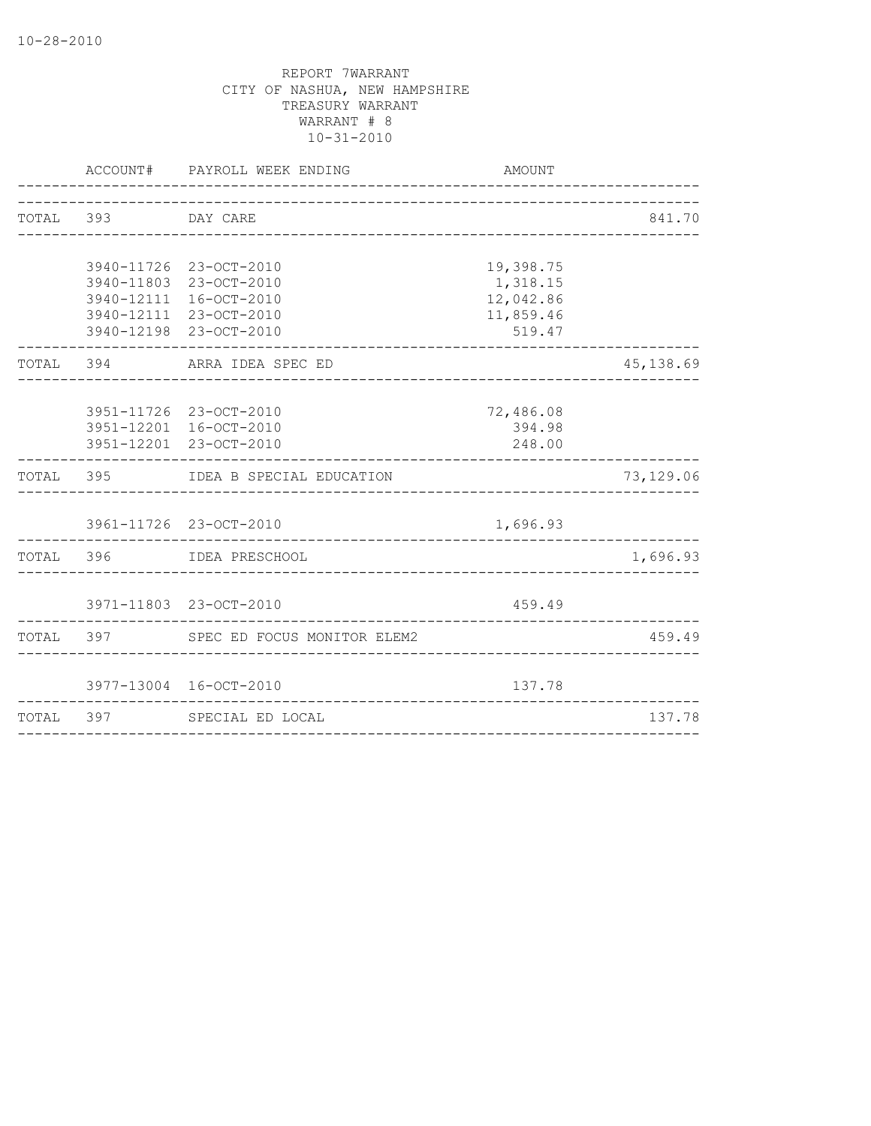|           | ACCOUNT# PAYROLL WEEK ENDING<br>____________________________                                                                   | AMOUNT                                                    |                        |
|-----------|--------------------------------------------------------------------------------------------------------------------------------|-----------------------------------------------------------|------------------------|
| TOTAL 393 | DAY CARE                                                                                                                       | __________________________                                | 841.70<br>------------ |
|           | 3940-11726 23-OCT-2010<br>3940-11803 23-OCT-2010<br>3940-12111 16-OCT-2010<br>3940-12111 23-OCT-2010<br>3940-12198 23-OCT-2010 | 19,398.75<br>1,318.15<br>12,042.86<br>11,859.46<br>519.47 |                        |
|           | TOTAL 394 ARRA IDEA SPEC ED                                                                                                    |                                                           | 45, 138.69             |
|           | 3951-11726 23-OCT-2010<br>3951-12201 16-OCT-2010<br>3951-12201 23-OCT-2010                                                     | 72,486.08<br>394.98<br>248.00                             |                        |
|           | TOTAL 395 IDEA B SPECIAL EDUCATION                                                                                             |                                                           | 73,129.06              |
|           | 3961-11726 23-OCT-2010                                                                                                         | 1,696.93                                                  |                        |
|           | TOTAL 396 IDEA PRESCHOOL                                                                                                       |                                                           | 1,696.93               |
|           | 3971-11803 23-OCT-2010                                                                                                         | 459.49                                                    |                        |
|           | TOTAL 397 SPEC ED FOCUS MONITOR ELEM2                                                                                          |                                                           | 459.49                 |
|           | 3977-13004 16-OCT-2010                                                                                                         | 137.78                                                    |                        |
| TOTAL 397 | SPECIAL ED LOCAL                                                                                                               |                                                           | 137.78                 |
|           |                                                                                                                                |                                                           |                        |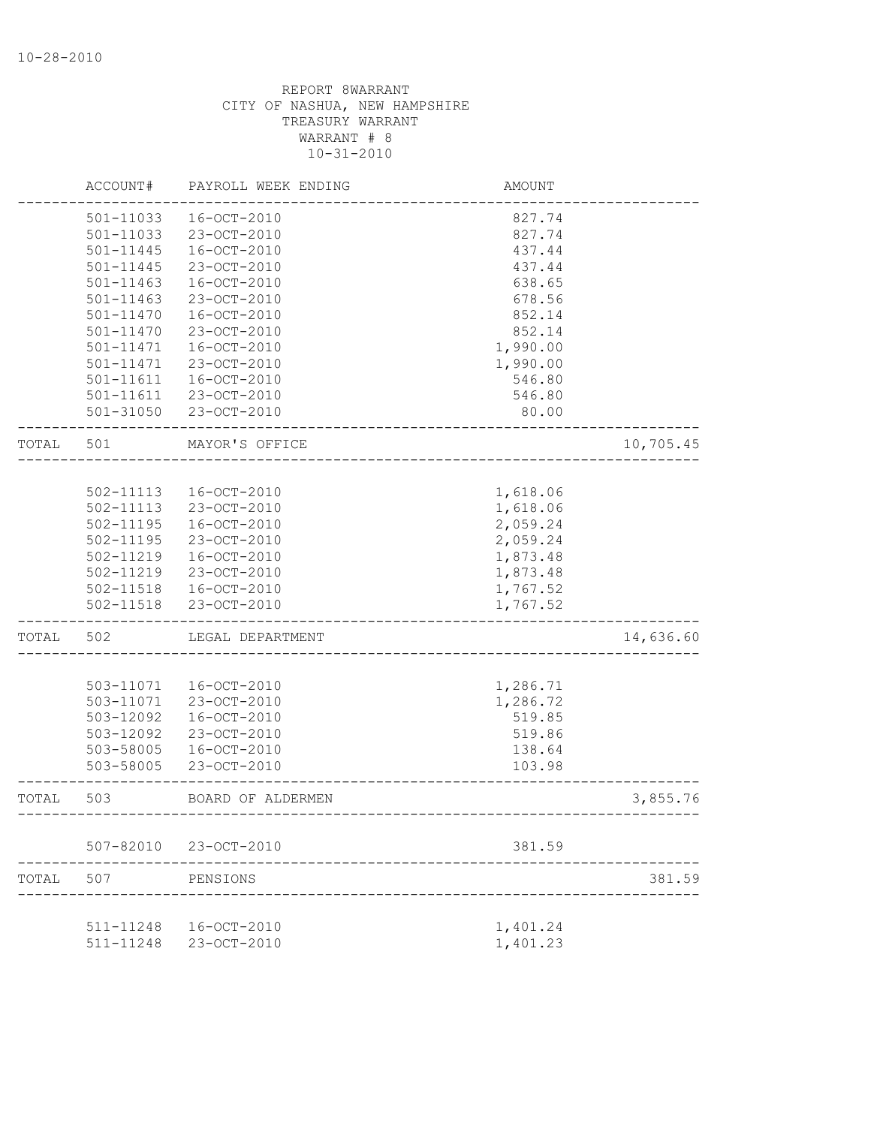|       | ACCOUNT#      | PAYROLL WEEK ENDING    | <b>AMOUNT</b>              |           |
|-------|---------------|------------------------|----------------------------|-----------|
|       | 501-11033     | $16 - OCT - 2010$      | 827.74                     |           |
|       | 501-11033     | 23-OCT-2010            | 827.74                     |           |
|       | $501 - 11445$ | 16-OCT-2010            | 437.44                     |           |
|       | 501-11445     | 23-OCT-2010            | 437.44                     |           |
|       | $501 - 11463$ | 16-OCT-2010            | 638.65                     |           |
|       | $501 - 11463$ | 23-OCT-2010            | 678.56                     |           |
|       | 501-11470     | 16-OCT-2010            | 852.14                     |           |
|       | 501-11470     | 23-OCT-2010            | 852.14                     |           |
|       | $501 - 11471$ | 16-OCT-2010            | 1,990.00                   |           |
|       | 501-11471     | 23-OCT-2010            | 1,990.00                   |           |
|       | $501 - 11611$ | 16-OCT-2010            | 546.80                     |           |
|       | 501-11611     | 23-OCT-2010            | 546.80                     |           |
|       |               | 501-31050 23-OCT-2010  | 80.00                      |           |
| TOTAL | 501           | MAYOR'S OFFICE         |                            | 10,705.45 |
|       |               |                        |                            |           |
|       | 502-11113     | 16-OCT-2010            | 1,618.06                   |           |
|       | $502 - 11113$ | 23-OCT-2010            | 1,618.06                   |           |
|       | 502-11195     | 16-OCT-2010            | 2,059.24                   |           |
|       | 502-11195     | 23-OCT-2010            | 2,059.24                   |           |
|       | 502-11219     | 16-OCT-2010            | 1,873.48                   |           |
|       | 502-11219     | 23-OCT-2010            | 1,873.48                   |           |
|       | 502-11518     | 16-OCT-2010            | 1,767.52                   |           |
|       | 502-11518     | 23-OCT-2010            | 1,767.52                   |           |
| TOTAL | 502           | LEGAL DEPARTMENT       |                            | 14,636.60 |
|       |               |                        |                            |           |
|       | 503-11071     | 16-OCT-2010            | 1,286.71                   |           |
|       | 503-11071     | 23-OCT-2010            | 1,286.72                   |           |
|       | 503-12092     | $16 - OCT - 2010$      | 519.85                     |           |
|       | 503-12092     | 23-OCT-2010            | 519.86                     |           |
|       | 503-58005     | 16-OCT-2010            | 138.64                     |           |
|       | 503-58005     | 23-OCT-2010            | 103.98                     |           |
| TOTAL | 503           | BOARD OF ALDERMEN      | -------------------------- | 3,855.76  |
|       |               |                        |                            |           |
|       |               | 507-82010 23-OCT-2010  | 381.59                     |           |
| TOTAL | 507           | PENSIONS               |                            | 381.59    |
|       |               | 511-11248  16-OCT-2010 | 1,401.24                   |           |
|       | 511-11248     | 23-OCT-2010            | 1,401.23                   |           |
|       |               |                        |                            |           |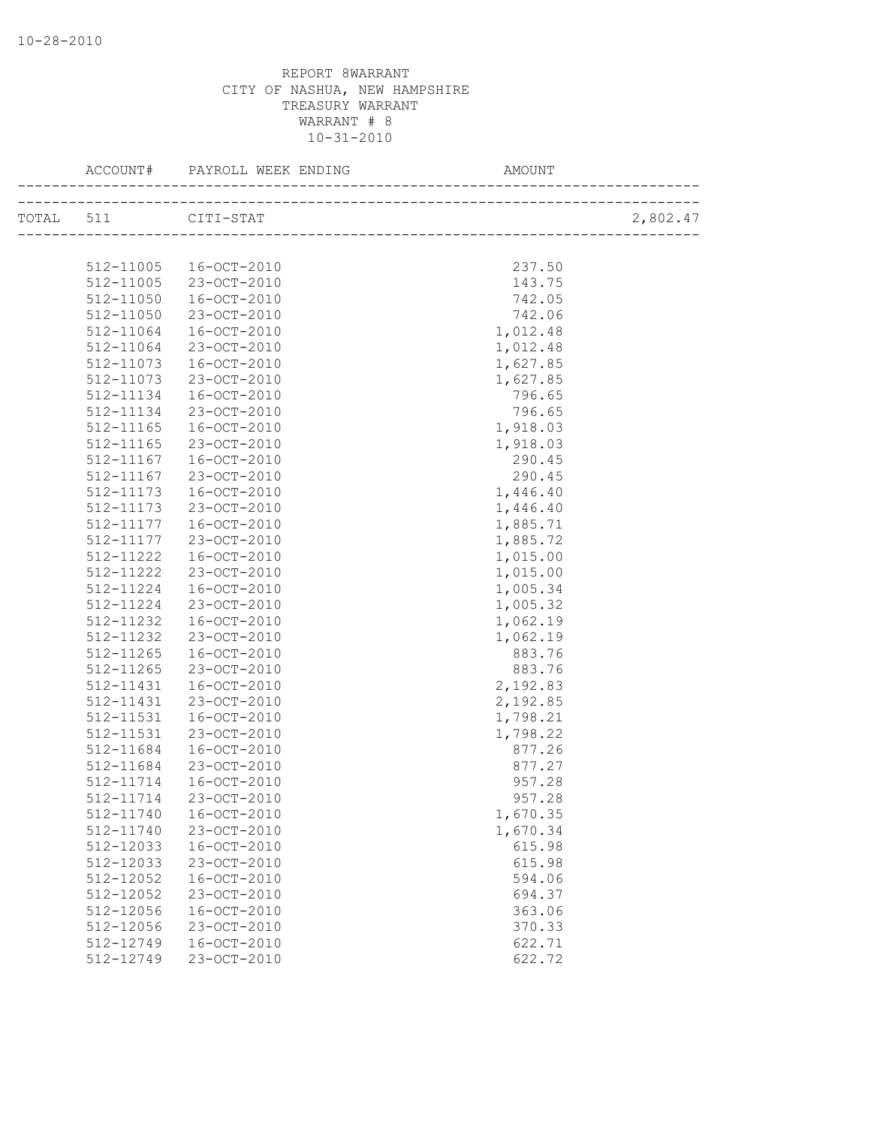|           |               | ACCOUNT# PAYROLL WEEK ENDING | AMOUNT   |          |
|-----------|---------------|------------------------------|----------|----------|
| TOTAL 511 |               | CITI-STAT                    |          | 2,802.47 |
|           |               |                              |          |          |
|           |               |                              |          |          |
|           | 512-11005     | 16-OCT-2010                  | 237.50   |          |
|           | 512-11005     | 23-OCT-2010                  | 143.75   |          |
|           | 512-11050     | 16-OCT-2010                  | 742.05   |          |
|           | 512-11050     | 23-OCT-2010                  | 742.06   |          |
|           | 512-11064     | 16-OCT-2010                  | 1,012.48 |          |
|           | 512-11064     | 23-OCT-2010                  | 1,012.48 |          |
|           | 512-11073     | 16-OCT-2010                  | 1,627.85 |          |
|           | 512-11073     | 23-OCT-2010                  | 1,627.85 |          |
|           | 512-11134     | 16-OCT-2010                  | 796.65   |          |
|           | 512-11134     | 23-OCT-2010                  | 796.65   |          |
|           | 512-11165     | 16-OCT-2010                  | 1,918.03 |          |
|           | 512-11165     | 23-OCT-2010                  | 1,918.03 |          |
|           | 512-11167     | 16-OCT-2010                  | 290.45   |          |
|           | 512-11167     | 23-OCT-2010                  | 290.45   |          |
|           | 512-11173     | 16-OCT-2010                  | 1,446.40 |          |
|           | $512 - 11173$ | 23-OCT-2010                  | 1,446.40 |          |
|           | 512-11177     | 16-OCT-2010                  | 1,885.71 |          |
|           | 512-11177     | 23-OCT-2010                  | 1,885.72 |          |
|           | 512-11222     | 16-OCT-2010                  | 1,015.00 |          |
|           | 512-11222     | 23-OCT-2010                  | 1,015.00 |          |
|           | 512-11224     | 16-OCT-2010                  | 1,005.34 |          |
|           | 512-11224     | 23-OCT-2010                  | 1,005.32 |          |
|           | 512-11232     | 16-OCT-2010                  | 1,062.19 |          |
|           | 512-11232     | 23-OCT-2010                  | 1,062.19 |          |
|           | $512 - 11265$ | 16-OCT-2010                  | 883.76   |          |
|           | 512-11265     | 23-OCT-2010                  | 883.76   |          |
|           | 512-11431     | 16-OCT-2010                  | 2,192.83 |          |
|           | 512-11431     | 23-OCT-2010                  | 2,192.85 |          |
|           | 512-11531     | 16-OCT-2010                  | 1,798.21 |          |
|           | 512-11531     | 23-OCT-2010                  | 1,798.22 |          |
|           | 512-11684     | 16-OCT-2010                  | 877.26   |          |
|           | 512-11684     | 23-OCT-2010                  | 877.27   |          |
|           | 512-11714     | $16 - OCT - 2010$            | 957.28   |          |
|           |               | 512-11714 23-OCT-2010        | 957.28   |          |
|           | 512-11740     | 16-OCT-2010                  | 1,670.35 |          |
|           | 512-11740     | 23-OCT-2010                  | 1,670.34 |          |
|           | 512-12033     | 16-OCT-2010                  | 615.98   |          |
|           | 512-12033     | 23-OCT-2010                  | 615.98   |          |
|           | 512-12052     | $16 - OCT - 2010$            | 594.06   |          |
|           | 512-12052     | 23-OCT-2010                  | 694.37   |          |
|           | 512-12056     | 16-OCT-2010                  | 363.06   |          |
|           | 512-12056     | 23-OCT-2010                  | 370.33   |          |
|           | 512-12749     | $16 - OCT - 2010$            | 622.71   |          |
|           | 512-12749     | 23-OCT-2010                  | 622.72   |          |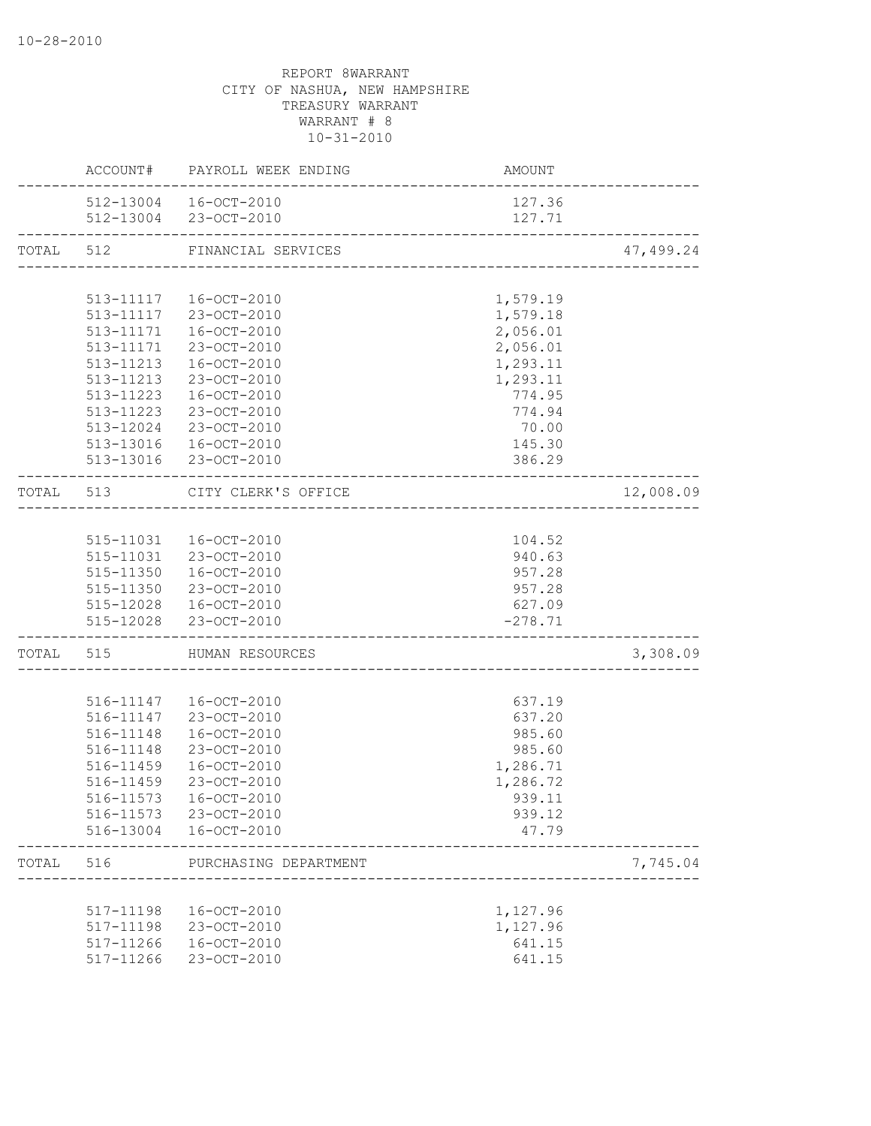| 512-13004 16-OCT-2010<br>127.36<br>512-13004 23-OCT-2010<br>127.71<br>TOTAL 512 FINANCIAL SERVICES<br>-----------------------------------<br>1,579.19<br>513-11117  16-OCT-2010<br>513-11117 23-OCT-2010<br>1,579.18<br>2,056.01<br>513-11171<br>16-OCT-2010<br>513-11171 23-OCT-2010<br>2,056.01<br>513-11213<br>1,293.11<br>16-OCT-2010<br>513-11213 23-OCT-2010<br>1,293.11<br>513-11223  16-OCT-2010<br>774.95<br>513-11223 23-OCT-2010<br>774.94<br>513-12024 23-OCT-2010<br>70.00<br>513-13016 16-OCT-2010<br>145.30<br>513-13016 23-OCT-2010<br>386.29<br>TOTAL 513 CITY CLERK'S OFFICE<br>---------------------<br>515-11031  16-OCT-2010<br>104.52<br>515-11031 23-OCT-2010<br>940.63<br>515-11350  16-OCT-2010<br>957.28<br>515-11350 23-OCT-2010<br>957.28<br>627.09<br>515-12028  16-OCT-2010<br>515-12028 23-OCT-2010<br>$-278.71$<br>----------------------<br>TOTAL 515 HUMAN RESOURCES<br>637.19<br>516-11147  16-OCT-2010<br>516-11147 23-OCT-2010<br>637.20<br>16-OCT-2010<br>985.60<br>516-11148<br>985.60<br>516-11148<br>23-OCT-2010<br>1,286.71<br>516-11459<br>16-OCT-2010<br>23-OCT-2010<br>516-11459<br>1,286.72<br>939.11<br>516-11573<br>16-OCT-2010<br>516-11573 23-OCT-2010<br>939.12<br>516-13004 16-OCT-2010<br>47.79<br>7,745.04<br>TOTAL<br>516<br>PURCHASING DEPARTMENT<br>517-11198<br>16-OCT-2010<br>1,127.96<br>517-11198 23-OCT-2010<br>1,127.96 |           | ACCOUNT# PAYROLL WEEK ENDING | AMOUNT |           |
|----------------------------------------------------------------------------------------------------------------------------------------------------------------------------------------------------------------------------------------------------------------------------------------------------------------------------------------------------------------------------------------------------------------------------------------------------------------------------------------------------------------------------------------------------------------------------------------------------------------------------------------------------------------------------------------------------------------------------------------------------------------------------------------------------------------------------------------------------------------------------------------------------------------------------------------------------------------------------------------------------------------------------------------------------------------------------------------------------------------------------------------------------------------------------------------------------------------------------------------------------------------------------------------------------------------------------------------------------------------------------------------|-----------|------------------------------|--------|-----------|
|                                                                                                                                                                                                                                                                                                                                                                                                                                                                                                                                                                                                                                                                                                                                                                                                                                                                                                                                                                                                                                                                                                                                                                                                                                                                                                                                                                                        |           |                              |        |           |
|                                                                                                                                                                                                                                                                                                                                                                                                                                                                                                                                                                                                                                                                                                                                                                                                                                                                                                                                                                                                                                                                                                                                                                                                                                                                                                                                                                                        |           |                              |        |           |
|                                                                                                                                                                                                                                                                                                                                                                                                                                                                                                                                                                                                                                                                                                                                                                                                                                                                                                                                                                                                                                                                                                                                                                                                                                                                                                                                                                                        |           |                              |        | 47,499.24 |
|                                                                                                                                                                                                                                                                                                                                                                                                                                                                                                                                                                                                                                                                                                                                                                                                                                                                                                                                                                                                                                                                                                                                                                                                                                                                                                                                                                                        |           |                              |        |           |
|                                                                                                                                                                                                                                                                                                                                                                                                                                                                                                                                                                                                                                                                                                                                                                                                                                                                                                                                                                                                                                                                                                                                                                                                                                                                                                                                                                                        |           |                              |        |           |
|                                                                                                                                                                                                                                                                                                                                                                                                                                                                                                                                                                                                                                                                                                                                                                                                                                                                                                                                                                                                                                                                                                                                                                                                                                                                                                                                                                                        |           |                              |        |           |
|                                                                                                                                                                                                                                                                                                                                                                                                                                                                                                                                                                                                                                                                                                                                                                                                                                                                                                                                                                                                                                                                                                                                                                                                                                                                                                                                                                                        |           |                              |        |           |
|                                                                                                                                                                                                                                                                                                                                                                                                                                                                                                                                                                                                                                                                                                                                                                                                                                                                                                                                                                                                                                                                                                                                                                                                                                                                                                                                                                                        |           |                              |        |           |
|                                                                                                                                                                                                                                                                                                                                                                                                                                                                                                                                                                                                                                                                                                                                                                                                                                                                                                                                                                                                                                                                                                                                                                                                                                                                                                                                                                                        |           |                              |        |           |
|                                                                                                                                                                                                                                                                                                                                                                                                                                                                                                                                                                                                                                                                                                                                                                                                                                                                                                                                                                                                                                                                                                                                                                                                                                                                                                                                                                                        |           |                              |        |           |
|                                                                                                                                                                                                                                                                                                                                                                                                                                                                                                                                                                                                                                                                                                                                                                                                                                                                                                                                                                                                                                                                                                                                                                                                                                                                                                                                                                                        |           |                              |        |           |
|                                                                                                                                                                                                                                                                                                                                                                                                                                                                                                                                                                                                                                                                                                                                                                                                                                                                                                                                                                                                                                                                                                                                                                                                                                                                                                                                                                                        |           |                              |        |           |
|                                                                                                                                                                                                                                                                                                                                                                                                                                                                                                                                                                                                                                                                                                                                                                                                                                                                                                                                                                                                                                                                                                                                                                                                                                                                                                                                                                                        |           |                              |        |           |
|                                                                                                                                                                                                                                                                                                                                                                                                                                                                                                                                                                                                                                                                                                                                                                                                                                                                                                                                                                                                                                                                                                                                                                                                                                                                                                                                                                                        |           |                              |        |           |
|                                                                                                                                                                                                                                                                                                                                                                                                                                                                                                                                                                                                                                                                                                                                                                                                                                                                                                                                                                                                                                                                                                                                                                                                                                                                                                                                                                                        |           |                              |        |           |
|                                                                                                                                                                                                                                                                                                                                                                                                                                                                                                                                                                                                                                                                                                                                                                                                                                                                                                                                                                                                                                                                                                                                                                                                                                                                                                                                                                                        |           |                              |        | 12,008.09 |
|                                                                                                                                                                                                                                                                                                                                                                                                                                                                                                                                                                                                                                                                                                                                                                                                                                                                                                                                                                                                                                                                                                                                                                                                                                                                                                                                                                                        |           |                              |        |           |
|                                                                                                                                                                                                                                                                                                                                                                                                                                                                                                                                                                                                                                                                                                                                                                                                                                                                                                                                                                                                                                                                                                                                                                                                                                                                                                                                                                                        |           |                              |        |           |
|                                                                                                                                                                                                                                                                                                                                                                                                                                                                                                                                                                                                                                                                                                                                                                                                                                                                                                                                                                                                                                                                                                                                                                                                                                                                                                                                                                                        |           |                              |        |           |
|                                                                                                                                                                                                                                                                                                                                                                                                                                                                                                                                                                                                                                                                                                                                                                                                                                                                                                                                                                                                                                                                                                                                                                                                                                                                                                                                                                                        |           |                              |        |           |
|                                                                                                                                                                                                                                                                                                                                                                                                                                                                                                                                                                                                                                                                                                                                                                                                                                                                                                                                                                                                                                                                                                                                                                                                                                                                                                                                                                                        |           |                              |        |           |
|                                                                                                                                                                                                                                                                                                                                                                                                                                                                                                                                                                                                                                                                                                                                                                                                                                                                                                                                                                                                                                                                                                                                                                                                                                                                                                                                                                                        |           |                              |        |           |
|                                                                                                                                                                                                                                                                                                                                                                                                                                                                                                                                                                                                                                                                                                                                                                                                                                                                                                                                                                                                                                                                                                                                                                                                                                                                                                                                                                                        |           |                              |        |           |
|                                                                                                                                                                                                                                                                                                                                                                                                                                                                                                                                                                                                                                                                                                                                                                                                                                                                                                                                                                                                                                                                                                                                                                                                                                                                                                                                                                                        |           |                              |        | 3,308.09  |
|                                                                                                                                                                                                                                                                                                                                                                                                                                                                                                                                                                                                                                                                                                                                                                                                                                                                                                                                                                                                                                                                                                                                                                                                                                                                                                                                                                                        |           |                              |        |           |
|                                                                                                                                                                                                                                                                                                                                                                                                                                                                                                                                                                                                                                                                                                                                                                                                                                                                                                                                                                                                                                                                                                                                                                                                                                                                                                                                                                                        |           |                              |        |           |
|                                                                                                                                                                                                                                                                                                                                                                                                                                                                                                                                                                                                                                                                                                                                                                                                                                                                                                                                                                                                                                                                                                                                                                                                                                                                                                                                                                                        |           |                              |        |           |
|                                                                                                                                                                                                                                                                                                                                                                                                                                                                                                                                                                                                                                                                                                                                                                                                                                                                                                                                                                                                                                                                                                                                                                                                                                                                                                                                                                                        |           |                              |        |           |
|                                                                                                                                                                                                                                                                                                                                                                                                                                                                                                                                                                                                                                                                                                                                                                                                                                                                                                                                                                                                                                                                                                                                                                                                                                                                                                                                                                                        |           |                              |        |           |
|                                                                                                                                                                                                                                                                                                                                                                                                                                                                                                                                                                                                                                                                                                                                                                                                                                                                                                                                                                                                                                                                                                                                                                                                                                                                                                                                                                                        |           |                              |        |           |
|                                                                                                                                                                                                                                                                                                                                                                                                                                                                                                                                                                                                                                                                                                                                                                                                                                                                                                                                                                                                                                                                                                                                                                                                                                                                                                                                                                                        |           |                              |        |           |
|                                                                                                                                                                                                                                                                                                                                                                                                                                                                                                                                                                                                                                                                                                                                                                                                                                                                                                                                                                                                                                                                                                                                                                                                                                                                                                                                                                                        |           |                              |        |           |
|                                                                                                                                                                                                                                                                                                                                                                                                                                                                                                                                                                                                                                                                                                                                                                                                                                                                                                                                                                                                                                                                                                                                                                                                                                                                                                                                                                                        |           |                              |        |           |
|                                                                                                                                                                                                                                                                                                                                                                                                                                                                                                                                                                                                                                                                                                                                                                                                                                                                                                                                                                                                                                                                                                                                                                                                                                                                                                                                                                                        |           |                              |        |           |
|                                                                                                                                                                                                                                                                                                                                                                                                                                                                                                                                                                                                                                                                                                                                                                                                                                                                                                                                                                                                                                                                                                                                                                                                                                                                                                                                                                                        |           |                              |        |           |
|                                                                                                                                                                                                                                                                                                                                                                                                                                                                                                                                                                                                                                                                                                                                                                                                                                                                                                                                                                                                                                                                                                                                                                                                                                                                                                                                                                                        |           |                              |        |           |
|                                                                                                                                                                                                                                                                                                                                                                                                                                                                                                                                                                                                                                                                                                                                                                                                                                                                                                                                                                                                                                                                                                                                                                                                                                                                                                                                                                                        |           |                              |        |           |
|                                                                                                                                                                                                                                                                                                                                                                                                                                                                                                                                                                                                                                                                                                                                                                                                                                                                                                                                                                                                                                                                                                                                                                                                                                                                                                                                                                                        | 517-11266 | 16-OCT-2010                  | 641.15 |           |
| 641.15<br>517-11266<br>23-OCT-2010                                                                                                                                                                                                                                                                                                                                                                                                                                                                                                                                                                                                                                                                                                                                                                                                                                                                                                                                                                                                                                                                                                                                                                                                                                                                                                                                                     |           |                              |        |           |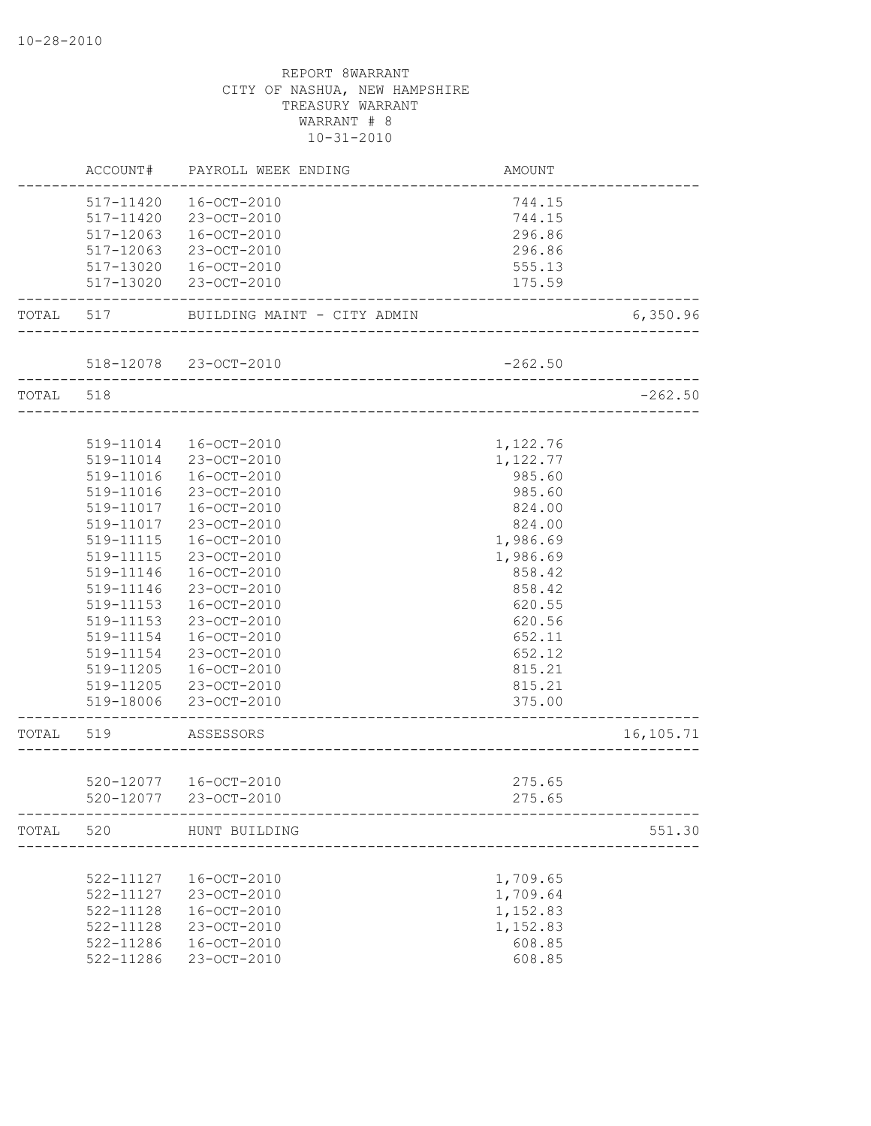|           | ACCOUNT#      | PAYROLL WEEK ENDING         | AMOUNT    |            |
|-----------|---------------|-----------------------------|-----------|------------|
|           | 517-11420     | 16-OCT-2010                 | 744.15    |            |
|           | 517-11420     | 23-OCT-2010                 | 744.15    |            |
|           | 517-12063     | 16-OCT-2010                 | 296.86    |            |
|           | 517-12063     | 23-OCT-2010                 | 296.86    |            |
|           | 517-13020     | 16-OCT-2010                 | 555.13    |            |
|           | $517 - 13020$ | 23-OCT-2010                 | 175.59    |            |
| TOTAL 517 |               | BUILDING MAINT - CITY ADMIN |           | 6,350.96   |
|           |               | 518-12078 23-OCT-2010       | $-262.50$ |            |
| TOTAL 518 |               | --------------------------  |           | $-262.50$  |
|           |               |                             |           |            |
|           | 519-11014     | 16-OCT-2010                 | 1,122.76  |            |
|           | 519-11014     | 23-OCT-2010                 | 1,122.77  |            |
|           | 519-11016     | 16-OCT-2010                 | 985.60    |            |
|           | 519-11016     | $23 - OCT - 2010$           | 985.60    |            |
|           | 519-11017     | 16-OCT-2010                 | 824.00    |            |
|           | 519-11017     | 23-OCT-2010                 | 824.00    |            |
|           | 519-11115     | $16 - OCT - 2010$           | 1,986.69  |            |
|           | 519-11115     | 23-OCT-2010                 | 1,986.69  |            |
|           | 519-11146     | $16 - OCT - 2010$           | 858.42    |            |
|           | 519-11146     | 23-OCT-2010                 | 858.42    |            |
|           | 519-11153     | $16 - OCT - 2010$           | 620.55    |            |
|           | 519-11153     | 23-OCT-2010                 | 620.56    |            |
|           | 519-11154     | 16-OCT-2010                 | 652.11    |            |
|           | 519-11154     | $23 - OCT - 2010$           | 652.12    |            |
|           | 519-11205     | 16-OCT-2010                 | 815.21    |            |
|           | 519-11205     | 23-OCT-2010                 | 815.21    |            |
|           | 519-18006     | 23-OCT-2010                 | 375.00    |            |
| TOTAL 519 |               | ASSESSORS                   |           | 16, 105.71 |
|           |               |                             |           |            |
|           |               | 520-12077  16-OCT-2010      | 275.65    |            |
|           |               | 520-12077 23-OCT-2010       | 275.65    |            |
|           |               | TOTAL 520 HUNT BUILDING     |           | 551.30     |
|           |               |                             |           |            |
|           | 522-11127     | 16-OCT-2010                 | 1,709.65  |            |
|           | 522-11127     | 23-OCT-2010                 | 1,709.64  |            |
|           | 522-11128     | 16-OCT-2010                 | 1,152.83  |            |
|           | 522-11128     | 23-OCT-2010                 | 1,152.83  |            |
|           | 522-11286     | 16-OCT-2010                 | 608.85    |            |
|           | 522-11286     | 23-OCT-2010                 | 608.85    |            |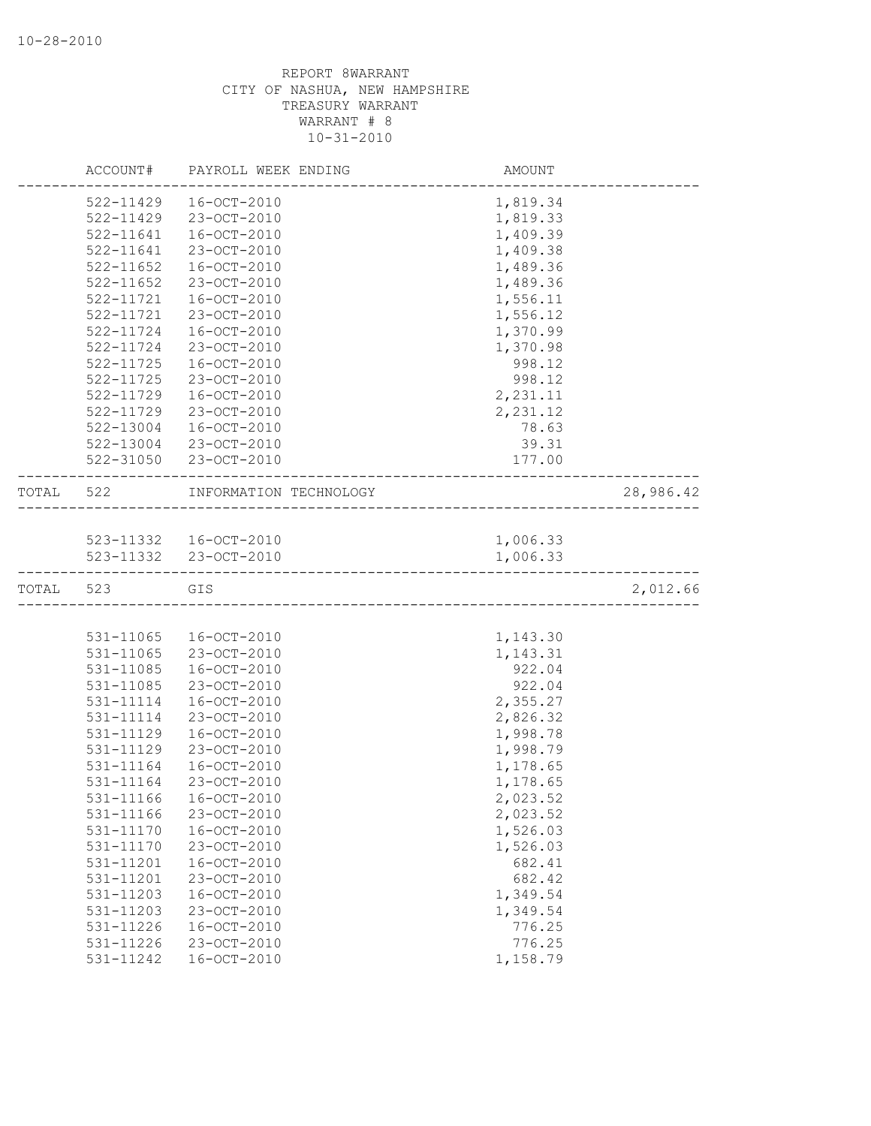|       | ACCOUNT#      | PAYROLL WEEK ENDING        | <b>AMOUNT</b>            |           |
|-------|---------------|----------------------------|--------------------------|-----------|
|       | 522-11429     | $16 - OCT - 2010$          | 1,819.34                 |           |
|       | 522-11429     | 23-OCT-2010                | 1,819.33                 |           |
|       | 522-11641     | 16-OCT-2010                | 1,409.39                 |           |
|       | 522-11641     | 23-OCT-2010                | 1,409.38                 |           |
|       | 522-11652     | $16 - OCT - 2010$          | 1,489.36                 |           |
|       | 522-11652     | 23-OCT-2010                | 1,489.36                 |           |
|       | 522-11721     | 16-OCT-2010                | 1,556.11                 |           |
|       | 522-11721     | 23-OCT-2010                | 1,556.12                 |           |
|       | 522-11724     | $16 - OCT - 2010$          | 1,370.99                 |           |
|       | 522-11724     | 23-OCT-2010                | 1,370.98                 |           |
|       | 522-11725     | 16-OCT-2010                | 998.12                   |           |
|       | $522 - 11725$ | 23-OCT-2010                | 998.12                   |           |
|       | 522-11729     | 16-OCT-2010                | 2,231.11                 |           |
|       | 522-11729     | 23-OCT-2010                | 2,231.12                 |           |
|       | 522-13004     | 16-OCT-2010                | 78.63                    |           |
|       | 522-13004     | 23-OCT-2010                | 39.31                    |           |
|       | 522-31050     | 23-OCT-2010                | 177.00                   |           |
| TOTAL | 522           | INFORMATION TECHNOLOGY     | ------------------------ | 28,986.42 |
|       |               |                            |                          |           |
|       |               | 523-11332  16-OCT-2010     | 1,006.33                 |           |
|       |               | 523-11332 23-OCT-2010      | 1,006.33                 |           |
| TOTAL | 523           | GIS                        |                          | 2,012.66  |
|       |               |                            |                          |           |
|       | 531-11065     | 16-OCT-2010                | 1,143.30                 |           |
|       | 531-11065     | 23-OCT-2010                | 1,143.31                 |           |
|       | 531-11085     | 16-OCT-2010                | 922.04                   |           |
|       | 531-11085     | 23-OCT-2010                | 922.04                   |           |
|       | 531-11114     | $16 - OCT - 2010$          | 2,355.27                 |           |
|       | 531-11114     | 23-OCT-2010                | 2,826.32                 |           |
|       | 531-11129     | 16-OCT-2010                | 1,998.78                 |           |
|       | 531-11129     | 23-OCT-2010                | 1,998.79                 |           |
|       | 531-11164     | $16 - OCT - 2010$          | 1,178.65                 |           |
|       | 531-11164     | $23 - OCT - 2010$          | 1,178.65                 |           |
|       | 531-11166     | $16 - OCT - 2010$          | 2,023.52                 |           |
|       | 531-11166     | 23-OCT-2010                | 2,023.52                 |           |
|       | 531-11170     | $16 - OCT - 2010$          | 1,526.03                 |           |
|       | 531-11170     | 23-OCT-2010                | 1,526.03                 |           |
|       | 531-11201     | $16 - OCT - 2010$          | 682.41                   |           |
|       | 531-11201     | 23-OCT-2010                | 682.42                   |           |
|       | 531-11203     | 16-OCT-2010                | 1,349.54                 |           |
|       | 531-11203     | 23-OCT-2010                | 1,349.54                 |           |
|       | 531-11226     | $16 - OCT - 2010$          | 776.25                   |           |
|       | 531-11226     | 23-OCT-2010<br>16-OCT-2010 | 776.25                   |           |
|       | 531-11242     |                            | 1,158.79                 |           |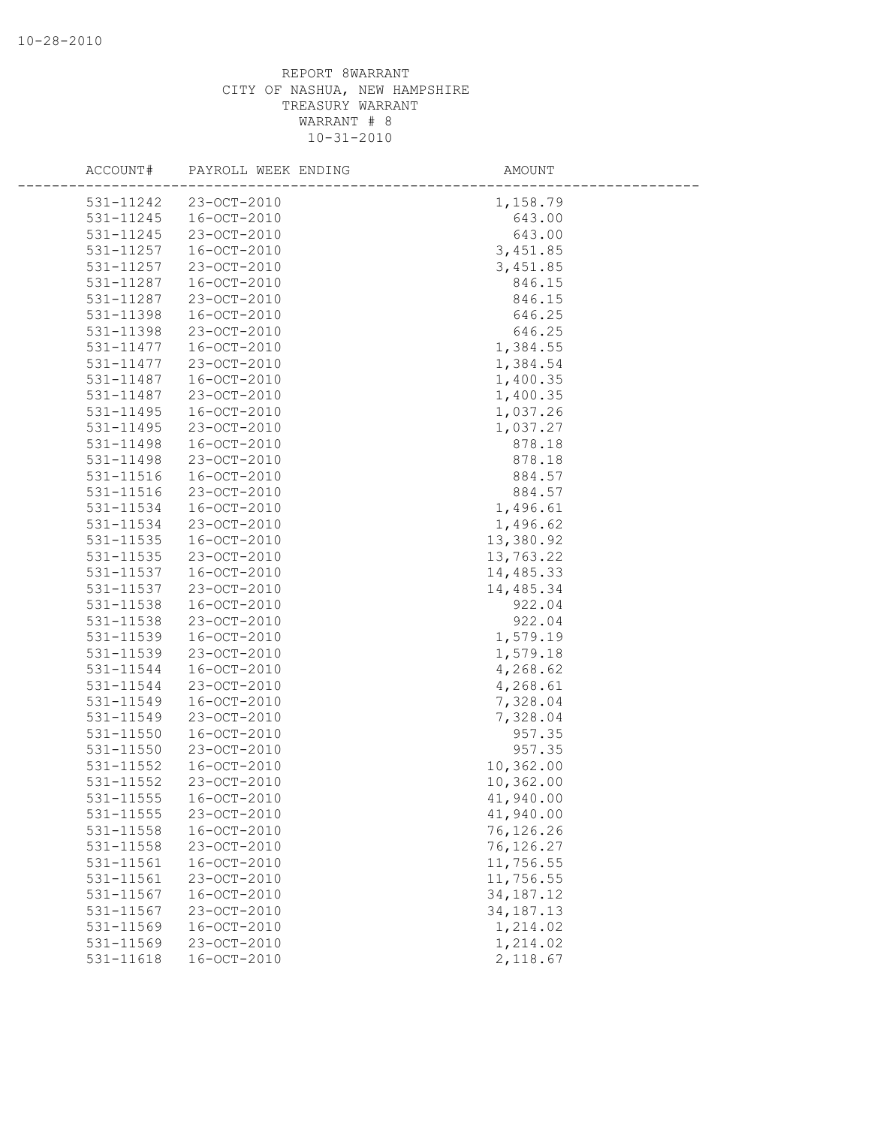| ACCOUNT#      | PAYROLL WEEK ENDING | AMOUNT      |
|---------------|---------------------|-------------|
| 531-11242     | 23-OCT-2010         | 1,158.79    |
| 531-11245     | $16 - OCT - 2010$   | 643.00      |
| 531-11245     | 23-OCT-2010         | 643.00      |
| 531-11257     | 16-OCT-2010         | 3,451.85    |
| 531-11257     | 23-OCT-2010         | 3,451.85    |
| 531-11287     | 16-OCT-2010         | 846.15      |
| 531-11287     | 23-OCT-2010         | 846.15      |
| 531-11398     | $16 - OCT - 2010$   | 646.25      |
| 531-11398     | 23-OCT-2010         | 646.25      |
| 531-11477     | $16 - OCT - 2010$   | 1,384.55    |
| 531-11477     | 23-OCT-2010         | 1,384.54    |
| 531-11487     | $16 - OCT - 2010$   | 1,400.35    |
| 531-11487     | 23-OCT-2010         | 1,400.35    |
| 531-11495     | $16 - OCT - 2010$   | 1,037.26    |
| 531-11495     | 23-OCT-2010         | 1,037.27    |
| 531-11498     | 16-OCT-2010         | 878.18      |
| 531-11498     | 23-OCT-2010         | 878.18      |
| 531-11516     | $16 - OCT - 2010$   | 884.57      |
| 531-11516     | 23-OCT-2010         | 884.57      |
| 531-11534     | 16-OCT-2010         | 1,496.61    |
| 531-11534     | 23-OCT-2010         | 1,496.62    |
| 531-11535     | 16-OCT-2010         | 13,380.92   |
| 531-11535     | 23-OCT-2010         | 13,763.22   |
| 531-11537     | $16 - OCT - 2010$   | 14,485.33   |
| 531-11537     | 23-OCT-2010         | 14,485.34   |
| 531-11538     | $16 - OCT - 2010$   | 922.04      |
| 531-11538     | 23-OCT-2010         | 922.04      |
| 531-11539     | $16 - OCT - 2010$   | 1,579.19    |
| 531-11539     | 23-OCT-2010         | 1,579.18    |
| 531-11544     | $16 - OCT - 2010$   | 4,268.62    |
| 531-11544     | 23-OCT-2010         | 4,268.61    |
| 531-11549     | $16 - OCT - 2010$   | 7,328.04    |
| 531-11549     | 23-OCT-2010         | 7,328.04    |
| $531 - 11550$ | 16-OCT-2010         | 957.35      |
| 531-11550     | 23-OCT-2010         | 957.35      |
| 531-11552     | $16 - OCT - 2010$   | 10,362.00   |
| 531-11552     | 23-OCT-2010         | 10,362.00   |
| 531-11555     | 16-OCT-2010         | 41,940.00   |
| 531-11555     | 23-OCT-2010         | 41,940.00   |
| 531-11558     | 16-OCT-2010         | 76,126.26   |
| 531-11558     | 23-OCT-2010         | 76,126.27   |
| 531-11561     | $16 - OCT - 2010$   | 11,756.55   |
| 531-11561     | 23-OCT-2010         | 11,756.55   |
| 531-11567     | 16-OCT-2010         | 34, 187. 12 |
| 531-11567     | 23-OCT-2010         | 34, 187. 13 |
| 531-11569     | $16 - OCT - 2010$   | 1,214.02    |
| 531-11569     | 23-OCT-2010         | 1,214.02    |
| 531-11618     | $16 - OCT - 2010$   | 2,118.67    |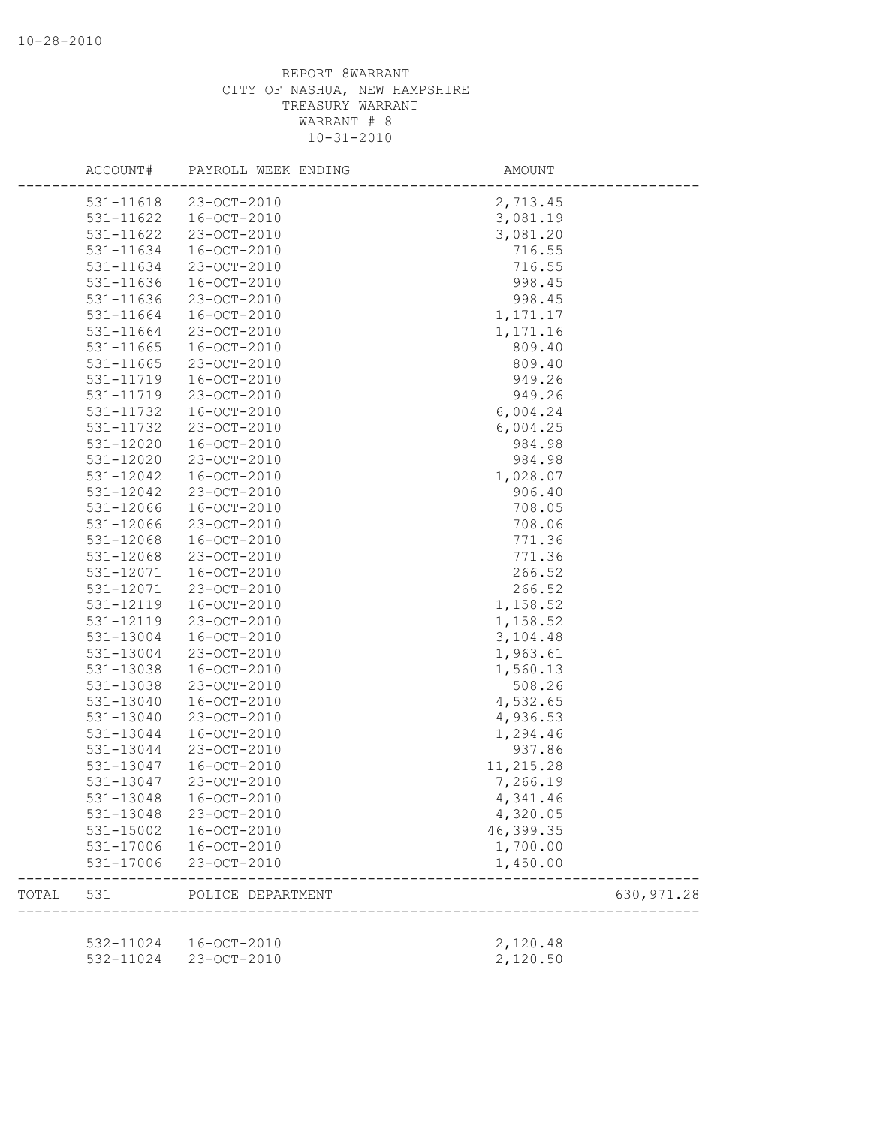|       | ACCOUNT#      | PAYROLL WEEK ENDING                   | AMOUNT            |             |
|-------|---------------|---------------------------------------|-------------------|-------------|
|       | 531-11618     | 23-OCT-2010                           | 2,713.45          |             |
|       | 531-11622     | 16-OCT-2010                           | 3,081.19          |             |
|       | 531-11622     | 23-OCT-2010                           | 3,081.20          |             |
|       | 531-11634     | $16 - OCT - 2010$                     | 716.55            |             |
|       | 531-11634     | 23-OCT-2010                           | 716.55            |             |
|       | 531-11636     | 16-OCT-2010                           | 998.45            |             |
|       | 531-11636     | 23-OCT-2010                           | 998.45            |             |
|       | 531-11664     | $16 - OCT - 2010$                     | 1,171.17          |             |
|       | 531-11664     | 23-OCT-2010                           | 1,171.16          |             |
|       | $531 - 11665$ | 16-OCT-2010                           | 809.40            |             |
|       | 531-11665     | 23-OCT-2010                           | 809.40            |             |
|       | 531-11719     | $16 - OCT - 2010$                     | 949.26            |             |
|       | 531-11719     | 23-OCT-2010                           | 949.26            |             |
|       | 531-11732     | $16 - OCT - 2010$                     | 6,004.24          |             |
|       | 531-11732     | 23-OCT-2010                           | 6,004.25          |             |
|       | 531-12020     | 16-OCT-2010                           | 984.98            |             |
|       | 531-12020     | 23-OCT-2010                           | 984.98            |             |
|       | 531-12042     | $16 - OCT - 2010$                     | 1,028.07          |             |
|       | 531-12042     | 23-OCT-2010                           | 906.40            |             |
|       | 531-12066     | $16 - OCT - 2010$                     | 708.05            |             |
|       | 531-12066     | $23 - OCT - 2010$                     | 708.06            |             |
|       | 531-12068     | 16-OCT-2010                           | 771.36            |             |
|       | 531-12068     | 23-OCT-2010                           | 771.36            |             |
|       | 531-12071     | 16-OCT-2010                           | 266.52            |             |
|       | 531-12071     | 23-OCT-2010                           | 266.52            |             |
|       | 531-12119     | $16 - OCT - 2010$                     | 1,158.52          |             |
|       | 531-12119     | 23-OCT-2010                           | 1,158.52          |             |
|       | 531-13004     | $16 - OCT - 2010$                     | 3,104.48          |             |
|       | 531-13004     | 23-OCT-2010                           | 1,963.61          |             |
|       | 531-13038     | $16 - OCT - 2010$                     | 1,560.13          |             |
|       | 531-13038     | 23-OCT-2010                           | 508.26            |             |
|       | 531-13040     | $16 - OCT - 2010$                     | 4,532.65          |             |
|       | 531-13040     | 23-OCT-2010                           | 4,936.53          |             |
|       | 531-13044     | $16 - OCT - 2010$                     | 1,294.46          |             |
|       | 531-13044     | 23-OCT-2010                           | 937.86            |             |
|       | 531-13047     | $16 - OCT - 2010$                     | 11,215.28         |             |
|       | 531-13047     | 23-OCT-2010                           | 7,266.19          |             |
|       | 531-13048     | 16-OCT-2010                           | 4,341.46          |             |
|       | 531-13048     | 23-OCT-2010                           | 4,320.05          |             |
|       | 531-15002     | 16-OCT-2010                           | 46,399.35         |             |
|       | 531-17006     | 16-OCT-2010                           | 1,700.00          |             |
|       | 531-17006     | 23-OCT-2010                           | 1,450.00          |             |
| TOTAL | 531           | POLICE DEPARTMENT                     | ----------------- | 630, 971.28 |
|       |               |                                       | 2,120.48          |             |
|       | 532-11024     | 532-11024  16-OCT-2010<br>23-OCT-2010 | 2,120.50          |             |
|       |               |                                       |                   |             |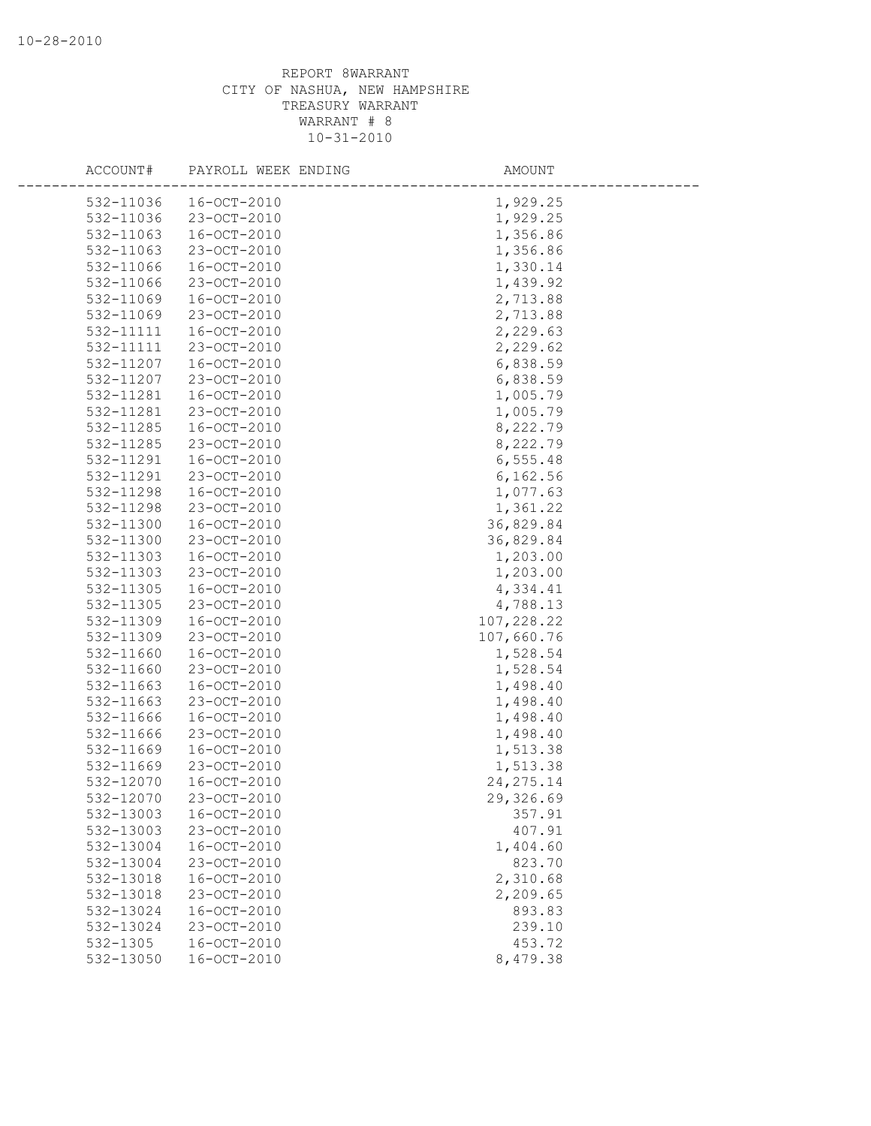| ACCOUNT#  | PAYROLL WEEK ENDING | AMOUNT     |
|-----------|---------------------|------------|
| 532-11036 | $16 - OCT - 2010$   | 1,929.25   |
| 532-11036 | 23-OCT-2010         | 1,929.25   |
| 532-11063 | $16 - OCT - 2010$   | 1,356.86   |
| 532-11063 | 23-OCT-2010         | 1,356.86   |
| 532-11066 | $16 - OCT - 2010$   | 1,330.14   |
| 532-11066 | 23-OCT-2010         | 1,439.92   |
| 532-11069 | $16 - OCT - 2010$   | 2,713.88   |
| 532-11069 | 23-OCT-2010         | 2,713.88   |
| 532-11111 | $16 - OCT - 2010$   | 2,229.63   |
| 532-11111 | 23-OCT-2010         | 2,229.62   |
| 532-11207 | 16-OCT-2010         | 6,838.59   |
| 532-11207 | 23-OCT-2010         | 6,838.59   |
| 532-11281 | $16 - OCT - 2010$   | 1,005.79   |
| 532-11281 | 23-OCT-2010         | 1,005.79   |
| 532-11285 | 16-OCT-2010         | 8,222.79   |
| 532-11285 | 23-OCT-2010         | 8,222.79   |
| 532-11291 | $16 - OCT - 2010$   | 6, 555.48  |
| 532-11291 | 23-OCT-2010         | 6,162.56   |
| 532-11298 | $16 - OCT - 2010$   | 1,077.63   |
| 532-11298 | 23-OCT-2010         | 1,361.22   |
| 532-11300 | $16 - OCT - 2010$   | 36,829.84  |
| 532-11300 | 23-OCT-2010         | 36,829.84  |
| 532-11303 | $16 - OCT - 2010$   | 1,203.00   |
| 532-11303 | 23-OCT-2010         | 1,203.00   |
| 532-11305 | $16 - OCT - 2010$   | 4,334.41   |
| 532-11305 | 23-OCT-2010         | 4,788.13   |
| 532-11309 | $16 - OCT - 2010$   | 107,228.22 |
| 532-11309 | 23-OCT-2010         | 107,660.76 |
| 532-11660 | $16 - OCT - 2010$   | 1,528.54   |
| 532-11660 | 23-OCT-2010         | 1,528.54   |
| 532-11663 | $16 - OCT - 2010$   | 1,498.40   |
| 532-11663 | 23-OCT-2010         | 1,498.40   |
| 532-11666 | $16 - OCT - 2010$   | 1,498.40   |
| 532-11666 | 23-OCT-2010         | 1,498.40   |
| 532-11669 | 16-OCT-2010         | 1,513.38   |
| 532-11669 | 23-OCT-2010         | 1,513.38   |
| 532-12070 | $16 - OCT - 2010$   | 24, 275.14 |
| 532-12070 | 23-OCT-2010         | 29,326.69  |
| 532-13003 | $16 - OCT - 2010$   | 357.91     |
| 532-13003 | 23-OCT-2010         | 407.91     |
| 532-13004 | 16-OCT-2010         | 1,404.60   |
| 532-13004 | 23-OCT-2010         | 823.70     |
| 532-13018 | 16-OCT-2010         | 2,310.68   |
| 532-13018 | 23-OCT-2010         | 2,209.65   |
| 532-13024 | $16 - OCT - 2010$   | 893.83     |
| 532-13024 | 23-OCT-2010         | 239.10     |
| 532-1305  | $16 - OCT - 2010$   | 453.72     |
| 532-13050 | 16-OCT-2010         | 8,479.38   |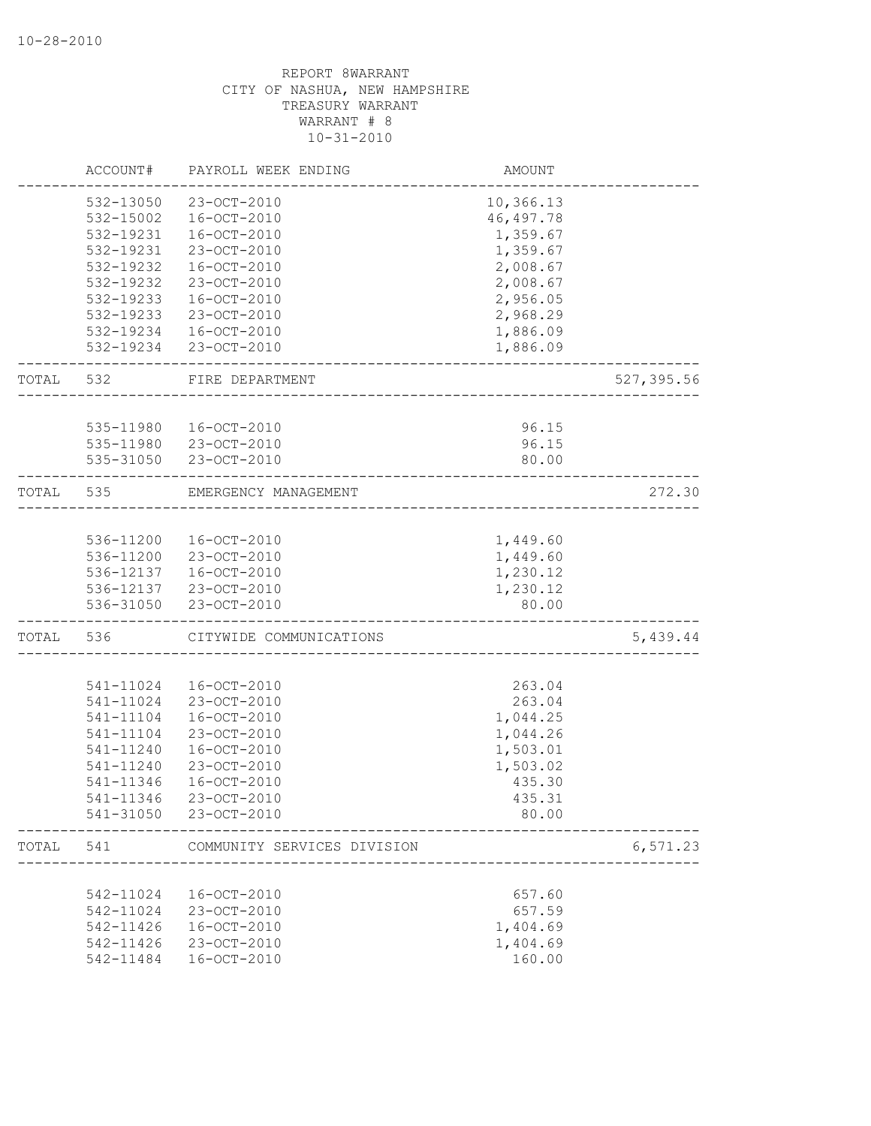|       | ACCOUNT#  | PAYROLL WEEK ENDING         | AMOUNT     |            |
|-------|-----------|-----------------------------|------------|------------|
|       | 532-13050 | 23-OCT-2010                 | 10,366.13  |            |
|       | 532-15002 | 16-OCT-2010                 | 46, 497.78 |            |
|       | 532-19231 | 16-OCT-2010                 | 1,359.67   |            |
|       | 532-19231 | 23-OCT-2010                 | 1,359.67   |            |
|       | 532-19232 | $16 - OCT - 2010$           | 2,008.67   |            |
|       | 532-19232 | 23-OCT-2010                 | 2,008.67   |            |
|       | 532-19233 | 16-OCT-2010                 | 2,956.05   |            |
|       | 532-19233 | 23-OCT-2010                 | 2,968.29   |            |
|       | 532-19234 | $16 - OCT - 2010$           | 1,886.09   |            |
|       | 532-19234 | 23-OCT-2010                 | 1,886.09   |            |
| TOTAL | 532       | FIRE DEPARTMENT             |            | 527,395.56 |
|       |           |                             |            |            |
|       | 535-11980 | 16-OCT-2010                 | 96.15      |            |
|       | 535-11980 | 23-OCT-2010                 | 96.15      |            |
|       | 535-31050 | 23-OCT-2010                 | 80.00      |            |
| TOTAL | 535       | EMERGENCY MANAGEMENT        |            | 272.30     |
|       |           |                             |            |            |
|       | 536-11200 | 16-OCT-2010                 | 1,449.60   |            |
|       | 536-11200 | 23-OCT-2010                 | 1,449.60   |            |
|       | 536-12137 | 16-OCT-2010                 | 1,230.12   |            |
|       | 536-12137 | 23-OCT-2010                 | 1,230.12   |            |
|       | 536-31050 | 23-OCT-2010                 | 80.00      |            |
| TOTAL | 536       | CITYWIDE COMMUNICATIONS     |            | 5,439.44   |
|       |           |                             |            |            |
|       | 541-11024 | $16 - OCT - 2010$           | 263.04     |            |
|       | 541-11024 | 23-OCT-2010                 | 263.04     |            |
|       | 541-11104 | 16-OCT-2010                 | 1,044.25   |            |
|       | 541-11104 | 23-OCT-2010                 | 1,044.26   |            |
|       | 541-11240 | 16-OCT-2010                 | 1,503.01   |            |
|       | 541-11240 | 23-OCT-2010                 | 1,503.02   |            |
|       | 541-11346 | $16 - OCT - 2010$           | 435.30     |            |
|       | 541-11346 | 23-OCT-2010                 | 435.31     |            |
|       | 541-31050 | 23-OCT-2010                 | 80.00      |            |
| TOTAL | 541       | COMMUNITY SERVICES DIVISION |            | 6,571.23   |
|       |           |                             |            |            |
|       | 542-11024 | $16 - OCT - 2010$           | 657.60     |            |
|       | 542-11024 | 23-OCT-2010                 | 657.59     |            |
|       | 542-11426 | $16 - OCT - 2010$           | 1,404.69   |            |
|       | 542-11426 | 23-OCT-2010                 | 1,404.69   |            |
|       | 542-11484 | 16-OCT-2010                 | 160.00     |            |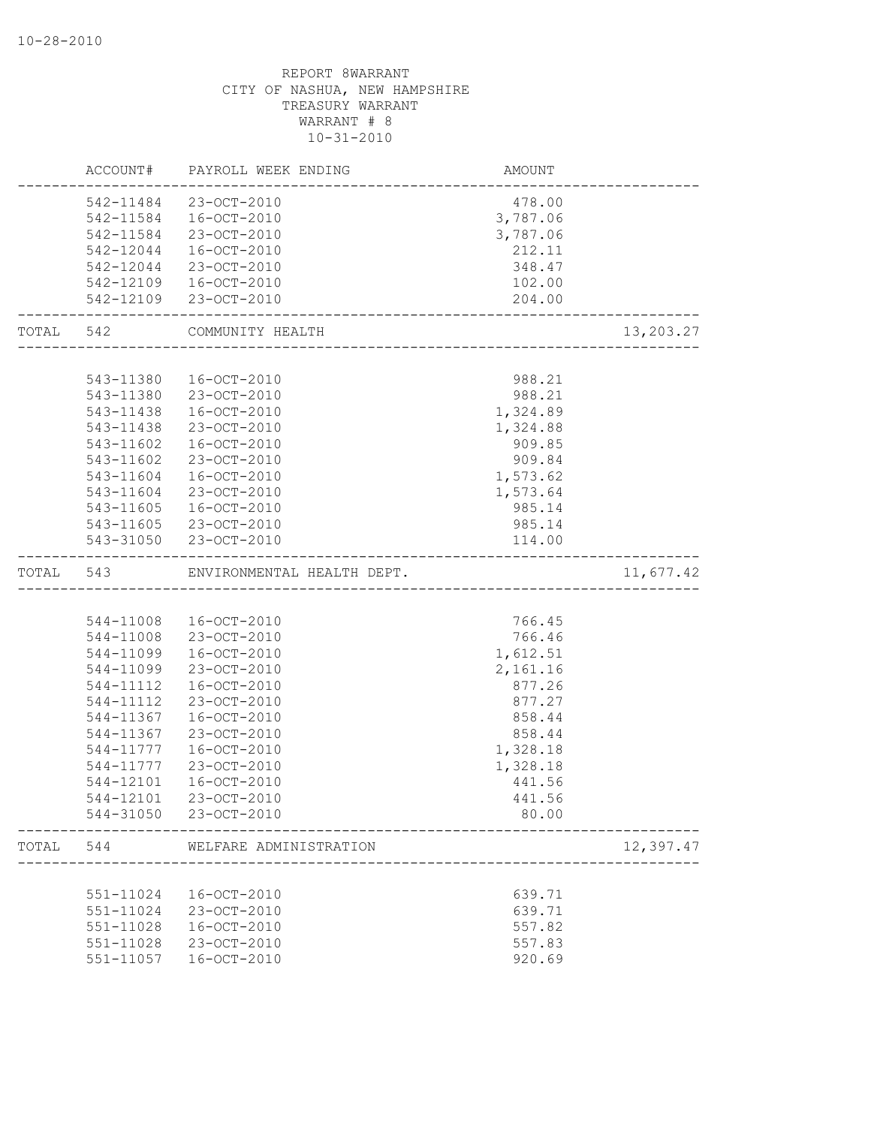|           | ACCOUNT#  | PAYROLL WEEK ENDING                            | AMOUNT   |           |
|-----------|-----------|------------------------------------------------|----------|-----------|
|           |           | 542-11484 23-OCT-2010                          | 478.00   |           |
|           | 542-11584 | 16-OCT-2010                                    | 3,787.06 |           |
|           | 542-11584 | 23-OCT-2010                                    | 3,787.06 |           |
|           | 542-12044 | 16-OCT-2010                                    | 212.11   |           |
|           | 542-12044 | 23-OCT-2010                                    | 348.47   |           |
|           |           | 542-12109 16-OCT-2010                          | 102.00   |           |
|           | 542-12109 | 23-OCT-2010                                    | 204.00   |           |
| TOTAL 542 |           | COMMUNITY HEALTH                               |          | 13,203.27 |
|           |           |                                                |          |           |
|           | 543-11380 | 16-OCT-2010                                    | 988.21   |           |
|           | 543-11380 | 23-OCT-2010                                    | 988.21   |           |
|           | 543-11438 | 16-OCT-2010                                    | 1,324.89 |           |
|           | 543-11438 | 23-OCT-2010                                    | 1,324.88 |           |
|           | 543-11602 | 16-OCT-2010                                    | 909.85   |           |
|           | 543-11602 | 23-OCT-2010                                    | 909.84   |           |
|           | 543-11604 | $16 - OCT - 2010$                              | 1,573.62 |           |
|           | 543-11604 | 23-OCT-2010                                    | 1,573.64 |           |
|           | 543-11605 | 16-OCT-2010                                    | 985.14   |           |
|           |           | 543-11605 23-OCT-2010                          | 985.14   |           |
|           | 543-31050 | 23-OCT-2010                                    | 114.00   |           |
| TOTAL     | 543       | ENVIRONMENTAL HEALTH DEPT.                     |          | 11,677.42 |
|           |           |                                                |          |           |
|           |           | 544-11008 16-OCT-2010                          | 766.45   |           |
|           |           | 544-11008 23-OCT-2010                          | 766.46   |           |
|           | 544-11099 | 16-OCT-2010                                    | 1,612.51 |           |
|           | 544-11099 | 23-OCT-2010                                    | 2,161.16 |           |
|           | 544-11112 | $16 - OCT - 2010$                              | 877.26   |           |
|           | 544-11112 | 23-OCT-2010                                    | 877.27   |           |
|           | 544-11367 | $16 - OCT - 2010$                              | 858.44   |           |
|           | 544-11367 | 23-OCT-2010                                    | 858.44   |           |
|           | 544-11777 | 16-OCT-2010                                    | 1,328.18 |           |
|           | 544-11777 | $23 - OCT - 2010$                              | 1,328.18 |           |
|           | 544-12101 | $16 - OCT - 2010$                              | 441.56   |           |
|           | 544-12101 | 23-OCT-2010                                    | 441.56   |           |
|           |           | 544-31050 23-OCT-2010                          | 80.00    |           |
| TOTAL     |           | 544 WELFARE ADMINISTRATION<br>________________ |          | 12,397.47 |
|           |           |                                                |          |           |
|           | 551-11024 | 16-OCT-2010                                    | 639.71   |           |
|           | 551-11024 | 23-OCT-2010                                    | 639.71   |           |
|           |           |                                                | 557.82   |           |
|           |           |                                                |          |           |
|           | 551-11028 | 16-OCT-2010<br>551-11028 23-OCT-2010           | 557.83   |           |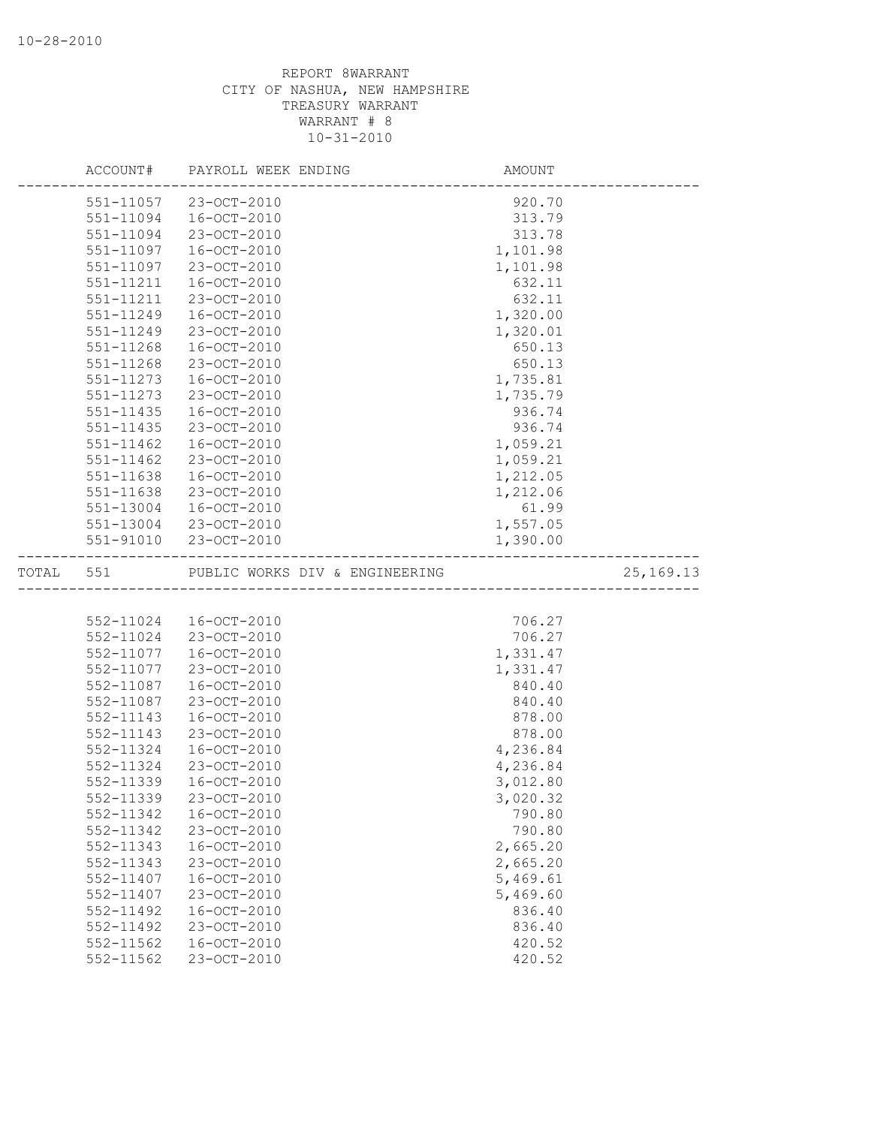| 551-11057 23-OCT-2010<br>920.70<br>313.79<br>551-11094<br>16-OCT-2010<br>551-11094<br>23-OCT-2010<br>313.78<br>551-11097<br>$16 - OCT - 2010$<br>1,101.98<br>551-11097<br>23-OCT-2010<br>1,101.98<br>16-OCT-2010<br>551-11211<br>632.11<br>23-OCT-2010<br>632.11<br>551-11211<br>1,320.00<br>551-11249<br>$16 - OCT - 2010$<br>1,320.01<br>551-11249<br>23-OCT-2010<br>16-OCT-2010<br>551-11268<br>650.13<br>551-11268<br>23-OCT-2010<br>650.13<br>$551 - 11273$<br>$16 - OCT - 2010$<br>1,735.81<br>551-11273<br>23-OCT-2010<br>1,735.79<br>$551 - 11435$<br>$16 - OCT - 2010$<br>936.74<br>23-OCT-2010<br>936.74<br>551-11435<br>1,059.21<br>551-11462<br>$16 - OCT - 2010$<br>23-OCT-2010<br>1,059.21<br>551-11462<br>1,212.05<br>551-11638<br>$16 - OCT - 2010$<br>23-OCT-2010<br>1,212.06<br>551-11638<br>61.99<br>551-13004<br>16-OCT-2010<br>551-13004 23-OCT-2010<br>1,557.05<br>551-91010 23-OCT-2010<br>1,390.00<br>25, 169. 13<br>TOTAL 551<br>PUBLIC WORKS DIV & ENGINEERING<br>706.27<br>552-11024 16-OCT-2010<br>552-11024 23-OCT-2010<br>706.27<br>1,331.47<br>552-11077<br>16-OCT-2010<br>552-11077<br>23-OCT-2010<br>1,331.47<br>552-11087<br>$16 - OCT - 2010$<br>840.40<br>552-11087<br>23-OCT-2010<br>840.40<br>552-11143<br>$16 - OCT - 2010$<br>878.00<br>552-11143<br>23-OCT-2010<br>878.00<br>552-11324<br>16-OCT-2010<br>4,236.84<br>4,236.84<br>552-11324<br>23-OCT-2010<br>552-11339<br>$16 - OCT - 2010$<br>3,012.80<br>552-11339<br>3,020.32<br>$23 - OCT - 2010$<br>552-11342<br>$16 - OCT - 2010$<br>790.80<br>552-11342<br>23-OCT-2010<br>790.80<br>2,665.20<br>552-11343<br>$16 - OCT - 2010$<br>552-11343<br>23-OCT-2010<br>2,665.20<br>552-11407<br>$16 - OCT - 2010$<br>5,469.61<br>23-OCT-2010<br>5,469.60<br>552-11407<br>16-OCT-2010<br>836.40<br>552-11492<br>552-11492<br>23-OCT-2010<br>836.40<br>$16 - OCT - 2010$<br>420.52<br>552-11562<br>552-11562<br>23-OCT-2010<br>420.52 |  | ACCOUNT# PAYROLL WEEK ENDING | AMOUNT |  |
|----------------------------------------------------------------------------------------------------------------------------------------------------------------------------------------------------------------------------------------------------------------------------------------------------------------------------------------------------------------------------------------------------------------------------------------------------------------------------------------------------------------------------------------------------------------------------------------------------------------------------------------------------------------------------------------------------------------------------------------------------------------------------------------------------------------------------------------------------------------------------------------------------------------------------------------------------------------------------------------------------------------------------------------------------------------------------------------------------------------------------------------------------------------------------------------------------------------------------------------------------------------------------------------------------------------------------------------------------------------------------------------------------------------------------------------------------------------------------------------------------------------------------------------------------------------------------------------------------------------------------------------------------------------------------------------------------------------------------------------------------------------------------------------------------------------------------------------------------------------------------------------------------------------------------|--|------------------------------|--------|--|
|                                                                                                                                                                                                                                                                                                                                                                                                                                                                                                                                                                                                                                                                                                                                                                                                                                                                                                                                                                                                                                                                                                                                                                                                                                                                                                                                                                                                                                                                                                                                                                                                                                                                                                                                                                                                                                                                                                                            |  |                              |        |  |
|                                                                                                                                                                                                                                                                                                                                                                                                                                                                                                                                                                                                                                                                                                                                                                                                                                                                                                                                                                                                                                                                                                                                                                                                                                                                                                                                                                                                                                                                                                                                                                                                                                                                                                                                                                                                                                                                                                                            |  |                              |        |  |
|                                                                                                                                                                                                                                                                                                                                                                                                                                                                                                                                                                                                                                                                                                                                                                                                                                                                                                                                                                                                                                                                                                                                                                                                                                                                                                                                                                                                                                                                                                                                                                                                                                                                                                                                                                                                                                                                                                                            |  |                              |        |  |
|                                                                                                                                                                                                                                                                                                                                                                                                                                                                                                                                                                                                                                                                                                                                                                                                                                                                                                                                                                                                                                                                                                                                                                                                                                                                                                                                                                                                                                                                                                                                                                                                                                                                                                                                                                                                                                                                                                                            |  |                              |        |  |
|                                                                                                                                                                                                                                                                                                                                                                                                                                                                                                                                                                                                                                                                                                                                                                                                                                                                                                                                                                                                                                                                                                                                                                                                                                                                                                                                                                                                                                                                                                                                                                                                                                                                                                                                                                                                                                                                                                                            |  |                              |        |  |
|                                                                                                                                                                                                                                                                                                                                                                                                                                                                                                                                                                                                                                                                                                                                                                                                                                                                                                                                                                                                                                                                                                                                                                                                                                                                                                                                                                                                                                                                                                                                                                                                                                                                                                                                                                                                                                                                                                                            |  |                              |        |  |
|                                                                                                                                                                                                                                                                                                                                                                                                                                                                                                                                                                                                                                                                                                                                                                                                                                                                                                                                                                                                                                                                                                                                                                                                                                                                                                                                                                                                                                                                                                                                                                                                                                                                                                                                                                                                                                                                                                                            |  |                              |        |  |
|                                                                                                                                                                                                                                                                                                                                                                                                                                                                                                                                                                                                                                                                                                                                                                                                                                                                                                                                                                                                                                                                                                                                                                                                                                                                                                                                                                                                                                                                                                                                                                                                                                                                                                                                                                                                                                                                                                                            |  |                              |        |  |
|                                                                                                                                                                                                                                                                                                                                                                                                                                                                                                                                                                                                                                                                                                                                                                                                                                                                                                                                                                                                                                                                                                                                                                                                                                                                                                                                                                                                                                                                                                                                                                                                                                                                                                                                                                                                                                                                                                                            |  |                              |        |  |
|                                                                                                                                                                                                                                                                                                                                                                                                                                                                                                                                                                                                                                                                                                                                                                                                                                                                                                                                                                                                                                                                                                                                                                                                                                                                                                                                                                                                                                                                                                                                                                                                                                                                                                                                                                                                                                                                                                                            |  |                              |        |  |
|                                                                                                                                                                                                                                                                                                                                                                                                                                                                                                                                                                                                                                                                                                                                                                                                                                                                                                                                                                                                                                                                                                                                                                                                                                                                                                                                                                                                                                                                                                                                                                                                                                                                                                                                                                                                                                                                                                                            |  |                              |        |  |
|                                                                                                                                                                                                                                                                                                                                                                                                                                                                                                                                                                                                                                                                                                                                                                                                                                                                                                                                                                                                                                                                                                                                                                                                                                                                                                                                                                                                                                                                                                                                                                                                                                                                                                                                                                                                                                                                                                                            |  |                              |        |  |
|                                                                                                                                                                                                                                                                                                                                                                                                                                                                                                                                                                                                                                                                                                                                                                                                                                                                                                                                                                                                                                                                                                                                                                                                                                                                                                                                                                                                                                                                                                                                                                                                                                                                                                                                                                                                                                                                                                                            |  |                              |        |  |
|                                                                                                                                                                                                                                                                                                                                                                                                                                                                                                                                                                                                                                                                                                                                                                                                                                                                                                                                                                                                                                                                                                                                                                                                                                                                                                                                                                                                                                                                                                                                                                                                                                                                                                                                                                                                                                                                                                                            |  |                              |        |  |
|                                                                                                                                                                                                                                                                                                                                                                                                                                                                                                                                                                                                                                                                                                                                                                                                                                                                                                                                                                                                                                                                                                                                                                                                                                                                                                                                                                                                                                                                                                                                                                                                                                                                                                                                                                                                                                                                                                                            |  |                              |        |  |
|                                                                                                                                                                                                                                                                                                                                                                                                                                                                                                                                                                                                                                                                                                                                                                                                                                                                                                                                                                                                                                                                                                                                                                                                                                                                                                                                                                                                                                                                                                                                                                                                                                                                                                                                                                                                                                                                                                                            |  |                              |        |  |
|                                                                                                                                                                                                                                                                                                                                                                                                                                                                                                                                                                                                                                                                                                                                                                                                                                                                                                                                                                                                                                                                                                                                                                                                                                                                                                                                                                                                                                                                                                                                                                                                                                                                                                                                                                                                                                                                                                                            |  |                              |        |  |
|                                                                                                                                                                                                                                                                                                                                                                                                                                                                                                                                                                                                                                                                                                                                                                                                                                                                                                                                                                                                                                                                                                                                                                                                                                                                                                                                                                                                                                                                                                                                                                                                                                                                                                                                                                                                                                                                                                                            |  |                              |        |  |
|                                                                                                                                                                                                                                                                                                                                                                                                                                                                                                                                                                                                                                                                                                                                                                                                                                                                                                                                                                                                                                                                                                                                                                                                                                                                                                                                                                                                                                                                                                                                                                                                                                                                                                                                                                                                                                                                                                                            |  |                              |        |  |
|                                                                                                                                                                                                                                                                                                                                                                                                                                                                                                                                                                                                                                                                                                                                                                                                                                                                                                                                                                                                                                                                                                                                                                                                                                                                                                                                                                                                                                                                                                                                                                                                                                                                                                                                                                                                                                                                                                                            |  |                              |        |  |
|                                                                                                                                                                                                                                                                                                                                                                                                                                                                                                                                                                                                                                                                                                                                                                                                                                                                                                                                                                                                                                                                                                                                                                                                                                                                                                                                                                                                                                                                                                                                                                                                                                                                                                                                                                                                                                                                                                                            |  |                              |        |  |
|                                                                                                                                                                                                                                                                                                                                                                                                                                                                                                                                                                                                                                                                                                                                                                                                                                                                                                                                                                                                                                                                                                                                                                                                                                                                                                                                                                                                                                                                                                                                                                                                                                                                                                                                                                                                                                                                                                                            |  |                              |        |  |
|                                                                                                                                                                                                                                                                                                                                                                                                                                                                                                                                                                                                                                                                                                                                                                                                                                                                                                                                                                                                                                                                                                                                                                                                                                                                                                                                                                                                                                                                                                                                                                                                                                                                                                                                                                                                                                                                                                                            |  |                              |        |  |
|                                                                                                                                                                                                                                                                                                                                                                                                                                                                                                                                                                                                                                                                                                                                                                                                                                                                                                                                                                                                                                                                                                                                                                                                                                                                                                                                                                                                                                                                                                                                                                                                                                                                                                                                                                                                                                                                                                                            |  |                              |        |  |
|                                                                                                                                                                                                                                                                                                                                                                                                                                                                                                                                                                                                                                                                                                                                                                                                                                                                                                                                                                                                                                                                                                                                                                                                                                                                                                                                                                                                                                                                                                                                                                                                                                                                                                                                                                                                                                                                                                                            |  |                              |        |  |
|                                                                                                                                                                                                                                                                                                                                                                                                                                                                                                                                                                                                                                                                                                                                                                                                                                                                                                                                                                                                                                                                                                                                                                                                                                                                                                                                                                                                                                                                                                                                                                                                                                                                                                                                                                                                                                                                                                                            |  |                              |        |  |
|                                                                                                                                                                                                                                                                                                                                                                                                                                                                                                                                                                                                                                                                                                                                                                                                                                                                                                                                                                                                                                                                                                                                                                                                                                                                                                                                                                                                                                                                                                                                                                                                                                                                                                                                                                                                                                                                                                                            |  |                              |        |  |
|                                                                                                                                                                                                                                                                                                                                                                                                                                                                                                                                                                                                                                                                                                                                                                                                                                                                                                                                                                                                                                                                                                                                                                                                                                                                                                                                                                                                                                                                                                                                                                                                                                                                                                                                                                                                                                                                                                                            |  |                              |        |  |
|                                                                                                                                                                                                                                                                                                                                                                                                                                                                                                                                                                                                                                                                                                                                                                                                                                                                                                                                                                                                                                                                                                                                                                                                                                                                                                                                                                                                                                                                                                                                                                                                                                                                                                                                                                                                                                                                                                                            |  |                              |        |  |
|                                                                                                                                                                                                                                                                                                                                                                                                                                                                                                                                                                                                                                                                                                                                                                                                                                                                                                                                                                                                                                                                                                                                                                                                                                                                                                                                                                                                                                                                                                                                                                                                                                                                                                                                                                                                                                                                                                                            |  |                              |        |  |
|                                                                                                                                                                                                                                                                                                                                                                                                                                                                                                                                                                                                                                                                                                                                                                                                                                                                                                                                                                                                                                                                                                                                                                                                                                                                                                                                                                                                                                                                                                                                                                                                                                                                                                                                                                                                                                                                                                                            |  |                              |        |  |
|                                                                                                                                                                                                                                                                                                                                                                                                                                                                                                                                                                                                                                                                                                                                                                                                                                                                                                                                                                                                                                                                                                                                                                                                                                                                                                                                                                                                                                                                                                                                                                                                                                                                                                                                                                                                                                                                                                                            |  |                              |        |  |
|                                                                                                                                                                                                                                                                                                                                                                                                                                                                                                                                                                                                                                                                                                                                                                                                                                                                                                                                                                                                                                                                                                                                                                                                                                                                                                                                                                                                                                                                                                                                                                                                                                                                                                                                                                                                                                                                                                                            |  |                              |        |  |
|                                                                                                                                                                                                                                                                                                                                                                                                                                                                                                                                                                                                                                                                                                                                                                                                                                                                                                                                                                                                                                                                                                                                                                                                                                                                                                                                                                                                                                                                                                                                                                                                                                                                                                                                                                                                                                                                                                                            |  |                              |        |  |
|                                                                                                                                                                                                                                                                                                                                                                                                                                                                                                                                                                                                                                                                                                                                                                                                                                                                                                                                                                                                                                                                                                                                                                                                                                                                                                                                                                                                                                                                                                                                                                                                                                                                                                                                                                                                                                                                                                                            |  |                              |        |  |
|                                                                                                                                                                                                                                                                                                                                                                                                                                                                                                                                                                                                                                                                                                                                                                                                                                                                                                                                                                                                                                                                                                                                                                                                                                                                                                                                                                                                                                                                                                                                                                                                                                                                                                                                                                                                                                                                                                                            |  |                              |        |  |
|                                                                                                                                                                                                                                                                                                                                                                                                                                                                                                                                                                                                                                                                                                                                                                                                                                                                                                                                                                                                                                                                                                                                                                                                                                                                                                                                                                                                                                                                                                                                                                                                                                                                                                                                                                                                                                                                                                                            |  |                              |        |  |
|                                                                                                                                                                                                                                                                                                                                                                                                                                                                                                                                                                                                                                                                                                                                                                                                                                                                                                                                                                                                                                                                                                                                                                                                                                                                                                                                                                                                                                                                                                                                                                                                                                                                                                                                                                                                                                                                                                                            |  |                              |        |  |
|                                                                                                                                                                                                                                                                                                                                                                                                                                                                                                                                                                                                                                                                                                                                                                                                                                                                                                                                                                                                                                                                                                                                                                                                                                                                                                                                                                                                                                                                                                                                                                                                                                                                                                                                                                                                                                                                                                                            |  |                              |        |  |
|                                                                                                                                                                                                                                                                                                                                                                                                                                                                                                                                                                                                                                                                                                                                                                                                                                                                                                                                                                                                                                                                                                                                                                                                                                                                                                                                                                                                                                                                                                                                                                                                                                                                                                                                                                                                                                                                                                                            |  |                              |        |  |
|                                                                                                                                                                                                                                                                                                                                                                                                                                                                                                                                                                                                                                                                                                                                                                                                                                                                                                                                                                                                                                                                                                                                                                                                                                                                                                                                                                                                                                                                                                                                                                                                                                                                                                                                                                                                                                                                                                                            |  |                              |        |  |
|                                                                                                                                                                                                                                                                                                                                                                                                                                                                                                                                                                                                                                                                                                                                                                                                                                                                                                                                                                                                                                                                                                                                                                                                                                                                                                                                                                                                                                                                                                                                                                                                                                                                                                                                                                                                                                                                                                                            |  |                              |        |  |
|                                                                                                                                                                                                                                                                                                                                                                                                                                                                                                                                                                                                                                                                                                                                                                                                                                                                                                                                                                                                                                                                                                                                                                                                                                                                                                                                                                                                                                                                                                                                                                                                                                                                                                                                                                                                                                                                                                                            |  |                              |        |  |
|                                                                                                                                                                                                                                                                                                                                                                                                                                                                                                                                                                                                                                                                                                                                                                                                                                                                                                                                                                                                                                                                                                                                                                                                                                                                                                                                                                                                                                                                                                                                                                                                                                                                                                                                                                                                                                                                                                                            |  |                              |        |  |
|                                                                                                                                                                                                                                                                                                                                                                                                                                                                                                                                                                                                                                                                                                                                                                                                                                                                                                                                                                                                                                                                                                                                                                                                                                                                                                                                                                                                                                                                                                                                                                                                                                                                                                                                                                                                                                                                                                                            |  |                              |        |  |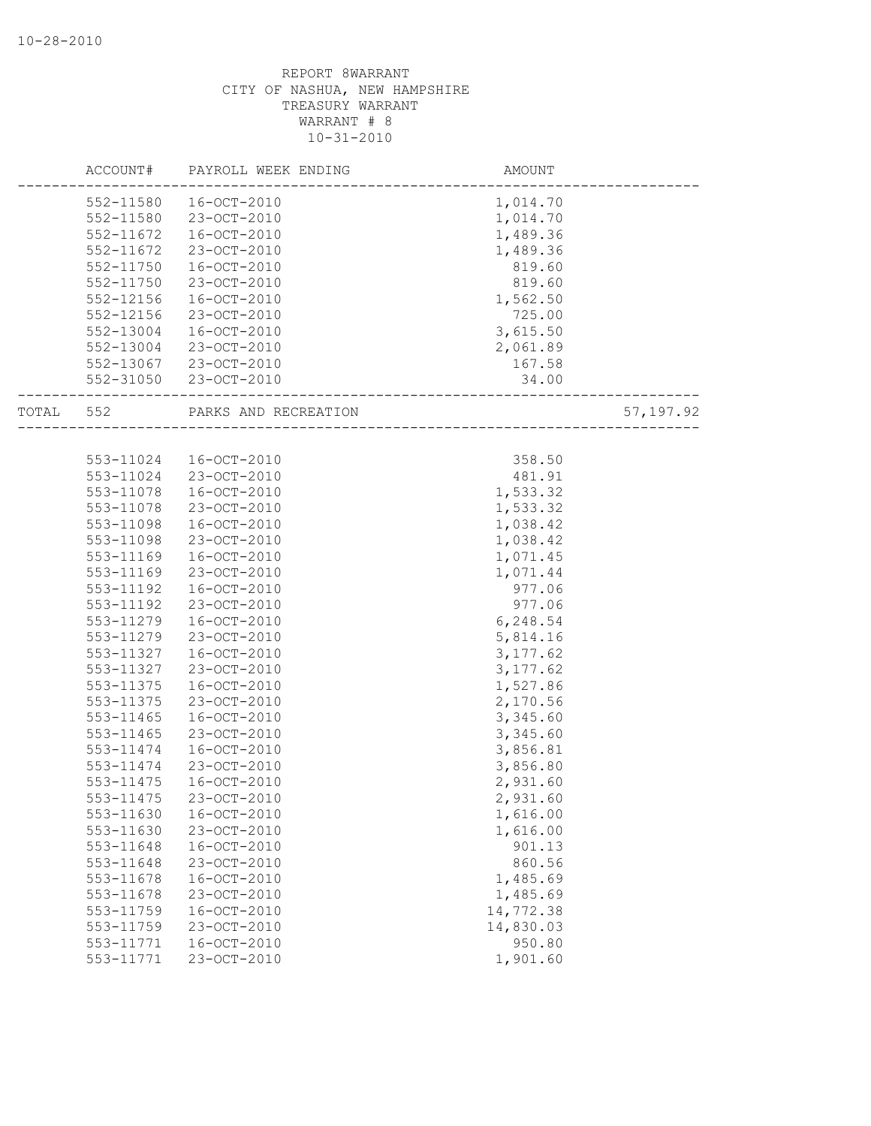|       | ACCOUNT#               | PAYROLL WEEK ENDING  | AMOUNT                 |           |
|-------|------------------------|----------------------|------------------------|-----------|
|       | 552-11580              | 16-OCT-2010          | 1,014.70               |           |
|       | 552-11580              | 23-OCT-2010          | 1,014.70               |           |
|       | 552-11672              | $16 - OCT - 2010$    | 1,489.36               |           |
|       | 552-11672              | 23-OCT-2010          | 1,489.36               |           |
|       | 552-11750              | $16 - OCT - 2010$    | 819.60                 |           |
|       | 552-11750              | 23-OCT-2010          | 819.60                 |           |
|       | 552-12156              | 16-OCT-2010          | 1,562.50               |           |
|       | 552-12156              | 23-OCT-2010          | 725.00                 |           |
|       |                        | 16-OCT-2010          | 3,615.50               |           |
|       | 552-13004<br>552-13004 | 23-OCT-2010          |                        |           |
|       | 552-13067              | 23-OCT-2010          | 2,061.89<br>167.58     |           |
|       | 552-31050              | 23-OCT-2010          | 34.00                  |           |
|       |                        |                      |                        |           |
| TOTAL | 552                    | PARKS AND RECREATION | ______________________ | 57,197.92 |
|       |                        |                      |                        |           |
|       | 553-11024              | 16-OCT-2010          | 358.50                 |           |
|       | 553-11024              | 23-OCT-2010          | 481.91                 |           |
|       | 553-11078              | $16 - OCT - 2010$    | 1,533.32               |           |
|       | 553-11078              | 23-OCT-2010          | 1,533.32               |           |
|       | 553-11098              | $16 - OCT - 2010$    | 1,038.42               |           |
|       | 553-11098              | 23-OCT-2010          | 1,038.42               |           |
|       | 553-11169              | $16 - OCT - 2010$    | 1,071.45               |           |
|       | 553-11169              | 23-OCT-2010          | 1,071.44               |           |
|       | 553-11192              | $16 - OCT - 2010$    | 977.06                 |           |
|       | 553-11192              | 23-OCT-2010          | 977.06                 |           |
|       | 553-11279              | $16 - OCT - 2010$    | 6,248.54               |           |
|       | 553-11279              | 23-OCT-2010          | 5,814.16               |           |
|       | 553-11327              | 16-OCT-2010          | 3, 177.62              |           |
|       | 553-11327              | 23-OCT-2010          | 3, 177.62              |           |
|       | 553-11375              | $16 - OCT - 2010$    | 1,527.86               |           |
|       | 553-11375              | 23-OCT-2010          | 2,170.56               |           |
|       | 553-11465              | $16 - OCT - 2010$    | 3,345.60               |           |
|       | $553 - 11465$          | 23-OCT-2010          | 3,345.60               |           |
|       | 553-11474              | 16-OCT-2010          | 3,856.81               |           |
|       | 553-11474              | $23 - OCT - 2010$    | 3,856.80               |           |
|       | 553-11475              | $16 - OCT - 2010$    | 2,931.60               |           |
|       | 553-11475              | 23-OCT-2010          | 2,931.60               |           |
|       | 553-11630              | $16 - OCT - 2010$    | 1,616.00               |           |
|       | 553-11630              | 23-OCT-2010          | 1,616.00               |           |
|       | 553-11648              | $16 - OCT - 2010$    | 901.13                 |           |
|       | 553-11648              | 23-OCT-2010          | 860.56                 |           |
|       | 553-11678              | 16-OCT-2010          | 1,485.69               |           |
|       | 553-11678              | 23-OCT-2010          | 1,485.69               |           |
|       | 553-11759              | $16 - OCT - 2010$    | 14,772.38              |           |
|       | 553-11759              | 23-OCT-2010          | 14,830.03              |           |
|       | 553-11771              | 16-OCT-2010          | 950.80                 |           |
|       | 553-11771              | 23-OCT-2010          | 1,901.60               |           |
|       |                        |                      |                        |           |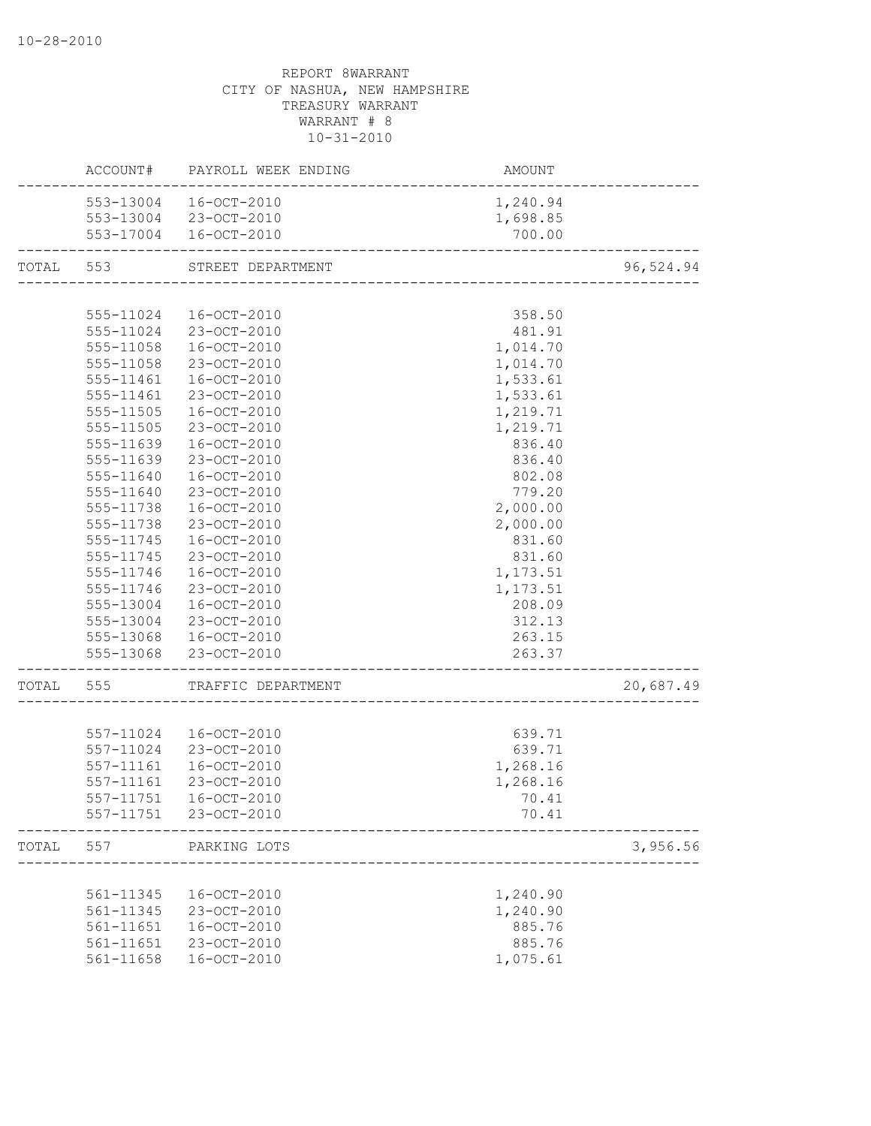|           |           | ACCOUNT# PAYROLL WEEK ENDING | AMOUNT                            |           |
|-----------|-----------|------------------------------|-----------------------------------|-----------|
|           |           | 553-13004 16-OCT-2010        | 1,240.94                          |           |
|           |           | 553-13004 23-OCT-2010        | 1,698.85                          |           |
|           |           | 553-17004 16-OCT-2010        | 700.00<br>_____________________   |           |
| TOTAL 553 |           | STREET DEPARTMENT            |                                   | 96,524.94 |
|           |           |                              |                                   |           |
|           | 555-11024 | 16-OCT-2010                  | 358.50                            |           |
|           | 555-11024 | 23-OCT-2010                  | 481.91                            |           |
|           | 555-11058 | 16-OCT-2010                  | 1,014.70                          |           |
|           | 555-11058 | 23-OCT-2010                  | 1,014.70                          |           |
|           | 555-11461 | 16-OCT-2010                  | 1,533.61                          |           |
|           | 555-11461 | 23-OCT-2010                  | 1,533.61                          |           |
|           | 555-11505 | 16-OCT-2010                  | 1,219.71                          |           |
|           | 555-11505 | 23-OCT-2010                  | 1,219.71                          |           |
|           | 555-11639 | 16-OCT-2010                  | 836.40                            |           |
|           | 555-11639 | 23-OCT-2010                  | 836.40                            |           |
|           | 555-11640 | $16 - OCT - 2010$            | 802.08                            |           |
|           | 555-11640 | 23-OCT-2010                  | 779.20                            |           |
|           | 555-11738 | $16 - OCT - 2010$            | 2,000.00                          |           |
|           | 555-11738 | 23-OCT-2010                  | 2,000.00                          |           |
|           |           |                              |                                   |           |
|           | 555-11745 | $16 - OCT - 2010$            | 831.60                            |           |
|           | 555-11745 | 23-OCT-2010                  | 831.60                            |           |
|           | 555-11746 | 16-OCT-2010                  | 1,173.51                          |           |
|           | 555-11746 | 23-OCT-2010                  | 1,173.51                          |           |
|           | 555-13004 | 16-OCT-2010                  | 208.09                            |           |
|           | 555-13004 | 23-OCT-2010                  | 312.13                            |           |
|           |           | 555-13068 16-OCT-2010        | 263.15                            |           |
|           |           | 555-13068 23-OCT-2010        | 263.37<br>----------------------- |           |
| TOTAL     | 555       | TRAFFIC DEPARTMENT           |                                   | 20,687.49 |
|           |           |                              |                                   |           |
|           |           | 557-11024 16-OCT-2010        | 639.71                            |           |
|           | 557-11024 | 23-OCT-2010                  | 639.71                            |           |
|           | 557-11161 | 16-OCT-2010                  | 1,268.16                          |           |
|           | 557-11161 | 23-OCT-2010                  | 1,268.16                          |           |
|           |           | 557-11751  16-OCT-2010       | 70.41                             |           |
|           |           | 557-11751 23-OCT-2010        | 70.41                             |           |
| TOTAL     | 557       | PARKING LOTS                 |                                   | 3,956.56  |
|           |           |                              |                                   |           |
|           | 561-11345 | 16-OCT-2010                  | 1,240.90                          |           |
|           | 561-11345 | 23-OCT-2010                  | 1,240.90                          |           |
|           | 561-11651 | $16 - OCT - 2010$            | 885.76                            |           |
|           | 561-11651 | 23-OCT-2010                  | 885.76                            |           |
|           | 561-11658 | 16-OCT-2010                  | 1,075.61                          |           |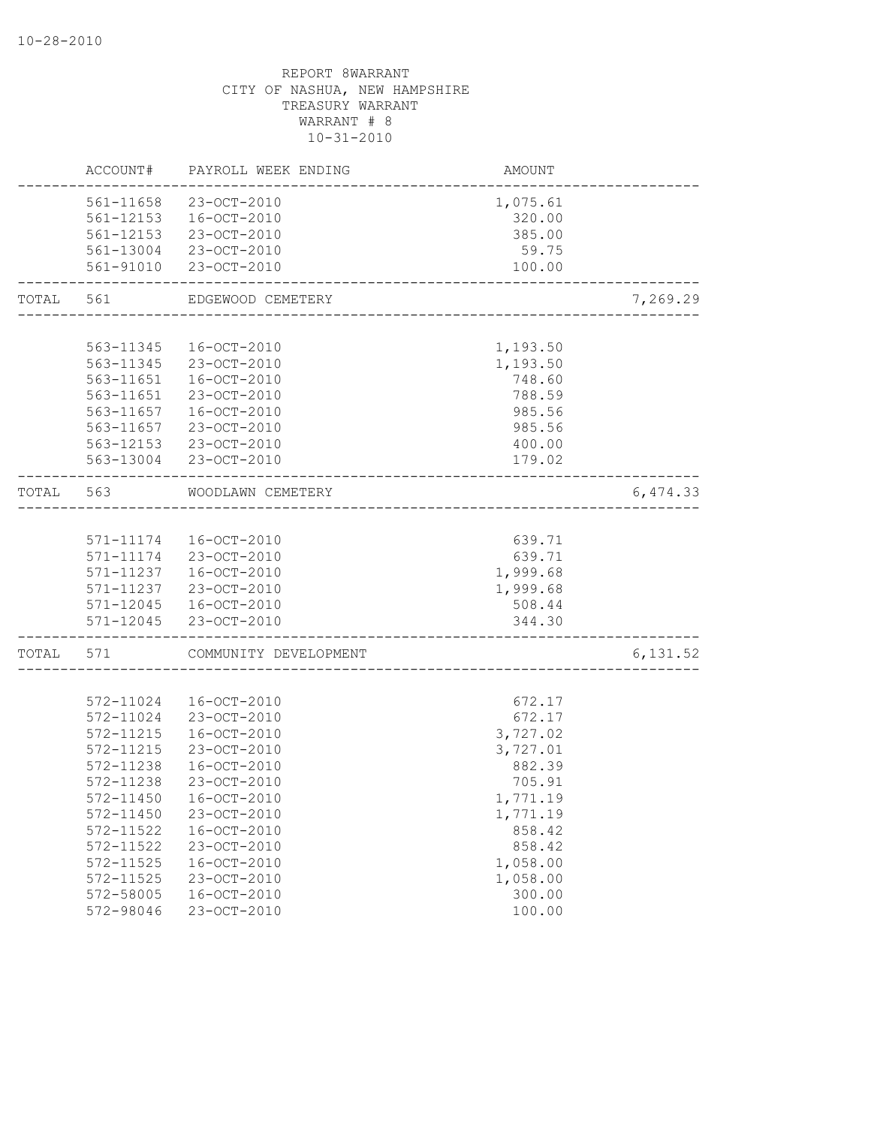|       | ACCOUNT#  | PAYROLL WEEK ENDING                  | AMOUNT                        |          |
|-------|-----------|--------------------------------------|-------------------------------|----------|
|       |           | 561-11658 23-OCT-2010                | 1,075.61                      |          |
|       |           | 561-12153  16-OCT-2010               | 320.00                        |          |
|       |           | 561-12153 23-OCT-2010                | 385.00                        |          |
|       |           | 561-13004 23-OCT-2010                | 59.75                         |          |
|       |           | 561-91010 23-OCT-2010                | 100.00                        |          |
| TOTAL | 561       | EDGEWOOD CEMETERY                    |                               | 7,269.29 |
|       |           |                                      |                               |          |
|       |           | 563-11345  16-OCT-2010               | 1,193.50                      |          |
|       |           | 563-11345 23-OCT-2010                | 1,193.50                      |          |
|       |           | 563-11651  16-OCT-2010               | 748.60                        |          |
|       | 563-11651 | 23-OCT-2010                          | 788.59                        |          |
|       | 563-11657 | 16-OCT-2010                          | 985.56                        |          |
|       | 563-11657 | 23-OCT-2010                          | 985.56                        |          |
|       | 563-12153 | 23-OCT-2010<br>563-13004 23-OCT-2010 | 400.00<br>179.02              |          |
| TOTAL | 563       | WOODLAWN CEMETERY                    |                               | 6,474.33 |
|       |           |                                      | ----------------------------- |          |
|       |           | 571-11174  16-OCT-2010               | 639.71                        |          |
|       |           | 571-11174 23-OCT-2010                | 639.71                        |          |
|       | 571-11237 | 16-OCT-2010                          | 1,999.68                      |          |
|       |           | 571-11237 23-OCT-2010                | 1,999.68                      |          |
|       | 571-12045 | 16-OCT-2010                          | 508.44                        |          |
|       |           | 571-12045 23-OCT-2010                | 344.30                        |          |
| TOTAL | 571       | COMMUNITY DEVELOPMENT                |                               | 6,131.52 |
|       |           |                                      |                               |          |
|       | 572-11024 | $16 - OCT - 2010$                    | 672.17                        |          |
|       | 572-11024 | 23-OCT-2010                          | 672.17                        |          |
|       | 572-11215 | 16-OCT-2010                          | 3,727.02                      |          |
|       | 572-11215 | 23-OCT-2010                          | 3,727.01                      |          |
|       | 572-11238 | $16 - OCT - 2010$                    | 882.39                        |          |
|       | 572-11238 | 23-OCT-2010                          | 705.91                        |          |
|       | 572-11450 | $16 - OCT - 2010$                    | 1,771.19                      |          |
|       | 572-11450 | 23-OCT-2010                          | 1,771.19                      |          |
|       | 572-11522 | 16-OCT-2010                          | 858.42                        |          |
|       | 572-11522 | 23-OCT-2010                          | 858.42                        |          |
|       | 572-11525 | 16-OCT-2010                          | 1,058.00                      |          |
|       | 572-11525 | 23-OCT-2010                          | 1,058.00                      |          |
|       | 572-58005 | 16-OCT-2010                          | 300.00                        |          |
|       | 572-98046 | 23-OCT-2010                          | 100.00                        |          |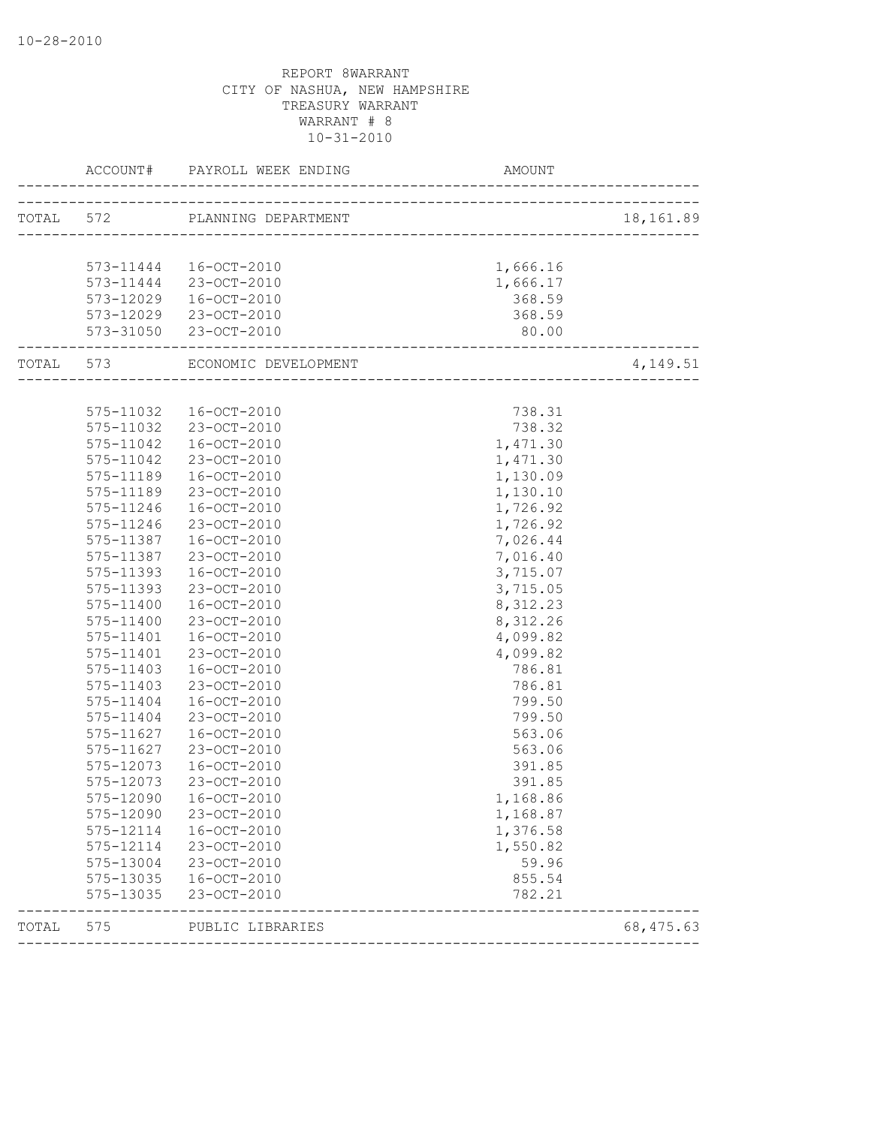|           |                  | ACCOUNT# PAYROLL WEEK ENDING   | AMOUNT                    |            |
|-----------|------------------|--------------------------------|---------------------------|------------|
| TOTAL 572 |                  | PLANNING DEPARTMENT            |                           | 18,161.89  |
|           |                  |                                |                           |            |
|           |                  | 573-11444  16-OCT-2010         | 1,666.16                  |            |
|           |                  | 573-11444 23-OCT-2010          | 1,666.17                  |            |
|           |                  | 573-12029  16-OCT-2010         | 368.59                    |            |
|           |                  | 573-12029 23-OCT-2010          | 368.59                    |            |
|           |                  | 573-31050 23-OCT-2010          | 80.00                     |            |
|           | ---------------- | TOTAL 573 ECONOMIC DEVELOPMENT | _________________________ | 4,149.51   |
|           |                  |                                |                           |            |
|           | 575-11032        | 16-OCT-2010                    | 738.31                    |            |
|           | 575-11032        | 23-OCT-2010                    | 738.32                    |            |
|           | 575-11042        | 16-OCT-2010                    | 1,471.30                  |            |
|           | 575-11042        | 23-OCT-2010                    | 1,471.30                  |            |
|           | 575-11189        | 16-OCT-2010                    | 1,130.09                  |            |
|           | 575-11189        | 23-OCT-2010                    | 1,130.10                  |            |
|           | 575-11246        | 16-OCT-2010                    | 1,726.92                  |            |
|           | 575-11246        | 23-OCT-2010                    | 1,726.92                  |            |
|           | 575-11387        | 16-OCT-2010                    | 7,026.44                  |            |
|           | 575-11387        | 23-OCT-2010                    | 7,016.40                  |            |
|           | 575-11393        | 16-OCT-2010                    | 3,715.07                  |            |
|           | 575-11393        | 23-OCT-2010                    | 3,715.05                  |            |
|           | 575-11400        | 16-OCT-2010                    | 8,312.23                  |            |
|           | 575-11400        | 23-OCT-2010                    | 8,312.26                  |            |
|           | 575-11401        | 16-OCT-2010                    | 4,099.82                  |            |
|           | 575-11401        | 23-OCT-2010                    | 4,099.82                  |            |
|           | 575-11403        | 16-OCT-2010                    | 786.81                    |            |
|           | 575-11403        | 23-OCT-2010                    | 786.81                    |            |
|           | 575-11404        | 16-OCT-2010                    | 799.50                    |            |
|           | 575-11404        | $23 - OCT - 2010$              | 799.50                    |            |
|           | 575-11627        | 16-OCT-2010                    | 563.06                    |            |
|           | 575-11627        | 23-OCT-2010                    | 563.06                    |            |
|           | 575-12073        | 16-OCT-2010                    | 391.85                    |            |
|           | 575-12073        | 23-OCT-2010                    | 391.85                    |            |
|           |                  | 575-12090  16-OCT-2010         | 1,168.86                  |            |
|           | 575-12090        | 23-OCT-2010                    | 1,168.87                  |            |
|           | 575-12114        | 16-OCT-2010                    | 1,376.58                  |            |
|           | 575-12114        | 23-OCT-2010                    | 1,550.82                  |            |
|           | 575-13004        | 23-OCT-2010                    | 59.96                     |            |
|           | 575-13035        | 16-OCT-2010                    | 855.54                    |            |
|           | 575-13035        | 23-OCT-2010                    | 782.21                    |            |
| TOTAL     | 575              | PUBLIC LIBRARIES               |                           | 68, 475.63 |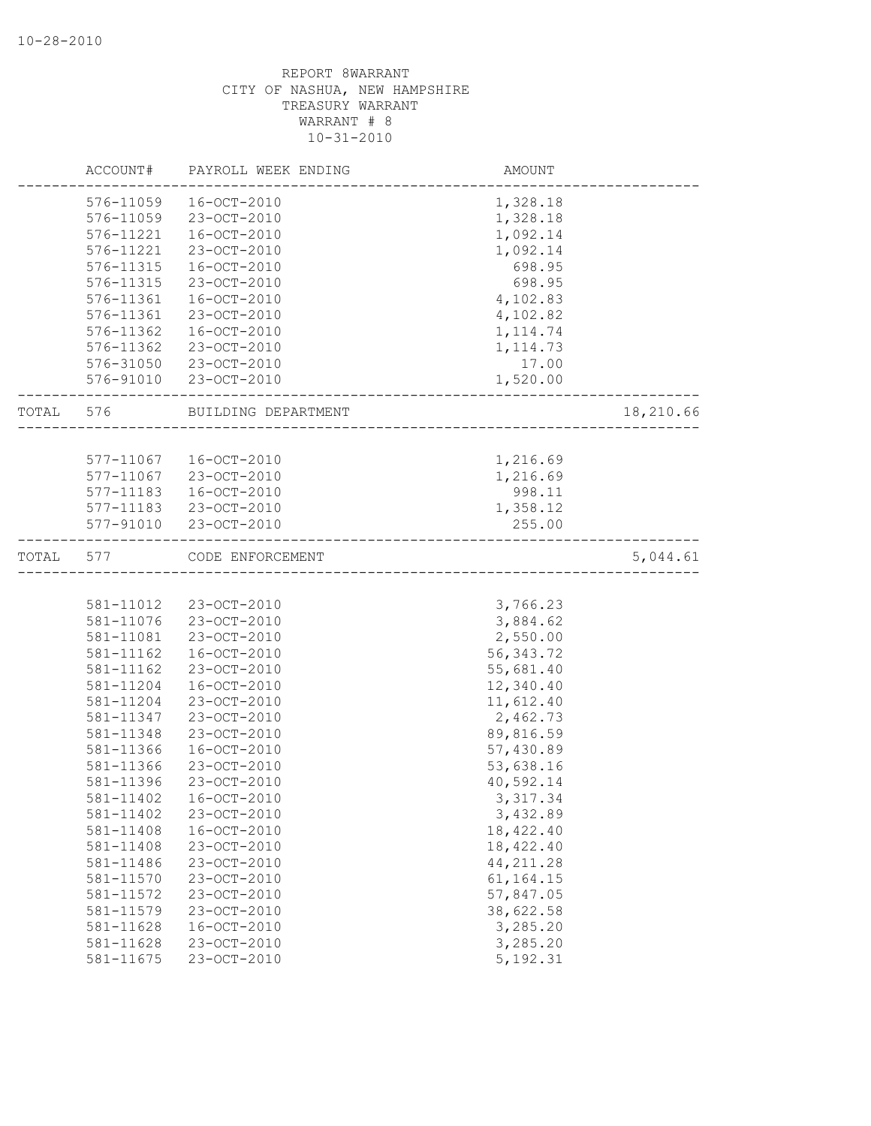|       | ACCOUNT#  | PAYROLL WEEK ENDING   | AMOUNT      |           |
|-------|-----------|-----------------------|-------------|-----------|
|       | 576-11059 | 16-OCT-2010           | 1,328.18    |           |
|       | 576-11059 | 23-OCT-2010           | 1,328.18    |           |
|       | 576-11221 | 16-OCT-2010           | 1,092.14    |           |
|       | 576-11221 | 23-OCT-2010           | 1,092.14    |           |
|       | 576-11315 | $16 - OCT - 2010$     | 698.95      |           |
|       | 576-11315 | 23-OCT-2010           | 698.95      |           |
|       | 576-11361 | $16 - OCT - 2010$     | 4,102.83    |           |
|       | 576-11361 | 23-OCT-2010           | 4,102.82    |           |
|       | 576-11362 | $16 - OCT - 2010$     | 1, 114.74   |           |
|       | 576-11362 | 23-OCT-2010           | 1, 114.73   |           |
|       |           | 576-31050 23-OCT-2010 | 17.00       |           |
|       |           | 576-91010 23-OCT-2010 | 1,520.00    |           |
| TOTAL | 576       | BUILDING DEPARTMENT   |             | 18,210.66 |
|       |           |                       |             |           |
|       | 577-11067 | 16-OCT-2010           | 1,216.69    |           |
|       | 577-11067 | 23-OCT-2010           | 1,216.69    |           |
|       | 577-11183 | $16 - OCT - 2010$     | 998.11      |           |
|       |           | 577-11183 23-OCT-2010 | 1,358.12    |           |
|       |           | 577-91010 23-OCT-2010 | 255.00      |           |
| TOTAL | 577       | CODE ENFORCEMENT      |             | 5,044.61  |
|       |           |                       |             |           |
|       | 581-11012 | 23-OCT-2010           | 3,766.23    |           |
|       | 581-11076 | 23-OCT-2010           | 3,884.62    |           |
|       | 581-11081 | 23-OCT-2010           | 2,550.00    |           |
|       | 581-11162 | $16 - OCT - 2010$     | 56, 343.72  |           |
|       | 581-11162 | 23-OCT-2010           | 55,681.40   |           |
|       | 581-11204 | $16 - OCT - 2010$     | 12,340.40   |           |
|       | 581-11204 | 23-OCT-2010           | 11,612.40   |           |
|       | 581-11347 | 23-OCT-2010           | 2,462.73    |           |
|       | 581-11348 | 23-OCT-2010           | 89,816.59   |           |
|       | 581-11366 | $16 - OCT - 2010$     | 57,430.89   |           |
|       | 581-11366 | 23-OCT-2010           | 53,638.16   |           |
|       | 581-11396 | 23-OCT-2010           | 40,592.14   |           |
|       | 581-11402 | 16-OCT-2010           | 3, 317.34   |           |
|       | 581-11402 | 23-OCT-2010           | 3,432.89    |           |
|       | 581-11408 | 16-OCT-2010           | 18,422.40   |           |
|       | 581-11408 | 23-OCT-2010           | 18,422.40   |           |
|       | 581-11486 | 23-OCT-2010           | 44, 211.28  |           |
|       | 581-11570 | 23-OCT-2010           | 61, 164. 15 |           |
|       | 581-11572 | 23-OCT-2010           | 57,847.05   |           |
|       | 581-11579 | 23-OCT-2010           | 38,622.58   |           |
|       | 581-11628 | $16 - OCT - 2010$     | 3,285.20    |           |
|       | 581-11628 | 23-OCT-2010           | 3,285.20    |           |
|       | 581-11675 | 23-OCT-2010           | 5, 192.31   |           |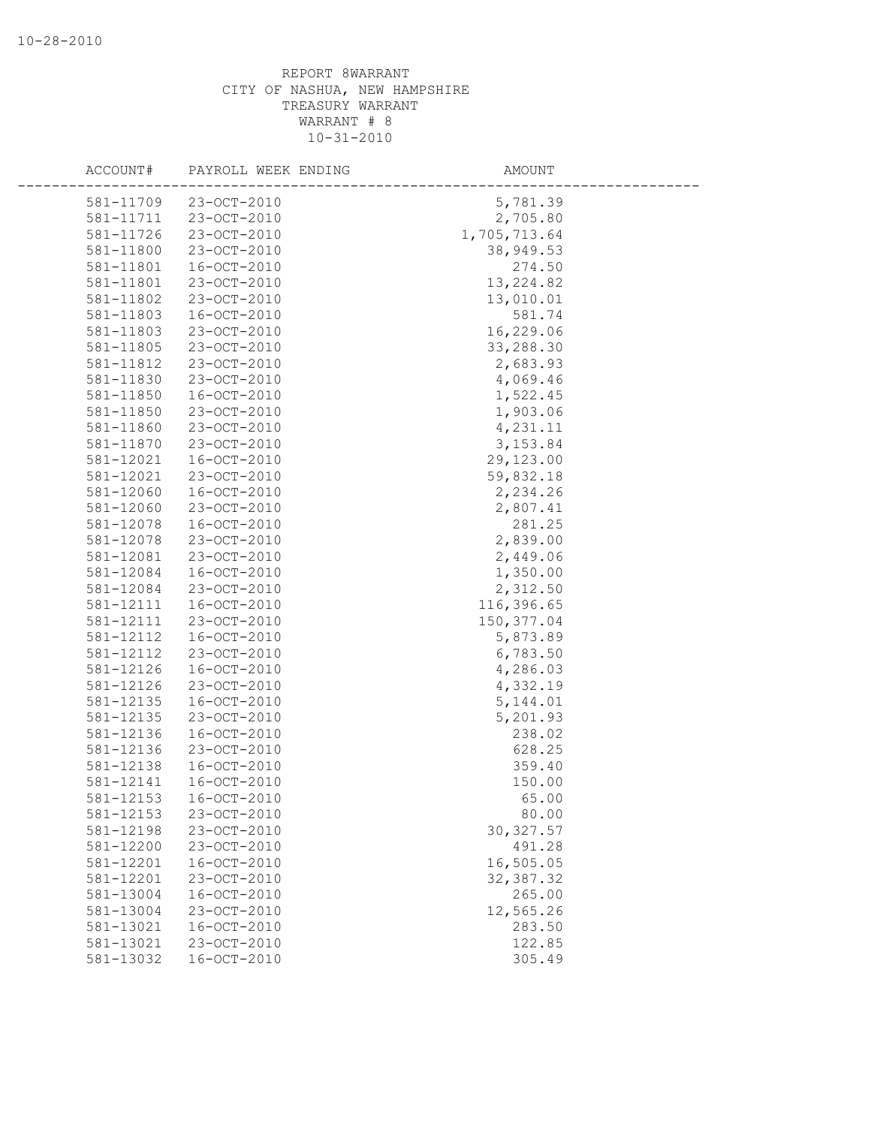| ACCOUNT#  | PAYROLL WEEK ENDING | AMOUNT       |  |
|-----------|---------------------|--------------|--|
| 581-11709 | 23-OCT-2010         | 5,781.39     |  |
| 581-11711 | 23-OCT-2010         | 2,705.80     |  |
| 581-11726 | 23-OCT-2010         | 1,705,713.64 |  |
| 581-11800 | 23-OCT-2010         | 38,949.53    |  |
| 581-11801 | $16 - OCT - 2010$   | 274.50       |  |
| 581-11801 | 23-OCT-2010         | 13, 224.82   |  |
| 581-11802 | 23-OCT-2010         | 13,010.01    |  |
| 581-11803 | $16 - OCT - 2010$   | 581.74       |  |
| 581-11803 | 23-OCT-2010         | 16,229.06    |  |
| 581-11805 | 23-OCT-2010         | 33,288.30    |  |
| 581-11812 | 23-OCT-2010         | 2,683.93     |  |
| 581-11830 | 23-OCT-2010         | 4,069.46     |  |
| 581-11850 | $16 - OCT - 2010$   | 1,522.45     |  |
| 581-11850 | 23-OCT-2010         | 1,903.06     |  |
| 581-11860 | 23-OCT-2010         | 4,231.11     |  |
| 581-11870 | 23-OCT-2010         | 3,153.84     |  |
| 581-12021 | $16 - OCT - 2010$   | 29,123.00    |  |
| 581-12021 | 23-OCT-2010         | 59,832.18    |  |
| 581-12060 | $16 - OCT - 2010$   | 2,234.26     |  |
| 581-12060 | 23-OCT-2010         | 2,807.41     |  |
| 581-12078 | 16-OCT-2010         | 281.25       |  |
| 581-12078 | 23-OCT-2010         | 2,839.00     |  |
| 581-12081 | 23-OCT-2010         | 2,449.06     |  |
| 581-12084 | 16-OCT-2010         | 1,350.00     |  |
| 581-12084 | 23-OCT-2010         | 2,312.50     |  |
| 581-12111 | $16 - OCT - 2010$   | 116,396.65   |  |
| 581-12111 | 23-OCT-2010         | 150, 377.04  |  |
| 581-12112 | $16 - OCT - 2010$   | 5,873.89     |  |
| 581-12112 | 23-OCT-2010         | 6,783.50     |  |
| 581-12126 | $16 - OCT - 2010$   | 4,286.03     |  |
| 581-12126 | 23-OCT-2010         | 4,332.19     |  |
| 581-12135 | $16 - OCT - 2010$   | 5, 144.01    |  |
| 581-12135 | 23-OCT-2010         | 5,201.93     |  |
| 581-12136 | 16-OCT-2010         | 238.02       |  |
| 581-12136 | 23-OCT-2010         | 628.25       |  |
| 581-12138 | $16 - OCT - 2010$   | 359.40       |  |
| 581-12141 | $16 - OCT - 2010$   | 150.00       |  |
| 581-12153 | $16 - OCT - 2010$   | 65.00        |  |
| 581-12153 | 23-OCT-2010         | 80.00        |  |
| 581-12198 | 23-OCT-2010         | 30, 327.57   |  |
| 581-12200 | 23-OCT-2010         | 491.28       |  |
| 581-12201 | 16-OCT-2010         | 16,505.05    |  |
| 581-12201 | 23-OCT-2010         | 32, 387.32   |  |
| 581-13004 | 16-OCT-2010         | 265.00       |  |
| 581-13004 | 23-OCT-2010         | 12,565.26    |  |
| 581-13021 | 16-OCT-2010         | 283.50       |  |
| 581-13021 | 23-OCT-2010         | 122.85       |  |
| 581-13032 | 16-OCT-2010         | 305.49       |  |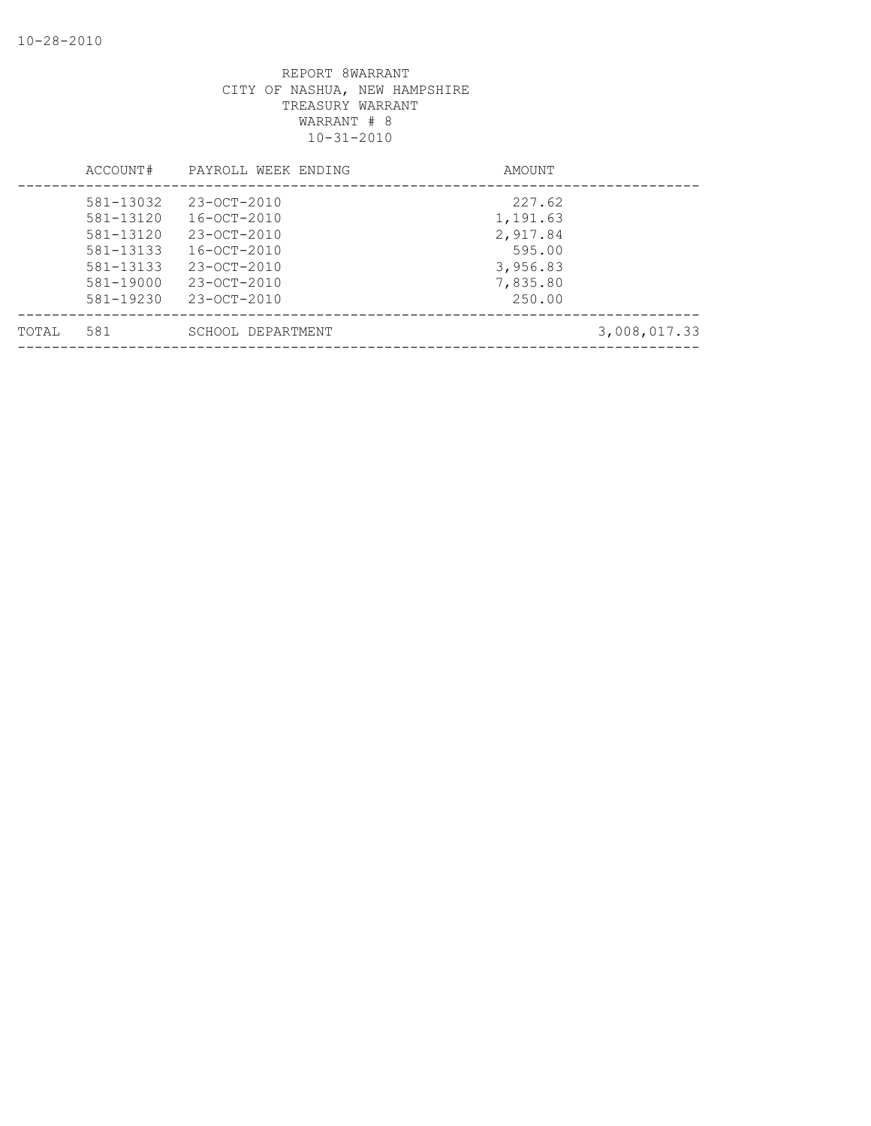|       | ACCOUNT#                                                                                | PAYROLL WEEK ENDING                                                                                                                             | AMOUNT                                                                     |
|-------|-----------------------------------------------------------------------------------------|-------------------------------------------------------------------------------------------------------------------------------------------------|----------------------------------------------------------------------------|
|       | 581-13032<br>581-13120<br>581-13120<br>581-13133<br>581-13133<br>581-19000<br>581-19230 | $23 - OCT - 2010$<br>$16 - OCT - 2010$<br>$23 - OCT - 2010$<br>$16 - OCT - 2010$<br>$23 - OCT - 2010$<br>$23 - OCT - 2010$<br>$23 - OCT - 2010$ | 227.62<br>1,191.63<br>2,917.84<br>595.00<br>3,956.83<br>7,835.80<br>250.00 |
| TOTAL | 581                                                                                     | SCHOOL DEPARTMENT                                                                                                                               | 3,008,017.33                                                               |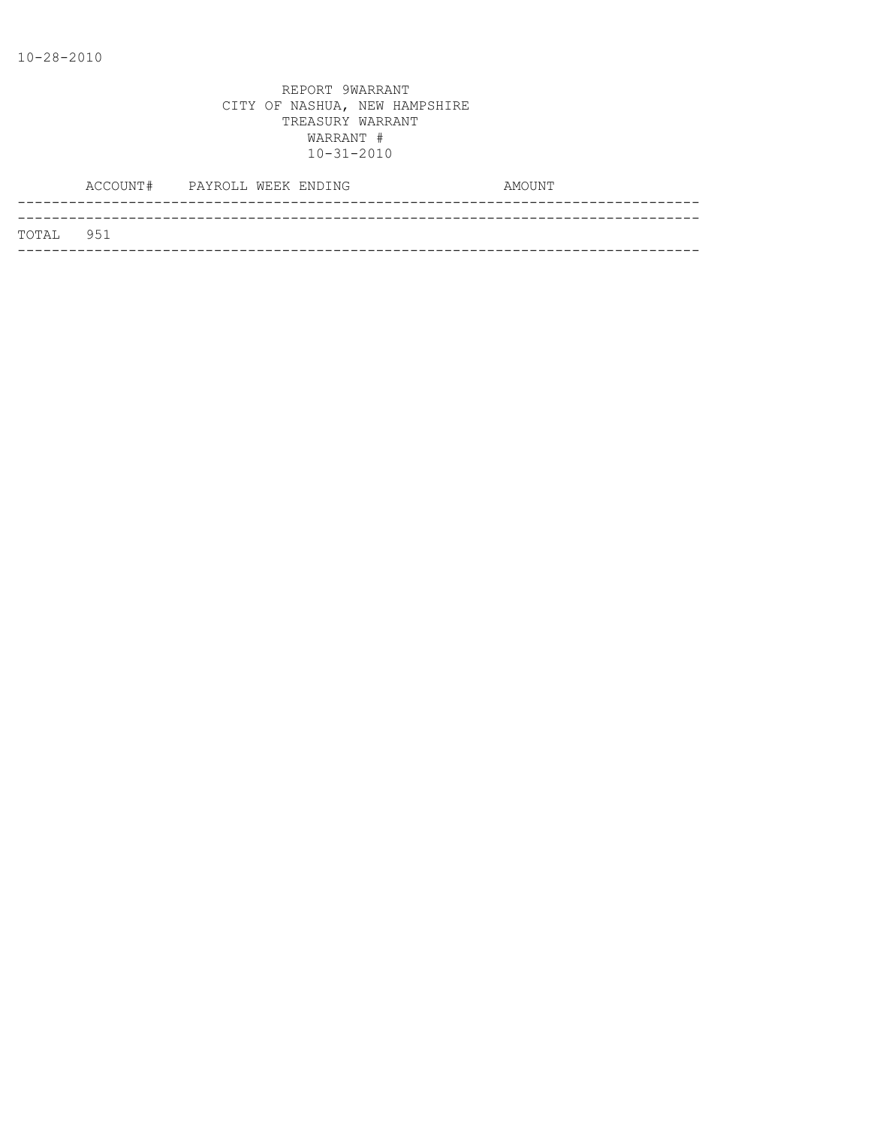|           | ACCOUNT# PAYROLL WEEK ENDING |  |  | AMOUNT |
|-----------|------------------------------|--|--|--------|
|           |                              |  |  |        |
| TOTAL 951 |                              |  |  |        |
|           |                              |  |  |        |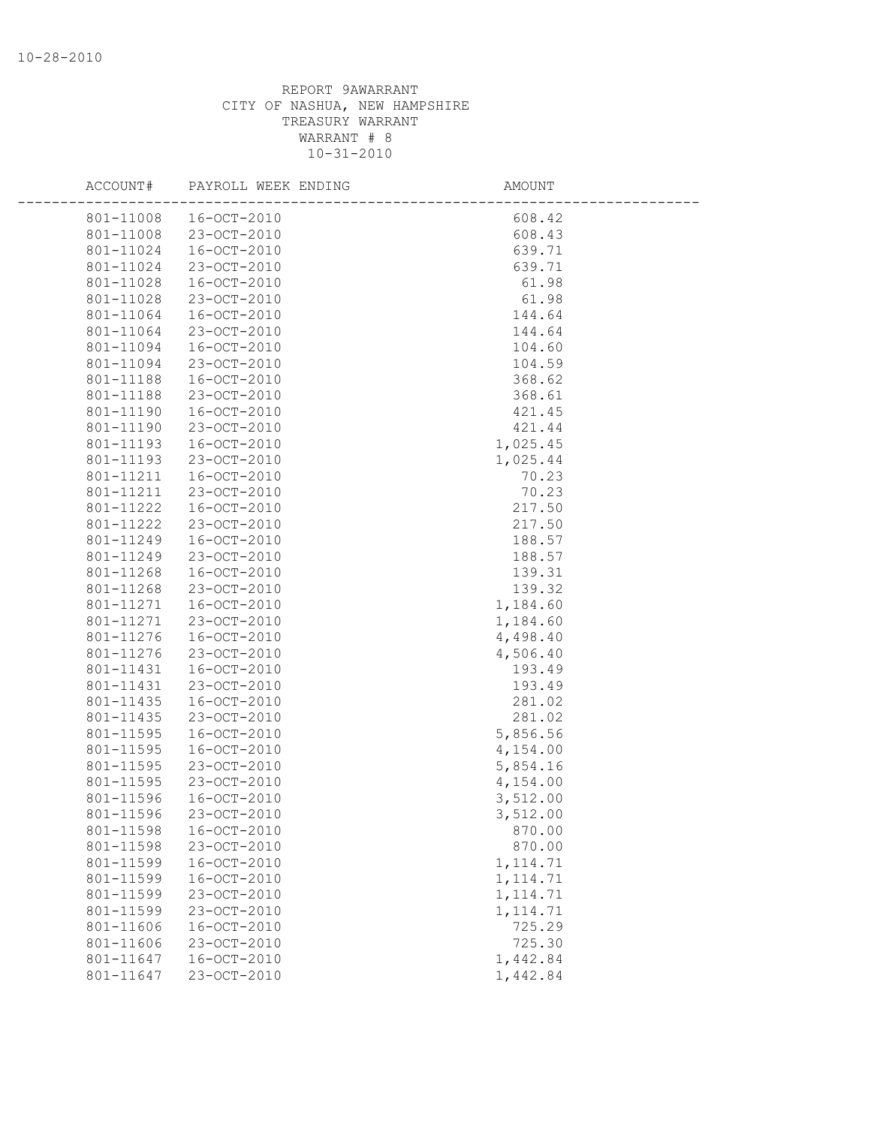| ACCOUNT#               | PAYROLL WEEK ENDING                    | AMOUNT                 |  |
|------------------------|----------------------------------------|------------------------|--|
| 801-11008              | 16-OCT-2010                            | 608.42                 |  |
| 801-11008              | 23-OCT-2010                            | 608.43                 |  |
| 801-11024              | 16-OCT-2010                            | 639.71                 |  |
| 801-11024              | 23-OCT-2010                            | 639.71                 |  |
| 801-11028              | 16-OCT-2010                            | 61.98                  |  |
| 801-11028              | 23-OCT-2010                            | 61.98                  |  |
| 801-11064              | 16-OCT-2010                            | 144.64                 |  |
| 801-11064              | 23-OCT-2010                            | 144.64                 |  |
| 801-11094              | $16 - OCT - 2010$                      | 104.60                 |  |
| 801-11094              | 23-OCT-2010                            | 104.59                 |  |
| 801-11188              | 16-OCT-2010                            | 368.62                 |  |
| 801-11188              | 23-OCT-2010                            | 368.61                 |  |
| 801-11190              | 16-OCT-2010                            | 421.45                 |  |
| 801-11190              | 23-OCT-2010                            | 421.44                 |  |
| 801-11193              | 16-OCT-2010                            | 1,025.45               |  |
| 801-11193              | 23-OCT-2010                            | 1,025.44               |  |
| 801-11211              | 16-OCT-2010                            | 70.23                  |  |
| 801-11211              | 23-OCT-2010                            | 70.23                  |  |
| 801-11222              | 16-OCT-2010                            | 217.50                 |  |
| 801-11222              | 23-OCT-2010                            | 217.50                 |  |
| 801-11249              | 16-OCT-2010                            | 188.57                 |  |
| 801-11249              | 23-OCT-2010                            | 188.57                 |  |
| 801-11268              | 16-OCT-2010                            | 139.31                 |  |
| 801-11268              | 23-OCT-2010                            | 139.32                 |  |
| 801-11271              | 16-OCT-2010                            | 1,184.60               |  |
| 801-11271              | 23-OCT-2010                            | 1,184.60               |  |
| 801-11276              | 16-OCT-2010                            | 4,498.40               |  |
| 801-11276              | 23-OCT-2010                            | 4,506.40               |  |
| 801-11431              | 16-OCT-2010                            | 193.49                 |  |
| 801-11431              | 23-OCT-2010                            | 193.49                 |  |
| 801-11435              | 16-OCT-2010                            | 281.02                 |  |
| 801-11435              | 23-OCT-2010                            | 281.02                 |  |
| 801-11595              | 16-OCT-2010                            | 5,856.56               |  |
| 801-11595              | 16-OCT-2010                            | 4,154.00               |  |
| 801-11595              | 23-OCT-2010                            | 5,854.16               |  |
| 801-11595              | 23-OCT-2010                            | 4,154.00               |  |
| 801-11596              | 16-OCT-2010                            | 3,512.00               |  |
| 801-11596              | 23-OCT-2010                            | 3,512.00               |  |
| 801-11598<br>801-11598 | $16 - OCT - 2010$<br>23-OCT-2010       | 870.00<br>870.00       |  |
|                        |                                        |                        |  |
| 801-11599<br>801-11599 | $16 - OCT - 2010$<br>$16 - OCT - 2010$ | 1, 114.71<br>1, 114.71 |  |
| 801-11599              | 23-OCT-2010                            | 1, 114.71              |  |
| 801-11599              | 23-OCT-2010                            | 1, 114.71              |  |
| 801-11606              | $16 - OCT - 2010$                      | 725.29                 |  |
| 801-11606              | 23-OCT-2010                            | 725.30                 |  |
| 801-11647              | $16 - OCT - 2010$                      | 1,442.84               |  |
| 801-11647              | 23-OCT-2010                            | 1,442.84               |  |
|                        |                                        |                        |  |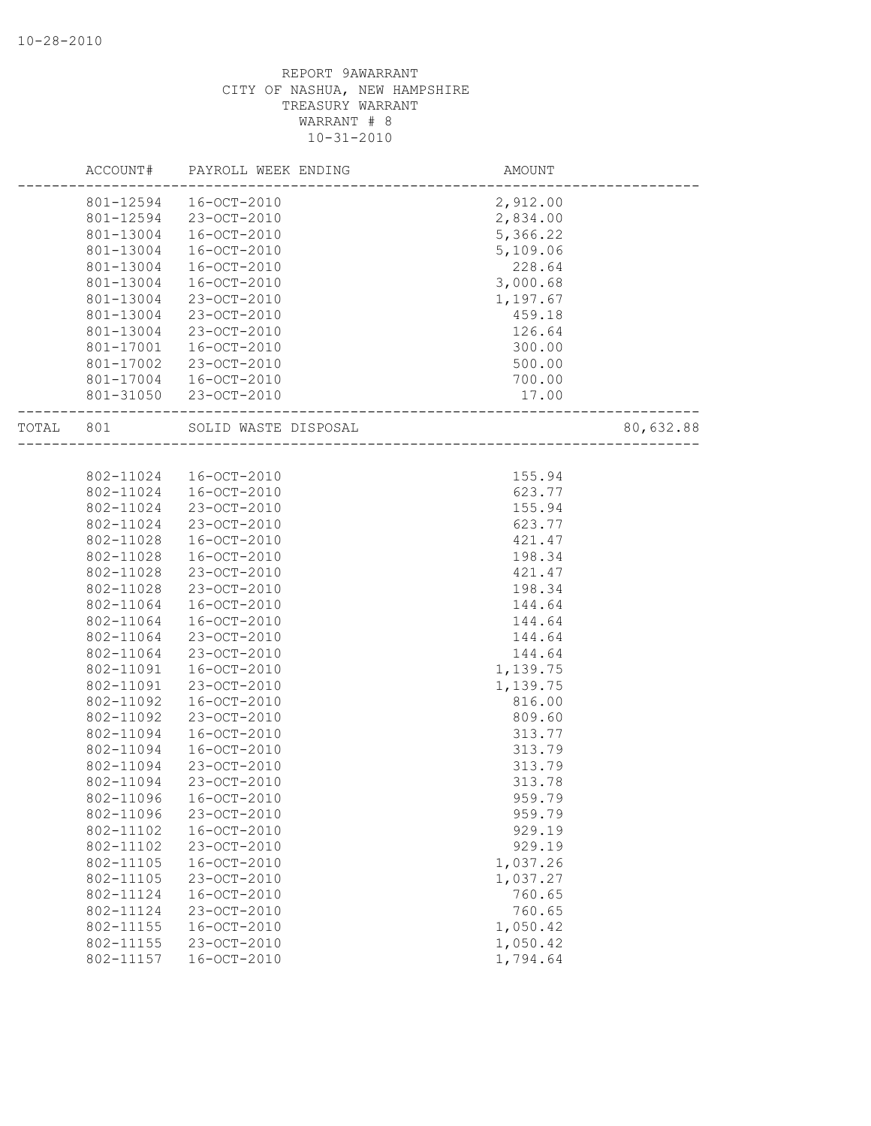|       | ACCOUNT#  | PAYROLL WEEK ENDING   | AMOUNT                     |           |
|-------|-----------|-----------------------|----------------------------|-----------|
|       | 801-12594 | 16-OCT-2010           | 2,912.00                   |           |
|       | 801-12594 | 23-OCT-2010           | 2,834.00                   |           |
|       | 801-13004 | 16-OCT-2010           | 5,366.22                   |           |
|       | 801-13004 | 16-OCT-2010           | 5,109.06                   |           |
|       | 801-13004 | $16 - OCT - 2010$     | 228.64                     |           |
|       | 801-13004 | $16 - OCT - 2010$     | 3,000.68                   |           |
|       | 801-13004 | 23-OCT-2010           | 1,197.67                   |           |
|       | 801-13004 | 23-OCT-2010           | 459.18                     |           |
|       | 801-13004 | 23-OCT-2010           | 126.64                     |           |
|       | 801-17001 | $16 - OCT - 2010$     | 300.00                     |           |
|       | 801-17002 | 23-OCT-2010           | 500.00                     |           |
|       | 801-17004 | 16-OCT-2010           | 700.00                     |           |
|       | 801-31050 | 23-OCT-2010           | 17.00                      |           |
| TOTAL | 801       | SOLID WASTE DISPOSAL  | .<br>--------------------- | 80,632.88 |
|       |           |                       |                            |           |
|       |           | 802-11024 16-OCT-2010 | 155.94                     |           |
|       | 802-11024 | $16 - OCT - 2010$     | 623.77                     |           |
|       | 802-11024 | 23-OCT-2010           | 155.94                     |           |
|       | 802-11024 | 23-OCT-2010           | 623.77                     |           |
|       | 802-11028 | $16 - OCT - 2010$     | 421.47                     |           |
|       | 802-11028 | $16 - OCT - 2010$     | 198.34                     |           |
|       | 802-11028 | 23-OCT-2010           | 421.47                     |           |
|       | 802-11028 | 23-OCT-2010           | 198.34                     |           |
|       | 802-11064 | 16-OCT-2010           | 144.64                     |           |
|       | 802-11064 | $16 - OCT - 2010$     | 144.64                     |           |
|       | 802-11064 | 23-OCT-2010           | 144.64                     |           |
|       | 802-11064 | 23-OCT-2010           | 144.64                     |           |
|       | 802-11091 | 16-OCT-2010           | 1,139.75                   |           |
|       | 802-11091 | 23-OCT-2010           | 1,139.75                   |           |
|       | 802-11092 | $16 - OCT - 2010$     | 816.00                     |           |
|       | 802-11092 | 23-OCT-2010           | 809.60                     |           |
|       | 802-11094 | 16-OCT-2010           | 313.77                     |           |
|       | 802-11094 | 16-OCT-2010           | 313.79                     |           |
|       | 802-11094 | 23-OCT-2010           | 313.79                     |           |
|       | 802-11094 | 23-OCT-2010           | 313.78                     |           |
|       | 802-11096 | $16 - OCT - 2010$     | 959.79                     |           |
|       | 802-11096 | 23-OCT-2010           | 959.79                     |           |
|       | 802-11102 | $16 - OCT - 2010$     | 929.19                     |           |
|       | 802-11102 | 23-OCT-2010           | 929.19                     |           |
|       | 802-11105 | 16-OCT-2010           | 1,037.26                   |           |
|       | 802-11105 | 23-OCT-2010           | 1,037.27                   |           |
|       | 802-11124 | 16-OCT-2010           | 760.65                     |           |
|       | 802-11124 | 23-OCT-2010           | 760.65                     |           |
|       | 802-11155 | 16-OCT-2010           | 1,050.42                   |           |
|       | 802-11155 | 23-OCT-2010           | 1,050.42                   |           |
|       | 802-11157 | 16-OCT-2010           | 1,794.64                   |           |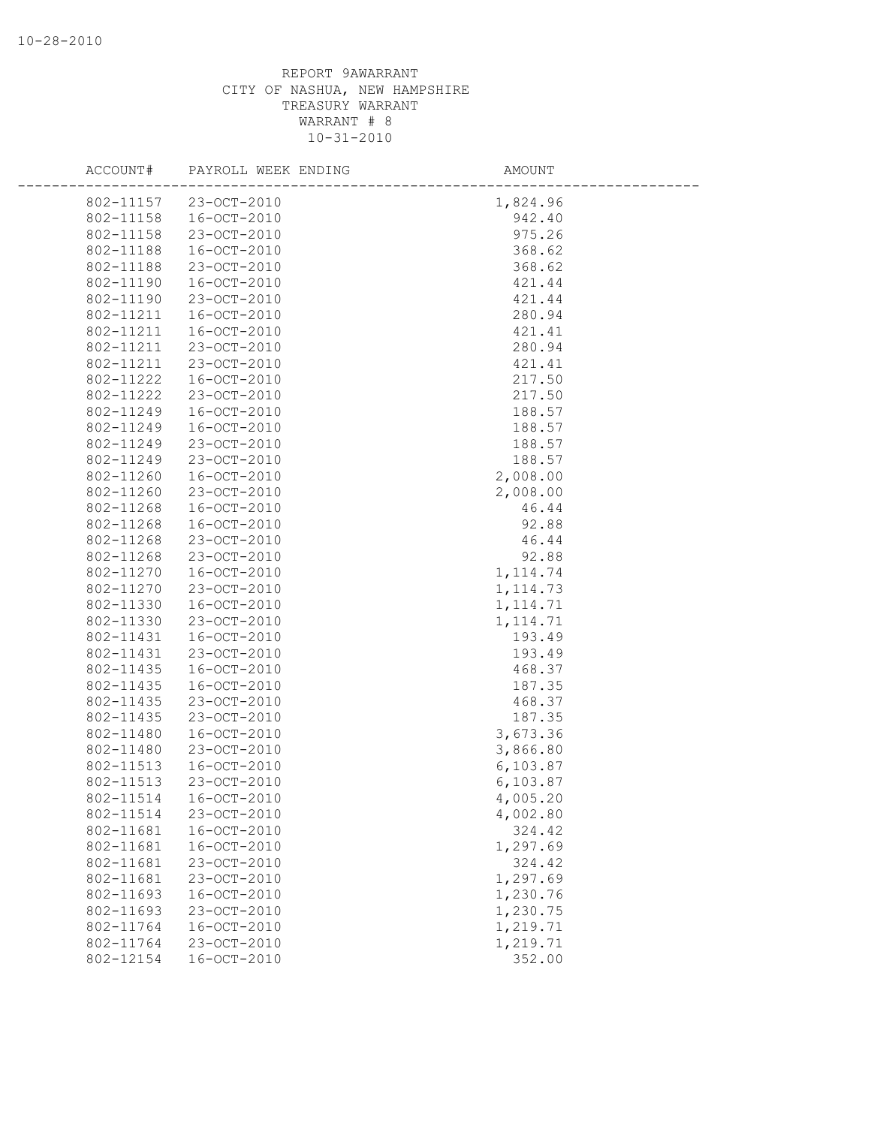| ACCOUNT#  | PAYROLL WEEK ENDING | AMOUNT    |  |
|-----------|---------------------|-----------|--|
| 802-11157 | 23-OCT-2010         | 1,824.96  |  |
| 802-11158 | 16-OCT-2010         | 942.40    |  |
| 802-11158 | 23-OCT-2010         | 975.26    |  |
| 802-11188 | $16 - OCT - 2010$   | 368.62    |  |
| 802-11188 | 23-OCT-2010         | 368.62    |  |
| 802-11190 | 16-OCT-2010         | 421.44    |  |
| 802-11190 | 23-OCT-2010         | 421.44    |  |
| 802-11211 | 16-OCT-2010         | 280.94    |  |
| 802-11211 | 16-OCT-2010         | 421.41    |  |
| 802-11211 | 23-OCT-2010         | 280.94    |  |
| 802-11211 | 23-OCT-2010         | 421.41    |  |
| 802-11222 | 16-OCT-2010         | 217.50    |  |
| 802-11222 | 23-OCT-2010         | 217.50    |  |
| 802-11249 | $16 - OCT - 2010$   | 188.57    |  |
| 802-11249 | 16-OCT-2010         | 188.57    |  |
| 802-11249 | 23-OCT-2010         | 188.57    |  |
| 802-11249 | 23-OCT-2010         | 188.57    |  |
| 802-11260 | $16 - OCT - 2010$   | 2,008.00  |  |
| 802-11260 | 23-OCT-2010         | 2,008.00  |  |
| 802-11268 | 16-OCT-2010         | 46.44     |  |
| 802-11268 | 16-OCT-2010         | 92.88     |  |
| 802-11268 | 23-OCT-2010         | 46.44     |  |
| 802-11268 | 23-OCT-2010         | 92.88     |  |
| 802-11270 | 16-OCT-2010         | 1, 114.74 |  |
| 802-11270 | 23-OCT-2010         | 1, 114.73 |  |
| 802-11330 | 16-OCT-2010         | 1, 114.71 |  |
| 802-11330 | 23-OCT-2010         | 1, 114.71 |  |
| 802-11431 | $16 - OCT - 2010$   | 193.49    |  |
| 802-11431 | 23-OCT-2010         | 193.49    |  |
| 802-11435 | 16-OCT-2010         | 468.37    |  |
| 802-11435 | 16-OCT-2010         | 187.35    |  |
| 802-11435 | 23-OCT-2010         | 468.37    |  |
| 802-11435 | 23-OCT-2010         | 187.35    |  |
| 802-11480 | 16-OCT-2010         | 3,673.36  |  |
| 802-11480 | 23-OCT-2010         | 3,866.80  |  |
| 802-11513 | $16 - OCT - 2010$   | 6,103.87  |  |
| 802-11513 | 23-OCT-2010         | 6,103.87  |  |
| 802-11514 | $16 - OCT - 2010$   | 4,005.20  |  |
| 802-11514 | 23-OCT-2010         | 4,002.80  |  |
| 802-11681 | $16 - OCT - 2010$   | 324.42    |  |
| 802-11681 | $16 - OCT - 2010$   | 1,297.69  |  |
| 802-11681 | 23-OCT-2010         | 324.42    |  |
| 802-11681 | 23-OCT-2010         | 1,297.69  |  |
| 802-11693 | 16-OCT-2010         | 1,230.76  |  |
| 802-11693 | 23-OCT-2010         | 1,230.75  |  |
| 802-11764 | $16 - OCT - 2010$   | 1,219.71  |  |
| 802-11764 | 23-OCT-2010         | 1,219.71  |  |
| 802-12154 | 16-OCT-2010         | 352.00    |  |